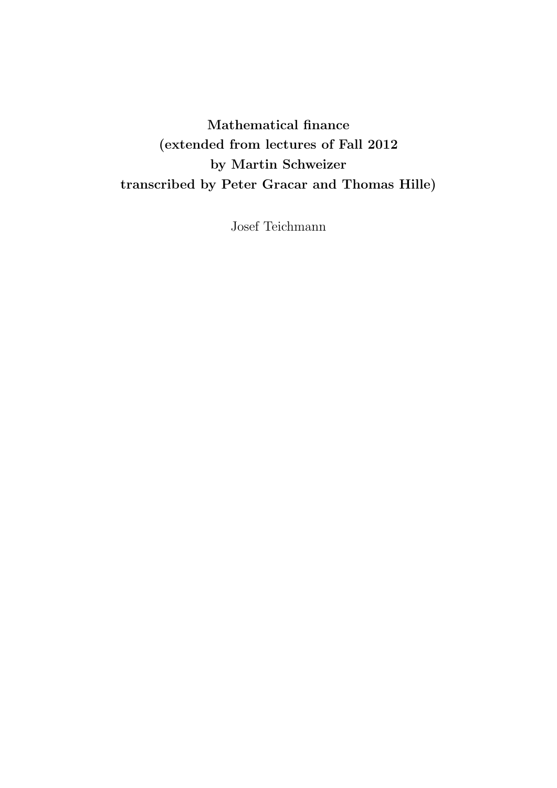# Mathematical finance (extended from lectures of Fall 2012 by Martin Schweizer transcribed by Peter Gracar and Thomas Hille)

Josef Teichmann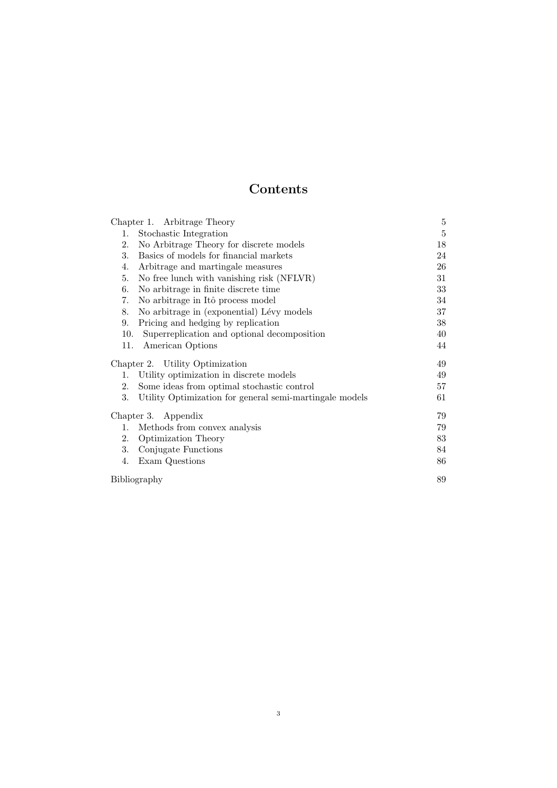## Contents

|                                 | Chapter 1. Arbitrage Theory                             | 5  |
|---------------------------------|---------------------------------------------------------|----|
| 1.                              | Stochastic Integration                                  | 5  |
| 2.                              | No Arbitrage Theory for discrete models                 | 18 |
| 3.                              | Basics of models for financial markets                  | 24 |
| 4.                              | Arbitrage and martingale measures                       | 26 |
| 5.                              | No free lunch with vanishing risk (NFLVR)               | 31 |
| 6.                              | No arbitrage in finite discrete time                    | 33 |
| 7.                              | No arbitrage in Itô process model                       | 34 |
| 8.                              | No arbitrage in (exponential) Lévy models               | 37 |
| 9.                              | Pricing and hedging by replication                      | 38 |
| 10.                             | Superreplication and optional decomposition             | 40 |
| 11.                             | American Options                                        | 44 |
| Chapter 2. Utility Optimization |                                                         | 49 |
| 1.                              | Utility optimization in discrete models                 | 49 |
| 2.                              | Some ideas from optimal stochastic control              | 57 |
| 3.                              | Utility Optimization for general semi-martingale models | 61 |
| Chapter 3. Appendix             |                                                         | 79 |
| 1.                              | Methods from convex analysis                            | 79 |
| 2.                              | <b>Optimization Theory</b>                              | 83 |
| 3.                              | Conjugate Functions                                     | 84 |
| 4.                              | Exam Questions                                          | 86 |
| Bibliography                    |                                                         | 89 |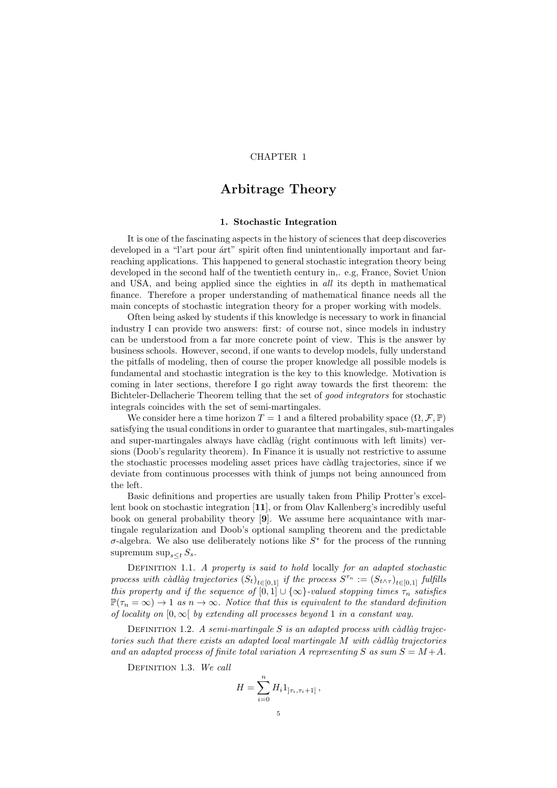## CHAPTER 1

## Arbitrage Theory

### 1. Stochastic Integration

It is one of the fascinating aspects in the history of sciences that deep discoveries developed in a "l'art pour árt" spirit often find unintentionally important and farreaching applications. This happened to general stochastic integration theory being developed in the second half of the twentieth century in,. e.g, France, Soviet Union and USA, and being applied since the eighties in all its depth in mathematical finance. Therefore a proper understanding of mathematical finance needs all the main concepts of stochastic integration theory for a proper working with models.

Often being asked by students if this knowledge is necessary to work in financial industry I can provide two answers: first: of course not, since models in industry can be understood from a far more concrete point of view. This is the answer by business schools. However, second, if one wants to develop models, fully understand the pitfalls of modeling, then of course the proper knowledge all possible models is fundamental and stochastic integration is the key to this knowledge. Motivation is coming in later sections, therefore I go right away towards the first theorem: the Bichteler-Dellacherie Theorem telling that the set of good integrators for stochastic integrals coincides with the set of semi-martingales.

We consider here a time horizon  $T = 1$  and a filtered probability space  $(\Omega, \mathcal{F}, \mathbb{P})$ satisfying the usual conditions in order to guarantee that martingales, sub-martingales and super-martingales always have càdlàg (right continuous with left limits) versions (Doob's regularity theorem). In Finance it is usually not restrictive to assume the stochastic processes modeling asset prices have càdlàg trajectories, since if we deviate from continuous processes with think of jumps not being announced from the left.

Basic definitions and properties are usually taken from Philip Protter's excellent book on stochastic integration [11], or from Olav Kallenberg's incredibly useful book on general probability theory [9]. We assume here acquaintance with martingale regularization and Doob's optional sampling theorem and the predictable  $\sigma$ -algebra. We also use deliberately notions like  $S^*$  for the process of the running supremum sup $s \lt t S_s$ .

DEFINITION 1.1. A property is said to hold locally for an adapted stochastic process with càdlàg trajectories  $(S_t)_{t \in [0,1]}$  if the process  $S^{\tau_n} := (S_{t \wedge \tau})_{t \in [0,1]}$  fulfills this property and if the sequence of  $[0,1] \cup \{\infty\}$ -valued stopping times  $\tau_n$  satisfies  $\mathbb{P}(\tau_n = \infty) \to 1$  as  $n \to \infty$ . Notice that this is equivalent to the standard definition of locality on  $[0,\infty]$  by extending all processes beyond 1 in a constant way.

DEFINITION 1.2. A semi-martingale S is an adapted process with càdlàq trajectories such that there exists an adapted local martingale  $M$  with càdlàg trajectories and an adapted process of finite total variation A representing S as sum  $S = M + A$ .

DEFINITION 1.3. We call

$$
H = \sum_{i=0}^{n} H_i 1_{\left] \tau_i, \tau_i + 1 \right]},
$$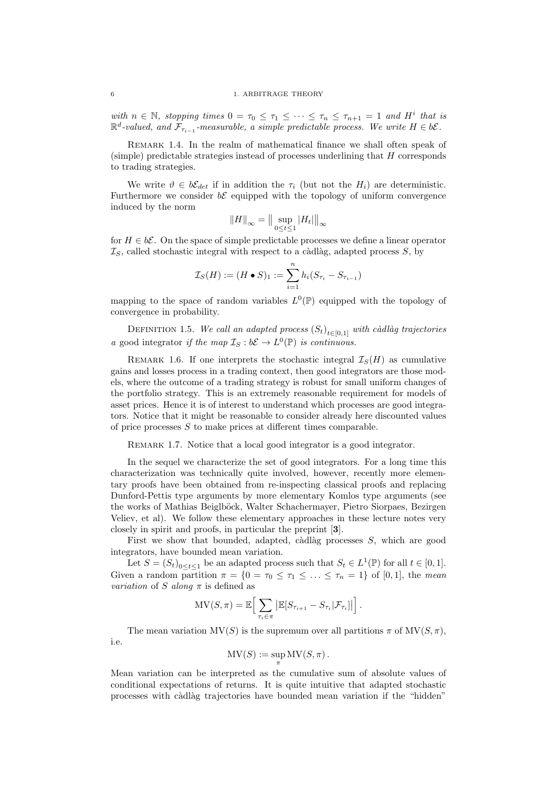with  $n \in \mathbb{N}$ , stopping times  $0 = \tau_0 \leq \tau_1 \leq \cdots \leq \tau_n \leq \tau_{n+1} = 1$  and  $H^i$  that is  $\mathbb{R}^d$ -valued, and  $\mathcal{F}_{\tau_{i-1}}$ -measurable, a simple predictable process. We write  $H \in b\mathcal{E}$ .

REMARK 1.4. In the realm of mathematical finance we shall often speak of (simple) predictable strategies instead of processes underlining that H corresponds to trading strategies.

We write  $\vartheta \in b\mathcal{E}_{det}$  if in addition the  $\tau_i$  (but not the  $H_i$ ) are deterministic. Furthermore we consider  $b\mathcal{E}$  equipped with the topology of uniform convergence induced by the norm

$$
||H||_{\infty} = ||\sup_{0\leq t\leq 1} |H_t||_{\infty}
$$

for  $H \in b\mathcal{E}$ . On the space of simple predictable processes we define a linear operator  $\mathcal{I}_S$ , called stochastic integral with respect to a càdlàg, adapted process S, by

$$
\mathcal{I}_S(H) := (H \bullet S)_1 := \sum_{i=1}^n h_i (S_{\tau_i} - S_{\tau_{i-1}})
$$

mapping to the space of random variables  $L^0(\mathbb{P})$  equipped with the topology of convergence in probability.

DEFINITION 1.5. We call an adapted process  $(S_t)_{t \in [0,1]}$  with càdlàg trajectories a good integrator if the map  $\mathcal{I}_S : b\mathcal{E} \to L^0(\mathbb{P})$  is continuous.

REMARK 1.6. If one interprets the stochastic integral  $\mathcal{I}_S(H)$  as cumulative gains and losses process in a trading context, then good integrators are those models, where the outcome of a trading strategy is robust for small uniform changes of the portfolio strategy. This is an extremely reasonable requirement for models of asset prices. Hence it is of interest to understand which processes are good integrators. Notice that it might be reasonable to consider already here discounted values of price processes S to make prices at different times comparable.

REMARK 1.7. Notice that a local good integrator is a good integrator.

In the sequel we characterize the set of good integrators. For a long time this characterization was technically quite involved, however, recently more elementary proofs have been obtained from re-inspecting classical proofs and replacing Dunford-Pettis type arguments by more elementary Komlos type arguments (see the works of Mathias Beiglböck, Walter Schachermayer, Pietro Siorpaes, Bezirgen Veliev, et al). We follow these elementary approaches in these lecture notes very closely in spirit and proofs, in particular the preprint [3].

First we show that bounded, adapted, càdlàg processes  $S$ , which are good integrators, have bounded mean variation.

Let  $S = (S_t)_{0 \le t \le 1}$  be an adapted process such that  $S_t \in L^1(\mathbb{P})$  for all  $t \in [0,1]$ . Given a random partition  $\pi = \{0 = \tau_0 \leq \tau_1 \leq \ldots \leq \tau_n = 1\}$  of [0, 1], the mean variation of S along  $\pi$  is defined as

$$
\mathrm{MV}(S,\pi)=\mathbb{E}\Big[\sum_{\tau_i\in\pi}\big|\mathbb{E}[S_{\tau_{i+1}}-S_{\tau_i}|\mathcal{F}_{\tau_i}]\big|\Big].
$$

The mean variation  $MV(S)$  is the supremum over all partitions  $\pi$  of  $MV(S, \pi)$ , i.e.

$$
\mathrm{MV}(S) := \sup_{\pi} \mathrm{MV}(S, \pi).
$$

Mean variation can be interpreted as the cumulative sum of absolute values of conditional expectations of returns. It is quite intuitive that adapted stochastic processes with c`adl`ag trajectories have bounded mean variation if the "hidden"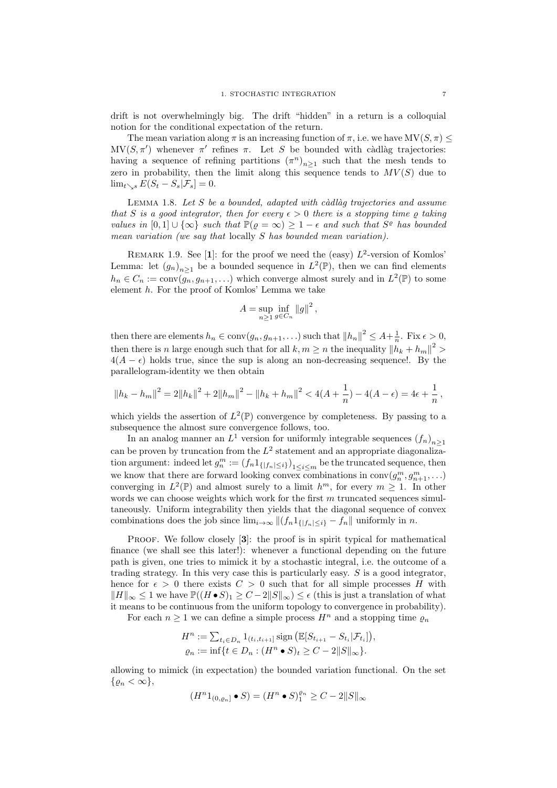drift is not overwhelmingly big. The drift "hidden" in a return is a colloquial notion for the conditional expectation of the return.

The mean variation along  $\pi$  is an increasing function of  $\pi$ , i.e. we have  $MV(S, \pi)$  $MV(S, \pi')$  whenever  $\pi'$  refines  $\pi$ . Let S be bounded with càdlàg trajectories: having a sequence of refining partitions  $(\pi^n)_{n\geq 1}$  such that the mesh tends to zero in probability, then the limit along this sequence tends to  $MV(S)$  due to  $\lim_{t\searrow s} E(S_t - S_s | \mathcal{F}_s] = 0.$ 

LEMMA 1.8. Let  $S$  be a bounded, adapted with càdlàg trajectories and assume that S is a good integrator, then for every  $\epsilon > 0$  there is a stopping time  $\rho$  taking values in  $[0,1] \cup \{\infty\}$  such that  $\mathbb{P}(\varrho = \infty) \geq 1 - \epsilon$  and such that  $S^{\varrho}$  has bounded mean variation (we say that locally S has bounded mean variation).

REMARK 1.9. See [1]: for the proof we need the (easy)  $L^2$ -version of Komlos' Lemma: let  $(g_n)_{n\geq 1}$  be a bounded sequence in  $L^2(\mathbb{P})$ , then we can find elements  $h_n \in C_n := \text{conv}(\overline{g_n}, g_{n+1}, \ldots)$  which converge almost surely and in  $L^2(\mathbb{P})$  to some element h. For the proof of Komlos' Lemma we take

$$
A = \sup_{n \ge 1} \inf_{g \in C_n} ||g||^2,
$$

then there are elements  $h_n \in \text{conv}(g_n, g_{n+1}, \ldots)$  such that  $||h_n||^2 \leq A + \frac{1}{n}$ . Fix  $\epsilon > 0$ , then there is n large enough such that for all  $k, m \geq n$  the inequality  $||h_k + h_m||^2 >$  $4(A - \epsilon)$  holds true, since the sup is along an non-decreasing sequence!. By the parallelogram-identity we then obtain

$$
||h_k - h_m||^2 = 2||h_k||^2 + 2||h_m||^2 - ||h_k + h_m||^2 < 4(A + \frac{1}{n}) - 4(A - \epsilon) = 4\epsilon + \frac{1}{n},
$$

which yields the assertion of  $L^2(\mathbb{P})$  convergence by completeness. By passing to a subsequence the almost sure convergence follows, too.

In an analog manner an  $L^1$  version for uniformly integrable sequences  $(f_n)_{n\geq 1}$ can be proven by truncation from the  $L^2$  statement and an appropriate diagonalization argument: indeed let  $g_n^m := (f_n 1_{\{|f_n| \leq i\}})_{1 \leq i \leq m}$  be the truncated sequence, then we know that there are forward looking convex combinations in  $conv(g_n^m, g_{n+1}^m, \ldots)$ converging in  $L^2(\mathbb{P})$  and almost surely to a limit  $h^m$ , for every  $m \geq 1$ . In other words we can choose weights which work for the first  $m$  truncated sequences simultaneously. Uniform integrability then yields that the diagonal sequence of convex combinations does the job since  $\lim_{i\to\infty} ||(f_n 1_{\{|f_n| \leq i\}} - f_n||$  uniformly in n.

PROOF. We follow closely [3]: the proof is in spirit typical for mathematical finance (we shall see this later!): whenever a functional depending on the future path is given, one tries to mimick it by a stochastic integral, i.e. the outcome of a trading strategy. In this very case this is particularly easy.  $S$  is a good integrator, hence for  $\epsilon > 0$  there exists  $C > 0$  such that for all simple processes H with  $||H||_{\infty} \leq 1$  we have  $\mathbb{P}((H \bullet S)_1 \geq C - 2||S||_{\infty}) \leq \epsilon$  (this is just a translation of what it means to be continuous from the uniform topology to convergence in probability).

For each  $n \geq 1$  we can define a simple process  $H^n$  and a stopping time  $\varrho_n$ 

$$
H^n := \sum_{t_i \in D_n} 1_{(t_i, t_{i+1}]} \operatorname{sign} \left( \mathbb{E}[S_{t_{i+1}} - S_{t_i} | \mathcal{F}_{t_i}] \right),
$$
  

$$
\varrho_n := \inf \{ t \in D_n : (H^n \bullet S)_t \ge C - 2||S||_{\infty} \}.
$$

allowing to mimick (in expectation) the bounded variation functional. On the set  $\{\rho_n < \infty\},\$ 

$$
(H^n 1_{(0,\varrho_n]} \bullet S) = (H^n \bullet S)_1^{\varrho_n} \ge C - 2||S||_{\infty}
$$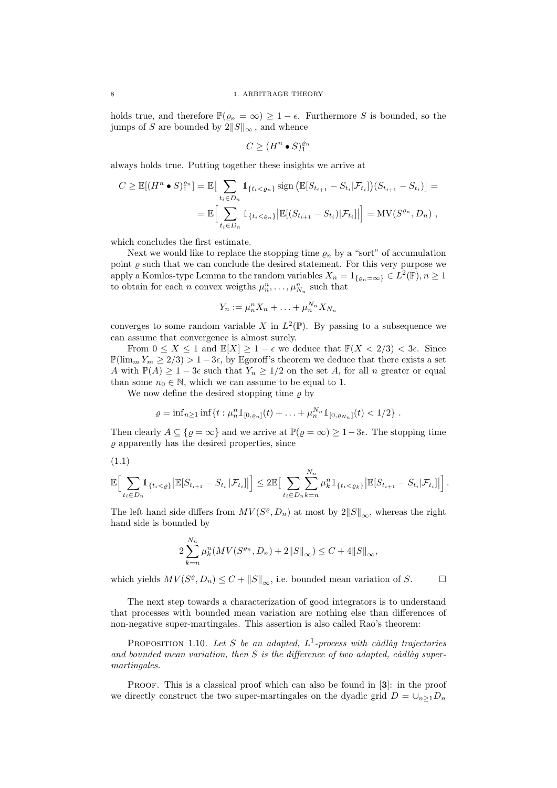holds true, and therefore  $\mathbb{P}(\varrho_n = \infty) \geq 1 - \epsilon$ . Furthermore S is bounded, so the jumps of S are bounded by  $2||S||_{\infty}$ , and whence

$$
C \ge (H^n \bullet S)_1^{\varrho_n}
$$

always holds true. Putting together these insights we arrive at

$$
C \geq \mathbb{E}[(H^n \bullet S)_1^{e_n}] = \mathbb{E}\big[\sum_{t_i \in D_n} \mathbb{1}_{\{t_i < e_n\}} \operatorname{sign}\big(\mathbb{E}[S_{t_{i+1}} - S_{t_i} | \mathcal{F}_{t_i}]\big)(S_{t_{i+1}} - S_{t_i})\big] =
$$
\n
$$
= \mathbb{E}\big[\sum_{t_i \in D_n} \mathbb{1}_{\{t_i < e_n\}} \big|\mathbb{E}[(S_{t_{i+1}} - S_{t_i}) | \mathcal{F}_{t_i}]\big|\big] = \mathrm{MV}(S^{e_n}, D_n) ,
$$

which concludes the first estimate.

Next we would like to replace the stopping time  $\rho_n$  by a "sort" of accumulation point  $\rho$  such that we can conclude the desired statement. For this very purpose we apply a Komlos-type Lemma to the random variables  $X_n = 1_{\{ \varrho_n = \infty \}} \in L^2(\mathbb{P}), n \ge 1$ to obtain for each *n* convex weigths  $\mu_n^n, \ldots, \mu_{N_n}^n$  such that

$$
Y_n := \mu_n^n X_n + \ldots + \mu_n^{N_n} X_{N_n}
$$

converges to some random variable X in  $L^2(\mathbb{P})$ . By passing to a subsequence we can assume that convergence is almost surely.

From  $0 \leq X \leq 1$  and  $\mathbb{E}[X] \geq 1 - \epsilon$  we deduce that  $\mathbb{P}(X < 2/3) < 3\epsilon$ . Since  $\mathbb{P}(\lim_m Y_m \geq 2/3) > 1-3\epsilon$ , by Egoroff's theorem we deduce that there exists a set A with  $\mathbb{P}(A) \geq 1-3\epsilon$  such that  $Y_n \geq 1/2$  on the set A, for all n greater or equal than some  $n_0 \in \mathbb{N}$ , which we can assume to be equal to 1.

We now define the desired stopping time  $\rho$  by

$$
\varrho = \inf_{n \geq 1} \inf \{ t : \mu_n^n \mathbb{1}_{[0,\varrho_n]}(t) + \ldots + \mu_n^{N_n} \mathbb{1}_{[0,\varrho_{N_n}]}(t) < 1/2 \} .
$$

Then clearly  $A \subseteq \{ \varrho = \infty \}$  and we arrive at  $\mathbb{P}(\varrho = \infty) \geq 1-3\epsilon$ . The stopping time  $\rho$  apparently has the desired properties, since

$$
(1.1)
$$

$$
\mathbb{E}\Big[\sum_{t_i\in D_n} \mathbb{1}_{\{t_i < \varrho\}} \big|\mathbb{E}[S_{t_{i+1}} - S_{t_i} | \mathcal{F}_{t_i}]\big|\Big] \leq 2 \mathbb{E}\Big[\sum_{t_i\in D_n}\sum_{k=n}^{N_n} \mu_k^n \mathbb{1}_{\{t_i < \varrho_k\}} \big|\mathbb{E}[S_{t_{i+1}} - S_{t_i} | \mathcal{F}_{t_i}]\big|\Big].
$$

The left hand side differs from  $MV(S^{\varrho}, D_n)$  at most by  $2||S||_{\infty}$ , whereas the right hand side is bounded by

$$
2\sum_{k=n}^{N_n} \mu_k^n(MV(S^{\varrho_n}, D_n) + 2||S||_{\infty}) \le C + 4||S||_{\infty},
$$

which yields  $MV(S^{\varrho}, D_n) \leq C + ||S||_{\infty}$ , i.e. bounded mean variation of S.

The next step towards a characterization of good integrators is to understand that processes with bounded mean variation are nothing else than differences of non-negative super-martingales. This assertion is also called Rao's theorem:

PROPOSITION 1.10. Let S be an adapted,  $L^1$ -process with càdlàg trajectories and bounded mean variation, then  $S$  is the difference of two adapted, càdlàg supermartingales.

PROOF. This is a classical proof which can also be found in [3]: in the proof we directly construct the two super-martingales on the dyadic grid  $D = \bigcup_{n>1} D_n$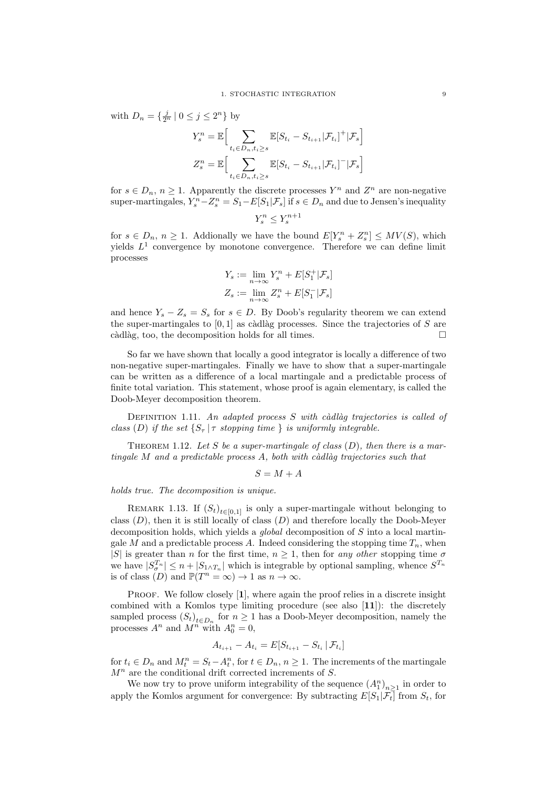with  $D_n = \{ \frac{j}{2^n} \mid 0 \le j \le 2^n \}$  by

$$
Y_s^n = \mathbb{E}\Big[\sum_{t_i \in D_n, t_i \ge s} \mathbb{E}[S_{t_i} - S_{t_{i+1}}|\mathcal{F}_{t_i}]^+ |\mathcal{F}_s\Big]
$$
  

$$
Z_s^n = \mathbb{E}\Big[\sum_{t_i \in D_n, t_i \ge s} \mathbb{E}[S_{t_i} - S_{t_{i+1}}|\mathcal{F}_{t_i}]^- |\mathcal{F}_s\Big]
$$

for  $s \in D_n$ ,  $n \geq 1$ . Apparently the discrete processes  $Y^n$  and  $Z^n$  are non-negative super-martingales,  $Y_s^n - Z_s^n = S_1 - E[S_1 | \mathcal{F}_s]$  if  $s \in D_n$  and due to Jensen's inequality

$$
Y^n_s\leq Y^{n+1}_s
$$

for  $s \in D_n$ ,  $n \geq 1$ . Addionally we have the bound  $E[Y_s^n + Z_s^n] \leq MV(S)$ , which yields  $L^1$  convergence by monotone convergence. Therefore we can define limit processes

$$
\begin{aligned} Y_s &:= \lim_{n \to \infty} Y_s^n + E[S_1^+ | \mathcal{F}_s] \\ Z_s &:= \lim_{n \to \infty} Z_s^n + E[S_1^- | \mathcal{F}_s] \end{aligned}
$$

and hence  $Y_s - Z_s = S_s$  for  $s \in D$ . By Doob's regularity theorem we can extend the super-martingales to  $[0, 1]$  as càdlàg processes. Since the trajectories of S are càdlàg, too, the decomposition holds for all times.  $\Box$ 

So far we have shown that locally a good integrator is locally a difference of two non-negative super-martingales. Finally we have to show that a super-martingale can be written as a difference of a local martingale and a predictable process of finite total variation. This statement, whose proof is again elementary, is called the Doob-Meyer decomposition theorem.

DEFINITION 1.11. An adapted process  $S$  with càdlàg trajectories is called of class (D) if the set  $\{S_\tau | \tau \text{ stopping time }\}$  is uniformly integrable.

THEOREM 1.12. Let S be a super-martingale of class  $(D)$ , then there is a martingale  $M$  and a predictable process  $A$ , both with càdlàg trajectories such that

 $S = M + A$ 

holds true. The decomposition is unique.

REMARK 1.13. If  $(S_t)_{t \in [0,1]}$  is only a super-martingale without belonging to class  $(D)$ , then it is still locally of class  $(D)$  and therefore locally the Doob-Meyer decomposition holds, which yields a global decomposition of S into a local martingale M and a predictable process A. Indeed considering the stopping time  $T_n$ , when |S| is greater than *n* for the first time,  $n \geq 1$ , then for any other stopping time  $\sigma$ we have  $|S_{\sigma}^{T_n}| \leq n + |S_{1 \wedge T_n}|$  which is integrable by optional sampling, whence  $S^{T_n}$ is of class  $(D)$  and  $\mathbb{P}(T^n = \infty) \to 1$  as  $n \to \infty$ .

PROOF. We follow closely [1], where again the proof relies in a discrete insight combined with a Komlos type limiting procedure (see also [11]): the discretely sampled process  $(S_t)_{t \in D_n}$  for  $n \geq 1$  has a Doob-Meyer decomposition, namely the processes  $A^n$  and  $M^n$  with  $A_0^n = 0$ ,

$$
A_{t_{i+1}} - A_{t_i} = E[S_{t_{i+1}} - S_{t_i} | \mathcal{F}_{t_i}]
$$

for  $t_i \in D_n$  and  $M_t^n = S_t - A_t^n$ , for  $t \in D_n$ ,  $n \ge 1$ . The increments of the martingale  $M<sup>n</sup>$  are the conditional drift corrected increments of S.

We now try to prove uniform integrability of the sequence  $(A_1^n)_{n\geq 1}$  in order to apply the Komlos argument for convergence: By subtracting  $E[S_1|\mathcal{F}_t]$  from  $S_t$ , for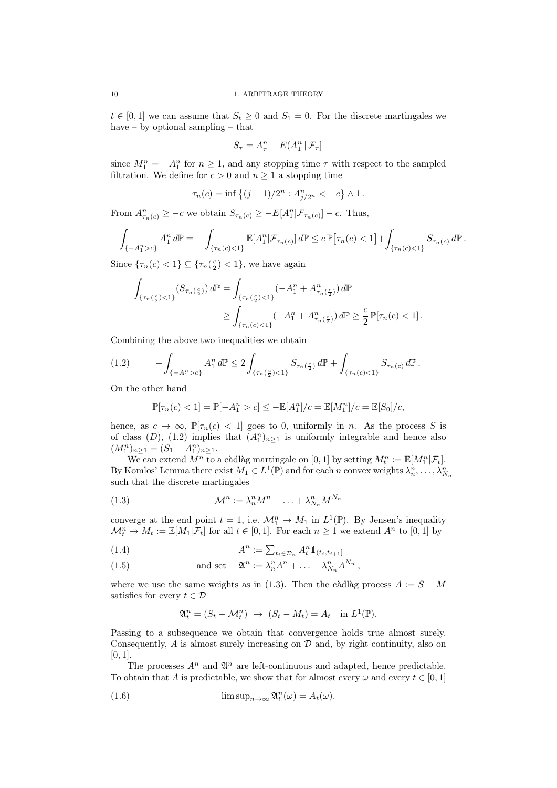$t \in [0,1]$  we can assume that  $S_t \geq 0$  and  $S_1 = 0$ . For the discrete martingales we have – by optional sampling – that

$$
S_\tau = A_\tau^n - E(A_1^n \,|\, \mathcal{F}_\tau]
$$

since  $M_1^n = -A_1^n$  for  $n \ge 1$ , and any stopping time  $\tau$  with respect to the sampled filtration. We define for  $c > 0$  and  $n \ge 1$  a stopping time

$$
\tau_n(c) = \inf \left\{ (j-1)/2^n : A_{j/2^n}^n < -c \right\} \wedge 1.
$$

From  $A_{\tau_n(c)}^n \geq -c$  we obtain  $S_{\tau_n(c)} \geq -E[A_1^n | \mathcal{F}_{\tau_n(c)}] - c$ . Thus,

$$
-\int_{\{-A_1^n>c\}} A_1^n d\mathbb{P} = -\int_{\{\tau_n(c) < 1\}} \mathbb{E}[A_1^n | \mathcal{F}_{\tau_n(c)}] d\mathbb{P} \le c \, \mathbb{P}[\tau_n(c) < 1] + \int_{\{\tau_n(c) < 1\}} S_{\tau_n(c)} d\mathbb{P}.
$$

Since  $\{\tau_n(c) < 1\} \subseteq \{\tau_n(\frac{c}{2}) < 1\}$ , we have again

$$
\int_{\{\tau_n(\frac{c}{2}) < 1\}} (S_{\tau_n(\frac{c}{2})}) d\mathbb{P} = \int_{\{\tau_n(\frac{c}{2}) < 1\}} (-A_1^n + A_{\tau_n(\frac{c}{2})}^n) d\mathbb{P}
$$
\n
$$
\geq \int_{\{\tau_n(c) < 1\}} (-A_1^n + A_{\tau_n(\frac{c}{2})}^n) d\mathbb{P} \geq \frac{c}{2} \mathbb{P}[\tau_n(c) < 1].
$$

Combining the above two inequalities we obtain

$$
(1.2) \qquad -\int_{\{-A_1^n>c\}} A_1^n d\mathbb{P} \le 2 \int_{\{\tau_n(\frac{c}{2}) < 1\}} S_{\tau_n(\frac{c}{2})} d\mathbb{P} + \int_{\{\tau_n(c) < 1\}} S_{\tau_n(c)} d\mathbb{P}.
$$

On the other hand

$$
\mathbb{P}[\tau_n(c) < 1] = \mathbb{P}[-A_1^n > c] \leq -\mathbb{E}[A_1^n]/c = \mathbb{E}[M_1^n]/c = \mathbb{E}[S_0]/c,
$$

hence, as  $c \to \infty$ ,  $\mathbb{P}[\tau_n(c) < 1]$  goes to 0, uniformly in *n*. As the process S is of class  $(D)$ ,  $(1.2)$  implies that  $(A_1^n)_{n\geq 1}$  is uniformly integrable and hence also  $(M_1^n)_{n \geq 1} = (S_1 - A_1^n)_{n \geq 1}.$ 

We can extend  $\overline{M}^n$  to a càdlàg martingale on  $[0, 1]$  by setting  $M_t^n := \mathbb{E}[M_1^n | \mathcal{F}_t].$ By Komlos' Lemma there exist  $M_1 \in L^1(\mathbb{P})$  and for each n convex weights  $\lambda_n^n, \ldots, \lambda_{N_n}^n$ such that the discrete martingales

(1.3) 
$$
\mathcal{M}^n := \lambda_n^n M^n + \ldots + \lambda_{N_n}^n M^{N_n}
$$

converge at the end point  $t = 1$ , i.e.  $\mathcal{M}_1^n \to M_1$  in  $L^1(\mathbb{P})$ . By Jensen's inequality  $\mathcal{M}_t^n \to M_t := \mathbb{E}[M_1 | \mathcal{F}_t]$  for all  $t \in [0, 1]$ . For each  $n \geq 1$  we extend  $A^n$  to  $[0, 1]$  by

$$
(1.4) \qquad \qquad A^n := \sum_{t_i \in \mathcal{D}_n} A_t^n \mathbb{1}_{(t_i, t_{i+1}]}
$$

(1.5) and set 
$$
\mathfrak{A}^n := \lambda_n^n A^n + \ldots + \lambda_{N_n}^n A^{N_n},
$$

where we use the same weights as in (1.3). Then the càdlàg process  $A := S - M$ satisfies for every  $t \in \mathcal{D}$ 

$$
\mathfrak{A}_t^n = (S_t - \mathcal{M}_t^n) \rightarrow (S_t - M_t) = A_t \text{ in } L^1(\mathbb{P}).
$$

Passing to a subsequence we obtain that convergence holds true almost surely. Consequently,  $A$  is almost surely increasing on  $D$  and, by right continuity, also on [0, 1].

The processes  $A^n$  and  $\mathfrak{A}^n$  are left-continuous and adapted, hence predictable. To obtain that A is predictable, we show that for almost every  $\omega$  and every  $t \in [0, 1]$ 

(1.6) 
$$
\limsup_{n\to\infty} \mathfrak{A}_t^n(\omega) = A_t(\omega).
$$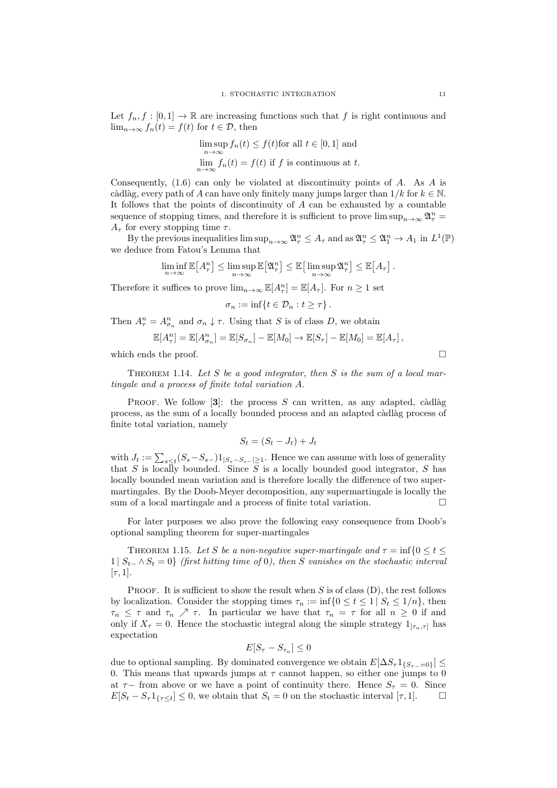Let  $f_n, f : [0,1] \to \mathbb{R}$  are increasing functions such that f is right continuous and  $\lim_{n\to\infty} f_n(t) = f(t)$  for  $t \in \mathcal{D}$ , then

$$
\limsup_{n \to \infty} f_n(t) \le f(t)
$$
for all  $t \in [0, 1]$  and  

$$
\lim_{n \to \infty} f_n(t) = f(t)
$$
 if f is continuous at t.

Consequently,  $(1.6)$  can only be violated at discontinuity points of A. As A is càdlàg, every path of A can have only finitely many jumps larger than  $1/k$  for  $k \in \mathbb{N}$ . It follows that the points of discontinuity of  $A$  can be exhausted by a countable sequence of stopping times, and therefore it is sufficient to prove  $\limsup_{n\to\infty} \mathfrak{A}^n_{\tau} =$  $A_{\tau}$  for every stopping time  $\tau$ .

By the previous inequalities  $\limsup_{n\to\infty} \mathfrak{A}_\tau^n \leq A_\tau$  and as  $\mathfrak{A}_\tau^n \leq \mathfrak{A}_1^n \to A_1$  in  $L^1(\mathbb{P})$ we deduce from Fatou's Lemma that

$$
\liminf_{n\to\infty} \mathbb{E}\big[A_\tau^n\big] \leq \limsup_{n\to\infty} \mathbb{E}\big[\mathfrak{A}_\tau^n\big] \leq \mathbb{E}\big[\limsup_{n\to\infty} \mathfrak{A}_\tau^n\big] \leq \mathbb{E}\big[A_\tau\big].
$$

Therefore it suffices to prove  $\lim_{n\to\infty} \mathbb{E}[A_\tau^n] = \mathbb{E}[A_\tau]$ . For  $n \geq 1$  set

$$
\sigma_n := \inf\{t \in \mathcal{D}_n : t \geq \tau\}.
$$

Then  $A_{\tau}^{n} = A_{\sigma_{n}}^{n}$  and  $\sigma_{n} \downarrow \tau$ . Using that S is of class D, we obtain

$$
\mathbb{E}[A_{\tau}^n] = \mathbb{E}[A_{\sigma_n}^n] = \mathbb{E}[S_{\sigma_n}] - \mathbb{E}[M_0] \to \mathbb{E}[S_{\tau}] - \mathbb{E}[M_0] = \mathbb{E}[A_{\tau}],
$$

which ends the proof.  $\Box$ 

THEOREM 1.14. Let S be a good integrator, then S is the sum of a local martingale and a process of finite total variation A.

PROOF. We follow [3]: the process S can written, as any adapted, càdlàg process, as the sum of a locally bounded process and an adapted càdlàg process of finite total variation, namely

$$
S_t = (S_t - J_t) + J_t
$$

with  $J_t := \sum_{s \le t} (S_s - S_{s-}) 1_{|S_s - S_{s-}| \ge 1}$ . Hence we can assume with loss of generality that S is locally bounded. Since S is a locally bounded good integrator, S has locally bounded mean variation and is therefore locally the difference of two supermartingales. By the Doob-Meyer decomposition, any supermartingale is locally the sum of a local martingale and a process of finite total variation.  $\Box$ 

For later purposes we also prove the following easy consequence from Doob's optional sampling theorem for super-martingales

THEOREM 1.15. Let S be a non-negative super-martingale and  $\tau = \inf\{0 \le t \le$  $1 | S<sub>t−</sub> \wedge S<sub>t</sub> = 0$  (first hitting time of 0), then S vanishes on the stochastic interval  $[\tau, 1]$ .

**PROOF.** It is sufficient to show the result when  $S$  is of class  $(D)$ , the rest follows by localization. Consider the stopping times  $\tau_n := \inf\{0 \le t \le 1 \mid S_t \le 1/n\}$ , then  $\tau_n \leq \tau$  and  $\tau_n \nearrow \tau$ . In particular we have that  $\tau_n = \tau$  for all  $n \geq 0$  if and only if  $X_{\tau} = 0$ . Hence the stochastic integral along the simple strategy  $1_{[\tau_n,\tau]}$  has expectation

$$
E[S_{\tau}-S_{\tau_n}]\leq 0
$$

due to optional sampling. By dominated convergence we obtain  $E[\Delta S_{\tau} 1_{\{S_{\tau-}=0\}}]$ 0. This means that upwards jumps at  $\tau$  cannot happen, so either one jumps to 0 at  $\tau$ − from above or we have a point of continuity there. Hence  $S_{\tau} = 0$ . Since  $E[S_t - S_\tau 1_{\{\tau \leq t\}}] \leq 0$ , we obtain that  $S_t = 0$  on the stochastic interval  $[\tau, 1]$ .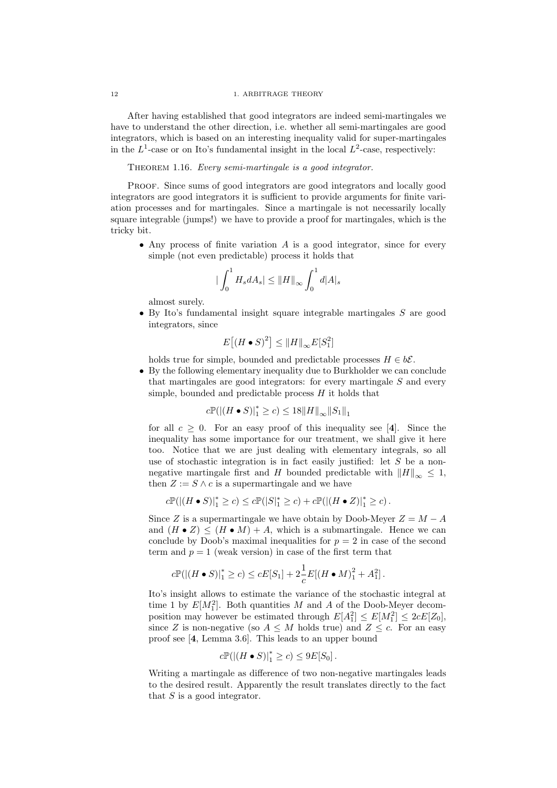After having established that good integrators are indeed semi-martingales we have to understand the other direction, i.e. whether all semi-martingales are good integrators, which is based on an interesting inequality valid for super-martingales in the  $L^1$ -case or on Ito's fundamental insight in the local  $L^2$ -case, respectively:

## THEOREM 1.16. Every semi-martingale is a good integrator.

Proof. Since sums of good integrators are good integrators and locally good integrators are good integrators it is sufficient to provide arguments for finite variation processes and for martingales. Since a martingale is not necessarily locally square integrable (jumps!) we have to provide a proof for martingales, which is the tricky bit.

• Any process of finite variation  $A$  is a good integrator, since for every simple (not even predictable) process it holds that

$$
\left|\int_0^1 H_s dA_s\right| \leq \left|\left|H\right|\right|_{\infty} \int_0^1 d|A|_s
$$

almost surely.

• By Ito's fundamental insight square integrable martingales  $S$  are good integrators, since

$$
E\big[\big(H \bullet S\big)^2\big] \le \|H\|_{\infty} E[S_1^2]
$$

holds true for simple, bounded and predictable processes  $H \in b\mathcal{E}$ .

• By the following elementary inequality due to Burkholder we can conclude that martingales are good integrators: for every martingale  $S$  and every simple, bounded and predictable process  $H$  it holds that

$$
c\mathbb{P}(|(H \bullet S)|_1^* \ge c) \le 18||H||_{\infty}||S_1||_1
$$

for all  $c > 0$ . For an easy proof of this inequality see [4]. Since the inequality has some importance for our treatment, we shall give it here too. Notice that we are just dealing with elementary integrals, so all use of stochastic integration is in fact easily justified: let  $S$  be a nonnegative martingale first and H bounded predictable with  $||H||_{\infty} \leq 1$ , then  $Z := S \wedge c$  is a supermartingale and we have

$$
c\mathbb{P}(|(H\bullet S)|_1^*\geq c)\leq c\mathbb{P}(|S|_1^*\geq c)+c\mathbb{P}(|(H\bullet Z)|_1^*\geq c)\,.
$$

Since Z is a supermartingale we have obtain by Doob-Meyer  $Z = M - A$ and  $(H \bullet Z) \leq (H \bullet M) + A$ , which is a submartingale. Hence we can conclude by Doob's maximal inequalities for  $p = 2$  in case of the second term and  $p = 1$  (weak version) in case of the first term that

$$
c\mathbb{P}(|(H \bullet S)|_1^* \ge c) \le cE[S_1] + 2\frac{1}{c}E[(H \bullet M)_1^2 + A_1^2].
$$

Ito's insight allows to estimate the variance of the stochastic integral at time 1 by  $E[M_1^2]$ . Both quantities M and A of the Doob-Meyer decomposition may however be estimated through  $E[A_1^2] \leq E[M_1^2] \leq 2cE[Z_0]$ , since Z is non-negative (so  $A \leq M$  holds true) and  $Z \leq c$ . For an easy proof see [4, Lemma 3.6]. This leads to an upper bound

$$
c\mathbb{P}(|(H \bullet S)|_1^* \ge c) \le 9E[S_0].
$$

Writing a martingale as difference of two non-negative martingales leads to the desired result. Apparently the result translates directly to the fact that  $S$  is a good integrator.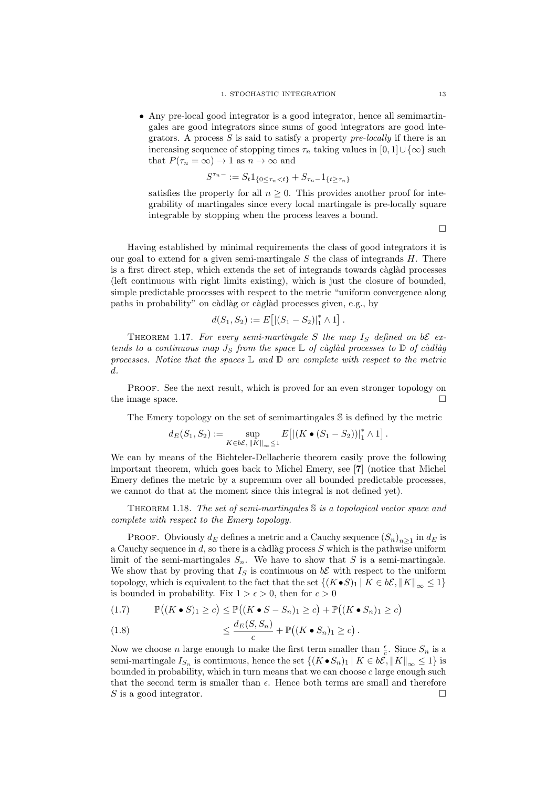• Any pre-local good integrator is a good integrator, hence all semimartingales are good integrators since sums of good integrators are good integrators. A process  $S$  is said to satisfy a property pre-locally if there is an increasing sequence of stopping times  $\tau_n$  taking values in  $[0, 1] \cup {\infty}$  such that  $P(\tau_n = \infty) \to 1$  as  $n \to \infty$  and

$$
S^{\tau_n-} := S_t \mathbb{1}_{\{0 \le \tau_n < t\}} + S_{\tau_n-} \mathbb{1}_{\{t \ge \tau_n\}}
$$

satisfies the property for all  $n \geq 0$ . This provides another proof for integrability of martingales since every local martingale is pre-locally square integrable by stopping when the process leaves a bound.

 $\Box$ 

Having established by minimal requirements the class of good integrators it is our goal to extend for a given semi-martingale  $S$  the class of integrands  $H$ . There is a first direct step, which extends the set of integrands towards càglàd processes (left continuous with right limits existing), which is just the closure of bounded, simple predictable processes with respect to the metric "uniform convergence along paths in probability" on càdlàg or càglàd processes given, e.g., by

$$
d(S_1, S_2) := E[|(S_1 - S_2)|_1^* \wedge 1].
$$

THEOREM 1.17. For every semi-martingale S the map  $I<sub>S</sub>$  defined on bE extends to a continuous map  $J_S$  from the space  $\mathbb L$  of càglàd processes to  $\mathbb D$  of càdlàg processes. Notice that the spaces  $\mathbb L$  and  $\mathbb D$  are complete with respect to the metric d.

Proof. See the next result, which is proved for an even stronger topology on the image space.  $\Box$ 

The Emery topology on the set of semimartingales S is defined by the metric

$$
d_E(S_1, S_2) := \sup_{K \in b\mathcal{E}, ||K||_{\infty} \leq 1} E\left[ \left| \left( K \bullet (S_1 - S_2) \right) \right|_1^* \wedge 1 \right].
$$

We can by means of the Bichteler-Dellacherie theorem easily prove the following important theorem, which goes back to Michel Emery, see [7] (notice that Michel Emery defines the metric by a supremum over all bounded predictable processes, we cannot do that at the moment since this integral is not defined yet).

THEOREM 1.18. The set of semi-martingales  $\mathbb S$  is a topological vector space and complete with respect to the Emery topology.

PROOF. Obviously  $d_E$  defines a metric and a Cauchy sequence  $(S_n)_{n\geq 1}$  in  $d_E$  is a Cauchy sequence in d, so there is a càdlàg process  $S$  which is the pathwise uniform limit of the semi-martingales  $S_n$ . We have to show that S is a semi-martingale. We show that by proving that  $I<sub>S</sub>$  is continuous on  $b\mathcal{E}$  with respect to the uniform topology, which is equivalent to the fact that the set  $\{(K\bullet S)_1 | K \in b\mathcal{E}, ||K||_{\infty} \leq 1\}$ is bounded in probability. Fix  $1 > \epsilon > 0$ , then for  $c > 0$ 

$$
(1.7) \qquad \mathbb{P}((K \bullet S)_1 \ge c) \le \mathbb{P}((K \bullet S - S_n)_1 \ge c) + \mathbb{P}((K \bullet S_n)_1 \ge c)
$$

(1.8) 
$$
\leq \frac{d_E(S, S_n)}{c} + \mathbb{P}((K \bullet S_n)_1 \geq c).
$$

Now we choose *n* large enough to make the first term smaller than  $\frac{\epsilon}{c}$ . Since  $S_n$  is a semi-martingale  $I_{S_n}$  is continuous, hence the set  $\{(K \bullet S_n)_1 | K \in b\mathcal{E}, ||K||_{\infty} \leq 1\}$  is bounded in probability, which in turn means that we can choose  $c$  large enough such that the second term is smaller than  $\epsilon$ . Hence both terms are small and therefore S is a good integrator.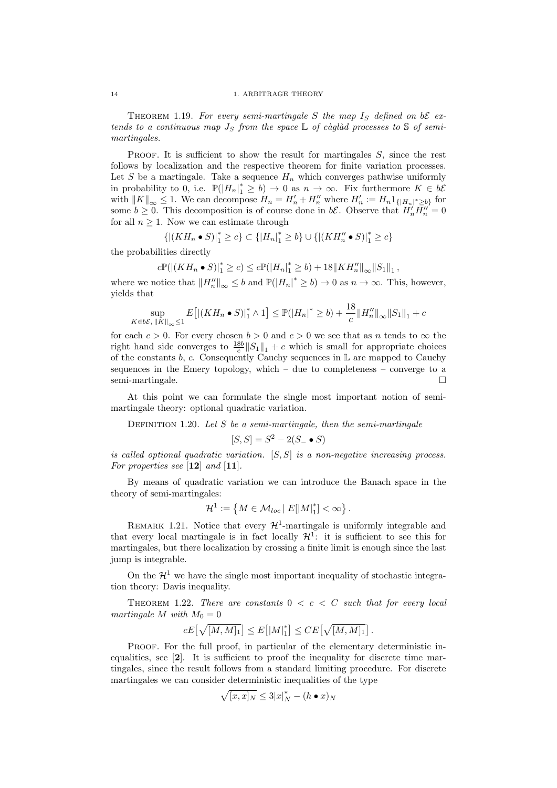THEOREM 1.19. For every semi-martingale S the map  $I_S$  defined on bE extends to a continuous map  $J_S$  from the space  $\mathbb L$  of càglàd processes to S of semimartingales.

**PROOF.** It is sufficient to show the result for martingales  $S$ , since the rest follows by localization and the respective theorem for finite variation processes. Let S be a martingale. Take a sequence  $H_n$  which converges pathwise uniformly in probability to 0, i.e.  $\mathbb{P}(|H_n|^* \geq b) \to 0$  as  $n \to \infty$ . Fix furthermore  $K \in b\mathcal{E}$ with  $||K||_{\infty} \leq 1$ . We can decompose  $H_n = H'_n + H''_n$  where  $H'_n := H_n 1_{\{|H_n|^\ast \geq b\}}$  for some  $b \geq 0$ . This decomposition is of course done in  $b\mathcal{E}$ . Observe that  $H'_n \overline{H''_n} = 0$ for all  $n \geq 1$ . Now we can estimate through

$$
\{|(KH_n\bullet S)|_1^*\geq c\}\subset \{|H_n|_1^*\geq b\}\cup \{|(KH''_n\bullet S)|_1^*\geq c\}
$$

the probabilities directly

$$
c\mathbb{P}(|(KH_n \bullet S)|_1^* \ge c) \le c\mathbb{P}(|H_n|_1^* \ge b) + 18||KH_n''||_{\infty}||S_1||_1,
$$

where we notice that  $||H_n''||_{\infty} \le b$  and  $\mathbb{P}(|H_n|^* \ge b) \to 0$  as  $n \to \infty$ . This, however, yields that

$$
\sup_{K \in b\mathcal{E}, ||K||_{\infty} \le 1} E\big[ |(KH_n \bullet S)|_1^* \land 1 \big] \le \mathbb{P}(|H_n|^* \ge b) + \frac{18}{c} ||H_n''||_{\infty} ||S_1||_1 + c
$$

for each  $c > 0$ . For every chosen  $b > 0$  and  $c > 0$  we see that as n tends to  $\infty$  the right hand side converges to  $\frac{18b}{c} ||S_1||_1 + c$  which is small for appropriate choices of the constants  $b, c$ . Consequently Cauchy sequences in  $\mathbb L$  are mapped to Cauchy sequences in the Emery topology, which  $-$  due to completeness  $-$  converge to a semi-martingale.

At this point we can formulate the single most important notion of semimartingale theory: optional quadratic variation.

DEFINITION 1.20. Let  $S$  be a semi-martingale, then the semi-martingale

$$
[S, S] = S^2 - 2(S_- \bullet S)
$$

is called optional quadratic variation.  $[S, S]$  is a non-negative increasing process. For properties see  $[12]$  and  $[11]$ .

By means of quadratic variation we can introduce the Banach space in the theory of semi-martingales:

$$
\mathcal{H}^1:=\left\{M\in\mathcal{M}_{loc}\left|\right.E[\left|M\right|_1^*]<\infty\right\}.
$$

REMARK 1.21. Notice that every  $\mathcal{H}^1$ -martingale is uniformly integrable and that every local martingale is in fact locally  $\mathcal{H}^1$ : it is sufficient to see this for martingales, but there localization by crossing a finite limit is enough since the last jump is integrable.

On the  $\mathcal{H}^1$  we have the single most important inequality of stochastic integration theory: Davis inequality.

THEOREM 1.22. There are constants  $0 < c < C$  such that for every local martingale M with  $M_0 = 0$ 

$$
cE\big[\sqrt{[M,M]_1}\big]\le E\big[{|M|_1^*}\big]\le CE\big[\sqrt{[M,M]_1}\big]\,.
$$

PROOF. For the full proof, in particular of the elementary deterministic inequalities, see [2]. It is sufficient to proof the inequality for discrete time martingales, since the result follows from a standard limiting procedure. For discrete martingales we can consider deterministic inequalities of the type

$$
\sqrt{[x,x]_N} \leq 3|x|_N^* - (h \bullet x)_N
$$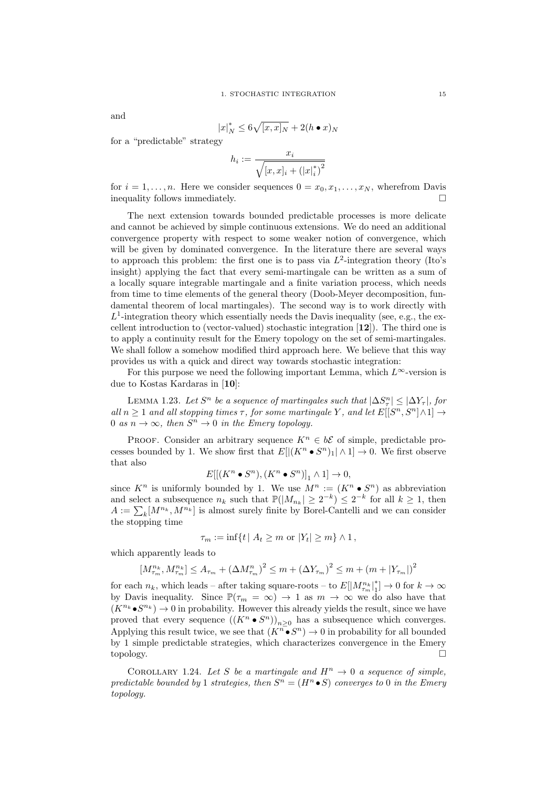and

$$
|x|_N^* \le 6\sqrt{[x,x]_N} + 2(h \bullet x)_N
$$

for a "predictable" strategy

$$
h_i := \frac{x_i}{\sqrt{[x, x]_i + (|x|_i^*)^2}}
$$

for  $i = 1, \ldots, n$ . Here we consider sequences  $0 = x_0, x_1, \ldots, x_N$ , wherefrom Davis inequality follows immediately.  $\Box$ 

The next extension towards bounded predictable processes is more delicate and cannot be achieved by simple continuous extensions. We do need an additional convergence property with respect to some weaker notion of convergence, which will be given by dominated convergence. In the literature there are several ways to approach this problem: the first one is to pass via  $L^2$ -integration theory (Ito's insight) applying the fact that every semi-martingale can be written as a sum of a locally square integrable martingale and a finite variation process, which needs from time to time elements of the general theory (Doob-Meyer decomposition, fundamental theorem of local martingales). The second way is to work directly with  $L^1$ -integration theory which essentially needs the Davis inequality (see, e.g., the excellent introduction to (vector-valued) stochastic integration  $[12]$ ). The third one is to apply a continuity result for the Emery topology on the set of semi-martingales. We shall follow a somehow modified third approach here. We believe that this way provides us with a quick and direct way towards stochastic integration:

For this purpose we need the following important Lemma, which  $L^{\infty}$ -version is due to Kostas Kardaras in [10]:

LEMMA 1.23. Let  $S^n$  be a sequence of martingales such that  $|\Delta S^n_{\tau}| \leq |\Delta Y_{\tau}|$ , for all  $n \geq 1$  and all stopping times  $\tau$ , for some martingale Y, and let  $E[[S^n, S^n] \wedge 1] \rightarrow$ 0 as  $n \to \infty$ , then  $S^n \to 0$  in the Emery topology.

PROOF. Consider an arbitrary sequence  $K^n \in b\mathcal{E}$  of simple, predictable processes bounded by 1. We show first that  $E[|(K^n \bullet S^n)_1 | \wedge 1] \to 0$ . We first observe that also

$$
E[[(K^n \bullet S^n), (K^n \bullet S^n)]_1 \wedge 1] \to 0,
$$

since  $K^n$  is uniformly bounded by 1. We use  $M^n := (K^n \bullet S^n)$  as abbreviation and select a subsequence  $n_k$  such that  $\mathbb{P}(|M_{n_k}| \geq 2^{-k}) \leq 2^{-k}$  for all  $k \geq 1$ , then  $A := \sum_{k} [M^{n_k}, M^{n_k}]$  is almost surely finite by Borel-Cantelli and we can consider the stopping time

$$
\tau_m := \inf\{t \mid A_t \geq m \text{ or } |Y_t| \geq m\} \wedge 1,
$$

which apparently leads to

$$
[M_{\tau_m}^{n_k}, M_{\tau_m}^{n_k}] \le A_{\tau_m} + (\Delta M_{\tau_m}^n)^2 \le m + (\Delta Y_{\tau_m})^2 \le m + (m + |Y_{\tau_m}|)^2
$$

for each  $n_k$ , which leads – after taking square-roots – to  $E[|M^{n_k}_{\tau_m}|^*]$  $\binom{*}{1} \to 0$  for  $k \to \infty$ by Davis inequality. Since  $\mathbb{P}(\tau_m = \infty) \to 1$  as  $m \to \infty$  we do also have that  $(K^{n_k} \bullet S^{n_k}) \to 0$  in probability. However this already yields the result, since we have proved that every sequence  $((K^n \bullet S^n))_{n \geq 0}$  has a subsequence which converges. Applying this result twice, we see that  $(K^{n} \bullet S^{n}) \to 0$  in probability for all bounded by 1 simple predictable strategies, which characterizes convergence in the Emery topology.

COROLLARY 1.24. Let S be a martingale and  $H^n \to 0$  a sequence of simple, predictable bounded by 1 strategies, then  $S^n = (H^n \bullet S)$  converges to 0 in the Emery topology.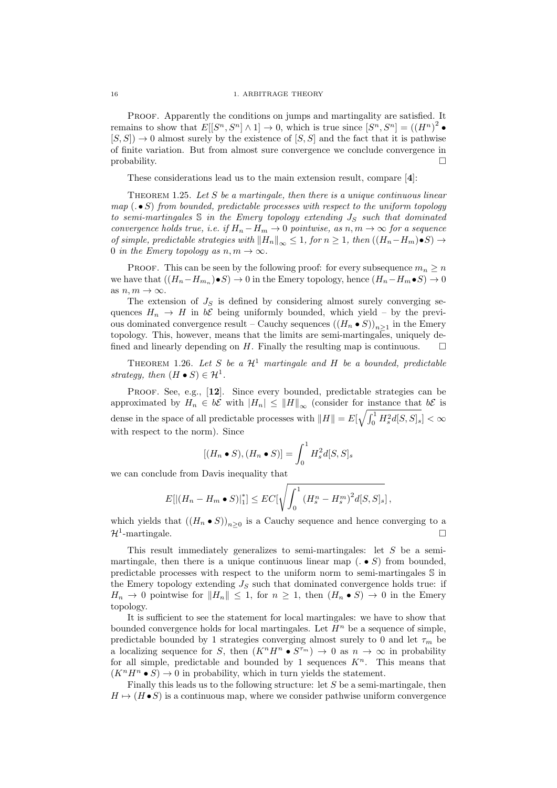Proof. Apparently the conditions on jumps and martingality are satisfied. It remains to show that  $E[[S^n, S^n] \wedge 1] \to 0$ , which is true since  $[S^n, S^n] = ((H^n)^2 \bullet$  $[S, S] \rightarrow 0$  almost surely by the existence of  $[S, S]$  and the fact that it is pathwise of finite variation. But from almost sure convergence we conclude convergence in  $\Box$ 

These considerations lead us to the main extension result, compare [4]:

THEOREM 1.25. Let  $S$  be a martingale, then there is a unique continuous linear  $map(. \bullet S)$  from bounded, predictable processes with respect to the uniform topology to semi-martingales  $\mathbb S$  in the Emery topology extending  $J_S$  such that dominated convergence holds true, i.e. if  $H_n - H_m \to 0$  pointwise, as  $n, m \to \infty$  for a sequence of simple, predictable strategies with  $||H_n||_{\infty} \leq 1$ , for  $n \geq 1$ , then  $((H_n-H_m)\bullet S) \to$ 0 in the Emery topology as  $n, m \to \infty$ .

PROOF. This can be seen by the following proof: for every subsequence  $m_n \geq n$ we have that  $((H_n - H_{m_n}) \bullet S) \to 0$  in the Emery topology, hence  $(H_n - H_m \bullet S) \to 0$ as  $n, m \to \infty$ .

The extension of  $J<sub>S</sub>$  is defined by considering almost surely converging sequences  $H_n \to H$  in  $b\mathcal{E}$  being uniformly bounded, which yield – by the previous dominated convergence result – Cauchy sequences  $((H_n \bullet S))_{n \geq 1}$  in the Emery topology. This, however, means that the limits are semi-martingales, uniquely defined and linearly depending on  $H$ . Finally the resulting map is continuous.

THEOREM 1.26. Let S be a  $\mathcal{H}^1$  martingale and H be a bounded, predictable strategy, then  $(H \bullet S) \in \mathcal{H}^1$ .

PROOF. See, e.g., [12]. Since every bounded, predictable strategies can be approximated by  $H_n \in b\mathcal{E}$  with  $|H_n| \leq ||H||_{\infty}$  (consider for instance that  $b\mathcal{E}$  is dense in the space of all predictable processes with  $\|H\| = E[\sqrt{\int_0^1 H_s^2 d[S,S]_s}] < \infty$ with respect to the norm). Since

$$
[(H_n \bullet S), (H_n \bullet S)] = \int_0^1 H_s^2 d[S, S]_s
$$

we can conclude from Davis inequality that

$$
E[|(H_n - H_m \bullet S)|_1^*] \leq EC[\sqrt{\int_0^1 (H_s^n - H_s^m)^2 d[S, S]_s]},
$$

which yields that  $((H_n \bullet S))_{n \geq 0}$  is a Cauchy sequence and hence converging to a  $\mathcal{H}^1$ -martingale.

This result immediately generalizes to semi-martingales: let S be a semimartingale, then there is a unique continuous linear map  $( . \bullet S)$  from bounded. predictable processes with respect to the uniform norm to semi-martingales S in the Emery topology extending  $J<sub>S</sub>$  such that dominated convergence holds true: if  $H_n \to 0$  pointwise for  $||H_n|| \leq 1$ , for  $n \geq 1$ , then  $(H_n \bullet S) \to 0$  in the Emery topology.

It is sufficient to see the statement for local martingales: we have to show that bounded convergence holds for local martingales. Let  $H<sup>n</sup>$  be a sequence of simple, predictable bounded by 1 strategies converging almost surely to 0 and let  $\tau_m$  be a localizing sequence for S, then  $(K^n H^n \bullet S^{m}) \to 0$  as  $n \to \infty$  in probability for all simple, predictable and bounded by 1 sequences  $K<sup>n</sup>$ . This means that  $(K^nH^n \bullet S) \to 0$  in probability, which in turn yields the statement.

Finally this leads us to the following structure: let S be a semi-martingale, then  $H \mapsto (H \bullet S)$  is a continuous map, where we consider pathwise uniform convergence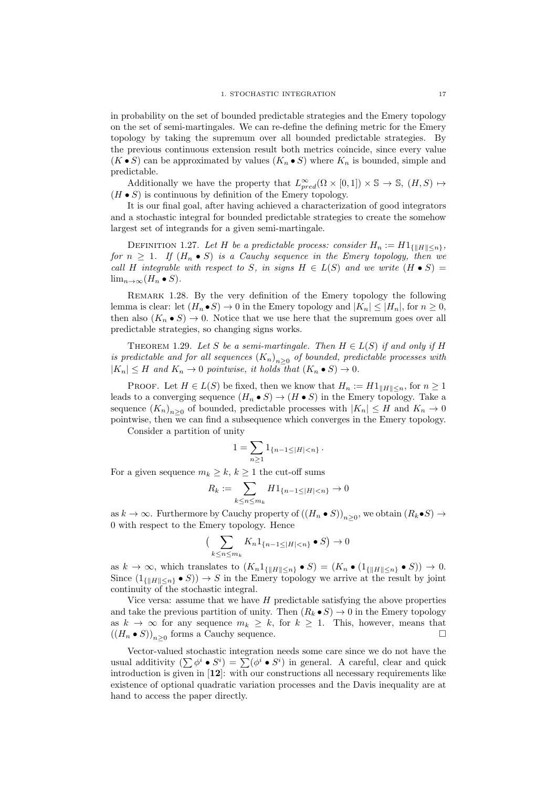in probability on the set of bounded predictable strategies and the Emery topology on the set of semi-martingales. We can re-define the defining metric for the Emery topology by taking the supremum over all bounded predictable strategies. By the previous continuous extension result both metrics coincide, since every value  $(K \bullet S)$  can be approximated by values  $(K_n \bullet S)$  where  $K_n$  is bounded, simple and predictable.

Additionally we have the property that  $L_{pred}^{\infty}(\Omega \times [0,1]) \times \mathbb{S} \to \mathbb{S}, (H, S) \mapsto$  $(H \bullet S)$  is continuous by definition of the Emery topology.

It is our final goal, after having achieved a characterization of good integrators and a stochastic integral for bounded predictable strategies to create the somehow largest set of integrands for a given semi-martingale.

DEFINITION 1.27. Let H be a predictable process: consider  $H_n := H1_{\{|H\| \leq n\}},$ for  $n \geq 1$ . If  $(H_n \bullet S)$  is a Cauchy sequence in the Emery topology, then we call H integrable with respect to S, in signs  $H \in L(S)$  and we write  $(H \bullet S)$  =  $\lim_{n\to\infty}(H_n\bullet S).$ 

Remark 1.28. By the very definition of the Emery topology the following lemma is clear: let  $(H_n \bullet S) \to 0$  in the Emery topology and  $|K_n| \leq |H_n|$ , for  $n \geq 0$ , then also  $(K_n \bullet S) \to 0$ . Notice that we use here that the supremum goes over all predictable strategies, so changing signs works.

THEOREM 1.29. Let S be a semi-martingale. Then  $H \in L(S)$  if and only if H is predictable and for all sequences  $(K_n)_{n\geq 0}$  of bounded, predictable processes with  $|K_n| \leq H$  and  $K_n \to 0$  pointwise, it holds that  $(K_n \bullet S) \to 0$ .

PROOF. Let  $H \in L(S)$  be fixed, then we know that  $H_n := H1_{\|H\| \leq n}$ , for  $n \geq 1$ leads to a converging sequence  $(H_n \bullet S) \to (H \bullet S)$  in the Emery topology. Take a sequence  $(K_n)_{n\geq 0}$  of bounded, predictable processes with  $|K_n| \leq H$  and  $K_n \to 0$ pointwise, then we can find a subsequence which converges in the Emery topology.

Consider a partition of unity

$$
1 = \sum_{n \geq 1} 1_{\{n-1 \leq |H| < n\}} \, .
$$

For a given sequence  $m_k \geq k, k \geq 1$  the cut-off sums

$$
R_k := \sum_{k \le n \le m_k} H1_{\{n-1 \le |H| < n\}} \to 0
$$

as  $k \to \infty$ . Furthermore by Cauchy property of  $((H_n \bullet S))_{n \geq 0}$ , we obtain  $(R_k \bullet S) \to$ 0 with respect to the Emery topology. Hence

$$
\left(\sum_{k\leq n\leq m_k} K_n 1_{\{n-1\leq |H|< n\}} \bullet S\right) \to 0
$$

as  $k \to \infty$ , which translates to  $(K_n 1_{\{|H\| \leq n\}} \bullet S) = (K_n \bullet (1_{\{|H\| \leq n\}} \bullet S)) \to 0.$ Since  $(1_{\{||H|| \leq n\}} \bullet S)) \rightarrow S$  in the Emery topology we arrive at the result by joint continuity of the stochastic integral.

Vice versa: assume that we have  $H$  predictable satisfying the above properties and take the previous partition of unity. Then  $(R_k \bullet S) \to 0$  in the Emery topology as  $k \to \infty$  for any sequence  $m_k \geq k$ , for  $k \geq 1$ . This, however, means that  $((H_n \bullet S))_{n \geq 0}$  forms a Cauchy sequence.

Vector-valued stochastic integration needs some care since we do not have the usual additivity  $(\sum \phi^i \bullet S^i) = \sum (\phi^i \bullet S^i)$  in general. A careful, clear and quick introduction is given in [12]: with our constructions all necessary requirements like existence of optional quadratic variation processes and the Davis inequality are at hand to access the paper directly.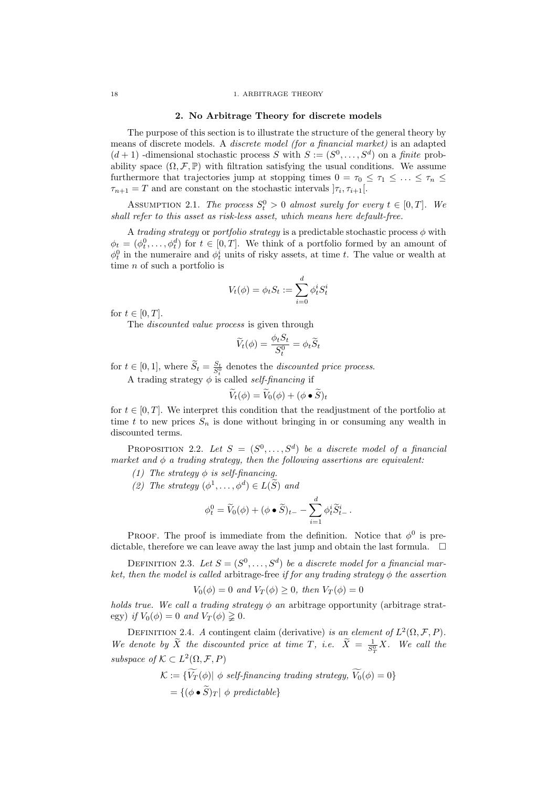## 2. No Arbitrage Theory for discrete models

The purpose of this section is to illustrate the structure of the general theory by means of discrete models. A discrete model (for a financial market) is an adapted  $(d+1)$ -dimensional stochastic process S with  $S := (S^0, \ldots, S^d)$  on a finite probability space  $(\Omega, \mathcal{F}, \mathbb{P})$  with filtration satisfying the usual conditions. We assume furthermore that trajectories jump at stopping times  $0 = \tau_0 \leq \tau_1 \leq \ldots \leq \tau_n \leq$  $\tau_{n+1} = T$  and are constant on the stochastic intervals  $|\tau_i, \tau_{i+1}|$ .

ASSUMPTION 2.1. The process  $S_t^0 > 0$  almost surely for every  $t \in [0, T]$ . We shall refer to this asset as risk-less asset, which means here default-free.

A trading strategy or portfolio strategy is a predictable stochastic process  $\phi$  with  $\phi_t = (\phi_t^0, \dots, \phi_t^d)$  for  $t \in [0, T]$ . We think of a portfolio formed by an amount of  $\phi_t^0$  in the numeraire and  $\phi_t^i$  units of risky assets, at time t. The value or wealth at time n of such a portfolio is

$$
V_t(\phi) = \phi_t S_t := \sum_{i=0}^d \phi_t^i S_t^i
$$

for  $t \in [0, T]$ .

The *discounted value process* is given through

$$
\widetilde{V}_t(\phi) = \frac{\phi_t S_t}{S_t^0} = \phi_t \widetilde{S}_t
$$

for  $t \in [0, 1]$ , where  $\widetilde{S}_t = \frac{S_t}{S_t^0}$  denotes the *discounted price process*.

A trading strategy  $\phi$  is called *self-financing* if

$$
\widetilde{V}_t(\phi) = \widetilde{V}_0(\phi) + (\phi \bullet \widetilde{S})_t
$$

for  $t \in [0, T]$ . We interpret this condition that the readjustment of the portfolio at time t to new prices  $S_n$  is done without bringing in or consuming any wealth in discounted terms.

PROPOSITION 2.2. Let  $S = (S^0, \ldots, S^d)$  be a discrete model of a financial market and  $\phi$  a trading strategy, then the following assertions are equivalent:

(1) The strategy  $\phi$  is self-financing.

(2) The strategy  $(\phi^1, \ldots, \phi^d) \in L(\widetilde{S})$  and

$$
\phi_t^0 = \widetilde{V}_0(\phi) + (\phi \bullet \widetilde{S})_{t-} - \sum_{i=1}^d \phi_t^i \widetilde{S}_{t-}^i.
$$

PROOF. The proof is immediate from the definition. Notice that  $\phi^0$  is predictable, therefore we can leave away the last jump and obtain the last formula.  $\Box$ 

DEFINITION 2.3. Let  $S = (S^0, \ldots, S^d)$  be a discrete model for a financial market, then the model is called arbitrage-free if for any trading strategy  $\phi$  the assertion

$$
V_0(\phi) = 0 \text{ and } V_T(\phi) \ge 0, \text{ then } V_T(\phi) = 0
$$

holds true. We call a trading strategy  $\phi$  an arbitrage opportunity (arbitrage strategy) if  $V_0(\phi) = 0$  and  $V_T(\phi) \geq 0$ .

DEFINITION 2.4. A contingent claim (derivative) is an element of  $L^2(\Omega, \mathcal{F}, P)$ . We denote by  $\tilde{X}$  the discounted price at time T, i.e.  $\tilde{X} = \frac{1}{S_T^0} X$ . We call the subspace of  $\mathcal{K} \subset L^2(\Omega, \mathcal{F}, P)$ 

$$
\mathcal{K} := \{ V_T(\phi) | \phi \ \text{self-financing trading strategy, } V_0(\phi) = 0 \}
$$

$$
= \{ (\phi \bullet \widetilde{S})_T | \phi \ \text{predictable} \}
$$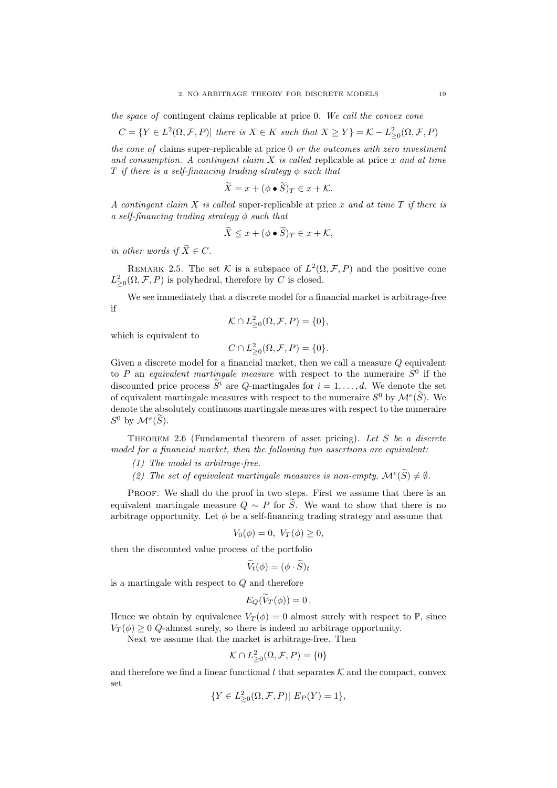the space of contingent claims replicable at price 0. We call the convex cone

$$
C = \{ Y \in L^2(\Omega, \mathcal{F}, P) | \text{ there is } X \in K \text{ such that } X \ge Y \} = \mathcal{K} - L^2_{\ge 0}(\Omega, \mathcal{F}, P)
$$

the cone of claims super-replicable at price 0 or the outcomes with zero investment and consumption. A contingent claim  $X$  is called replicable at price x and at time T if there is a self-financing trading strategy  $\phi$  such that

$$
\ddot{X} = x + (\phi \bullet \ddot{S})_T \in x + \mathcal{K}.
$$

A contingent claim X is called super-replicable at price x and at time T if there is a self-financing trading strategy  $\phi$  such that

$$
\widetilde{X} \le x + (\phi \bullet \widetilde{S})_T \in x + \mathcal{K},
$$

in other words if  $\widetilde{X}\in C.$ 

REMARK 2.5. The set K is a subspace of  $L^2(\Omega, \mathcal{F}, P)$  and the positive cone  $L_{\geq 0}^2(\Omega, \mathcal{F}, P)$  is polyhedral, therefore by C is closed.

We see immediately that a discrete model for a financial market is arbitrage-free if

$$
\mathcal{K} \cap L^2_{\geq 0}(\Omega, \mathcal{F}, P) = \{0\},\
$$

which is equivalent to

$$
C \cap L^2_{\geq 0}(\Omega, \mathcal{F}, P) = \{0\}.
$$

Given a discrete model for a financial market, then we call a measure Q equivalent to P an equivalent martingale measure with respect to the numeraire  $S^0$  if the discounted price process  $\widetilde{S}^i$  are Q-martingales for  $i = 1, \ldots, d$ . We denote the set of equivalent martingale measures with respect to the numeraire  $S^0$  by  $\mathcal{M}^e(\tilde{S})$ . We denote the absolutely continuous martingale measures with respect to the numeraire  $S^0$  by  $\mathcal{M}^a(\widetilde{S})$ .

THEOREM 2.6 (Fundamental theorem of asset pricing). Let S be a discrete model for a financial market, then the following two assertions are equivalent:

- (1) The model is arbitrage-free.
- (2) The set of equivalent martingale measures is non-empty,  $\mathcal{M}^e(\widetilde{S}) \neq \emptyset$ .

PROOF. We shall do the proof in two steps. First we assume that there is an equivalent martingale measure  $Q \sim P$  for  $\widetilde{S}$ . We want to show that there is no arbitrage opportunity. Let  $\phi$  be a self-financing trading strategy and assume that

$$
V_0(\phi) = 0, V_T(\phi) \ge 0,
$$

then the discounted value process of the portfolio

$$
\widetilde{V}_t(\phi) = (\phi \cdot \widetilde{S})_t
$$

is a martingale with respect to  $Q$  and therefore

$$
E_Q(\widetilde{V}_T(\phi))=0.
$$

Hence we obtain by equivalence  $V_T(\phi) = 0$  almost surely with respect to  $\mathbb{P}$ , since  $V_T(\phi) \geq 0$  Q-almost surely, so there is indeed no arbitrage opportunity.

Next we assume that the market is arbitrage-free. Then

$$
\mathcal{K} \cap L^2_{\geq 0}(\Omega, \mathcal{F}, P) = \{0\}
$$

and therefore we find a linear functional  $l$  that separates  $K$  and the compact, convex set

$$
\{Y \in L_{\geq 0}^2(\Omega, \mathcal{F}, P)| E_P(Y) = 1\},\
$$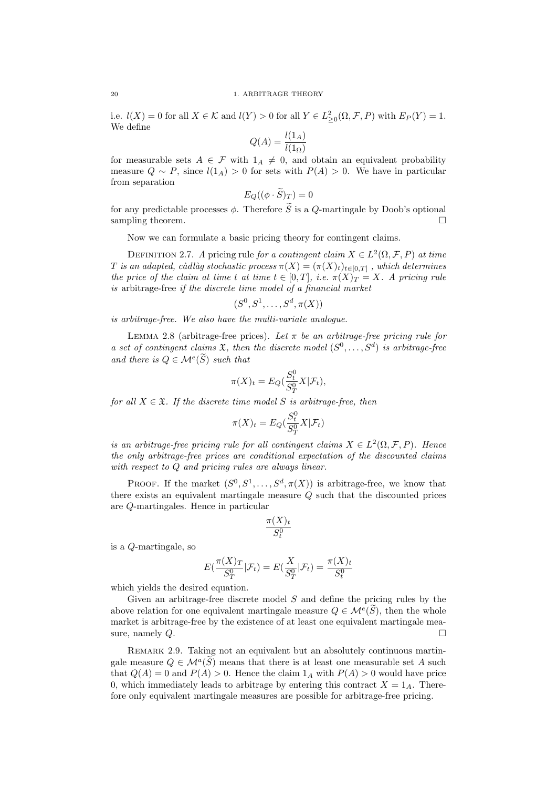i.e.  $l(X) = 0$  for all  $X \in \mathcal{K}$  and  $l(Y) > 0$  for all  $Y \in L^2_{\geq 0}(\Omega, \mathcal{F}, P)$  with  $E_P(Y) = 1$ . We define

$$
Q(A) = \frac{l(1_A)}{l(1_\Omega)}
$$

for measurable sets  $A \in \mathcal{F}$  with  $1_A \neq 0$ , and obtain an equivalent probability measure  $Q \sim P$ , since  $l(1_A) > 0$  for sets with  $P(A) > 0$ . We have in particular from separation

$$
E_Q((\phi \cdot S)_T) = 0
$$

for any predictable processes  $\phi$ . Therefore  $\widetilde{S}$  is a Q-martingale by Doob's optional sampling theorem.

Now we can formulate a basic pricing theory for contingent claims.

DEFINITION 2.7. A pricing rule for a contingent claim  $X \in L^2(\Omega, \mathcal{F}, P)$  at time T is an adapted, càdlàg stochastic process  $\pi(X) = (\pi(X)_t)_{t \in [0,T]}$  , which determines the price of the claim at time t at time  $t \in [0,T]$ , i.e.  $\pi(X)_T = X$ . A pricing rule is arbitrage-free if the discrete time model of a financial market

$$
(S^0, S^1, \ldots, S^d, \pi(X))
$$

is arbitrage-free. We also have the multi-variate analogue.

LEMMA 2.8 (arbitrage-free prices). Let  $\pi$  be an arbitrage-free pricing rule for a set of contingent claims  $\mathfrak{X}$ , then the discrete model  $(S^0, \ldots, S^d)$  is arbitrage-free and there is  $Q \in \mathcal{M}^e(\widetilde{S})$  such that

$$
\pi(X)_t = E_Q(\frac{S_t^0}{S_T^0} X | \mathcal{F}_t),
$$

for all  $X \in \mathfrak{X}$ . If the discrete time model S is arbitrage-free, then

$$
\pi(X)_t = E_Q(\frac{S_t^0}{S_T^0} X | \mathcal{F}_t)
$$

is an arbitrage-free pricing rule for all contingent claims  $X \in L^2(\Omega, \mathcal{F}, P)$ . Hence the only arbitrage-free prices are conditional expectation of the discounted claims with respect to Q and pricing rules are always linear.

PROOF. If the market  $(S^0, S^1, \ldots, S^d, \pi(X))$  is arbitrage-free, we know that there exists an equivalent martingale measure Q such that the discounted prices are Q-martingales. Hence in particular

$$
\frac{\pi(X)_t}{S_t^0}
$$

is a Q-martingale, so

$$
E\left(\frac{\pi(X)\tau}{S_T^0}|\mathcal{F}_t\right) = E\left(\frac{X}{S_T^0}|\mathcal{F}_t\right) = \frac{\pi(X)_t}{S_t^0}
$$

which yields the desired equation.

Given an arbitrage-free discrete model  $S$  and define the pricing rules by the above relation for one equivalent martingale measure  $Q \in \mathcal{M}^e(\widetilde{S})$ , then the whole market is arbitrage-free by the existence of at least one equivalent martingale measure, namely  $Q$ .

REMARK 2.9. Taking not an equivalent but an absolutely continuous martingale measure  $Q \in \mathcal{M}^a(\widetilde{S})$  means that there is at least one measurable set A such that  $Q(A) = 0$  and  $P(A) > 0$ . Hence the claim  $1_A$  with  $P(A) > 0$  would have price 0, which immediately leads to arbitrage by entering this contract  $X = 1_A$ . Therefore only equivalent martingale measures are possible for arbitrage-free pricing.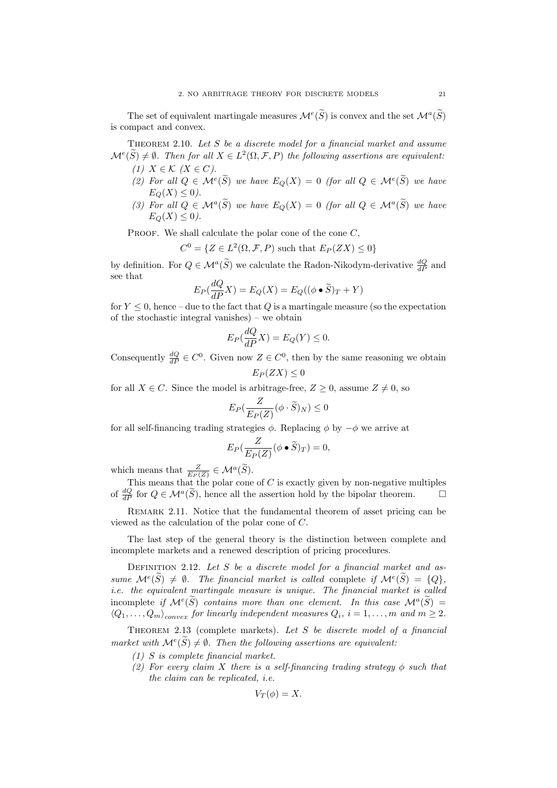The set of equivalent martingale measures  $\mathcal{M}^e(\tilde{S})$  is convex and the set  $\mathcal{M}^a(\tilde{S})$ is compact and convex.

THEOREM 2.10. Let  $S$  be a discrete model for a financial market and assume  $\mathcal{M}^{e}(\widetilde{S}) \neq \emptyset$ . Then for all  $X \in L^{2}(\Omega, \mathcal{F}, P)$  the following assertions are equivalent:

- (1)  $X \in \mathcal{K}$   $(X \in C)$ .
- (2) For all  $Q \in \mathcal{M}^e(\widetilde{S})$  we have  $E_Q(X) = 0$  (for all  $Q \in \mathcal{M}^e(\widetilde{S})$  we have  $E_O(X) \leq 0$ .
- (3) For all  $Q \in \mathcal{M}^a(\widetilde{S})$  we have  $E_Q(X) = 0$  (for all  $Q \in \mathcal{M}^a(\widetilde{S})$  we have  $E_O(X) \leq 0$ .

PROOF. We shall calculate the polar cone of the cone  $C$ ,

 $C^0 = \{ Z \in L^2(\Omega, \mathcal{F}, P) \text{ such that } E_P(ZX) \leq 0 \}$ 

by definition. For  $Q \in \mathcal{M}^a(\widetilde{S})$  we calculate the Radon-Nikodym-derivative  $\frac{dQ}{dP}$  and see that

$$
E_P(\frac{dQ}{dP}X) = E_Q(X) = E_Q((\phi \bullet \widetilde{S})_T + Y)
$$

for  $Y \leq 0$ , hence – due to the fact that Q is a martingale measure (so the expectation of the stochastic integral vanishes) – we obtain

$$
E_P(\frac{dQ}{dP}X) = E_Q(Y) \le 0.
$$

Consequently  $\frac{dQ}{dP} \in C^0$ . Given now  $Z \in C^0$ , then by the same reasoning we obtain  $E_P(ZX) \leq 0$ 

for all  $X \in \mathbb{C}$ . Since the model is arbitrage-free,  $Z \geq 0$ , assume  $Z \neq 0$ , so

$$
E_P(\frac{Z}{E_P(Z)}(\phi \cdot \widetilde{S})_N) \le 0
$$

for all self-financing trading strategies  $\phi$ . Replacing  $\phi$  by  $-\phi$  we arrive at

$$
E_P(\frac{Z}{E_P(Z)}(\phi \bullet \widetilde{S})_T) = 0,
$$

which means that  $\frac{Z}{E_P(Z)} \in \mathcal{M}^a(\widetilde{S}).$ 

This means that the polar cone of  $C$  is exactly given by non-negative multiples of  $\frac{dQ}{dP}$  for  $Q \in \mathcal{M}^a(\widetilde{S})$ , hence all the assertion hold by the bipolar theorem.

REMARK 2.11. Notice that the fundamental theorem of asset pricing can be viewed as the calculation of the polar cone of C.

The last step of the general theory is the distinction between complete and incomplete markets and a renewed description of pricing procedures.

DEFINITION 2.12. Let  $S$  be a discrete model for a financial market and assume  $\mathcal{M}^{e}(\tilde{S}) \neq \emptyset$ . The financial market is called complete if  $\mathcal{M}^{e}(\tilde{S}) = \{Q\}$ , i.e. the equivalent martingale measure is unique. The financial market is called incomplete if  $\mathcal{M}^{e}(\tilde{S})$  contains more than one element. In this case  $\mathcal{M}^{a}(\tilde{S}) =$  $\langle Q_1, \ldots, Q_m \rangle_{convex}$  for linearly independent measures  $Q_i$ ,  $i = 1, \ldots, m$  and  $m \ge 2$ .

THEOREM 2.13 (complete markets). Let S be discrete model of a financial market with  $\mathcal{M}^e(\widetilde{S}) \neq \emptyset$ . Then the following assertions are equivalent:

- (1) S is complete financial market.
- (2) For every claim X there is a self-financing trading strategy  $\phi$  such that the claim can be replicated, i.e.

$$
V_T(\phi)=X.
$$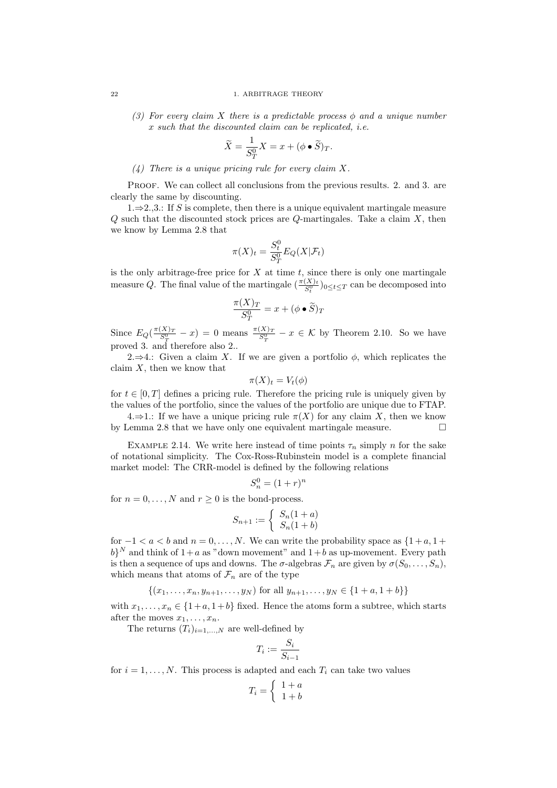(3) For every claim X there is a predictable process  $\phi$  and a unique number x such that the discounted claim can be replicated, i.e.

$$
\widetilde{X} = \frac{1}{S_T^0} X = x + (\phi \bullet \widetilde{S})_T.
$$

(4) There is a unique pricing rule for every claim X.

Proof. We can collect all conclusions from the previous results. 2. and 3. are clearly the same by discounting.

1.⇒2.,3.: If S is complete, then there is a unique equivalent martingale measure  $Q$  such that the discounted stock prices are  $Q$ -martingales. Take a claim  $X$ , then we know by Lemma 2.8 that

$$
\pi(X)_t = \frac{S_t^0}{S_T^0} E_Q(X|\mathcal{F}_t)
$$

is the only arbitrage-free price for  $X$  at time  $t$ , since there is only one martingale measure Q. The final value of the martingale  $(\frac{\pi(X)_t}{S_t^0})_{0 \le t \le T}$  can be decomposed into

$$
\frac{\pi(X)_T}{S_T^0} = x + (\phi \bullet \widetilde{S})_T
$$

Since  $E_Q(\frac{\pi(X)\tau}{S_T^0} - x) = 0$  means  $\frac{\pi(X)\tau}{S_T^0} - x \in \mathcal{K}$  by Theorem 2.10. So we have proved 3. and therefore also 2..

2.⇒4.: Given a claim X. If we are given a portfolio  $\phi$ , which replicates the claim  $X$ , then we know that

$$
\pi(X)_t = V_t(\phi)
$$

for  $t \in [0, T]$  defines a pricing rule. Therefore the pricing rule is uniquely given by the values of the portfolio, since the values of the portfolio are unique due to FTAP.

 $4.\Rightarrow 1.$ : If we have a unique pricing rule  $\pi(X)$  for any claim X, then we know by Lemma 2.8 that we have only one equivalent martingale measure.

EXAMPLE 2.14. We write here instead of time points  $\tau_n$  simply n for the sake of notational simplicity. The Cox-Ross-Rubinstein model is a complete financial market model: The CRR-model is defined by the following relations

$$
S_n^0 = (1+r)^n
$$

for  $n = 0, ..., N$  and  $r > 0$  is the bond-process.

$$
S_{n+1} := \begin{cases} S_n(1+a) \\ S_n(1+b) \end{cases}
$$

for  $-1 < a < b$  and  $n = 0, \ldots, N$ . We can write the probability space as  $\{1 + a, 1 + b\}$  $b$ <sup>N</sup> and think of  $1+a$  as "down movement" and  $1+b$  as up-movement. Every path is then a sequence of ups and downs. The  $\sigma$ -algebras  $\mathcal{F}_n$  are given by  $\sigma(S_0, \ldots, S_n)$ , which means that atoms of  $\mathcal{F}_n$  are of the type

 $\{(x_1, \ldots, x_n, y_{n+1}, \ldots, y_N) \text{ for all } y_{n+1}, \ldots, y_N \in \{1+a, 1+b\}\}\$ 

with  $x_1, \ldots, x_n \in \{1+a, 1+b\}$  fixed. Hence the atoms form a subtree, which starts after the moves  $x_1, \ldots, x_n$ .

The returns  $(T_i)_{i=1,...,N}$  are well-defined by

$$
T_i:=\frac{S_i}{S_{i-1}}
$$

for  $i = 1, \ldots, N$ . This process is adapted and each  $T_i$  can take two values

$$
T_i = \left\{ \begin{array}{c} 1+a \\ 1+b \end{array} \right.
$$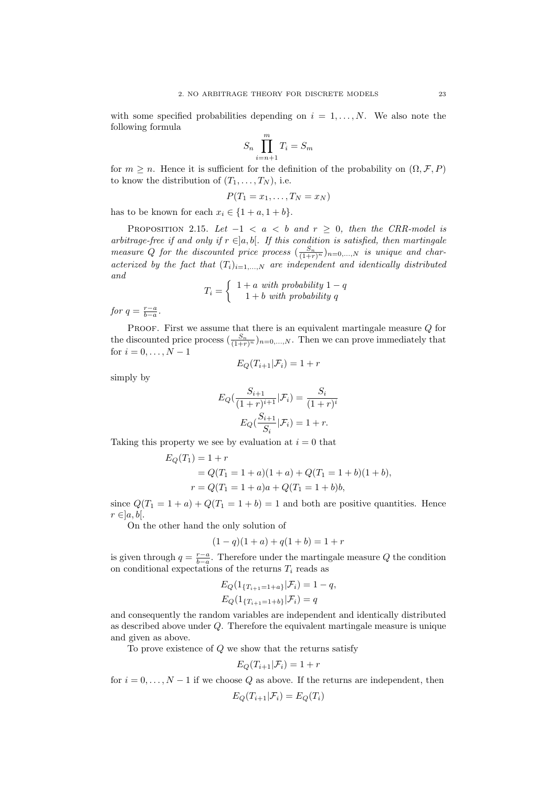with some specified probabilities depending on  $i = 1, \ldots, N$ . We also note the following formula

$$
S_n \prod_{i=n+1}^m T_i = S_m
$$

for  $m > n$ . Hence it is sufficient for the definition of the probability on  $(\Omega, \mathcal{F}, P)$ to know the distribution of  $(T_1, \ldots, T_N)$ , i.e.

$$
P(T_1=x_1,\ldots,T_N=x_N)
$$

has to be known for each  $x_i \in \{1+a, 1+b\}.$ 

PROPOSITION 2.15. Let  $-1 < a < b$  and  $r \ge 0$ , then the CRR-model is arbitrage-free if and only if  $r \in ]a, b[$ . If this condition is satisfied, then martingale measure Q for the discounted price process  $(\frac{S_n}{(1+r)^n})_{n=0,\dots,N}$  is unique and characterized by the fact that  $(T_i)_{i=1,\dots,N}$  are independent and identically distributed and

$$
T_i = \left\{ \begin{array}{c} 1+a \text{ with probability } 1-q \\ 1+b \text{ with probability } q \end{array} \right.
$$

for  $q = \frac{r-a}{b-a}$ .

PROOF. First we assume that there is an equivalent martingale measure  $Q$  for the discounted price process  $\left(\frac{S_n}{(1+r)^n}\right)_{n=0,\ldots,N}$ . Then we can prove immediately that for  $i = 0, ..., N - 1$  $E_O(T_{i+1}|\mathcal{F}_i) = 1 + r$ 

simply by

$$
E_Q(\frac{S_{i+1}}{(1+r)^{i+1}}|\mathcal{F}_i) = \frac{S_i}{(1+r)^i}
$$

$$
E_Q(\frac{S_{i+1}}{S_i}|\mathcal{F}_i) = 1 + r.
$$

Taking this property we see by evaluation at  $i = 0$  that

$$
E_Q(T_1) = 1 + r
$$
  
=  $Q(T_1 = 1 + a)(1 + a) + Q(T_1 = 1 + b)(1 + b),$   
 $r = Q(T_1 = 1 + a)a + Q(T_1 = 1 + b)b,$ 

since  $Q(T_1 = 1 + a) + Q(T_1 = 1 + b) = 1$  and both are positive quantities. Hence  $r \in ]a, b[$ .

On the other hand the only solution of

$$
(1 - q)(1 + a) + q(1 + b) = 1 + r
$$

is given through  $q = \frac{r-a}{b-a}$ . Therefore under the martingale measure Q the condition on conditional expectations of the returns  $T_i$  reads as

$$
E_Q(1_{\{T_{i+1}=1+a\}}|\mathcal{F}_i) = 1-q,
$$
  
\n
$$
E_Q(1_{\{T_{i+1}=1+b\}}|\mathcal{F}_i) = q
$$

and consequently the random variables are independent and identically distributed as described above under Q. Therefore the equivalent martingale measure is unique and given as above.

To prove existence of  $Q$  we show that the returns satisfy

$$
E_Q(T_{i+1}|\mathcal{F}_i) = 1+r
$$

for  $i = 0, \ldots, N - 1$  if we choose Q as above. If the returns are independent, then

$$
E_Q(T_{i+1}|\mathcal{F}_i) = E_Q(T_i)
$$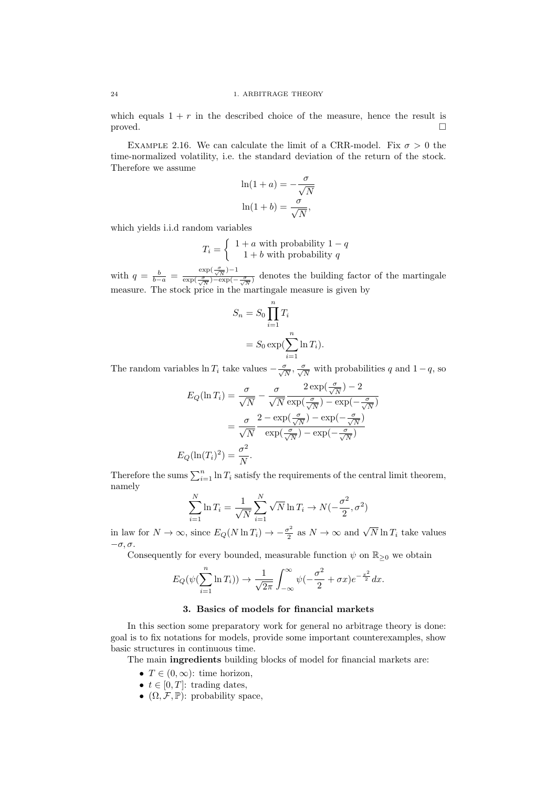which equals  $1 + r$  in the described choice of the measure, hence the result is proved.

EXAMPLE 2.16. We can calculate the limit of a CRR-model. Fix  $\sigma > 0$  the time-normalized volatility, i.e. the standard deviation of the return of the stock. Therefore we assume

$$
\ln(1 + a) = -\frac{\sigma}{\sqrt{N}}
$$

$$
\ln(1 + b) = \frac{\sigma}{\sqrt{N}},
$$

which yields i.i.d random variables

$$
T_i = \left\{ \begin{array}{c} 1+a \text{ with probability } 1-q \\ 1+b \text{ with probability } q \end{array} \right.
$$

with  $q = \frac{b}{b-a} = \frac{\exp(\frac{\sigma}{\sqrt{N}})-1}{\exp(\frac{\sigma}{\sqrt{N}})-\exp(-1)}$  $rac{\exp(\sqrt{\pi})}{\exp(\sqrt{\pi})-\exp(-\sqrt{\pi})}$  denotes the building factor of the martingale measure. The stock price in the martingale measure is given by

$$
S_n = S_0 \prod_{i=1}^n T_i
$$
  
= 
$$
S_0 \exp(\sum_{i=1}^n \ln T_i).
$$

The random variables  $\ln T_i$  take values  $-\frac{\sigma}{\sqrt{N}}, \frac{\sigma}{\sqrt{N}}$  with probabilities q and  $1-q$ , so

$$
E_Q(\ln T_i) = \frac{\sigma}{\sqrt{N}} - \frac{\sigma}{\sqrt{N}} \frac{2 \exp(\frac{\sigma}{\sqrt{N}}) - 2}{\exp(\frac{\sigma}{\sqrt{N}}) - \exp(-\frac{\sigma}{\sqrt{N}})}
$$

$$
= \frac{\sigma}{\sqrt{N}} \frac{2 - \exp(\frac{\sigma}{\sqrt{N}}) - \exp(-\frac{\sigma}{\sqrt{N}})}{\exp(\frac{\sigma}{\sqrt{N}}) - \exp(-\frac{\sigma}{\sqrt{N}})}
$$

$$
E_Q(\ln(T_i)^2) = \frac{\sigma^2}{N}.
$$

Therefore the sums  $\sum_{i=1}^{n} \ln T_i$  satisfy the requirements of the central limit theorem, namely

$$
\sum_{i=1}^{N} \ln T_i = \frac{1}{\sqrt{N}} \sum_{i=1}^{N} \sqrt{N} \ln T_i \to N(-\frac{\sigma^2}{2}, \sigma^2)
$$

in law for  $N \to \infty$ , since  $E_Q(N \ln T_i) \to -\frac{\sigma^2}{2}$  $\frac{\sigma^2}{2}$  as  $N \to \infty$  and  $\sqrt{N} \ln T_i$  take values  $-\sigma$ ,  $\sigma$ .

Consequently for every bounded, measurable function  $\psi$  on  $\mathbb{R}_{\geq 0}$  we obtain

$$
E_Q(\psi(\sum_{i=1}^n \ln T_i)) \to \frac{1}{\sqrt{2\pi}} \int_{-\infty}^{\infty} \psi(-\frac{\sigma^2}{2} + \sigma x)e^{-\frac{x^2}{2}} dx.
$$

## 3. Basics of models for financial markets

In this section some preparatory work for general no arbitrage theory is done: goal is to fix notations for models, provide some important counterexamples, show basic structures in continuous time.

The main ingredients building blocks of model for financial markets are:

- $T \in (0, \infty)$ : time horizon,
- $t \in [0, T]$ : trading dates,
- $(\Omega, \mathcal{F}, \mathbb{P})$ : probability space,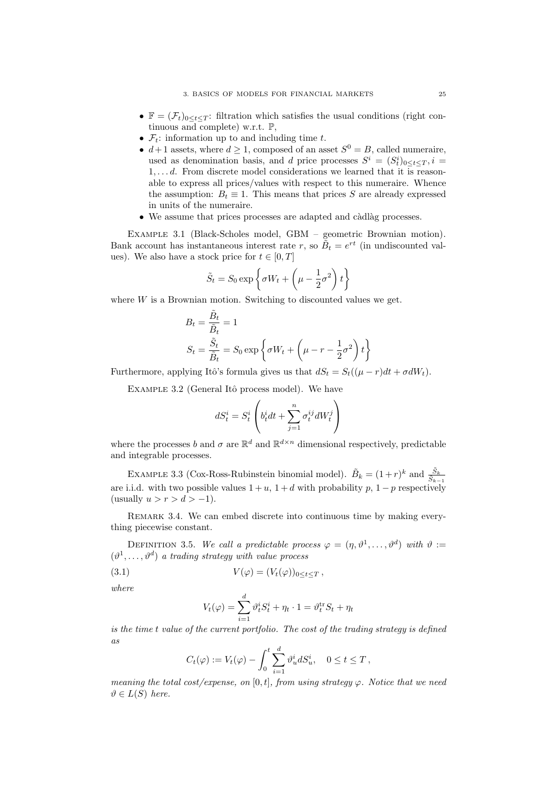- $\mathbb{F} = (\mathcal{F}_t)_{0 \leq t \leq T}$ : filtration which satisfies the usual conditions (right continuous and complete) w.r.t. P,
- $\mathcal{F}_t$ : information up to and including time t.
- $d+1$  assets, where  $d \geq 1$ , composed of an asset  $S^0 = B$ , called numeraire, used as denomination basis, and d price processes  $S^i = (S_t^i)_{0 \le t \le T}, i =$  $1, \ldots, d$ . From discrete model considerations we learned that it is reasonable to express all prices/values with respect to this numeraire. Whence the assumption:  $B_t \equiv 1$ . This means that prices S are already expressed in units of the numeraire.
- $\bullet$  We assume that prices processes are adapted and càdlàg processes.

Example 3.1 (Black-Scholes model, GBM – geometric Brownian motion). Bank account has instantaneous interest rate r, so  $\tilde{B}_t = e^{rt}$  (in undiscounted values). We also have a stock price for  $t \in [0, T]$ 

$$
\tilde{S}_t = S_0 \exp\left\{\sigma W_t + \left(\mu - \frac{1}{2}\sigma^2\right)t\right\}
$$

where  $W$  is a Brownian motion. Switching to discounted values we get.

$$
B_t = \frac{\tilde{B}_t}{\tilde{B}_t} = 1
$$
  

$$
S_t = \frac{\tilde{S}_t}{\tilde{B}_t} = S_0 \exp\left\{\sigma W_t + \left(\mu - r - \frac{1}{2}\sigma^2\right)t\right\}
$$

Furthermore, applying Itô's formula gives us that  $dS_t = S_t((\mu - r)dt + \sigma dW_t)$ .

EXAMPLE 3.2 (General Itô process model). We have

$$
dS_t^i = S_t^i \left( b_t^i dt + \sum_{j=1}^n \sigma_t^{ij} dW_t^j \right)
$$

where the processes b and  $\sigma$  are  $\mathbb{R}^d$  and  $\mathbb{R}^{d \times n}$  dimensional respectively, predictable and integrable processes.

EXAMPLE 3.3 (Cox-Ross-Rubinstein binomial model).  $\tilde{B}_k = (1+r)^k$  and  $\frac{\tilde{S}_k}{\tilde{S}_{k-1}}$ are i.i.d. with two possible values  $1 + u$ ,  $1 + d$  with probability p,  $1 - p$  respectively (usually  $u > r > d > -1$ ).

REMARK 3.4. We can embed discrete into continuous time by making everything piecewise constant.

DEFINITION 3.5. We call a predictable process  $\varphi = (\eta, \vartheta^1, \dots, \vartheta^d)$  with  $\vartheta :=$  $(\vartheta^1, \ldots, \vartheta^d)$  a trading strategy with value process

(3.1) 
$$
V(\varphi) = (V_t(\varphi))_{0 \leq t \leq T},
$$

where

$$
V_t(\varphi) = \sum_{i=1}^d \vartheta_t^i S_t^i + \eta_t \cdot 1 = \vartheta_t^{\text{tr}} S_t + \eta_t
$$

is the time t value of the current portfolio. The cost of the trading strategy is defined as

$$
C_t(\varphi) := V_t(\varphi) - \int_0^t \sum_{i=1}^d \vartheta_u^i dS_u^i, \quad 0 \le t \le T,
$$

meaning the total cost/expense, on [0, t], from using strategy  $\varphi$ . Notice that we need  $\vartheta \in L(S)$  here.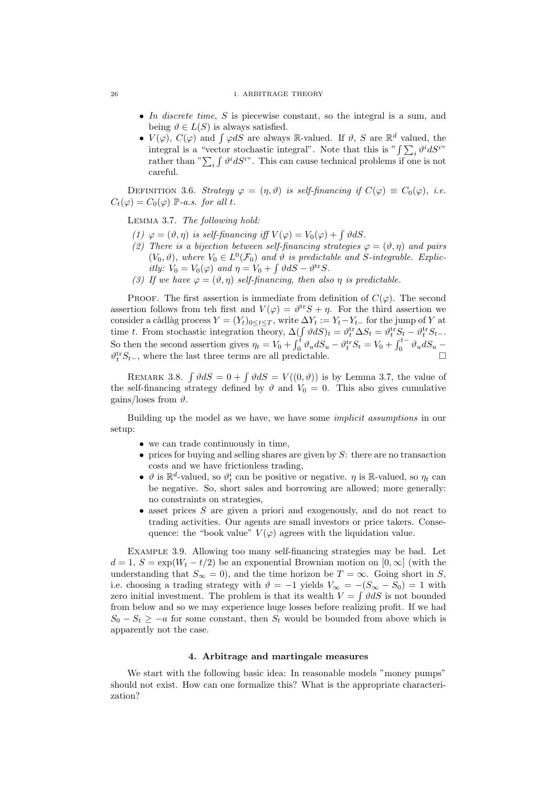- In discrete time, S is piecewise constant, so the integral is a sum, and being  $\vartheta \in L(S)$  is always satisfied.
- $V(\varphi)$ ,  $C(\varphi)$  and  $\int \varphi dS$  are always R-valued. If  $\vartheta$ , S are  $\mathbb{R}^d$  valued, the integral is a "vector stochastic integral". Note that this is " $\int \sum_i \vartheta^i dS^{i}$ " rather than " $\sum_i \int \vartheta^i dS^{i}$ ". This can cause technical problems if one is not careful.

DEFINITION 3.6. Strategy  $\varphi = (\eta, \vartheta)$  is self-financing if  $C(\varphi) \equiv C_0(\varphi)$ , i.e.  $C_t(\varphi) = C_0(\varphi)$  P-a.s. for all t.

Lemma 3.7. The following hold:

- (1)  $\varphi = (\vartheta, \eta)$  is self-financing iff  $V(\varphi) = V_0(\varphi) + \int \vartheta dS$ .
- (2) There is a bijection between self-financing strategies  $\varphi = (\vartheta, \eta)$  and pairs  $(V_0, \vartheta)$ , where  $V_0 \in L^0(\mathcal{F}_0)$  and  $\vartheta$  is predictable and S-integrable. Explicitly:  $V_0 = V_0(\varphi)$  and  $\eta = V_0 + \int \vartheta dS - \vartheta^{\text{tr}} S$ .
- (3) If we have  $\varphi = (\vartheta, \eta)$  self-financing, then also  $\eta$  is predictable.

PROOF. The first assertion is immediate from definition of  $C(\varphi)$ . The second assertion follows from teh first and  $V(\varphi) = \vartheta^{\text{tr}} S + \eta$ . For the third assertion we consider a càdlàg process  $Y = (Y_t)_{0 \le t \le T}$ , write  $\Delta Y_t := Y_t - Y_{t-}$  for the jump of Y at time t. From stochastic integration theory,  $\Delta(\int \vartheta dS)_t = \vartheta_t^{\text{tr}} \Delta S_t = \vartheta_t^{\text{tr}} S_t - \vartheta_t^{\text{tr}} S_{t-}$ . So then the second assertion gives  $\eta_t = V_0 + \int_0^t \vartheta_u dS_u - \vartheta_t^{tr} S_t = V_0 + \int_0^{t-} \vartheta_u dS_u$  $\vartheta_t^{\text{tr}} S_{t-}$ , where the last three terms are all predictable.

REMARK 3.8.  $\int \vartheta dS = 0 + \int \vartheta dS = V((0, \vartheta))$  is by Lemma 3.7, the value of the self-financing strategy defined by  $\vartheta$  and  $V_0 = 0$ . This also gives cumulative gains/loses from  $\vartheta$ .

Building up the model as we have, we have some implicit assumptions in our setup:

- we can trade continuously in time,
- prices for buying and selling shares are given by  $S$ : there are no transaction costs and we have frictionless trading,
- $\bullet\,$   $\vartheta$  is  $\mathbb{R}^d\text{-valued},$  so  $\vartheta^i_t$  can be positive or negative.  $\eta$  is  $\mathbb{R}\text{-valued},$  so  $\eta_t$  can be negative. So, short sales and borrowing are allowed; more generally: no constraints on strategies,
- $\bullet$  asset prices S are given a priori and exogenously, and do not react to trading activities. Our agents are small investors or price takers. Consequence: the "book value"  $V(\varphi)$  agrees with the liquidation value.

Example 3.9. Allowing too many self-financing strategies may be bad. Let  $d = 1, S = \exp(W_t - t/2)$  be an exponential Brownian motion on  $[0, \infty]$  (with the understanding that  $S_{\infty} = 0$ , and the time horizon be  $T = \infty$ . Going short in S, i.e. choosing a trading strategy with  $\vartheta = -1$  yields  $V_{\infty} = -(S_{\infty} - S_0) = 1$  with zero initial investment. The problem is that its wealth  $V = \int \vartheta dS$  is not bounded from below and so we may experience huge losses before realizing profit. If we had  $S_0 - S_t \ge -a$  for some constant, then  $S_t$  would be bounded from above which is apparently not the case.

## 4. Arbitrage and martingale measures

We start with the following basic idea: In reasonable models "money pumps" should not exist. How can one formalize this? What is the appropriate characterization?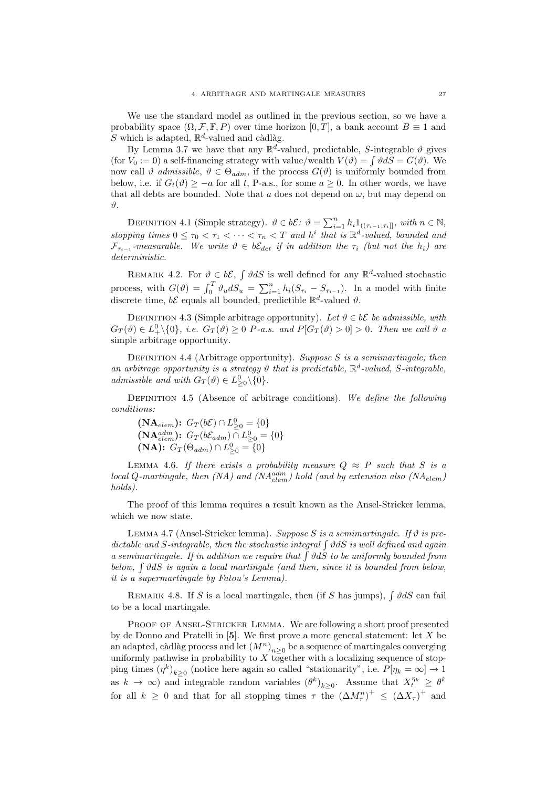We use the standard model as outlined in the previous section, so we have a probability space  $(\Omega, \mathcal{F}, \mathbb{F}, P)$  over time horizon  $[0, T]$ , a bank account  $B \equiv 1$  and S which is adapted,  $\mathbb{R}^d$ -valued and càdlàg.

By Lemma 3.7 we have that any  $\mathbb{R}^d$ -valued, predictable, S-integrable  $\vartheta$  gives (for  $V_0 := 0$ ) a self-financing strategy with value/wealth  $V(\vartheta) = \int \vartheta dS = G(\vartheta)$ . We now call  $\vartheta$  admissible,  $\vartheta \in \Theta_{adm}$ , if the process  $G(\vartheta)$  is uniformly bounded from below, i.e. if  $G_t(\vartheta) \ge -a$  for all t, P-a.s., for some  $a \ge 0$ . In other words, we have that all debts are bounded. Note that a does not depend on  $\omega$ , but may depend on ϑ.

DEFINITION 4.1 (Simple strategy).  $\vartheta \in b\mathcal{E}$ :  $\vartheta = \sum_{i=1}^{n} h_i 1_{((\tau_{i-1}, \tau_i])}$ , with  $n \in \mathbb{N}$ , stopping times  $0 \leq \tau_0 < \tau_1 < \cdots < \tau_n < T$  and  $h^i$  that is  $\mathbb{R}^d$ -valued, bounded and  $\mathcal{F}_{\tau_{i-1}}$ -measurable. We write  $\vartheta \in b\mathcal{E}_{det}$  if in addition the  $\tau_i$  (but not the  $h_i$ ) are deterministic.

REMARK 4.2. For  $\vartheta \in b\mathcal{E}$ ,  $\int \vartheta dS$  is well defined for any  $\mathbb{R}^d$ -valued stochastic process, with  $G(\theta) = \int_0^T \theta_u dS_u = \sum_{i=1}^n h_i (S_{\tau_i} - S_{\tau_{i-1}})$ . In a model with finite discrete time,  $b\mathcal{E}$  equals all bounded, predictible  $\mathbb{R}^d$ -valued  $\vartheta$ .

DEFINITION 4.3 (Simple arbitrage opportunity). Let  $\vartheta \in \delta \mathcal{E}$  be admissible, with  $G_T(\vartheta) \in L^0_+\setminus\{0\}, \ i.e. \, G_T(\vartheta) \geq 0 \, P\text{-}a.s. \, \text{ and } P[G_T(\vartheta) > 0] > 0. \, \text{ Then we call } \vartheta$  a simple arbitrage opportunity.

DEFINITION 4.4 (Arbitrage opportunity). Suppose S is a semimartingale; then an arbitrage opportunity is a strategy  $\vartheta$  that is predictable,  $\mathbb{R}^d$ -valued, S-integrable, admissible and with  $G_T(\vartheta) \in L^0_{\geq 0} \backslash \{0\}.$ 

DEFINITION 4.5 (Absence of arbitrage conditions). We define the following conditions:

 $(NA_{elem})$ :  $G_T(b\mathcal{E}) \cap L^0_{\geq 0} = \{0\}$ (**NA** $_{elem}^{adm}$ ):  $G_T(b\mathcal{E}_{adm}) \cap L_{\geq 0}^0 = \{0\}$ (NA):  $G_T(\Theta_{adm}) \cap L^0_{\geq 0} = \{0\}$ 

LEMMA 4.6. If there exists a probability measure  $Q \approx P$  such that S is a  $local Q-martingale, then (NA) and (NA<sub>elem</sub>) hold (and by extension also (NA<sub>elem</sub>)$ holds).

The proof of this lemma requires a result known as the Ansel-Stricker lemma, which we now state.

LEMMA 4.7 (Ansel-Stricker lemma). Suppose S is a semimartingale. If  $\vartheta$  is predictable and S-integrable, then the stochastic integral  $\int \vartheta dS$  is well defined and again a semimartingale. If in addition we require that  $\int \vartheta dS$  to be uniformly bounded from below,  $\int \vartheta dS$  is again a local martingale (and then, since it is bounded from below, it is a supermartingale by Fatou's Lemma).

REMARK 4.8. If S is a local martingale, then (if S has jumps),  $\int \vartheta dS$  can fail to be a local martingale.

PROOF OF ANSEL-STRICKER LEMMA. We are following a short proof presented by de Donno and Pratelli in [5]. We first prove a more general statement: let X be an adapted, càdlàg process and let  $(M^n)_{n\geq 0}$  be a sequence of martingales converging uniformly pathwise in probability to X together with a localizing sequence of stopping times  $(\eta^k)_{k\geq 0}$  (notice here again so called "stationarity", i.e.  $P[\eta_k = \infty] \to 1$ as  $k \to \infty$ ) and integrable random variables  $(\theta^k)_{k \geq 0}$ . Assume that  $X_t^{\eta_k} \geq \theta^k$ for all  $k \geq 0$  and that for all stopping times  $\tau$  the  $(\Delta M_{\tau}^n)^+ \leq (\Delta X_{\tau})^+$  and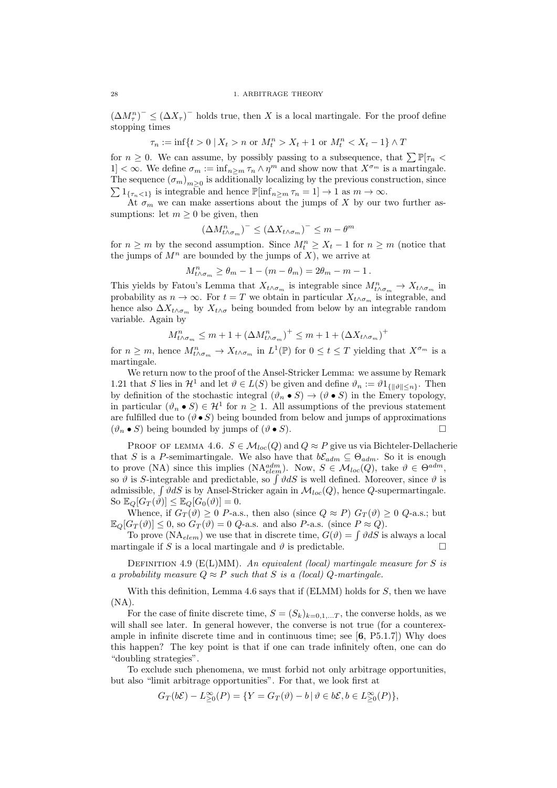$(\Delta M_{\tau}^n)^{\top} \leq (\Delta X_{\tau})^{\top}$  holds true, then X is a local martingale. For the proof define stopping times

$$
\tau_n := \inf\{t > 0 \mid X_t > n \text{ or } M_t^n > X_t + 1 \text{ or } M_t^n < X_t - 1\} \wedge T
$$

for  $n \geq 0$ . We can assume, by possibly passing to a subsequence, that  $\sum \mathbb{P}[\tau_n \leq \tau]$ 1]  $<\infty$ . We define  $\sigma_m := \inf_{n \geq m} \tau_n \wedge \eta^m$  and show now that  $X^{\sigma_m}$  is a martingale. The sequence  $(\sigma_m)_{m\geq 0}$  is additionally localizing by the previous construction, since  $\sum 1_{\{\tau_n\leq 1\}}$  is integrable and hence  $\mathbb{P}[\inf_{n\geq m}\tau_n=1]\to 1$  as  $m\to\infty$ .

At  $\sigma_m$  we can make assertions about the jumps of X by our two further assumptions: let  $m \geq 0$  be given, then

$$
(\Delta M_{t \wedge \sigma_m}^n)^- \leq (\Delta X_{t \wedge \sigma_m})^- \leq m - \theta^m
$$

for  $n \geq m$  by the second assumption. Since  $M_t^n \geq X_t - 1$  for  $n \geq m$  (notice that the jumps of  $M^n$  are bounded by the jumps of  $X$ ), we arrive at

$$
M_{t \wedge \sigma_m}^n \ge \theta_m - 1 - (m - \theta_m) = 2\theta_m - m - 1.
$$

This yields by Fatou's Lemma that  $X_{t \wedge \sigma_m}$  is integrable since  $M_{t \wedge \sigma_m}^n \to X_{t \wedge \sigma_m}$  in probability as  $n \to \infty$ . For  $t = T$  we obtain in particular  $X_{t \wedge \sigma_m}$  is integrable, and hence also  $\Delta X_{t \wedge \sigma_m}$  by  $X_{t \wedge \sigma}$  being bounded from below by an integrable random variable. Again by

$$
M_{t \wedge \sigma_m}^n \le m + 1 + (\Delta M_{t \wedge \sigma_m}^n)^+ \le m + 1 + (\Delta X_{t \wedge \sigma_m})^+
$$

for  $n \geq m$ , hence  $M_{t \wedge \sigma_m}^n \to X_{t \wedge \sigma_m}$  in  $L^1(\mathbb{P})$  for  $0 \leq t \leq T$  yielding that  $X^{\sigma_m}$  is a martingale.

We return now to the proof of the Ansel-Stricker Lemma: we assume by Remark 1.21 that S lies in  $\mathcal{H}^1$  and let  $\vartheta \in L(S)$  be given and define  $\vartheta_n := \vartheta 1_{\{ \|\vartheta\| \leq n \}}$ . Then by definition of the stochastic integral  $(\vartheta_n \bullet S) \to (\vartheta \bullet S)$  in the Emery topology, in particular  $(\vartheta_n \bullet S) \in \mathcal{H}^1$  for  $n \geq 1$ . All assumptions of the previous statement are fulfilled due to  $(\vartheta \bullet S)$  being bounded from below and jumps of approximations  $(\vartheta_n \bullet S)$  being bounded by jumps of  $(\vartheta \bullet S)$ .

PROOF OF LEMMA 4.6.  $S \in \mathcal{M}_{loc}(Q)$  and  $Q \approx P$  give us via Bichteler-Dellacherie that S is a P-semimartingale. We also have that  $b\mathcal{E}_{adm} \subseteq \Theta_{adm}$ . So it is enough to prove (NA) since this implies (NA $_{elem}^{adm}$ ). Now,  $S \in \mathcal{M}_{loc}(Q)$ , take  $\vartheta \in \Theta^{adm}$ , so  $\vartheta$  is S-integrable and predictable, so  $\int \vartheta dS$  is well defined. Moreover, since  $\vartheta$  is admissible,  $\int \vartheta dS$  is by Ansel-Stricker again in  $\mathcal{M}_{loc}(Q)$ , hence Q-supermartingale. So  $\mathbb{E}_{Q}[G_{T}(\vartheta)] \leq \mathbb{E}_{Q}[G_{0}(\vartheta)] = 0.$ 

Whence, if  $G_T(\vartheta) \geq 0$  P-a.s., then also (since  $Q \approx P$ )  $G_T(\vartheta) \geq 0$  Q-a.s.; but  $\mathbb{E}_{Q}[G_T(\vartheta)] \leq 0$ , so  $G_T(\vartheta) = 0$  Q-a.s. and also P-a.s. (since  $P \approx Q$ ).

To prove (NA<sub>elem</sub>) we use that in discrete time,  $G(\vartheta) = \int \vartheta dS$  is always a local martingale if S is a local martingale and  $\vartheta$  is predictable.

DEFINITION 4.9 ( $E(L)MM$ ). An equivalent (local) martingale measure for S is a probability measure  $Q \approx P$  such that S is a (local) Q-martingale.

With this definition, Lemma 4.6 says that if  $(ELMM)$  holds for  $S$ , then we have  $(NA)$ .

For the case of finite discrete time,  $S = (S_k)_{k=0,1,...T}$ , the converse holds, as we will shall see later. In general however, the converse is not true (for a counterexample in infinite discrete time and in continuous time; see  $[6, P5.1.7]$ ) Why does this happen? The key point is that if one can trade infinitely often, one can do "doubling strategies".

To exclude such phenomena, we must forbid not only arbitrage opportunities, but also "limit arbitrage opportunities". For that, we look first at

$$
G_T(b\mathcal{E}) - L_{\geq 0}^{\infty}(P) = \{ Y = G_T(\vartheta) - b \, | \, \vartheta \in b\mathcal{E}, b \in L_{\geq 0}^{\infty}(P) \},
$$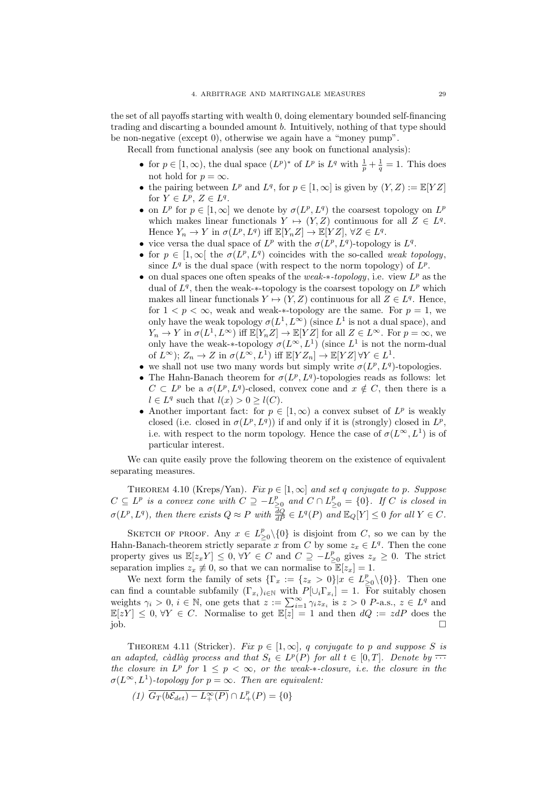the set of all payoffs starting with wealth 0, doing elementary bounded self-financing trading and discarting a bounded amount b. Intuitively, nothing of that type should be non-negative (except 0), otherwise we again have a "money pump".

Recall from functional analysis (see any book on functional analysis):

- for  $p \in [1, \infty)$ , the dual space  $(L^p)^*$  of  $L^p$  is  $L^q$  with  $\frac{1}{p} + \frac{1}{q} = 1$ . This does not hold for  $p = \infty$ .
- the pairing between  $L^p$  and  $L^q$ , for  $p \in [1,\infty]$  is given by  $(Y,Z) := \mathbb{E}[YZ]$ for  $Y \in L^p$ ,  $Z \in L^q$ .
- on  $L^p$  for  $p \in [1,\infty]$  we denote by  $\sigma(L^p,L^q)$  the coarsest topology on  $L^p$ which makes linear functionals  $Y \mapsto (Y, Z)$  continuous for all  $Z \in L^q$ . Hence  $Y_n \to Y$  in  $\sigma(L^p, L^q)$  iff  $\mathbb{E}[Y_n Z] \to \mathbb{E}[YZ], \forall Z \in L^q$ .
- vice versa the dual space of  $L^p$  with the  $\sigma(L^p, L^q)$ -topology is  $L^q$ .
- for  $p \in [1,\infty]$  the  $\sigma(L^p,L^q)$  coincides with the so-called weak topology, since  $L^q$  is the dual space (with respect to the norm topology) of  $L^p$ .
- on dual spaces one often speaks of the weak- $*$ -topology, i.e. view  $L^p$  as the dual of  $L^q$ , then the weak- $*$ -topology is the coarsest topology on  $L^p$  which makes all linear functionals  $Y \mapsto (Y, Z)$  continuous for all  $Z \in L<sup>q</sup>$ . Hence, for  $1 < p < \infty$ , weak and weak-\*-topology are the same. For  $p = 1$ , we only have the weak topology  $\sigma(L^1, L^{\infty})$  (since  $L^1$  is not a dual space), and  $Y_n \to Y$  in  $\sigma(L^1, L^{\infty})$  iff  $\mathbb{E}[Y_n Z] \to \mathbb{E}[YZ]$  for all  $Z \in L^{\infty}$ . For  $p = \infty$ , we only have the weak-\*-topology  $\sigma(L^{\infty}, L^{1})$  (since  $L^{1}$  is not the norm-dual of  $L^{\infty}$ );  $Z_n \to Z$  in  $\sigma(L^{\infty}, L^1)$  iff  $\mathbb{E}[YZ_n] \to \mathbb{E}[YZ] \,\forall Y \in L^1$ .
- we shall not use two many words but simply write  $\sigma(L^p, L^q)$ -topologies.
- The Hahn-Banach theorem for  $\sigma(L^p, L^q)$ -topologies reads as follows: let  $C \subset L^p$  be a  $\sigma(L^p, L^q)$ -closed, convex cone and  $x \notin C$ , then there is a  $l \in L^q$  such that  $l(x) > 0 \ge l(C)$ .
- Another important fact: for  $p \in [1,\infty)$  a convex subset of  $L^p$  is weakly closed (i.e. closed in  $\sigma(L^p, L^q)$ ) if and only if it is (strongly) closed in  $L^p$ , i.e. with respect to the norm topology. Hence the case of  $\sigma(L^{\infty}, L^{1})$  is of particular interest.

We can quite easily prove the following theorem on the existence of equivalent separating measures.

THEOREM 4.10 (Kreps/Yan). Fix  $p \in [1,\infty]$  and set q conjugate to p. Suppose  $C \subseteq L^p$  is a convex cone with  $C \supseteq -L_{\geq 0}^p$  and  $C \cap L_{\geq 0}^p = \{0\}$ . If C is closed in  $\sigma(L^p, L^q)$ , then there exists  $Q \approx P$  with  $\frac{dQ}{dP} \in L^q(P)$  and  $\mathbb{E}_Q[Y] \leq 0$  for all  $Y \in C$ .

SKETCH OF PROOF. Any  $x \in L^p_{\geq 0} \setminus \{0\}$  is disjoint from C, so we can by the Hahn-Banach-theorem strictly separate x from C by some  $z_x \in L^q$ . Then the cone property gives us  $\mathbb{E}[z_x Y] \leq 0, \forall Y \in C$  and  $C \supseteq -L_{\geq 0}^p$  gives  $z_x \geq 0$ . The strict separation implies  $z_x \neq 0$ , so that we can normalise to  $\mathbb{E}[z_x] = 1$ .

We next form the family of sets  $\{\Gamma_x := \{z_x > 0\} | x \in L^p_{\geq 0} \setminus \{0\}\}.$  Then one can find a countable subfamily  $(\Gamma_{x_i})_{i\in\mathbb{N}}$  with  $P[\cup_i \Gamma_{x_i}] = 1$ . For suitably chosen weights  $\gamma_i > 0$ ,  $i \in \mathbb{N}$ , one gets that  $z := \sum_{i=1}^{\infty} \gamma_i z_{x_i}$  is  $z > 0$  P-a.s.,  $z \in L^q$  and  $\mathbb{E}[zY] \leq 0, \forall Y \in C.$  Normalise to get  $\mathbb{E}[z] = 1$  and then  $dQ := zdP$  does the job.

THEOREM 4.11 (Stricker). Fix  $p \in [1,\infty]$ , q conjugate to p and suppose S is an adapted, càdlàg process and that  $S_t \in L^p(P)$  for all  $t \in [0,T]$ . Denote by  $\overline{\cdots}$ the closure in  $L^p$  for  $1 \leq p < \infty$ , or the weak-\*-closure, i.e. the closure in the  $\sigma(L^{\infty}, L^{1})$ -topology for  $p = \infty$ . Then are equivalent:

(1)  $\overline{G_T(b\mathcal{E}_{det}) - L^{\infty}_+(P)} \cap L^p_+(P) = \{0\}$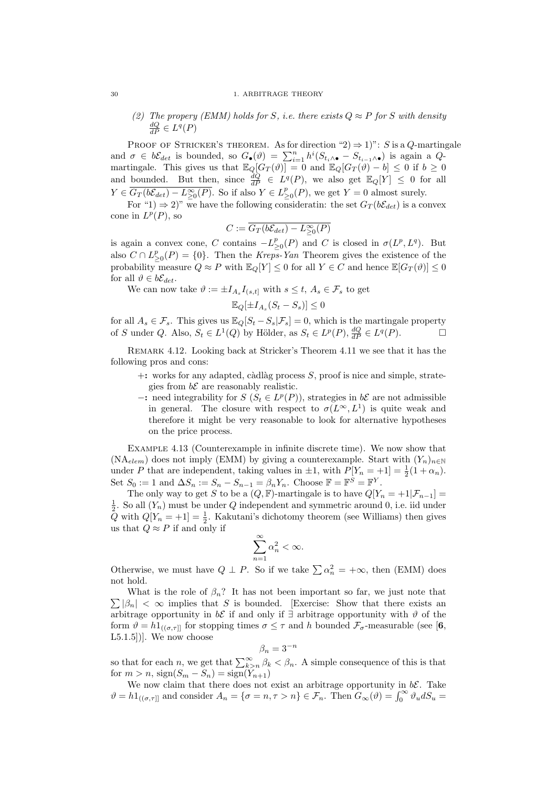## (2) The propery (EMM) holds for S, i.e. there exists  $Q \approx P$  for S with density  $\frac{dQ}{dP} \in L^q(P)$

PROOF OF STRICKER'S THEOREM. As for direction "2)  $\Rightarrow$  1)": S is a Q-martingale and  $\sigma \in b\mathcal{E}_{det}$  is bounded, so  $G_{\bullet}(\vartheta) = \sum_{i=1}^{n} h^{i}(S_{t_i} \wedge \sigma - S_{t_{i-1}} \wedge \sigma)$  is again a  $Q$ martingale. This gives us that  $\mathbb{E}_Q[G_T(\vartheta)] = 0$  and  $\mathbb{E}_Q[G_T(\vartheta) - b] \leq 0$  if  $b \geq 0$ and bounded. But then, since  $\frac{dQ}{dP} \in L^q(P)$ , we also get  $\mathbb{E}_Q[Y] \leq 0$  for all  $Y \in \overline{G_T(b\mathcal{E}_{det}) - L^{\infty}_{\geq 0}(P)}$ . So if also  $Y \in L^p_{\geq 0}(P)$ , we get  $Y = 0$  almost surely.

For "1)  $\Rightarrow$  2)" we have the following consideratin: the set  $G_T(b\mathcal{E}_{det})$  is a convex cone in  $L^p(P)$ , so

$$
C:=\overline{G_T(b\mathcal{E}_{det})-L_{\geq 0}^{\infty}(P)}
$$

is again a convex cone, C contains  $-L_{\geq 0}^p(P)$  and C is closed in  $\sigma(L^p, L^q)$ . But also  $C \cap L_{\geq 0}^p(P) = \{0\}$ . Then the Kreps-Yan Theorem gives the existence of the probability measure  $Q \approx P$  with  $\mathbb{E}_Q[Y] \leq 0$  for all  $Y \in C$  and hence  $\mathbb{E}[G_T(\vartheta)] \leq 0$ for all  $\vartheta \in b\mathcal{E}_{det}$ .

We can now take  $\vartheta := \pm I_{A_s} I_{(s,t]}$  with  $s \le t, A_s \in \mathcal{F}_s$  to get

$$
\mathbb{E}_Q[\pm I_{A_s}(S_t - S_s)] \le 0
$$

for all  $A_s \in \mathcal{F}_s$ . This gives us  $\mathbb{E}_Q[S_t - S_s | \mathcal{F}_s] = 0$ , which is the martingale property of S under Q. Also,  $S_t \in L^1(Q)$  by Hölder, as  $S_t \in L^p(P)$ ,  $\frac{dQ}{dP} \in L^q(P)$ .

Remark 4.12. Looking back at Stricker's Theorem 4.11 we see that it has the following pros and cons:

- $+$ : works for any adapted, càdlàg process S, proof is nice and simple, strategies from  $b\mathcal{E}$  are reasonably realistic.
- -: need integrability for  $S(S_t ∈ L^p(P))$ , strategies in b $\mathcal E$  are not admissible in general. The closure with respect to  $\sigma(L^{\infty}, L^{1})$  is quite weak and therefore it might be very reasonable to look for alternative hypotheses on the price process.

Example 4.13 (Counterexample in infinite discrete time). We now show that  $(NA_{elem})$  does not imply (EMM) by giving a counterexample. Start with  $(Y_n)_{n\in\mathbb{N}}$ under P that are independent, taking values in  $\pm 1$ , with  $P[Y_n = +1] = \frac{1}{2}(1 + \alpha_n)$ . Set  $S_0 := 1$  and  $\Delta S_n := S_n - S_{n-1} = \beta_n Y_n$ . Choose  $\mathbb{F} = \mathbb{F}^S = \mathbb{F}^Y$ .

The only way to get S to be a  $(Q, \mathbb{F})$ -martingale is to have  $Q[Y_n = +1|\mathcal{F}_{n-1}] =$  $\frac{1}{2}$ . So all  $(Y_n)$  must be under Q independent and symmetric around 0, i.e. iid under Q with  $Q[Y_n = +1] = \frac{1}{2}$ . Kakutani's dichotomy theorem (see Williams) then gives us that  $Q \approx P$  if and only if

$$
\sum_{n=1}^{\infty} \alpha_n^2 < \infty.
$$

Otherwise, we must have  $Q \perp P$ . So if we take  $\sum \alpha_n^2 = +\infty$ , then (EMM) does not hold.

 $\sum |\beta_n| < \infty$  implies that S is bounded. [Exercise: Show that there exists an What is the role of  $\beta_n$ ? It has not been important so far, we just note that arbitrage opportunity in  $b\mathcal{E}$  if and only if  $\exists$  arbitrage opportunity with  $\vartheta$  of the form  $\vartheta = h \mathbb{1}_{((\sigma,\tau)]}$  for stopping times  $\sigma \leq \tau$  and h bounded  $\mathcal{F}_{\sigma}$ -measurable (see [6,  $L5.1.5$ ])]. We now choose

$$
\beta_n=3^{-n}
$$

so that for each n, we get that  $\sum_{k>n}^{\infty} \beta_k < \beta_n$ . A simple consequence of this is that for  $m > n$ ,  $sign(S_m - S_n) = sign(Y_{n+1})$ 

We now claim that there does not exist an arbitrage opportunity in  $b\mathcal{E}$ . Take  $\vartheta = h1_{((\sigma,\tau)]}$  and consider  $A_n = {\sigma = n, \tau > n} \in \mathcal{F}_n$ . Then  $G_\infty(\vartheta) = \int_0^\infty \vartheta_u dS_u$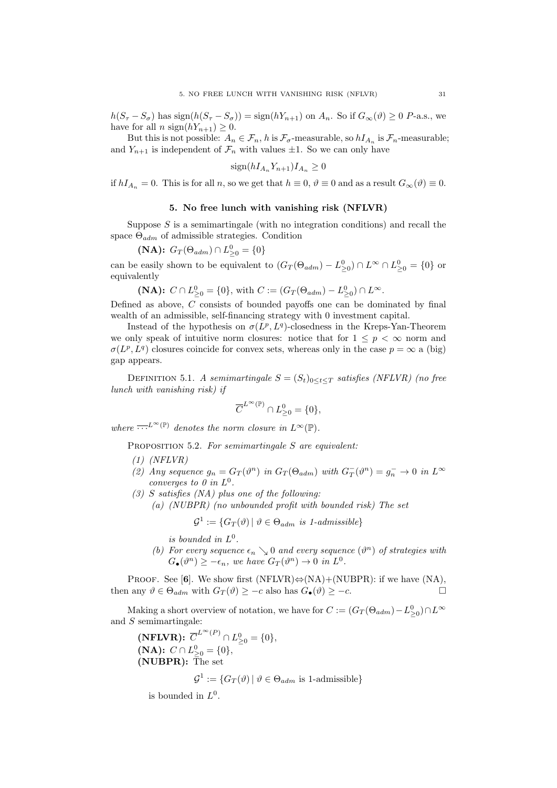$h(S_{\tau} - S_{\sigma})$  has sign $(h(S_{\tau} - S_{\sigma})) = \text{sign}(hY_{n+1})$  on  $A_n$ . So if  $G_{\infty}(\vartheta) \geq 0$  P-a.s., we have for all n sign( $hY_{n+1}$ )  $\geq 0$ .

But this is not possible:  $A_n \in \mathcal{F}_n$ , h is  $\mathcal{F}_{\sigma}$ -measurable, so  $hI_{A_n}$  is  $\mathcal{F}_n$ -measurable; and  $Y_{n+1}$  is independent of  $\mathcal{F}_n$  with values  $\pm 1$ . So we can only have

$$
\text{sign}(hI_{A_n}Y_{n+1})I_{A_n} \ge 0
$$

if  $hI_{A_n} = 0$ . This is for all n, so we get that  $h \equiv 0$ ,  $\vartheta \equiv 0$  and as a result  $G_{\infty}(\vartheta) \equiv 0$ .

## 5. No free lunch with vanishing risk (NFLVR)

Suppose  $S$  is a semimartingale (with no integration conditions) and recall the space  $\Theta_{adm}$  of admissible strategies. Condition

(NA):  $G_T(\Theta_{adm}) \cap L^0_{\geq 0} = \{0\}$ 

can be easily shown to be equivalent to  $(G_T(\Theta_{adm}) - L_{\geq 0}^0) \cap L^{\infty} \cap L_{\geq 0}^0 = \{0\}$  or equivalently

(NA): 
$$
C \cap L_{\geq 0}^0 = \{0\}
$$
, with  $C := (G_T(\Theta_{adm}) - L_{\geq 0}^0) \cap L^{\infty}$ .

Defined as above, C consists of bounded payoffs one can be dominated by final wealth of an admissible, self-financing strategy with 0 investment capital.

Instead of the hypothesis on  $\sigma(L^p, L^q)$ -closedness in the Kreps-Yan-Theorem we only speak of intuitive norm closures: notice that for  $1 \leq p < \infty$  norm and  $\sigma(L^p, L^q)$  closures coincide for convex sets, whereas only in the case  $p = \infty$  a (big) gap appears.

DEFINITION 5.1. A semimartingale  $S = (S_t)_{0 \leq t \leq T}$  satisfies (NFLVR) (no free lunch with vanishing risk) if

$$
\overline{C}^{L^{\infty}(\mathbb{P})}\cap L_{\geq 0}^{0}=\{0\},
$$

where  $\overline{\cdots}^{L^{\infty}(\mathbb{P})}$  denotes the norm closure in  $L^{\infty}(\mathbb{P})$ .

PROPOSITION 5.2. For semimartingale S are equivalent:

- $(1)$  (NFLVR)
- (2) Any sequence  $g_n = G_T(\vartheta^n)$  in  $G_T(\Theta_{adm})$  with  $G_T(\vartheta^n) = g_n^- \to 0$  in  $L^{\infty}$ converges to 0 in  $L^0$ .
- $(3)$  S satisfies  $(NA)$  plus one of the following:
	- (a) (NUBPR) (no unbounded profit with bounded risk) The set

$$
\mathcal{G}^1 := \{ G_T(\vartheta) \mid \vartheta \in \Theta_{adm} \text{ is } 1\text{-admissible} \}
$$

is bounded in  $L^0$ .

 $-1$ 

(b) For every sequence  $\epsilon_n \searrow 0$  and every sequence  $(\vartheta^n)$  of strategies with  $G_{\bullet}(\vartheta^n) \geq -\epsilon_n$ , we have  $G_T(\vartheta^n) \to 0$  in  $L^0$ .

PROOF. See [6]. We show first  $(NFLVR) \Leftrightarrow (NA) + (NUBPR)$ : if we have  $(NA)$ , then any  $\vartheta \in \Theta_{adm}$  with  $G_T(\vartheta) \geq -c$  also has  $G_{\bullet}(\vartheta) \geq -c$ .

Making a short overview of notation, we have for  $C := (G_T(\Theta_{adm}) - L_{\geq 0}^0) \cap L^{\infty}$ and S semimartingale:

(NFLVR):  $\overline{C}^{L^{\infty}(P)} \cap L^{0}_{\geq 0} = \{0\},\,$ (NA):  $C \cap L^0_{\geq 0} = \{0\},\$ (NUBPR): The set

$$
\mathcal{G}^1 := \{ G_T(\vartheta) \mid \vartheta \in \Theta_{adm} \text{ is 1-admissible} \}
$$

is bounded in  $L^0$ .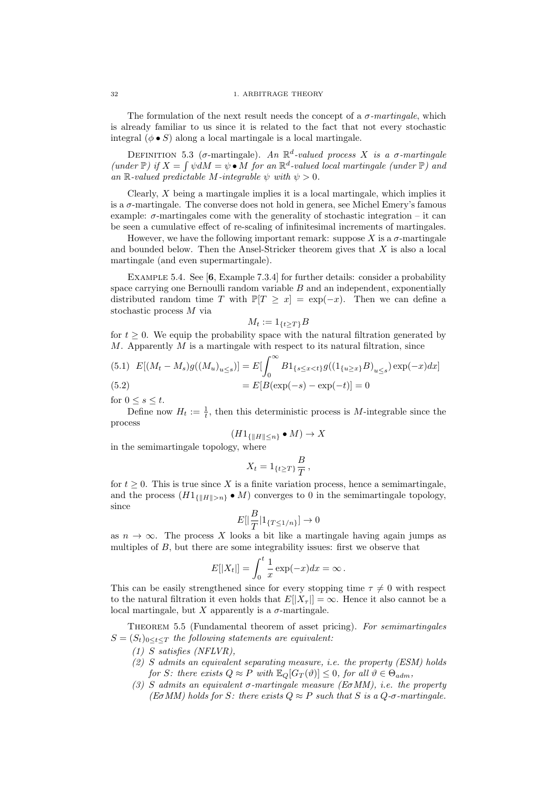The formulation of the next result needs the concept of a  $\sigma$ -martingale, which is already familiar to us since it is related to the fact that not every stochastic integral  $(\phi \bullet S)$  along a local martingale is a local martingale.

DEFINITION 5.3 (σ-martingale). An  $\mathbb{R}^d$ -valued process X is a σ-martingale (under  $\mathbb{P}$ ) if  $X = \int \psi \, dM = \psi \bullet M$  for an  $\mathbb{R}^d$ -valued local martingale (under  $\mathbb{P}$ ) and an R-valued predictable M-integrable  $\psi$  with  $\psi > 0$ .

Clearly,  $X$  being a martingale implies it is a local martingale, which implies it is a  $\sigma$ -martingale. The converse does not hold in genera, see Michel Emery's famous example:  $\sigma$ -martingales come with the generality of stochastic integration – it can be seen a cumulative effect of re-scaling of infinitesimal increments of martingales.

However, we have the following important remark: suppose X is a  $\sigma$ -martingale and bounded below. Then the Ansel-Stricker theorem gives that  $X$  is also a local martingale (and even supermartingale).

Example 5.4. See [6, Example 7.3.4] for further details: consider a probability space carrying one Bernoulli random variable  $B$  and an independent, exponentially distributed random time T with  $\mathbb{P}[T \geq x] = \exp(-x)$ . Then we can define a stochastic process M via

$$
M_t := 1_{\{t \ge T\}} B
$$

for  $t \geq 0$ . We equip the probability space with the natural filtration generated by  $M$ . Apparently  $M$  is a martingale with respect to its natural filtration, since

(5.1) 
$$
E[(M_t - M_s)g((M_u)_{u \le s})] = E[\int_0^\infty B1_{\{s \le x < t\}} g((1_{\{u \ge x\}}B)_{u \le s}) \exp(-x)dx]
$$
  
=  $E[B(\exp(-s) - \exp(-t)] = 0$ 

for  $0 \leq s \leq t$ .

Define now  $H_t := \frac{1}{t}$ , then this deterministic process is M-integrable since the process

$$
(H1_{\{\|H\|\leq n\}} \bullet M) \to X
$$

in the semimartingale topology, where

$$
X_t = 1_{\{t \ge T\}} \frac{B}{T},
$$

for  $t \geq 0$ . This is true since X is a finite variation process, hence a semimartingale, and the process  $(H1_{\{|H\|>n\}} \bullet M)$  converges to 0 in the semimartingale topology, since

$$
E[\left|\frac{B}{T}\right|1_{\{T\leq 1/n\}}] \to 0
$$

as  $n \to \infty$ . The process X looks a bit like a martingale having again jumps as multiples of B, but there are some integrability issues: first we observe that

$$
E[|X_t|] = \int_0^t \frac{1}{x} \exp(-x) dx = \infty.
$$

This can be easily strengthened since for every stopping time  $\tau \neq 0$  with respect to the natural filtration it even holds that  $E[|X_\tau|] = \infty$ . Hence it also cannot be a local martingale, but X apparently is a  $\sigma$ -martingale.

THEOREM 5.5 (Fundamental theorem of asset pricing). For semimartingales  $S = (S_t)_{0 \leq t \leq T}$  the following statements are equivalent:

(1) S satisfies (NFLVR),

- (2) S admits an equivalent separating measure, i.e. the property (ESM) holds for S: there exists  $Q \approx P$  with  $\mathbb{E}_{Q}[G_{T}(\vartheta)] \leq 0$ , for all  $\vartheta \in \Theta_{adm}$ ,
- (3) S admits an equivalent  $\sigma$ -martingale measure (E $\sigma$ MM), i.e. the property (E $\sigma$ MM) holds for S: there exists  $Q \approx P$  such that S is a  $Q$ - $\sigma$ -martingale.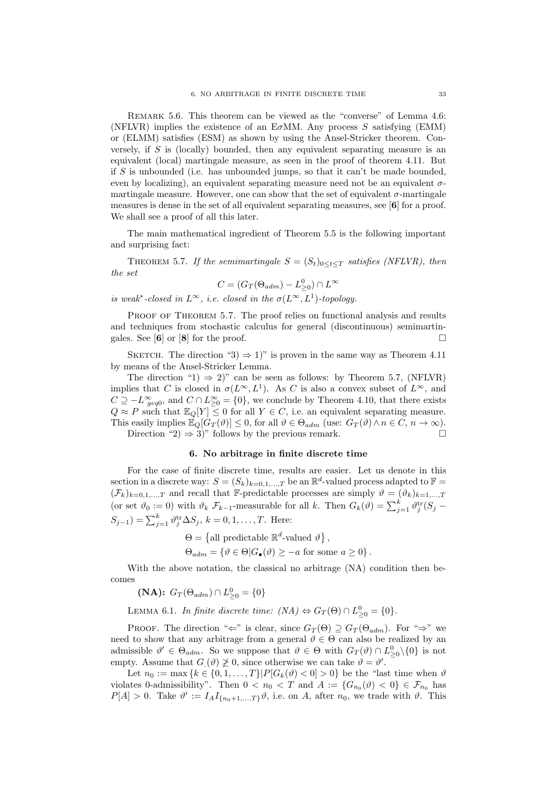Remark 5.6. This theorem can be viewed as the "converse" of Lemma 4.6: (NFLVR) implies the existence of an E $\sigma$ MM. Any process S satisfying (EMM) or (ELMM) satisfies (ESM) as shown by using the Ansel-Stricker theorem. Conversely, if  $S$  is (locally) bounded, then any equivalent separating measure is an equivalent (local) martingale measure, as seen in the proof of theorem 4.11. But if  $S$  is unbounded (i.e. has unbounded jumps, so that it can't be made bounded, even by localizing), an equivalent separating measure need not be an equivalent  $\sigma$ martingale measure. However, one can show that the set of equivalent  $\sigma$ -martingale measures is dense in the set of all equivalent separating measures, see [6] for a proof. We shall see a proof of all this later.

The main mathematical ingredient of Theorem 5.5 is the following important and surprising fact:

THEOREM 5.7. If the semimartingale  $S = (S_t)_{0 \leq t \leq T}$  satisfies (NFLVR), then the set

$$
C = (G_T(\Theta_{adm}) - L_{\geq 0}^0) \cap L^{\infty}
$$

is weak<sup>\*</sup>-closed in  $L^{\infty}$ , i.e. closed in the  $\sigma(L^{\infty}, L^{1})$ -topology.

PROOF OF THEOREM 5.7. The proof relies on functional analysis and results and techniques from stochastic calculus for general (discontinuous) semimartingales. See [6] or [8] for the proof.

SKETCH. The direction "3)  $\Rightarrow$  1)" is proven in the same way as Theorem 4.11 by means of the Ansel-Stricker Lemma.

The direction "1)  $\Rightarrow$  2)" can be seen as follows: by Theorem 5.7, (NFLVR) implies that C is closed in  $\sigma(L^{\infty}, L^{1})$ . As C is also a convex subset of  $L^{\infty}$ , and  $C \supseteq -L^{\infty}_{geq 0}$ , and  $C \cap L^{\infty}_{\geq 0} = \{0\}$ , we conclude by Theorem 4.10, that there exists  $Q \approx P$  such that  $\mathbb{E}_Q[Y] \leq 0$  for all  $Y \in C$ , i.e. an equivalent separating measure. This easily implies  $\mathbb{E}_Q[G_T(\vartheta)] \leq 0$ , for all  $\vartheta \in \Theta_{adm}$  (use:  $G_T(\vartheta) \wedge n \in C$ ,  $n \to \infty$ ). Direction "2)  $\Rightarrow$  3)" follows by the previous remark.

## 6. No arbitrage in finite discrete time

For the case of finite discrete time, results are easier. Let us denote in this section in a discrete way:  $S = (S_k)_{k=0,1,\dots,T}$  be an  $\mathbb{R}^d$ -valued process adapted to  $\mathbb{F}$  $(\mathcal{F}_k)_{k=0,1,\dots,T}$  and recall that F-predictable processes are simply  $\vartheta = (\vartheta_k)_{k=1,\dots,T}$ (or set  $\vartheta_0 := 0$ ) with  $\vartheta_k$   $\mathcal{F}_{k-1}$ -measurable for all k. Then  $G_k(\vartheta) = \sum_{j=1}^k \vartheta_j^{\text{tr}}(S_j (S_{j-1}) = \sum_{j=1}^{k} \vartheta_j^{\text{tr}} \Delta S_j, k = 0, 1, \ldots, T.$  Here:

$$
\Theta = \{ \text{all predictable } \mathbb{R}^d \text{-valued } \vartheta \},
$$
  

$$
\Theta_{adm} = \{ \vartheta \in \Theta | G_{\bullet}(\vartheta) \ge -a \text{ for some } a \ge 0 \}.
$$

With the above notation, the classical no arbitrage (NA) condition then becomes

(NA):  $G_T(\Theta_{adm}) \cap L^0_{\geq 0} = \{0\}$ 

LEMMA 6.1. In finite discrete time:  $(NA) \Leftrightarrow G_T(\Theta) \cap L^0_{\geq 0} = \{0\}.$ 

PROOF. The direction " $\Leftarrow$ " is clear, since  $G_T(\Theta) \supseteq G_T(\Theta_{adm})$ . For " $\Rightarrow$ " we need to show that any arbitrage from a general  $\vartheta \in \Theta$  can also be realized by an admissible  $\vartheta' \in \Theta_{adm}$ . So we suppose that  $\vartheta \in \Theta$  with  $G_T(\vartheta) \cap L^0_{\geq 0} \setminus \{0\}$  is not empty. Assume that  $G(\vartheta) \ngeq 0$ , since otherwise we can take  $\vartheta = \vartheta'$ .

Let  $n_0 := \max\{k \in \{0, 1, \ldots, T\} | P[G_k(\vartheta) < 0] > 0\}$  be the "last time when  $\vartheta$ violates 0-admissibility". Then  $0 < n_0 < T$  and  $A := \{G_{n_0}(\vartheta) < 0\} \in \mathcal{F}_{n_0}$  has  $P[A] > 0$ . Take  $\vartheta' := I_A I_{\{n_0+1,\dots,T\}} \vartheta$ , i.e. on A, after  $n_0$ , we trade with  $\vartheta$ . This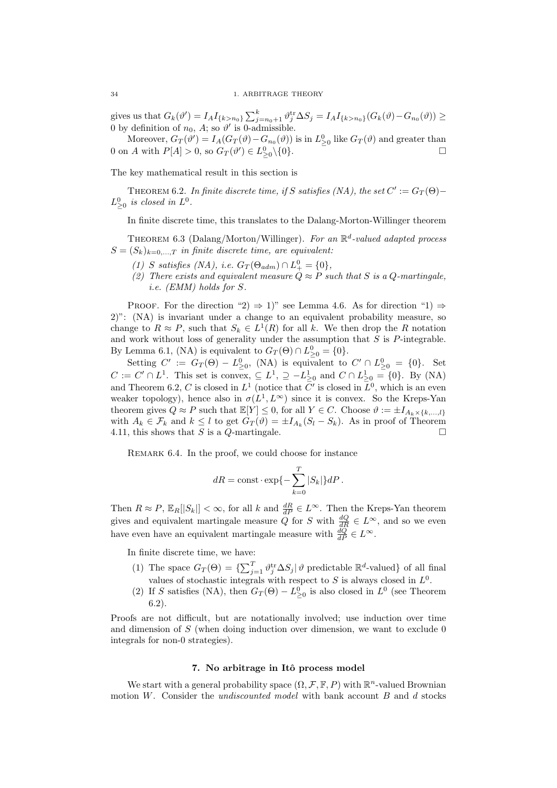gives us that  $G_k(\vartheta') = I_A I_{\{k > n_0\}} \sum_{j=n_0+1}^k \vartheta_j^{\text{tr}} \Delta S_j = I_A I_{\{k > n_0\}} (G_k(\vartheta) - G_{n_0}(\vartheta)) \ge$ 0 by definition of  $n_0$ , A; so  $\vartheta'$  is 0-admissible.

Moreover,  $G_T(\vartheta') = I_A(G_T(\vartheta) - G_{n_0}(\vartheta))$  is in  $L^0_{\geq 0}$  like  $G_T(\vartheta)$  and greater than 0 on A with  $P[A] > 0$ , so  $G_T(\vartheta') \in L^0_{\geq 0} \setminus \{0\}.$ 

The key mathematical result in this section is

THEOREM 6.2. In finite discrete time, if S satisfies (NA), the set  $C' := G_T(\Theta) L_{\geq 0}^0$  is closed in  $L^0$ .

In finite discrete time, this translates to the Dalang-Morton-Willinger theorem

THEOREM 6.3 (Dalang/Morton/Willinger). For an  $\mathbb{R}^d$ -valued adapted process  $S = (S_k)_{k=0,...,T}$  in finite discrete time, are equivalent:

- (1) S satisfies (NA), i.e.  $G_T(\Theta_{adm}) \cap L^0_+ = \{0\},\$
- (2) There exists and equivalent measure  $Q \approx P$  such that S is a Q-martingale, i.e. (EMM) holds for S.

PROOF. For the direction "2)  $\Rightarrow$  1)" see Lemma 4.6. As for direction "1)  $\Rightarrow$ 2)": (NA) is invariant under a change to an equivalent probability measure, so change to  $R \approx P$ , such that  $S_k \in L^1(R)$  for all k. We then drop the R notation and work without loss of generality under the assumption that  $S$  is  $P$ -integrable. By Lemma 6.1, (NA) is equivalent to  $G_T(\Theta) \cap L^0_{\geq 0} = \{0\}.$ 

Setting  $C' := G_T(\Theta) - L^0_{\geq 0}$ , (NA) is equivalent to  $C' \cap L^0_{\geq 0} = \{0\}$ . Set  $C := C' \cap L^1$ . This set is convex,  $\subseteq L^1$ ,  $\supseteq -L^1_{\geq 0}$  and  $C \cap L^1_{\geq 0} = \{0\}$ . By (NA) and Theorem 6.2, C is closed in  $L^1$  (notice that  $\bar{C}'$  is closed in  $\bar{L}^0$ , which is an even weaker topology), hence also in  $\sigma(L^1, L^{\infty})$  since it is convex. So the Kreps-Yan theorem gives  $Q \approx P$  such that  $\mathbb{E}[Y] \leq 0$ , for all  $Y \in C$ . Choose  $\vartheta := \pm I_{A_k \times \{k,\ldots,k\}}$ with  $A_k \in \mathcal{F}_k$  and  $k \leq l$  to get  $G_T(\vartheta) = \pm I_{A_k}(S_l - S_k)$ . As in proof of Theorem 4.11, this shows that S is a Q-martingale.

REMARK 6.4. In the proof, we could choose for instance

$$
dR = \text{const} \cdot \exp\{-\sum_{k=0}^{T} |S_k|\}dP.
$$

Then  $R \approx P$ ,  $\mathbb{E}_R[|S_k|] < \infty$ , for all k and  $\frac{dR}{dP} \in L^{\infty}$ . Then the Kreps-Yan theorem gives and equivalent martingale measure  $Q$  for  $S$  with  $\frac{dQ}{dR} \in L^{\infty}$ , and so we even have even have an equivalent martingale measure with  $\frac{dQ}{dP} \in L^{\infty}$ .

In finite discrete time, we have:

- (1) The space  $G_T(\Theta) = \{\sum_{j=1}^T \vartheta_j^{\text{tr}} \Delta S_j | \vartheta \text{ predictable } \mathbb{R}^d\text{-valued}\}\$  of all final values of stochastic integrals with respect to S is always closed in  $L^0$ .
- (2) If S satisfies (NA), then  $G_T(\Theta) L^0_{\geq 0}$  is also closed in  $L^0$  (see Theorem 6.2).

Proofs are not difficult, but are notationally involved; use induction over time and dimension of  $S$  (when doing induction over dimension, we want to exclude 0 integrals for non-0 strategies).

## 7. No arbitrage in Itô process model

We start with a general probability space  $(\Omega, \mathcal{F}, \mathbb{F}, P)$  with  $\mathbb{R}^n$ -valued Brownian motion  $W$ . Consider the *undiscounted model* with bank account  $B$  and  $d$  stocks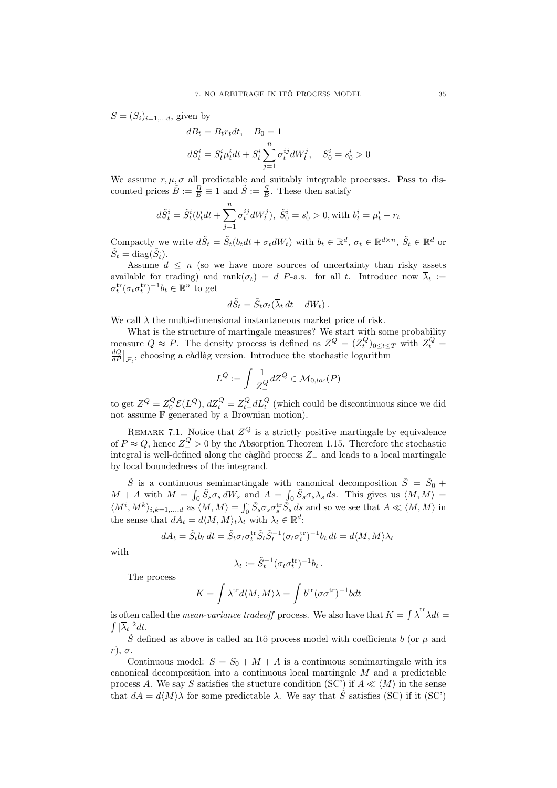$S = (S_i)_{i=1,\ldots,d}$ , given by

$$
dB_t = B_t r_t dt, \quad B_0 = 1
$$
  

$$
dS_t^i = S_t^i \mu_t^i dt + S_t^i \sum_{j=1}^n \sigma_t^{ij} dW_t^j, \quad S_0^i = s_0^i > 0
$$

We assume  $r, \mu, \sigma$  all predictable and suitably integrable processes. Pass to discounted prices  $\tilde{B} := \frac{B}{B} \equiv 1$  and  $\tilde{S} := \frac{S}{B}$ . These then satisfy

$$
d\tilde{S}^i_t = \tilde{S}^i_t (b^i_t dt + \sum_{j=1}^n \sigma^{ij}_t dW^j_t), \ \tilde{S}^i_0 = s^i_0 > 0, \text{with } b^i_t = \mu^i_t - r_t
$$

Compactly we write  $d\tilde{S}_t = \tilde{S}_t(b_t dt + \sigma_t dW_t)$  with  $b_t \in \mathbb{R}^d$ ,  $\sigma_t \in \mathbb{R}^{d \times n}$ ,  $\tilde{S}_t \in \mathbb{R}^d$  or  $\tilde{S}_t = \text{diag}(\tilde{S}_t).$ 

Assume  $d \leq n$  (so we have more sources of uncertainty than risky assets available for trading) and rank $(\sigma_t) = d$  P-a.s. for all t. Introduce now  $\overline{\lambda}_t :=$  $\sigma_t^{\text{tr}}(\sigma_t \sigma_t^{\text{tr}})^{-1} b_t \in \mathbb{R}^n$  to get

$$
d\tilde{S}_t = \tilde{S}_t \sigma_t (\overline{\lambda}_t dt + dW_t).
$$

We call  $\overline{\lambda}$  the multi-dimensional instantaneous market price of risk.

What is the structure of martingale measures? We start with some probability measure  $Q \approx P$ . The density process is defined as  $Z^{Q} = (Z_{t}^{Q})_{0 \leq t \leq T}$  with  $Z_{t}^{Q} =$  $\frac{dQ}{dP}\big|_{\mathcal{F}_t}$ , choosing a càdlàg version. Introduce the stochastic logarithm

$$
L^{Q} := \int \frac{1}{Z_{-}^{Q}} dZ^{Q} \in \mathcal{M}_{0,loc}(P)
$$

to get  $Z^Q = Z_0^Q \mathcal{E}(L^Q)$ ,  $dZ_t^Q = Z_{t-}^Q dL_t^Q$  (which could be discontinuous since we did not assume F generated by a Brownian motion).

REMARK 7.1. Notice that  $Z^Q$  is a strictly positive martingale by equivalence of  $P \approx Q$ , hence  $Z^Q \geq 0$  by the Absorption Theorem 1.15. Therefore the stochastic integral is well-defined along the càglàd process  $Z_$  and leads to a local martingale by local boundedness of the integrand.

 $\tilde{S}$  is a continuous semimartingale with canonical decomposition  $\tilde{S} = \tilde{S}_0 +$  $M + A$  with  $M = \int_0^{\cdot} \tilde{S}_s \sigma_s dW_s$  and  $A = \int_0^{\cdot} \tilde{S}_s \sigma_s \overline{\lambda}_s ds$ . This gives us  $\langle M, M \rangle =$  $\langle M^i, M^k \rangle_{i,k=1,\dots,d}$  as  $\langle M, M \rangle = \int_0^{\cdot} \tilde{S}_s \sigma_s \sigma_s^{\text{tr}} \tilde{S}_s ds$  and so we see that  $A \ll \langle M, M \rangle$  in the sense that  $dA_t = d\langle M, M \rangle_t \lambda_t$  with  $\lambda_t \in \mathbb{R}^d$ :

$$
dA_t = \tilde{S}_t b_t dt = \tilde{S}_t \sigma_t \sigma_t^{\text{tr}} \tilde{S}_t \tilde{S}_t^{-1} (\sigma_t \sigma_t^{\text{tr}})^{-1} b_t dt = d\langle M, M \rangle \lambda_t
$$

with

$$
\lambda_t := \tilde{S}_t^{-1} (\sigma_t \sigma_t^{\text{tr}})^{-1} b_t \, .
$$

The process

$$
K = \int \lambda^{tr} d\langle M, M \rangle \lambda = \int b^{tr} (\sigma \sigma^{tr})^{-1} b dt
$$

is often called the *mean-variance tradeoff* process. We also have that  $K = \int \overline{\lambda}^{tr} \overline{\lambda} dt =$  $\int |\overline{\lambda}_t|^2 dt$ .

 $\tilde{S}$  defined as above is called an Itô process model with coefficients b (or  $\mu$  and  $r$ ),  $\sigma$ .

Continuous model:  $S = S_0 + M + A$  is a continuous semimartingale with its canonical decomposition into a continuous local martingale M and a predictable process A. We say S satisfies the stucture condition (SC') if  $A \ll \langle M \rangle$  in the sense that  $dA = d\langle M\rangle\lambda$  for some predictable  $\lambda$ . We say that  $\tilde{S}$  satisfies (SC) if it (SC')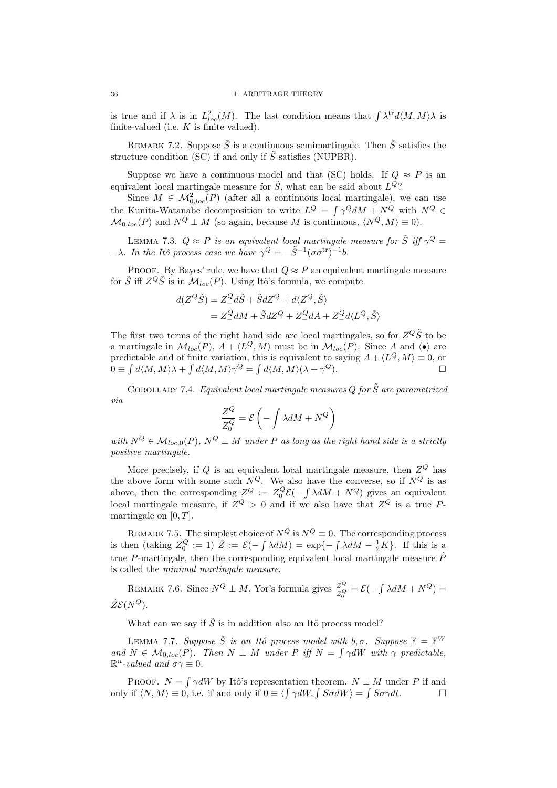is true and if  $\lambda$  is in  $L^2_{loc}(M)$ . The last condition means that  $\int \lambda^{tr} d\langle M, M \rangle \lambda$  is finite-valued (i.e.  $K$  is finite valued).

REMARK 7.2. Suppose  $\tilde{S}$  is a continuous semimartingale. Then  $\tilde{S}$  satisfies the structure condition (SC) if and only if  $\tilde{S}$  satisfies (NUPBR).

Suppose we have a continuous model and that (SC) holds. If  $Q \approx P$  is an equivalent local martingale measure for  $\tilde{S}$ , what can be said about  $L^{Q}$ ?

Since  $M \in \mathcal{M}_{0,loc}^2(P)$  (after all a continuous local martingale), we can use the Kunita-Watanabe decomposition to write  $L^Q = \int \gamma^Q dM + N^Q$  with  $N^Q \in$  $\mathcal{M}_{0,loc}(P)$  and  $N^Q \perp M$  (so again, because M is continuous,  $\langle N^Q, M \rangle \equiv 0$ ).

LEMMA 7.3.  $Q \approx P$  is an equivalent local martingale measure for  $\tilde{S}$  iff  $\gamma^Q =$  $-\lambda$ . In the Itô process case we have  $\gamma^{Q} = -\tilde{S}^{-1}(\sigma \sigma^{\text{tr}})^{-1}b$ .

PROOF. By Bayes' rule, we have that  $Q \approx P$  an equivalent martingale measure for  $\tilde{S}$  iff  $Z^Q \tilde{S}$  is in  $\mathcal{M}_{loc}(P)$ . Using Itô's formula, we compute

$$
d(Z^{Q}\tilde{S}) = Z_{-}^{Q}d\tilde{S} + \tilde{S}dZ^{Q} + d\langle Z^{Q}, \tilde{S} \rangle
$$
  
=  $Z_{-}^{Q}dM + \tilde{S}dZ^{Q} + Z_{-}^{Q}dA + Z_{-}^{Q}d\langle L^{Q}, \tilde{S} \rangle$ 

The first two terms of the right hand side are local martingales, so for  $Z^Q\tilde{S}$  to be a martingale in  $\mathcal{M}_{loc}(P)$ ,  $A + \langle L^Q, M \rangle$  must be in  $\mathcal{M}_{loc}(P)$ . Since A and  $\langle \bullet \rangle$  are predictable and of finite variation, this is equivalent to saying  $A + \langle L^Q, M \rangle \equiv 0$ , or  $0 \equiv \int d\langle M, M \rangle \lambda + \int d\langle M, M \rangle \gamma^Q = \int d\langle M, M \rangle (\lambda + \gamma^Q).$ 

COROLLARY 7.4. Equivalent local martingale measures Q for  $\tilde{S}$  are parametrized via

$$
\frac{Z^Q}{Z_0^Q} = \mathcal{E}\left(-\int \lambda dM + N^Q\right)
$$

with  $N^Q \in \mathcal{M}_{loc,0}(P)$ ,  $N^Q \perp M$  under P as long as the right hand side is a strictly positive martingale.

More precisely, if Q is an equivalent local martingale measure, then  $Z^Q$  has the above form with some such  $N^Q$ . We also have the converse, so if  $N^Q$  is as above, then the corresponding  $Z^Q := Z_0^Q \mathcal{E}(-\int \lambda dM + N^Q)$  gives an equivalent local martingale measure, if  $Z^Q > 0$  and if we also have that  $Z^Q$  is a true Pmartingale on  $[0, T]$ .

REMARK 7.5. The simplest choice of  $N^Q$  is  $N^Q \equiv 0$ . The corresponding process is then (taking  $Z_0^Q := 1$ )  $\hat{Z} := \mathcal{E}(-\int \lambda dM) = \exp\{-\int \lambda dM - \frac{1}{2}K\}$ . If this is a true P-martingale, then the corresponding equivalent local martingale measure  $\hat{P}$ is called the minimal martingale measure.

REMARK 7.6. Since  $N^Q \perp M$ , Yor's formula gives  $\frac{Z^Q}{Z^Q}$  $\frac{Z^Q}{Z_0^Q} = \mathcal{E}(-\int \lambda dM + N^Q) =$  $\hat{Z} \mathcal{E}(N^Q)$ .

What can we say if  $\tilde{S}$  is in addition also an Itô process model?

LEMMA 7.7. Suppose  $\tilde{S}$  is an Itô process model with b,  $\sigma$ . Suppose  $\mathbb{F} = \mathbb{F}^W$ and  $N \in \mathcal{M}_{0, loc}(P)$ . Then  $N \perp M$  under P iff  $N = \int \gamma dW$  with  $\gamma$  predictable,  $\mathbb{R}^n$ -valued and  $\sigma \gamma \equiv 0$ .

PROOF.  $N = \int \gamma dW$  by Itô's representation theorem.  $N \perp M$  under P if and only if  $\langle N, M \rangle \equiv 0$ , i.e. if and only if  $0 \equiv \langle \int \gamma dW, \int S \sigma dW \rangle = \int S \sigma \gamma dt$ .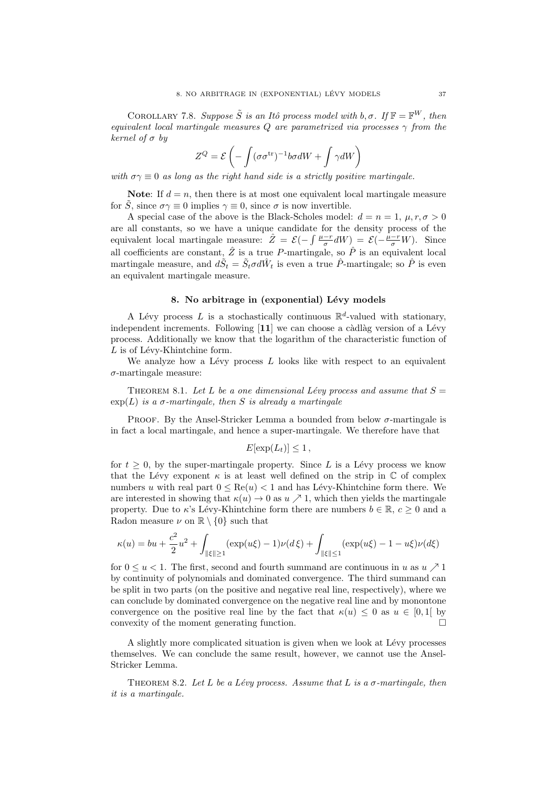COROLLARY 7.8. Suppose  $\tilde{S}$  is an Itô process model with b,  $\sigma$ . If  $\mathbb{F} = \mathbb{F}^W$ , then equivalent local martingale measures Q are parametrized via processes  $\gamma$  from the kernel of  $\sigma$  by

$$
Z^{Q} = \mathcal{E}\left(-\int (\sigma \sigma^{\text{tr}})^{-1} b \sigma dW + \int \gamma dW\right)
$$

with  $\sigma\gamma \equiv 0$  as long as the right hand side is a strictly positive martingale.

**Note:** If  $d = n$ , then there is at most one equivalent local martingale measure for S, since  $\sigma \gamma \equiv 0$  implies  $\gamma \equiv 0$ , since  $\sigma$  is now invertible.

A special case of the above is the Black-Scholes model:  $d = n = 1, \mu, r, \sigma > 0$ are all constants, so we have a unique candidate for the density process of the equivalent local martingale measure:  $\hat{Z} = \mathcal{E}(-\int \frac{\mu - r}{\sigma} dW) = \mathcal{E}(-\frac{\mu - r}{\sigma}W)$ . Since all coefficients are constant,  $\hat{Z}$  is a true P-martingale, so  $\hat{P}$  is an equivalent local martingale measure, and  $d\tilde{S}_t = \tilde{S}_t \sigma d\hat{W}_t$  is even a true  $\hat{P}$ -martingale; so  $\hat{P}$  is even an equivalent martingale measure.

## 8. No arbitrage in (exponential) Lévy models

A Lévy process L is a stochastically continuous  $\mathbb{R}^d$ -valued with stationary, independent increments. Following  $[11]$  we can choose a càdlàg version of a Lévy process. Additionally we know that the logarithm of the characteristic function of  $L$  is of Lévy-Khintchine form.

We analyze how a Lévy process  $L$  looks like with respect to an equivalent  $\sigma$ -martingale measure:

THEOREM 8.1. Let L be a one dimensional Lévy process and assume that  $S =$  $\exp(L)$  is a  $\sigma$ -martingale, then S is already a martingale

PROOF. By the Ansel-Stricker Lemma a bounded from below  $\sigma$ -martingale is in fact a local martingale, and hence a super-martingale. We therefore have that

$$
E[\exp(L_t)] \leq 1,
$$

for  $t \geq 0$ , by the super-martingale property. Since L is a Lévy process we know that the Lévy exponent  $\kappa$  is at least well defined on the strip in  $\mathbb C$  of complex numbers u with real part  $0 \leq \text{Re}(u) < 1$  and has Lévy-Khintchine form there. We are interested in showing that  $\kappa(u) \to 0$  as  $u \nearrow 1$ , which then yields the martingale property. Due to  $\kappa$ 's Lévy-Khintchine form there are numbers  $b \in \mathbb{R}$ ,  $c > 0$  and a Radon measure  $\nu$  on  $\mathbb{R} \setminus \{0\}$  such that

$$
\kappa(u) = bu + \frac{c^2}{2}u^2 + \int_{\|\xi\| \ge 1} (\exp(u\xi) - 1)\nu(d\xi) + \int_{\|\xi\| \le 1} (\exp(u\xi) - 1 - u\xi)\nu(d\xi)
$$

for  $0 \le u < 1$ . The first, second and fourth summand are continuous in u as  $u \nearrow 1$ by continuity of polynomials and dominated convergence. The third summand can be split in two parts (on the positive and negative real line, respectively), where we can conclude by dominated convergence on the negative real line and by monontone convergence on the positive real line by the fact that  $\kappa(u) \leq 0$  as  $u \in [0,1]$  by convexity of the moment generating function.  $\Box$ 

A slightly more complicated situation is given when we look at Lévy processes themselves. We can conclude the same result, however, we cannot use the Ansel-Stricker Lemma.

THEOREM 8.2. Let L be a Lévy process. Assume that L is a  $\sigma$ -martingale, then it is a martingale.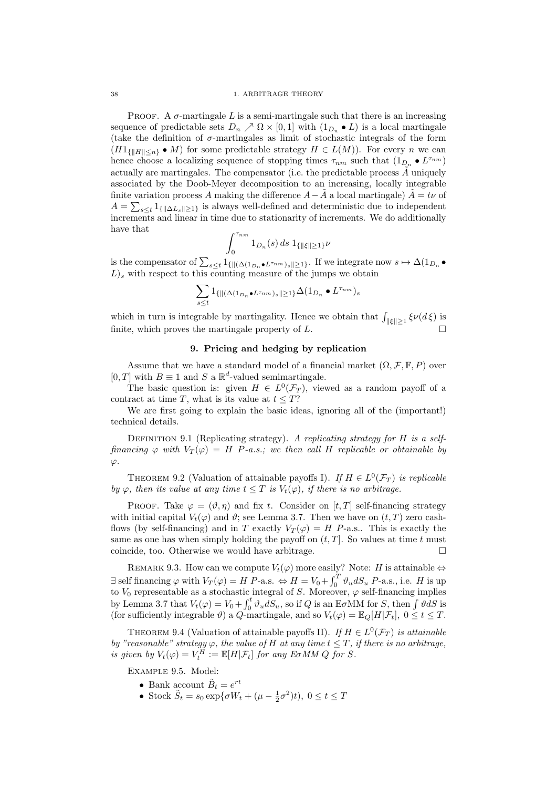PROOF. A  $\sigma$ -martingale L is a semi-martingale such that there is an increasing sequence of predictable sets  $D_n \nearrow \Omega \times [0,1]$  with  $(1_{D_n} \bullet L)$  is a local martingale (take the definition of  $\sigma$ -martingales as limit of stochastic integrals of the form  $(H1_{\{|H\|\leq n\}} \bullet M)$  for some predictable strategy  $H \in L(M)$ ). For every n we can hence choose a localizing sequence of stopping times  $\tau_{nm}$  such that  $(1_{D_n} \bullet L^{\tau_{nm}})$ actually are martingales. The compensator (i.e. the predictable process  $\tilde{A}$  uniquely associated by the Doob-Meyer decomposition to an increasing, locally integrable finite variation process A making the difference  $A-\tilde{A}$  a local martingale)  $\tilde{A} = t\nu$  of  $A = \sum_{s \leq t} 1_{\{\|\Delta L_s\| \geq 1\}}$  is always well-defined and deterministic due to independent increments and linear in time due to stationarity of increments. We do additionally have that

$$
\int_0^{\tau_{nm}} 1_{D_n}(s) \, ds \, 1_{\{\|\xi\| \ge 1\}} \nu
$$

is the compensator of  $\sum_{s\leq t}1_{\{\|(\Delta(1_{D_n}\bullet L^{\tau_{nm}})_s\|\geq 1\}}$ . If we integrate now  $s\mapsto \Delta(1_{D_n}\bullet L^{\tau_{nm}})_s$  $L$ )<sub>s</sub> with respect to this counting measure of the jumps we obtain

$$
\sum_{s\leq t}1_{\{\|(\Delta(1_{D_n}\bullet L^{\tau_{nm}})_s\|\geq 1\}}\Delta(1_{D_n}\bullet L^{\tau_{nm}})_s
$$

which in turn is integrable by martingality. Hence we obtain that  $\int_{\|\xi\| \geq 1} \xi \nu(d\xi)$  is finite, which proves the martingale property of L.

## 9. Pricing and hedging by replication

Assume that we have a standard model of a financial market  $(\Omega, \mathcal{F}, \mathbb{F}, P)$  over  $[0, T]$  with  $B \equiv 1$  and S a  $\mathbb{R}^d$ -valued semimartingale.

The basic question is: given  $H \in L^0(\mathcal{F}_T)$ , viewed as a random payoff of a contract at time T, what is its value at  $t \leq T$ ?

We are first going to explain the basic ideas, ignoring all of the (important!) technical details.

DEFINITION 9.1 (Replicating strategy). A replicating strategy for H is a selffinancing  $\varphi$  with  $V_T(\varphi) = H$  P-a.s.; we then call H replicable or obtainable by  $\varphi$ .

THEOREM 9.2 (Valuation of attainable payoffs I). If  $H \in L^0(\mathcal{F}_T)$  is replicable by  $\varphi$ , then its value at any time  $t \leq T$  is  $V_t(\varphi)$ , if there is no arbitrage.

PROOF. Take  $\varphi = (\vartheta, \eta)$  and fix t. Consider on [t, T] self-financing strategy with initial capital  $V_t(\varphi)$  and  $\vartheta$ ; see Lemma 3.7. Then we have on  $(t, T)$  zero cashflows (by self-financing) and in T exactly  $V_T(\varphi) = H$  P-a.s.. This is exactly the same as one has when simply holding the payoff on  $(t, T]$ . So values at time t must coincide, too. Otherwise we would have arbitrage.  $\Box$ 

REMARK 9.3. How can we compute  $V_t(\varphi)$  more easily? Note: H is attainable  $\Leftrightarrow$  $\exists$  self financing  $\varphi$  with  $V_T(\varphi) = H \ P$ -a.s.  $\Leftrightarrow H = V_0 + \int_0^T \vartheta_u dS_u \ P$ -a.s., i.e. H is up to  $V_0$  representable as a stochastic integral of S. Moreover,  $\varphi$  self-financing implies by Lemma 3.7 that  $V_t(\varphi) = V_0 + \int_0^t \vartheta_u dS_u$ , so if Q is an E $\sigma$ MM for S, then  $\int \vartheta dS$  is (for sufficiently integrable  $\vartheta$ ) a  $\widetilde{Q}$ -martingale, and so  $V_t(\varphi) = \mathbb{E}_Q[H|\mathcal{F}_t]$ ,  $0 \le t \le T$ .

THEOREM 9.4 (Valuation of attainable payoffs II). If  $H \in L^0(\mathcal{F}_T)$  is attainable by "reasonable" strategy  $\varphi$ , the value of H at any time  $t \leq T$ , if there is no arbitrage, is given by  $V_t(\varphi) = V_t^H := \mathbb{E}[H|\mathcal{F}_t]$  for any E $\sigma$ MM Q for S.

Example 9.5. Model:

- Bank account  $\tilde{B}_t = e^{rt}$
- Stock  $\tilde{S}_t = s_0 \exp{\lbrace \sigma W_t + (\mu \frac{1}{2}\sigma^2)t \rbrace}, 0 \le t \le T$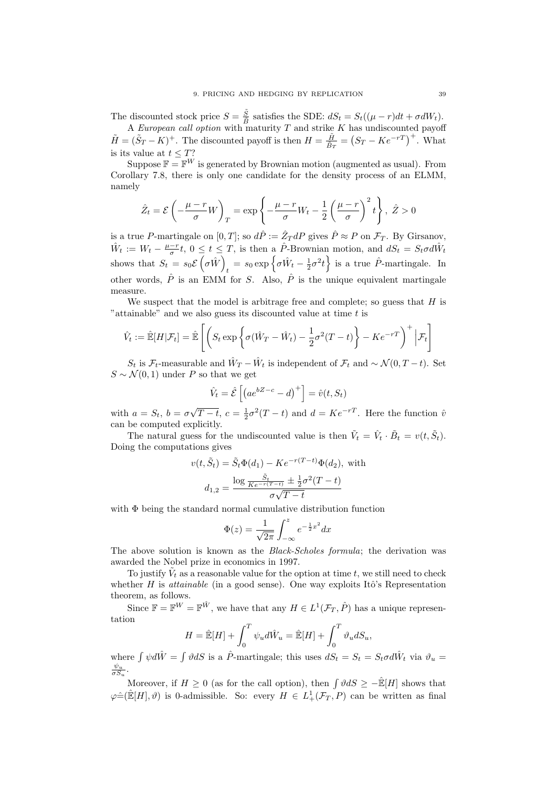The discounted stock price  $S = \frac{\tilde{S}}{\tilde{B}}$  $\frac{S}{\overline{B}}$  satisfies the SDE:  $dS_t = S_t((\mu - r)dt + \sigma dW_t)$ .

A European call option with maturity  $T$  and strike  $K$  has undiscounted payoff  $\tilde{H} = (\tilde{S}_T - K)^+$ . The discounted payoff is then  $H = \frac{\tilde{H}}{\tilde{B}_0}$ .  $\frac{\tilde{H}}{\tilde{B}_T} = (S_T - Ke^{-rT})^+$ . What is its value at  $t \leq T$ ?

Suppose  $\mathbb{F} = \mathbb{F}^W$  is generated by Brownian motion (augmented as usual). From Corollary 7.8, there is only one candidate for the density process of an ELMM, namely

$$
\hat{Z}_t = \mathcal{E}\left(-\frac{\mu-r}{\sigma}W\right)_T = \exp\left\{-\frac{\mu-r}{\sigma}W_t - \frac{1}{2}\left(\frac{\mu-r}{\sigma}\right)^2 t\right\}, \ \hat{Z} > 0
$$

is a true P-martingale on  $[0,T]$ ; so  $d\hat{P} := \hat{Z}_T dP$  gives  $\hat{P} \approx P$  on  $\mathcal{F}_T$ . By Girsanov,  $\hat{W}_t := W_t - \frac{\mu - r}{\sigma} t$ ,  $0 \le t \le T$ , is then a  $\hat{P}$ -Brownian motion, and  $dS_t = S_t \sigma d\hat{W}_t$ shows that  $S_t = s_0 \mathcal{E}(\sigma \hat{W})$  $t = s_0 \exp \left\{ \sigma \hat{W}_t - \frac{1}{2} \sigma^2 t \right\}$  is a true  $\hat{P}$ -martingale. In other words,  $\hat{P}$  is an EMM for S. Also,  $\hat{P}$  is the unique equivalent martingale measure.

We suspect that the model is arbitrage free and complete; so guess that  $H$  is "attainable" and we also guess its discounted value at time t is

$$
\hat{V}_t := \hat{\mathbb{E}}[H|\mathcal{F}_t] = \hat{\mathbb{E}}\left[ \left( S_t \exp\left\{ \sigma(\hat{W}_T - \hat{W}_t) - \frac{1}{2}\sigma^2(T-t) \right\} - Ke^{-rT} \right)^+ \Big| \mathcal{F}_t \right]
$$

 $S_t$  is  $\mathcal{F}_t$ -measurable and  $\hat{W}_T - \hat{W}_t$  is independent of  $\mathcal{F}_t$  and  $\sim \mathcal{N}(0, T - t)$ . Set  $S \sim \mathcal{N}(0, 1)$  under P so that we get

$$
\hat{V}_t = \hat{\mathcal{E}}\left[ \left( a e^{bZ-c} - d \right)^+ \right] = \hat{v}(t, S_t)
$$

with  $a = S_t$ ,  $b = \sigma$ √  $\overline{T-t}$ ,  $c = \frac{1}{2}\sigma^2(T-t)$  and  $d = Ke^{-rT}$ . Here the function  $\hat{v}$ can be computed explicitly.

The natural guess for the undiscounted value is then  $\tilde{V}_t = \hat{V}_t \cdot \tilde{B}_t = v(t, \tilde{S}_t)$ . Doing the computations gives

$$
v(t, \tilde{S}_t) = \tilde{S}_t \Phi(d_1) - Ke^{-r(T-t)} \Phi(d_2),
$$
 with  

$$
d_{1,2} = \frac{\log \frac{\tilde{S}_t}{Ke^{-r(T-t)}} \pm \frac{1}{2}\sigma^2(T-t)}{\sigma\sqrt{T-t}}
$$

with Φ being the standard normal cumulative distribution function

$$
\Phi(z) = \frac{1}{\sqrt{2\pi}} \int_{-\infty}^{z} e^{-\frac{1}{2}x^2} dx
$$

The above solution is known as the Black-Scholes formula; the derivation was awarded the Nobel prize in economics in 1997.

To justify  $\tilde{V}_t$  as a reasonable value for the option at time t, we still need to check whether H is *attainable* (in a good sense). One way exploits Itô's Representation theorem, as follows.

Since  $\mathbb{F} = \mathbb{F}^W = \mathbb{F}^{\hat{W}}$ , we have that any  $H \in L^1(\mathcal{F}_T, \hat{P})$  has a unique representation

$$
H = \hat{\mathbb{E}}[H] + \int_0^T \psi_u d\hat{W}_u = \hat{\mathbb{E}}[H] + \int_0^T \vartheta_u dS_u,
$$

where  $\int \psi d\hat{W} = \int \vartheta dS$  is a  $\hat{P}$ -martingale; this uses  $dS_t = S_t = S_t \sigma d\hat{W}_t$  via  $\vartheta_u =$  $\frac{\psi_u}{\sigma S_u}$ .

Moreover, if  $H \geq 0$  (as for the call option), then  $\int \vartheta dS \geq -\hat{\mathbb{E}}[H]$  shows that  $\varphi \hat{=}(\mathbb{E}[H], \vartheta)$  is 0-admissible. So: every  $H \in L^1_+(\mathcal{F}_T, P)$  can be written as final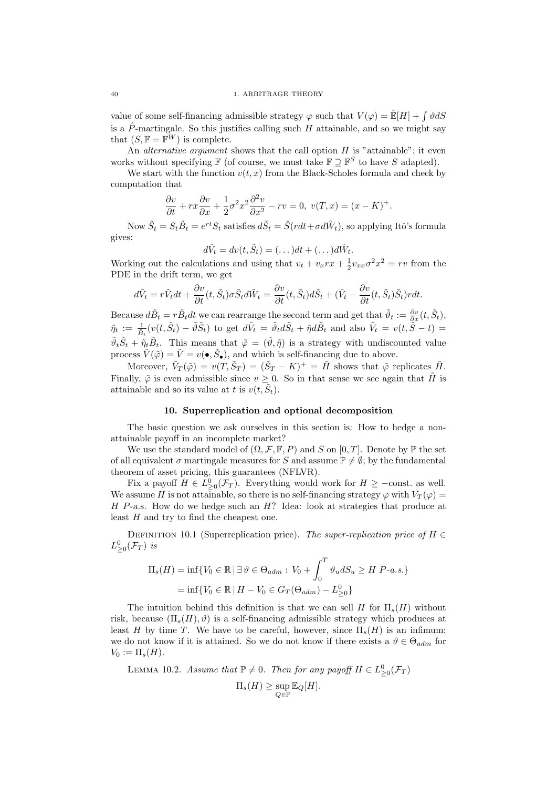value of some self-financing admissible strategy  $\varphi$  such that  $V(\varphi) = \mathbb{E}[H] + \int \vartheta dS$ is a  $\hat{P}$ -martingale. So this justifies calling such H attainable, and so we might say that  $(S, \mathbb{F} = \mathbb{F}^W)$  is complete.

An *alternative argument* shows that the call option  $H$  is "attainable"; it even works without specifying  $\mathbb{F}$  (of course, we must take  $\mathbb{F} \supseteq \mathbb{F}^S$  to have S adapted).

We start with the function  $v(t, x)$  from the Black-Scholes formula and check by computation that

$$
\frac{\partial v}{\partial t} + rx \frac{\partial v}{\partial x} + \frac{1}{2} \sigma^2 x^2 \frac{\partial^2 v}{\partial x^2} - rv = 0, \ v(T, x) = (x - K)^+.
$$

Now  $\tilde{S}_t = S_t \tilde{B}_t = e^{rt} S_t$  satisfies  $d\tilde{S}_t = \tilde{S}(rdt + \sigma d\hat{W}_t)$ , so applying Itô's formula gives:

$$
d\tilde{V}_t = dv(t, \tilde{S}_t) = (\dots)dt + (\dots) d\tilde{W}_t.
$$

Working out the calculations and using that  $v_t + v_x r x + \frac{1}{2} v_{xx} \sigma^2 x^2 = r v$  from the PDE in the drift term, we get

$$
d\tilde{V}_t = r\tilde{V}_tdt + \frac{\partial v}{\partial t}(t,\tilde{S}_t)\sigma \tilde{S}_td\tilde{W}_t = \frac{\partial v}{\partial t}(t,\tilde{S}_t)d\tilde{S}_t + (\tilde{V}_t - \frac{\partial v}{\partial t}(t,\tilde{S}_t)\tilde{S}_t)rdt.
$$

Because  $d\tilde{B}_t = r\tilde{B}_t dt$  we can rearrange the second term and get that  $\tilde{\vartheta}_t := \frac{\partial v}{\partial x}(t, \tilde{S}_t)$ ,  $\tilde{\eta}_t := \frac{1}{\tilde{B}_t}(v(t, \tilde{S}_t) - \tilde{\vartheta}\tilde{S}_t)$  to get  $d\tilde{V}_t = \tilde{\vartheta}_t d\tilde{S}_t + \tilde{\eta} d\tilde{B}_t$  and also  $\tilde{V}_t = v(t, \tilde{S} - t) =$  $\tilde{\vartheta}_t \tilde{S}_t + \tilde{\eta}_t \tilde{B}_t$ . This means that  $\tilde{\varphi} = (\tilde{\vartheta}, \tilde{\eta})$  is a strategy with undiscounted value process  $\tilde{V}(\tilde{\varphi}) = \tilde{V} = v(\bullet, \tilde{S}_{\bullet})$ , and which is self-financing due to above.

Moreover,  $\tilde{V}_T(\tilde{\varphi}) = v(T, \tilde{S}_T) = (\tilde{S}_T - K)^+ = \tilde{H}$  shows that  $\tilde{\varphi}$  replicates  $\tilde{H}$ . Finally,  $\tilde{\varphi}$  is even admissible since  $v \geq 0$ . So in that sense we see again that  $\tilde{H}$  is attainable and so its value at t is  $v(t, \tilde{S}_t)$ .

### 10. Superreplication and optional decomposition

The basic question we ask ourselves in this section is: How to hedge a nonattainable payoff in an incomplete market?

We use the standard model of  $(\Omega, \mathcal{F}, \mathbb{F}, P)$  and S on  $[0, T]$ . Denote by  $\mathbb{P}$  the set of all equivalent  $\sigma$  martingale measures for S and assume  $\mathbb{P} \neq \emptyset$ ; by the fundamental theorem of asset pricing, this guarantees (NFLVR).

Fix a payoff  $H \in L^0_{\geq 0}(\mathcal{F}_T)$ . Everything would work for  $H \geq -\text{const.}$  as well. We assume H is not attainable, so there is no self-financing strategy  $\varphi$  with  $V_T(\varphi)$  =  $H$  P-a.s. How do we hedge such an  $H$ ? Idea: look at strategies that produce at least H and try to find the cheapest one.

DEFINITION 10.1 (Superreplication price). The super-replication price of  $H \in$  $L_{\geq 0}^0(\mathcal{F}_T)$  is

$$
\Pi_s(H) = \inf \{ V_0 \in \mathbb{R} \mid \exists \vartheta \in \Theta_{adm} : V_0 + \int_0^T \vartheta_u dS_u \ge H \ P-a.s. \}
$$

$$
= \inf \{ V_0 \in \mathbb{R} \mid H - V_0 \in G_T(\Theta_{adm}) - L^0_{\geq 0} \}
$$

The intuition behind this definition is that we can sell H for  $\Pi_s(H)$  without risk, because  $(\Pi_s(H), \vartheta)$  is a self-financing admissible strategy which produces at least H by time T. We have to be careful, however, since  $\Pi_s(H)$  is an infimum; we do not know if it is attained. So we do not know if there exists a  $\vartheta \in \Theta_{adm}$  for  $V_0 := \Pi_s(H)$ .

LEMMA 10.2. Assume that  $\mathbb{P} \neq 0$ . Then for any payoff  $H \in L^0_{\geq 0}(\mathcal{F}_T)$  $\Pi_s(H) \geq \sup_{Q \in \mathbb{P}} \mathbb{E}_Q[H].$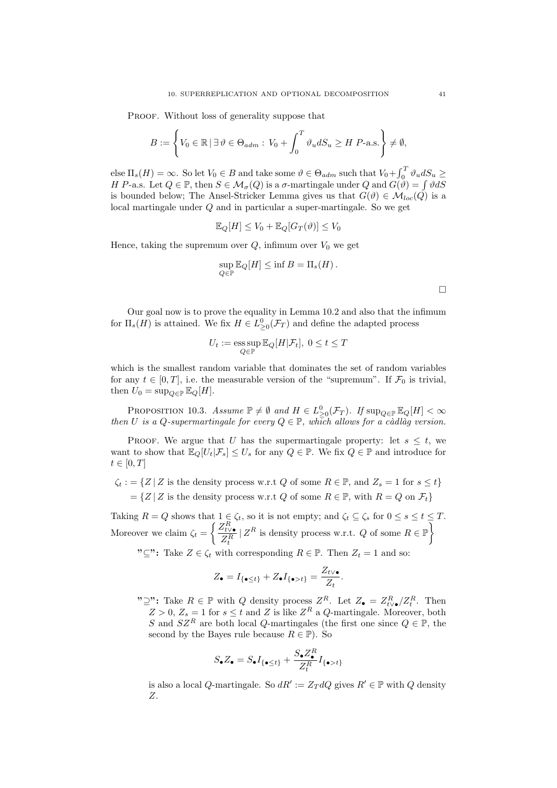PROOF. Without loss of generality suppose that

$$
B := \left\{ V_0 \in \mathbb{R} \mid \exists \, \vartheta \in \Theta_{adm} : V_0 + \int_0^T \vartheta_u dS_u \ge H \, P\text{-a.s.} \right\} \neq \emptyset,
$$

else  $\Pi_s(H) = \infty$ . So let  $V_0 \in B$  and take some  $\vartheta \in \Theta_{adm}$  such that  $V_0 + \int_0^T \vartheta_u dS_u \ge$ H P-a.s. Let  $Q \in \mathbb{P}$ , then  $S \in \mathcal{M}_{\sigma}(Q)$  is a  $\sigma$ -martingale under Q and  $G(\mathcal{V}) = \int \mathcal{V}dS$ is bounded below; The Ansel-Stricker Lemma gives us that  $G(\vartheta) \in \mathcal{M}_{loc}(Q)$  is a local martingale under Q and in particular a super-martingale. So we get

$$
\mathbb{E}_Q[H] \le V_0 + \mathbb{E}_Q[G_T(\vartheta)] \le V_0
$$

Hence, taking the supremum over  $Q$ , infimum over  $V_0$  we get

$$
\sup_{Q \in \mathbb{P}} \mathbb{E}_Q[H] \le \inf B = \Pi_s(H).
$$

Our goal now is to prove the equality in Lemma 10.2 and also that the infimum for  $\Pi_s(H)$  is attained. We fix  $H \in L^0_{\geq 0}(\mathcal{F}_T)$  and define the adapted process

$$
U_t := \operatorname*{\mathrm{ess\,sup}}_{Q\in\mathbb{P}} \mathbb{E}_Q[H|\mathcal{F}_t], \ 0\leq t\leq T
$$

which is the smallest random variable that dominates the set of random variables for any  $t \in [0, T]$ , i.e. the measurable version of the "supremum". If  $\mathcal{F}_0$  is trivial, then  $U_0 = \sup_{Q \in \mathbb{P}} \mathbb{E}_Q[H]$ .

PROPOSITION 10.3. Assume  $\mathbb{P} \neq \emptyset$  and  $H \in L^0_{\geq 0}(\mathcal{F}_T)$ . If  $\sup_{Q \in \mathbb{P}} \mathbb{E}_Q[H] < \infty$ then U is a Q-supermartingale for every  $Q \in \mathbb{P}$ , which allows for a càdlàg version.

PROOF. We argue that U has the supermartingale property: let  $s \leq t$ , we want to show that  $\mathbb{E}_Q[U_t|\mathcal{F}_s] \leq U_s$  for any  $Q \in \mathbb{P}$ . We fix  $Q \in \mathbb{P}$  and introduce for  $t\in[0,T]$ 

 $\zeta_t := \{ Z | Z \text{ is the density process w.r.t } Q \text{ of some } R \in \mathbb{P}, \text{ and } Z_s = 1 \text{ for } s \leq t \}$  $=\{Z | Z$  is the density process w.r.t Q of some  $R \in \mathbb{P}$ , with  $R = Q$  on  $\mathcal{F}_t\}$ 

Taking  $R = Q$  shows that  $1 \in \zeta_t$ , so it is not empty; and  $\zeta_t \subseteq \zeta_s$  for  $0 \le s \le t \le T$ . Moreover we claim  $\zeta_t = \begin{cases} \frac{Z_{t\vee \bullet}^R}{Z_R^R} \end{cases}$  $Z_t^R$  $|Z^R$  is density process w.r.t. Q of some  $R \in \mathbb{P}$ 

" $\subseteq$ ": Take  $Z \in \zeta_t$  with corresponding  $R \in \mathbb{P}$ . Then  $Z_t = 1$  and so:

$$
Z_{\bullet} = I_{\{\bullet \leq t\}} + Z_{\bullet} I_{\{\bullet > t\}} = \frac{Z_{t \vee \bullet}}{Z_t}
$$

" $\supseteq$ ": Take  $R \in \mathbb{P}$  with  $Q$  density process  $Z^R$ . Let  $Z_{\bullet} = Z_{t \vee \bullet}^R / Z_t^R$ . Then  $Z > 0$ ,  $Z_s = 1$  for  $s \le t$  and Z is like  $Z<sup>R</sup>$  a Q-martingale. Moreover, both S and  $SZ^R$  are both local Q-martingales (the first one since  $Q \in \mathbb{P}$ , the second by the Bayes rule because  $R \in \mathbb{P}$ ). So

.

$$
S_{\bullet}Z_{\bullet} = S_{\bullet}I_{\{\bullet \leq t\}} + \frac{S_{\bullet}Z_{\bullet}^R}{Z_t^R}I_{\{\bullet > t\}}
$$

is also a local Q-martingale. So  $dR' := Z_T dQ$  gives  $R' \in \mathbb{P}$  with  $Q$  density Z.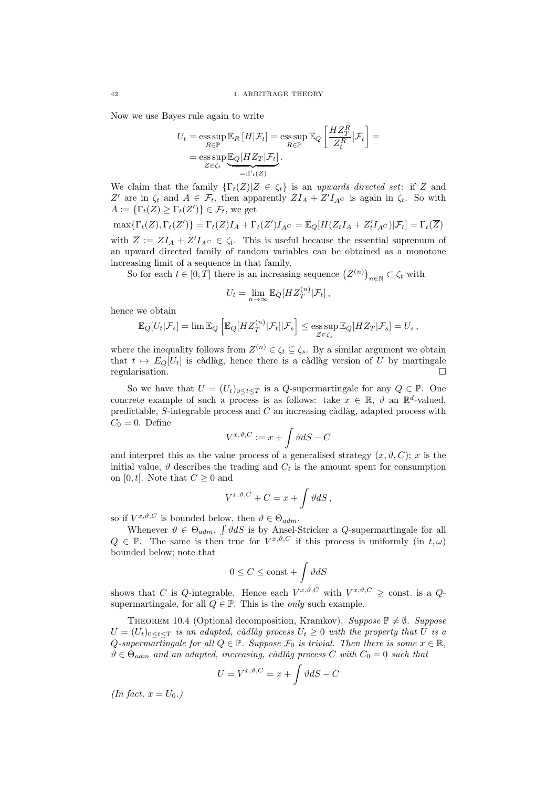Now we use Bayes rule again to write

$$
U_t = \operatorname*{ess\,sup}_{R \in \mathbb{P}} \mathbb{E}_R [H|\mathcal{F}_t] = \operatorname*{ess\,sup}_{R \in \mathbb{P}} \mathbb{E}_Q \left[ \frac{HZ_T^R}{Z_t^R} |\mathcal{F}_t \right] = \\ = \operatorname*{ess\,sup}_{Z \in \zeta_t} \underbrace{\mathbb{E}_Q [HZ_T|\mathcal{F}_t]}_{=: \Gamma_t(Z)}.
$$

We claim that the family  $\{\Gamma_t(Z)|Z \in \zeta_t\}$  is an upwards directed set: if Z and Z' are in  $\zeta_t$  and  $A \in \mathcal{F}_t$ , then apparently  $ZI_A + Z'I_{A^C}$  is again in  $\zeta_t$ . So with  $A := {\{\Gamma_t(Z) \geq \Gamma_t(Z')\}} \in \mathcal{F}_t$ , we get

$$
\max\{\Gamma_t(Z), \Gamma_t(Z')\} = \Gamma_t(Z)I_A + \Gamma_t(Z')I_{AC} = \mathbb{E}_Q[H(Z_tI_A + Z'_tI_{AC})|\mathcal{F}_t] = \Gamma_t(\overline{Z})
$$

with  $\overline{Z} := ZI_A + Z'I_{AC} \in \zeta_t$ . This is useful because the essential supremum of an upward directed family of random variables can be obtained as a monotone increasing limit of a sequence in that family.

So for each  $t \in [0, T]$  there is an increasing sequence  $(Z^{(n)})_{n \in \mathbb{N}} \subset \zeta_t$  with

$$
U_t = \lim_{n \to \infty} \mathbb{E}_Q[HZ_T^{(n)}|\mathcal{F}_t],
$$

hence we obtain

$$
\mathbb{E}_Q[U_t|\mathcal{F}_s] = \lim \mathbb{E}_Q \left[ \mathbb{E}_Q[HZ_T^{(n)}|\mathcal{F}_t]|\mathcal{F}_s \right] \le \underset{Z \in \zeta_s}{\text{ess sup }} \mathbb{E}_Q[HZ_T|\mathcal{F}_s] = U_s,
$$

where the inequality follows from  $Z^{(n)} \in \zeta_t \subseteq \zeta_s$ . By a similar argument we obtain that  $t \mapsto E_Q[U_t]$  is càdlàg, hence there is a càdlàg version of U by martingale regularisation.

So we have that  $U = (U_t)_{0 \leq t \leq T}$  is a Q-supermartingale for any  $Q \in \mathbb{P}$ . One concrete example of such a process is as follows: take  $x \in \mathbb{R}$ ,  $\vartheta$  an  $\mathbb{R}^d$ -valued, predictable, S-integrable process and  $C$  an increasing càdlàg, adapted process with  $C_0 = 0$ . Define

$$
V^{x,\vartheta,C}:=x+\int\vartheta dS-C
$$

and interpret this as the value process of a generalised strategy  $(x, \vartheta, C)$ ; x is the initial value,  $\vartheta$  describes the trading and  $C_t$  is the amount spent for consumption on [0, t]. Note that  $C \geq 0$  and

$$
V^{x,\vartheta,C} + C = x + \int \vartheta dS,
$$

so if  $V^{x,\vartheta,C}$  is bounded below, then  $\vartheta \in \Theta_{adm}$ .

Whenever  $\vartheta \in \Theta_{adm}$ ,  $\int \vartheta dS$  is by Ansel-Stricker a Q-supermartingale for all  $Q \in \mathbb{P}$ . The same is then true for  $V^{x,\vartheta,C}$  if this process is uniformly (in  $t,\omega$ ) bounded below; note that

$$
0\leq C\leq \mathrm{const}+\int \vartheta dS
$$

shows that C is Q-integrable. Hence each  $V^{x,\vartheta,C}$  with  $V^{x,\vartheta,C} \geq \text{const.}$  is a Qsupermartingale, for all  $Q \in \mathbb{P}$ . This is the *only* such example.

THEOREM 10.4 (Optional decomposition, Kramkov). Suppose  $\mathbb{P} \neq \emptyset$ . Suppose  $U = (U_t)_{0 \le t \le T}$  is an adapted, càdlàg process  $U_t \ge 0$  with the property that U is a Q-supermartingale for all  $Q \in \mathbb{P}$ . Suppose  $\mathcal{F}_0$  is trivial. Then there is some  $x \in \mathbb{R}$ ,  $\vartheta \in \Theta_{adm}$  and an adapted, increasing, càdlàg process C with  $C_0 = 0$  such that

$$
U = V^{x, \vartheta, C} = x + \int \vartheta dS - C
$$

(In fact,  $x = U_0$ .)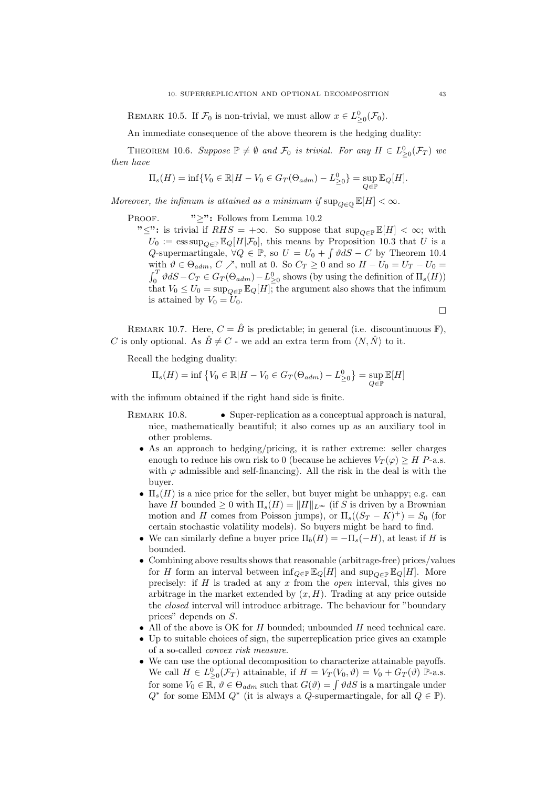REMARK 10.5. If  $\mathcal{F}_0$  is non-trivial, we must allow  $x \in L^0_{\geq 0}(\mathcal{F}_0)$ .

An immediate consequence of the above theorem is the hedging duality:

THEOREM 10.6. Suppose  $\mathbb{P} \neq \emptyset$  and  $\mathcal{F}_0$  is trivial. For any  $H \in L^0_{\geq 0}(\mathcal{F}_T)$  we then have

$$
\Pi_s(H) = \inf \{ V_0 \in \mathbb{R} | H - V_0 \in G_T(\Theta_{adm}) - L^0_{\geq 0} \} = \sup_{Q \in \mathbb{P}} \mathbb{E}_Q[H].
$$

Moreover, the infimum is attained as a minimum if  $\sup_{O \in \mathbb{Q}} \mathbb{E}[H] < \infty$ .

PROOF. " $\geq$ ": Follows from Lemma 10.2"

" $\leq$ ": is trivial if  $RHS = +\infty$ . So suppose that sup<sub> $Q \in \mathbb{F}[H] < \infty$ ; with</sub>  $U_0 := \operatorname{ess\,sup}_{Q \in \mathbb{P}} \mathbb{E}_Q[H|\mathcal{F}_0],$  this means by Proposition 10.3 that U is a Q-supermartingale,  $\forall Q \in \mathbb{P}$ , so  $U = U_0 + \int \vartheta dS - C$  by Theorem 10.4 with  $\vartheta \in \Theta_{adm}, C \nearrow$ , null at 0. So  $C_T \geq 0$  and so  $H - U_0 = U_T - U_0 =$  $\int_0^T \vartheta dS - C_T \in G_T(\Theta_{adm}) - L^0_{\geq 0}$  shows (by using the definition of  $\Pi_s(H)$ ) that  $V_0 \leq U_0 = \sup_{Q \in \mathbb{P}} \mathbb{E}_Q[H]$ , the argument also shows that the infimum is attained by  $V_0 = U_0$ .

$$
\Box
$$

REMARK 10.7. Here,  $C = \hat{B}$  is predictable; in general (i.e. discountinuous  $\mathbb{F}$ ), C is only optional. As  $\hat{B} \neq C$  - we add an extra term from  $\langle N, \hat{N} \rangle$  to it.

Recall the hedging duality:

$$
\Pi_s(H) = \inf \left\{ V_0 \in \mathbb{R} | H - V_0 \in G_T(\Theta_{adm}) - L^0_{\geq 0} \right\} = \sup_{Q \in \mathbb{P}} \mathbb{E}[H]
$$

with the infimum obtained if the right hand side is finite.

- REMARK 10.8. Super-replication as a conceptual approach is natural, nice, mathematically beautiful; it also comes up as an auxiliary tool in other problems.
	- As an approach to hedging/pricing, it is rather extreme: seller charges enough to reduce his own risk to 0 (because he achieves  $V_T(\varphi) \geq H$  P-a.s. with  $\varphi$  admissible and self-financing). All the risk in the deal is with the buyer.
	- $\Pi_s(H)$  is a nice price for the seller, but buyer might be unhappy; e.g. can have H bounded  $\geq 0$  with  $\Pi_s(H) = ||H||_{L^{\infty}}$  (if S is driven by a Brownian motion and H comes from Poisson jumps), or  $\Pi_s((S_T - K)^+) = S_0$  (for certain stochastic volatility models). So buyers might be hard to find.
	- We can similarly define a buyer price  $\Pi_b(H) = -\Pi_s(-H)$ , at least if H is bounded.
	- Combining above results shows that reasonable (arbitrage-free) prices/values for H form an interval between  $\inf_{Q \in \mathbb{P}} \mathbb{E}_Q[H]$  and  $\sup_{Q \in \mathbb{P}} \mathbb{E}_Q[H]$ . More precisely: if  $H$  is traded at any  $x$  from the *open* interval, this gives no arbitrage in the market extended by  $(x, H)$ . Trading at any price outside the closed interval will introduce arbitrage. The behaviour for "boundary prices" depends on S.
	- All of the above is OK for  $H$  bounded; unbounded  $H$  need technical care.
	- Up to suitable choices of sign, the superreplication price gives an example of a so-called convex risk measure.
	- We can use the optional decomposition to characterize attainable payoffs. We call  $H \in L^0_{\geq 0}(\mathcal{F}_T)$  attainable, if  $H = V_T(V_0, \vartheta) = V_0 + G_T(\vartheta)$  P-a.s. for some  $V_0 \in \overline{\mathbb{R}}, \vartheta \in \Theta_{adm}$  such that  $G(\vartheta) = \int \vartheta dS$  is a martingale under  $Q^*$  for some EMM  $Q^*$  (it is always a  $Q$ -supermartingale, for all  $Q \in \mathbb{P}$ ).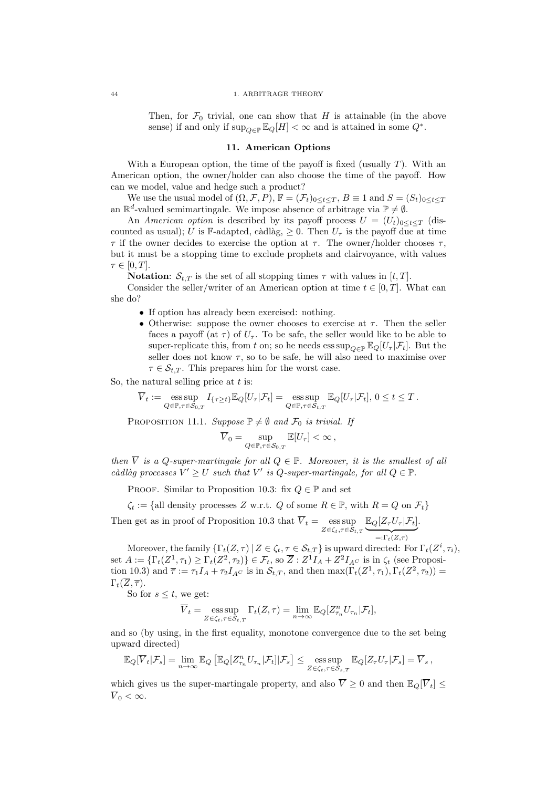### 44 1. ARBITRAGE THEORY

Then, for  $\mathcal{F}_0$  trivial, one can show that H is attainable (in the above sense) if and only if  $\sup_{Q \in \mathbb{P}} \mathbb{E}_Q[H] < \infty$  and is attained in some  $Q^*$ .

### 11. American Options

With a European option, the time of the payoff is fixed (usually  $T$ ). With an American option, the owner/holder can also choose the time of the payoff. How can we model, value and hedge such a product?

We use the usual model of  $(\Omega, \mathcal{F}, P)$ ,  $\mathbb{F} = (\mathcal{F}_t)_{0 \leq t \leq T}$ ,  $B \equiv 1$  and  $S = (S_t)_{0 \leq t \leq T}$ an  $\mathbb{R}^d$ -valued semimartingale. We impose absence of arbitrage via  $\mathbb{P} \neq \emptyset$ .

An American option is described by its payoff process  $U = (U_t)_{0 \leq t \leq T}$  (discounted as usual); U is F-adapted, càdlàg,  $\geq 0$ . Then  $U_{\tau}$  is the payoff due at time  $\tau$  if the owner decides to exercise the option at  $\tau$ . The owner/holder chooses  $\tau$ . but it must be a stopping time to exclude prophets and clairvoyance, with values  $\tau \in [0, T]$ .

**Notation:**  $S_{t,T}$  is the set of all stopping times  $\tau$  with values in  $[t, T]$ .

Consider the seller/writer of an American option at time  $t \in [0, T]$ . What can she do?

- If option has already been exercised: nothing.
- Otherwise: suppose the owner chooses to exercise at  $\tau$ . Then the seller faces a payoff (at  $\tau$ ) of  $U_{\tau}$ . To be safe, the seller would like to be able to super-replicate this, from t on; so he needs  $\exp_{\Omega \subseteq \mathbb{P}} \mathbb{E}_{\Omega}[U_{\tau} | \mathcal{F}_{t}].$  But the seller does not know  $\tau$ , so to be safe, he will also need to maximise over  $\tau \in \mathcal{S}_{t,T}$ . This prepares him for the worst case.

So, the natural selling price at  $t$  is:

$$
\overline{V}_t := \operatorname*{ess\,sup}_{Q \in \mathbb{P}, \tau \in \mathcal{S}_{0,T}} I_{\{\tau \geq t\}} \mathbb{E}_{Q}[U_{\tau}|\mathcal{F}_t] = \operatorname*{ess\,sup}_{Q \in \mathbb{P}, \tau \in \mathcal{S}_{t,T}} \mathbb{E}_{Q}[U_{\tau}|\mathcal{F}_t], 0 \leq t \leq T.
$$

PROPOSITION 11.1. Suppose  $\mathbb{P} \neq \emptyset$  and  $\mathcal{F}_0$  is trivial. If

$$
\overline{V}_0 = \sup_{Q \in \mathbb{P}, \tau \in \mathcal{S}_{0,T}} \mathbb{E}[U_\tau] < \infty \,,
$$

then  $\overline{V}$  is a Q-super-martingale for all  $Q \in \mathbb{P}$ . Moreover, it is the smallest of all càdlàg processes  $V' \geq U$  such that V' is Q-super-martingale, for all  $Q \in \mathbb{P}$ .

PROOF. Similar to Proposition 10.3: fix  $Q \in \mathbb{P}$  and set

 $\zeta_t := \{\text{all density processes } Z \text{ w.r.t. } Q \text{ of some } R \in \mathbb{P}, \text{ with } R = Q \text{ on } \mathcal{F}_t\}$ 

Then get as in proof of Proposition 10.3 that  $\overline{V}_t = \operatorname*{ess\,sup}_{Z \in \zeta_t, \tau \in \mathcal{S}_{t,T}} \underbrace{\mathbb{E}_{Q}[Z_{\tau}U_{\tau}|\mathcal{F}_t]}$  $=:\Gamma_t(Z,\tau)$ .

Moreover, the family  $\{\Gamma_t(Z,\tau) | Z \in \zeta_t, \tau \in \mathcal{S}_{t,T}\}\$ is upward directed: For  $\Gamma_t(Z^i,\tau_i)$ , set  $A := \{\Gamma_t(Z^1, \tau_1) \geq \Gamma_t(Z^2, \tau_2)\} \in \mathcal{F}_t$ , so  $\overline{Z} : Z^1 I_A + Z^2 I_{AC}$  is in  $\zeta_t$  (see Proposition 10.3) and  $\overline{\tau} := \tau_1 I_A + \tau_2 I_{A}c$  is in  $\mathcal{S}_{t,T}$ , and then  $\max(\Gamma_t(Z^1, \tau_1), \Gamma_t(Z^2, \tau_2)) =$  $\Gamma_t(\overline{Z}, \overline{\tau}).$ 

So for  $s \leq t$ , we get:

$$
\overline{V}_t = \operatorname*{ess\,sup}_{Z \in \zeta_t, \tau \in \mathcal{S}_{t,T}} \Gamma_t(Z, \tau) = \lim_{n \to \infty} \mathbb{E}_Q[Z^n_{\tau_n} U_{\tau_n} | \mathcal{F}_t],
$$

and so (by using, in the first equality, monotone convergence due to the set being upward directed)

$$
\mathbb{E}_Q[\overline{V}_t|\mathcal{F}_s] = \lim_{n \to \infty} \mathbb{E}_Q \left[ \mathbb{E}_Q[Z^n_{\tau_n} U_{\tau_n}|\mathcal{F}_t]|\mathcal{F}_s \right] \le \underset{Z \in \zeta_t, \tau \in \mathcal{S}_{s,T}}{\text{ess}\sup} \mathbb{E}_Q[Z_\tau U_\tau|\mathcal{F}_s] = \overline{V}_s,
$$

which gives us the super-martingale property, and also  $\overline{V} \geq 0$  and then  $\mathbb{E}_{Q}[\overline{V}_{t}] \leq$  $\overline{V}_0 < \infty$ .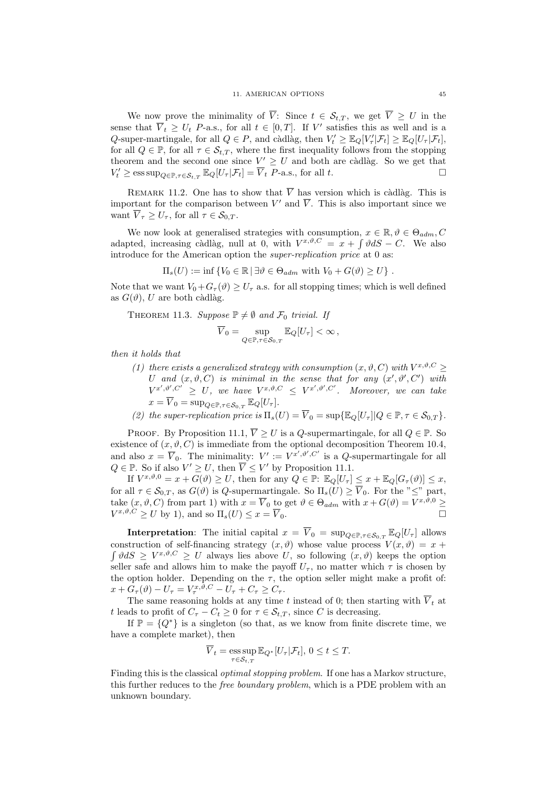We now prove the minimality of  $\overline{V}$ : Since  $t \in \mathcal{S}_{t,T}$ , we get  $\overline{V} \geq U$  in the sense that  $\overline{V}_t \geq U_t$  P-a.s., for all  $t \in [0,T]$ . If V' satisfies this as well and is a Q-super-martingale, for all  $Q \in P$ , and càdlàg, then  $V'_t \geq \mathbb{E}_Q[V'_\tau | \mathcal{F}_t] \geq \mathbb{E}_Q[U_\tau | \mathcal{F}_t]$ , for all  $Q \in \mathbb{P}$ , for all  $\tau \in \mathcal{S}_{t,T}$ , where the first inequality follows from the stopping theorem and the second one since  $V' \geq U$  and both are càdlàg. So we get that  $V'_t \ge \operatorname{ess\,sup}_{Q \in \mathbb{P}, \tau \in \mathcal{S}_{t,T}} \mathbb{E}_{Q}[U_\tau | \mathcal{F}_t] = \overline{V}_t$  P-a.s., for all t.

REMARK 11.2. One has to show that  $\overline{V}$  has version which is càdlàg. This is important for the comparison between V' and  $\overline{V}$ . This is also important since we want  $\overline{V}_{\tau} \ge U_{\tau}$ , for all  $\tau \in \mathcal{S}_{0,T}$ .

We now look at generalised strategies with consumption,  $x \in \mathbb{R}, \vartheta \in \Theta_{adm}, C$ adapted, increasing càdlàg, null at 0, with  $V^{x,\vartheta,C} = x + \int \vartheta dS - C$ . We also introduce for the American option the super-replication price at 0 as:

$$
\Pi_s(U) := \inf \{ V_0 \in \mathbb{R} \, | \, \exists \vartheta \in \Theta_{adm} \text{ with } V_0 + G(\vartheta) \geq U \} .
$$

Note that we want  $V_0+G_\tau(\vartheta) \ge U_\tau$  a.s. for all stopping times; which is well defined as  $G(\vartheta)$ , U are both càdlàg.

THEOREM 11.3. Suppose 
$$
\mathbb{P} \neq \emptyset
$$
 and  $\mathcal{F}_0$  trivial. If

$$
\overline{V}_0 = \sup_{Q \in \mathbb{P}, \tau \in \mathcal{S}_{0,T}} \mathbb{E}_Q[U_\tau] < \infty \,,
$$

then it holds that

(1) there exists a generalized strategy with consumption  $(x, \vartheta, C)$  with  $V^{x, \vartheta, C} \geq$ U and  $(x, \vartheta, C)$  is minimal in the sense that for any  $(x', \vartheta', C')$  with  $V^{x',\vartheta',C'} \geq U$ , we have  $V^{x,\vartheta,C} \leq V^{x',\vartheta',C'}$ . Moreover, we can take  $x = \overline{V}_0 = \sup_{Q \in \mathbb{P}, \tau \in \mathcal{S}_{0,T}} \mathbb{E}_Q[U_\tau].$ 

(2) the super-replication price is  $\Pi_s(U) = \overline{V}_0 = \sup{\{\mathbb{E}_Q[U_\tau] \mid Q \in \mathbb{P}, \tau \in \mathcal{S}_{0,T}\}}$ .

PROOF. By Proposition 11.1,  $\overline{V} \geq U$  is a *Q*-supermartingale, for all  $Q \in \mathbb{P}$ . So existence of  $(x, \vartheta, C)$  is immediate from the optional decomposition Theorem 10.4, and also  $x = \overline{V}_0$ . The minimality:  $V' := V^{x', \vartheta', C'}$  is a Q-supermartingale for all  $Q \in \mathbb{P}$ . So if also  $V' \geq U$ , then  $\overline{V} \leq V'$  by Proposition 11.1.

If  $V^{x,\vartheta,0} = x + G(\vartheta) \geq U$ , then for any  $Q \in \mathbb{P}$ :  $\mathbb{E}_{Q}[U_{\tau}] \leq x + \mathbb{E}_{Q}[G_{\tau}(\vartheta)] \leq x$ , for all  $\tau \in \mathcal{S}_{0,T}$ , as  $G(\vartheta)$  is Q-supermartingale. So  $\Pi_s(U) \geq \overline{V}_0$ . For the " $\leq$ " part, take  $(x, \vartheta, C)$  from part 1) with  $x = \overline{V}_0$  to get  $\vartheta \in \Theta_{adm}$  with  $x + G(\vartheta) = V^{x, \vartheta, 0} \ge$  $V^{x,\vartheta,C} \geq U$  by 1), and so  $\Pi_s(U) \leq x = \overline{V}_0$ .

**Interpretation**: The initial capital  $x = \overline{V}_0 = \sup_{Q \in \mathbb{P}, \tau \in \mathcal{S}_{0,T}} \mathbb{E}_Q[U_\tau]$  allows construction of self-financing strategy  $(x, \vartheta)$  whose value process  $V(x, \vartheta) = x +$  $\int \vartheta dS \geq V^{x,\vartheta,C} \geq U$  always lies above U, so following  $(x,\vartheta)$  keeps the option seller safe and allows him to make the payoff  $U_{\tau}$ , no matter which  $\tau$  is chosen by the option holder. Depending on the  $\tau$ , the option seller might make a profit of:  $x + G_\tau(\vartheta) - U_\tau = V_\tau^{x, \vartheta, C} - U_\tau + C_\tau \geq C_\tau.$ 

The same reasoning holds at any time t instead of 0; then starting with  $\overline{V}_t$  at t leads to profit of  $C_{\tau}-C_t \geq 0$  for  $\tau \in \mathcal{S}_{t,T}$ , since C is decreasing.

If  $\mathbb{P} = \{Q^*\}\$ is a singleton (so that, as we know from finite discrete time, we have a complete market), then

$$
\overline{V}_t = \operatorname*{ess\,sup}_{\tau \in \mathcal{S}_{t,T}} \mathbb{E}_{Q^*}[U_\tau | \mathcal{F}_t], \ 0 \le t \le T.
$$

Finding this is the classical optimal stopping problem. If one has a Markov structure, this further reduces to the free boundary problem, which is a PDE problem with an unknown boundary.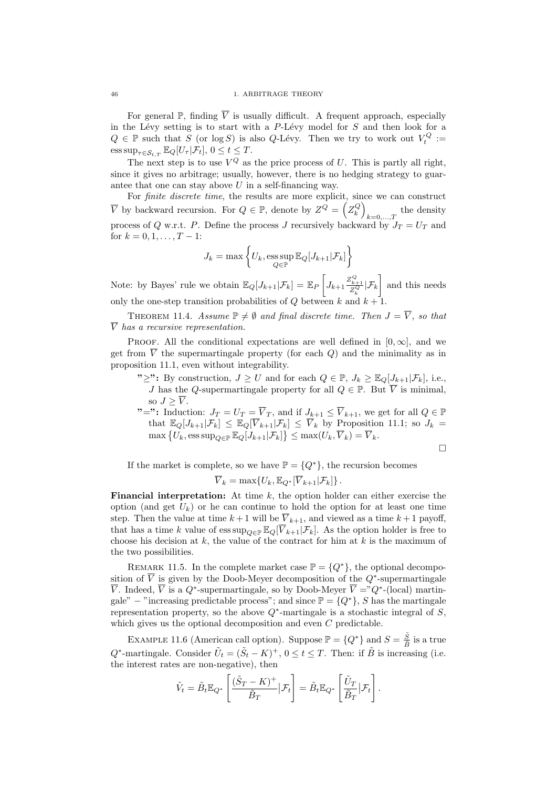For general  $\mathbb{P}$ , finding  $\overline{V}$  is usually difficult. A frequent approach, especially in the Lévy setting is to start with a  $P$ -Lévy model for  $S$  and then look for a  $Q \in \mathbb{P}$  such that S (or log S) is also Q-Lévy. Then we try to work out  $V_t^Q :=$  $\text{ess sup}_{\tau \in \mathcal{S}_{t,T}} \mathbb{E}_Q[U_\tau | \mathcal{F}_t], 0 \leq t \leq T.$ 

The next step is to use  $V^Q$  as the price process of U. This is partly all right, since it gives no arbitrage; usually, however, there is no hedging strategy to guarantee that one can stay above  $U$  in a self-financing way.

For *finite discrete time*, the results are more explicit, since we can construct  $\overline{V}$  by backward recursion. For  $Q \in \mathbb{P}$ , denote by  $Z^Q = \left( Z_k^Q \right)$  $_{k=0,...,T}$  the density process of Q w.r.t. P. Define the process J recursively backward by  $J_T = U_T$  and for  $k = 0, 1, \ldots, T - 1$ :

$$
J_k = \max \left\{ U_k, \underset{Q \in \mathbb{P}}{\mathrm{ess \, sup}} \, \mathbb{E}_Q[J_{k+1}|\mathcal{F}_k] \right\}
$$

Note: by Bayes' rule we obtain  $\mathbb{E}_Q[J_{k+1}|\mathcal{F}_k] = \mathbb{E}_P\left[J_{k+1}\frac{Z^Q_{k+1}}{Z^Q_k}|\mathcal{F}_k\right]$  and this needs only the one-step transition probabilities of  $Q$  between  $k$  and  $k + 1$ .

THEOREM 11.4. Assume  $\mathbb{P} \neq \emptyset$  and final discrete time. Then  $J = \overline{V}$ , so that  $\overline{V}$  has a recursive representation.

PROOF. All the conditional expectations are well defined in  $[0, \infty]$ , and we get from  $\overline{V}$  the supermartingale property (for each Q) and the minimality as in proposition 11.1, even without integrability.

- "≥": By construction,  $J \geq U$  and for each  $Q \in \mathbb{P}$ ,  $J_k \geq \mathbb{E}_Q[J_{k+1}|\mathcal{F}_k]$ , i.e., J has the Q-supermartingale property for all  $Q \in \mathbb{P}$ . But  $\overline{V}$  is minimal, so  $J \geq \overline{V}$ .
- "=": Induction:  $J_T = U_T = \overline{V}_T$ , and if  $J_{k+1} \leq \overline{V}_{k+1}$ , we get for all  $Q \in \mathbb{P}$ that  $\mathbb{E}_Q[J_{k+1}|\mathcal{F}_k] \leq \mathbb{E}_Q[\overline{V}_{k+1}|\mathcal{F}_k] \leq \overline{V}_k$  by Proposition 11.1; so  $J_k =$  $\max \left\{ \overline{U}_k, \operatorname{ess\,sup}_{Q \in \mathbb{P}} \mathbb{E}_Q[J_{k+1} | \mathcal{F}_k] \right\} \leq \max(U_k, \overline{V}_k) = \overline{V}_k.$

$$
\Box
$$

If the market is complete, so we have  $\mathbb{P} = \{Q^*\}$ , the recursion becomes

$$
\overline{V}_k = \max\{U_k, \mathbb{E}_{Q^*}[\overline{V}_{k+1}|\mathcal{F}_k]\}.
$$

**Financial interpretation:** At time  $k$ , the option holder can either exercise the option (and get  $U_k$ ) or he can continue to hold the option for at least one time step. Then the value at time  $k+1$  will be  $\overline{V}_{k+1}$ , and viewed as a time  $k+1$  payoff, that has a time k value of  $\text{ess sup}_{Q \in \mathbb{P}} \mathbb{E}_Q[\overline{V}_{k+1}|\mathcal{F}_k]$ . As the option holder is free to choose his decision at k, the value of the contract for him at k is the maximum of the two possibilities.

REMARK 11.5. In the complete market case  $\mathbb{P} = \{Q^*\}$ , the optional decomposition of  $\overline{V}$  is given by the Doob-Meyer decomposition of the  $Q^*$ -supermartingale  $\overline{V}$ . Indeed,  $\overline{V}$  is a  $Q^*$ -supermartingale, so by Doob-Meyer  $\overline{V} = "Q^*$ -(local) martingale" − "increasing predictable process"; and since  $\mathbb{P} = \{Q^*\}, S$  has the martingale representation property, so the above  $Q^*$ -martingale is a stochastic integral of  $S$ , which gives us the optional decomposition and even  $C$  predictable.

EXAMPLE 11.6 (American call option). Suppose  $\mathbb{P} = \{Q^*\}\$  and  $S = \frac{\tilde{S}}{\tilde{S}}$  $\frac{S}{\tilde{B}}$  is a true  $Q^*$ -martingale. Consider  $\tilde{U}_t = (\tilde{S}_t - K)^+$ ,  $0 \le t \le T$ . Then: if  $\tilde{B}$  is increasing (i.e. the interest rates are non-negative), then

$$
\tilde{V}_t = \tilde{B}_t \mathbb{E}_{Q^*} \left[ \frac{(\tilde{S}_T - K)^+}{\tilde{B}_T} \big| \mathcal{F}_t \right] = \tilde{B}_t \mathbb{E}_{Q^*} \left[ \frac{\tilde{U}_T}{\tilde{B}_T} \big| \mathcal{F}_t \right].
$$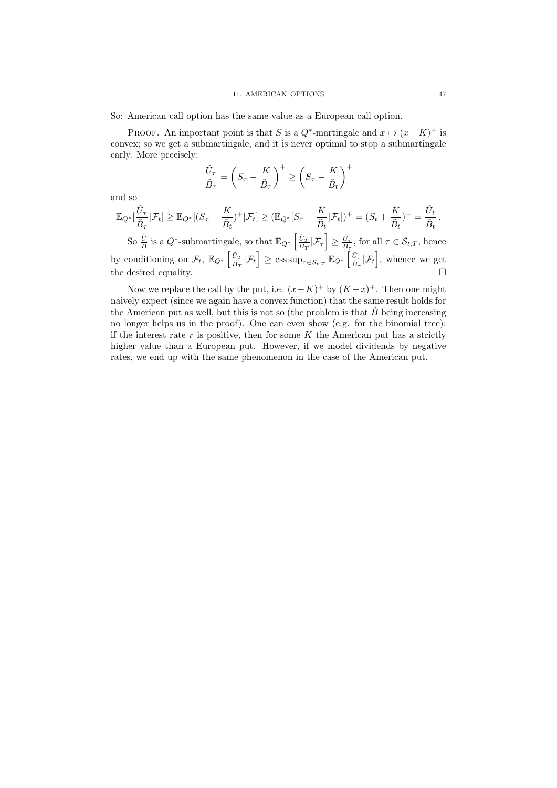So: American call option has the same value as a European call option.

PROOF. An important point is that S is a  $Q^*$ -martingale and  $x \mapsto (x - K)^+$  is convex; so we get a submartingale, and it is never optimal to stop a submartingale early. More precisely:

$$
\frac{\tilde{U}_{\tau}}{\tilde{B}_{\tau}} = \left(S_{\tau} - \frac{K}{\tilde{B}_{\tau}}\right)^{+} \ge \left(S_{\tau} - \frac{K}{\tilde{B}_{t}}\right)^{+}
$$

and so

$$
\mathbb{E}_{Q^*}[\frac{\tilde{U}_{\tau}}{\tilde{B}_{\tau}}|\mathcal{F}_t] \geq \mathbb{E}_{Q^*}[(S_{\tau}-\frac{K}{\tilde{B}_t})^+|\mathcal{F}_t] \geq (\mathbb{E}_{Q^*}[S_{\tau}-\frac{K}{\tilde{B}_t}|\mathcal{F}_t])^+ = (S_t+\frac{K}{\tilde{B}_t})^+ = \frac{\tilde{U}_t}{\tilde{B}_t}.
$$

So  $\frac{\tilde{U}}{\tilde{B}}$  is a  $Q^*$ -submartingale, so that  $\mathbb{E}_{Q^*}\left[\frac{\tilde{U}_T}{\tilde{B}_T}\right]$  $\frac{\tilde{U}_T}{\tilde{B}_T}|\mathcal{F}_\tau\right]\geq \frac{\tilde{U}_\tau}{\tilde{B}_\tau}$  $\frac{U_{\tau}}{\tilde{B}_{\tau}}$ , for all  $\tau \in \mathcal{S}_{t,T}$ , hence by conditioning on  $\mathcal{F}_t$ ,  $\mathbb{E}_{Q^*}\left[\frac{\tilde{U}_T}{\tilde{B}_T}\right]$  $\frac{\tilde{U}_T}{\tilde{B}_T} | \mathcal{F}_t \Big] \ge \operatorname{ess\,sup}_{\tau \in \mathcal{S}_{t,T}} \mathbb{E}_{Q^*} \left[ \frac{\tilde{U}_\tau}{\tilde{B}_\tau} \right]$  $\frac{\tilde{U}_{\tau}}{\tilde{B}_{\tau}}|\mathcal{F}_{t}\bigg]$ , whence we get the desired equality.  $\Box$ 

Now we replace the call by the put, i.e.  $(x-K)^+$  by  $(K-x)^+$ . Then one might naively expect (since we again have a convex function) that the same result holds for the American put as well, but this is not so (the problem is that  $\tilde{B}$  being increasing no longer helps us in the proof). One can even show (e.g. for the binomial tree): if the interest rate  $r$  is positive, then for some  $K$  the American put has a strictly higher value than a European put. However, if we model dividends by negative rates, we end up with the same phenomenon in the case of the American put.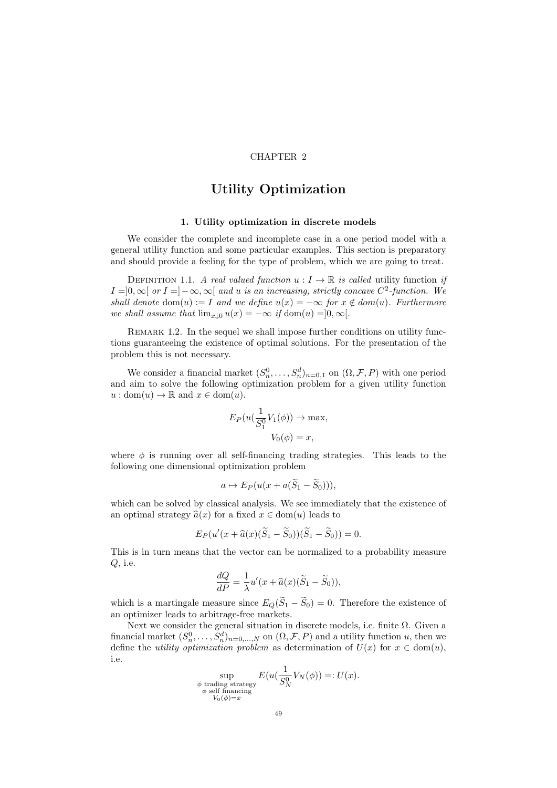# CHAPTER 2

# Utility Optimization

### 1. Utility optimization in discrete models

We consider the complete and incomplete case in a one period model with a general utility function and some particular examples. This section is preparatory and should provide a feeling for the type of problem, which we are going to treat.

DEFINITION 1.1. A real valued function  $u: I \to \mathbb{R}$  is called utility function if  $I = ]0, \infty[$  or  $I = ]-\infty, \infty[$  and u is an increasing, strictly concave  $C^2$ -function. We shall denote dom(u) := I and we define  $u(x) = -\infty$  for  $x \notin dom(u)$ . Furthermore we shall assume that  $\lim_{x\downarrow 0} u(x) = -\infty$  if  $\text{dom}(u) = ]0, \infty[$ .

REMARK 1.2. In the sequel we shall impose further conditions on utility functions guaranteeing the existence of optimal solutions. For the presentation of the problem this is not necessary.

We consider a financial market  $(S_n^0, \ldots, S_n^d)_{n=0,1}$  on  $(\Omega, \mathcal{F}, P)$  with one period and aim to solve the following optimization problem for a given utility function  $u : dom(u) \to \mathbb{R}$  and  $x \in dom(u)$ .

$$
E_P(u(\frac{1}{S_1^0}V_1(\phi)) \to \max, V_0(\phi) = x,
$$

where  $\phi$  is running over all self-financing trading strategies. This leads to the following one dimensional optimization problem

$$
a \mapsto E_P(u(x + a(\widetilde{S}_1 - \widetilde{S}_0))),
$$

which can be solved by classical analysis. We see immediately that the existence of an optimal strategy  $\hat{a}(x)$  for a fixed  $x \in \text{dom}(u)$  leads to

$$
E_P(u'(x+\widehat{a}(x)(\widetilde{S}_1-\widetilde{S}_0))(\widetilde{S}_1-\widetilde{S}_0))=0.
$$

This is in turn means that the vector can be normalized to a probability measure Q, i.e.

$$
\frac{dQ}{dP} = \frac{1}{\lambda}u'(x + \widehat{a}(x)(\widetilde{S}_1 - \widetilde{S}_0)),
$$

which is a martingale measure since  $E_Q(\widetilde{S}_1 - \widetilde{S}_0) = 0$ . Therefore the existence of an optimizer leads to arbitrage-free markets.

Next we consider the general situation in discrete models, i.e. finite  $\Omega$ . Given a financial market  $(S_n^0, \ldots, S_n^d)_{n=0,\ldots,N}$  on  $(\Omega, \mathcal{F}, P)$  and a utility function u, then we define the *utility optimization problem* as determination of  $U(x)$  for  $x \in dom(u)$ , i.e.

$$
\sup_{\substack{\phi \text{ trading strategy} \\ \phi \text{ self financing}}} E(u(\frac{1}{S_N^0}V_N(\phi)) =: U(x).
$$
  

$$
V_0(\phi) = x
$$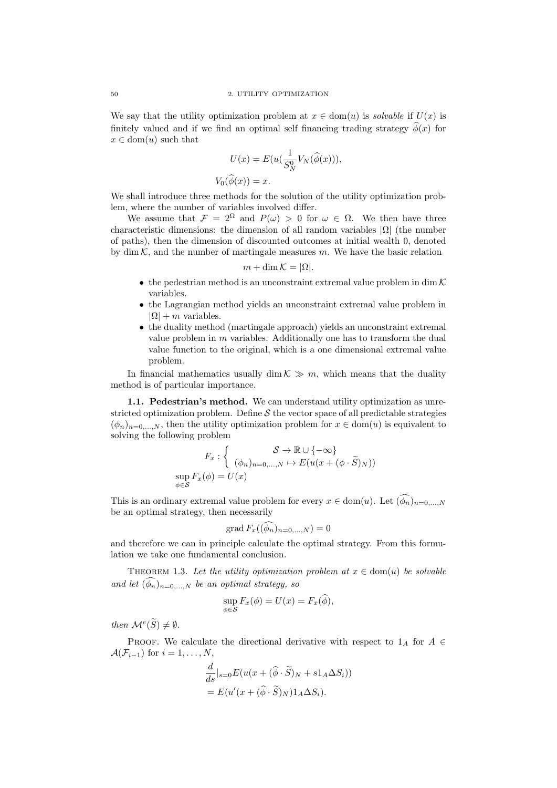We say that the utility optimization problem at  $x \in \text{dom}(u)$  is solvable if  $U(x)$  is finitely valued and if we find an optimal self financing trading strategy  $\hat{\phi}(x)$  for  $x \in \text{dom}(u)$  such that

$$
U(x) = E(u(\frac{1}{S_N^0}V_N(\hat{\phi}(x))),
$$
  

$$
V_0(\hat{\phi}(x)) = x.
$$

We shall introduce three methods for the solution of the utility optimization problem, where the number of variables involved differ.

We assume that  $\mathcal{F} = 2^{\Omega}$  and  $P(\omega) > 0$  for  $\omega \in \Omega$ . We then have three characteristic dimensions: the dimension of all random variables  $|\Omega|$  (the number of paths), then the dimension of discounted outcomes at initial wealth 0, denoted by dim  $K$ , and the number of martingale measures m. We have the basic relation

$$
m + \dim \mathcal{K} = |\Omega|.
$$

- the pedestrian method is an unconstraint extremal value problem in dim  $\mathcal K$ variables.
- the Lagrangian method yields an unconstraint extremal value problem in  $|\Omega| + m$  variables.
- the duality method (martingale approach) yields an unconstraint extremal value problem in  $m$  variables. Additionally one has to transform the dual value function to the original, which is a one dimensional extremal value problem.

In financial mathematics usually dim  $K \gg m$ , which means that the duality method is of particular importance.

1.1. Pedestrian's method. We can understand utility optimization as unrestricted optimization problem. Define  $S$  the vector space of all predictable strategies  $(\phi_n)_{n=0,\dots,N}$ , then the utility optimization problem for  $x \in \text{dom}(u)$  is equivalent to solving the following problem

$$
F_x: \left\{ \begin{array}{c} \mathcal{S} \to \mathbb{R} \cup \{-\infty\} \\ (\phi_n)_{n=0,\ldots,N} \mapsto E(u(x+(\phi \cdot \widetilde{S})_N)) \\ \sup_{\phi \in \mathcal{S}} F_x(\phi) = U(x) \end{array} \right.
$$

This is an ordinary extremal value problem for every  $x \in \text{dom}(u)$ . Let  $(\widehat{\phi_n})_{n=0,\dots,N}$ be an optimal strategy, then necessarily

$$
\operatorname{grad} F_x((\widehat{\phi}_n)_{n=0,\ldots,N}) = 0
$$

and therefore we can in principle calculate the optimal strategy. From this formulation we take one fundamental conclusion.

THEOREM 1.3. Let the utility optimization problem at  $x \in \text{dom}(u)$  be solvable and let  $(\widehat{\phi}_n)_{n=0,\ldots,N}$  be an optimal strategy, so

$$
\sup_{\phi \in \mathcal{S}} F_x(\phi) = U(x) = F_x(\widehat{\phi}),
$$

then  $\mathcal{M}^e(\widetilde{S}) \neq \emptyset$ .

PROOF. We calculate the directional derivative with respect to  $1_A$  for  $A \in$  $\mathcal{A}(\mathcal{F}_{i-1})$  for  $i=1,\ldots,N$ ,

$$
\frac{d}{ds}|_{s=0} E(u(x+(\widehat{\phi}\cdot\widetilde{S})_N + s1_A\Delta S_i))
$$
  
=  $E(u'(x+(\widehat{\phi}\cdot\widetilde{S})_N)1_A\Delta S_i).$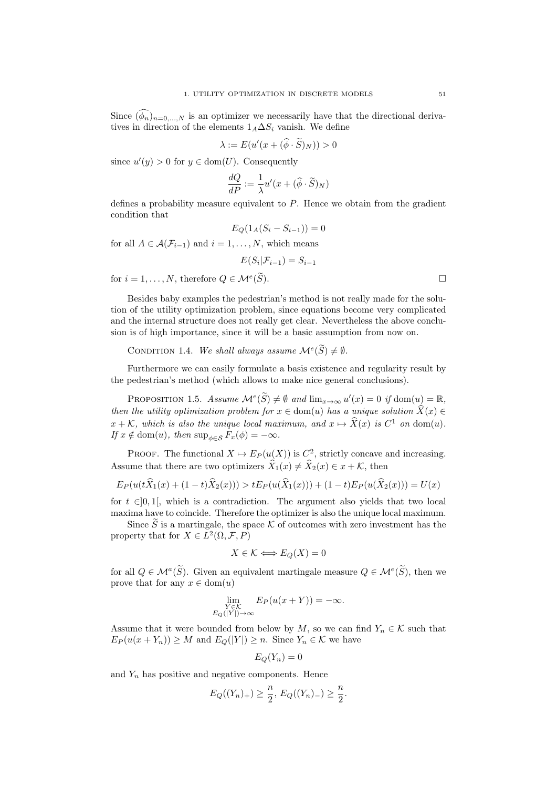Since  $(\phi_n)_{n=0,\dots,N}$  is an optimizer we necessarily have that the directional derivatives in direction of the elements  $1_A\Delta S_i$  vanish. We define

$$
\lambda := E(u'(x + (\widehat{\phi} \cdot \widetilde{S})_N)) > 0
$$

since  $u'(y) > 0$  for  $y \in \text{dom}(U)$ . Consequently

$$
\frac{dQ}{dP} := \frac{1}{\lambda}u'(x + (\widehat{\phi} \cdot \widetilde{S})_N)
$$

defines a probability measure equivalent to P. Hence we obtain from the gradient condition that

$$
E_Q(1_A(S_i - S_{i-1})) = 0
$$

for all  $A \in \mathcal{A}(\mathcal{F}_{i-1})$  and  $i = 1, \ldots, N$ , which means

$$
E(S_i|\mathcal{F}_{i-1})=S_{i-1}
$$

for  $i = 1, ..., N$ , therefore  $Q \in \mathcal{M}^e(\widetilde{S})$ .  $(\widetilde{S})$ .

Besides baby examples the pedestrian's method is not really made for the solution of the utility optimization problem, since equations become very complicated and the internal structure does not really get clear. Nevertheless the above conclusion is of high importance, since it will be a basic assumption from now on.

CONDITION 1.4. We shall always assume  $\mathcal{M}^e(\widetilde{S}) \neq \emptyset$ .

Furthermore we can easily formulate a basis existence and regularity result by the pedestrian's method (which allows to make nice general conclusions).

PROPOSITION 1.5. Assume  $\mathcal{M}^e(\widetilde{S}) \neq \emptyset$  and  $\lim_{x \to \infty} u'(x) = 0$  if  $\text{dom}(u) = \mathbb{R}$ , then the utility optimization problem for  $x \in \text{dom}(u)$  has a unique solution  $\widehat{X}(x) \in$  $x + \mathcal{K}$ , which is also the unique local maximum, and  $x \mapsto \hat{X}(x)$  is  $C^1$  on dom(u). If  $x \notin \text{dom}(u)$ , then  $\sup_{\phi \in \mathcal{S}} F_x(\phi) = -\infty$ .

PROOF. The functional  $X \mapsto E_P(u(X))$  is  $C^2$ , strictly concave and increasing. Assume that there are two optimizers  $\widehat{X}_1(x) \neq \widehat{X}_2(x) \in x + \mathcal{K}$ , then

$$
E_P(u(t\widehat{X}_1(x) + (1-t)\widehat{X}_2(x))) > tE_P(u(\widehat{X}_1(x)) + (1-t)E_P(u(\widehat{X}_2(x))) = U(x)
$$

for  $t \in ]0,1[$ , which is a contradiction. The argument also yields that two local maxima have to coincide. Therefore the optimizer is also the unique local maximum.

Since  $\widetilde{S}$  is a martingale, the space K of outcomes with zero investment has the property that for  $X \in L^2(\Omega, \mathcal{F}, P)$ 

$$
X \in \mathcal{K} \Longleftrightarrow E_Q(X) = 0
$$

for all  $Q \in \mathcal{M}^a(\widetilde{S})$ . Given an equivalent martingale measure  $Q \in \mathcal{M}^e(\widetilde{S})$ , then we prove that for any  $x \in \text{dom}(u)$ 

$$
\lim_{\substack{Y \in \mathcal{K} \\ E_Q(|Y|) \to \infty}} E_P(u(x+Y)) = -\infty.
$$

Assume that it were bounded from below by M, so we can find  $Y_n \in \mathcal{K}$  such that  $E_P(u(x+Y_n)) \geq M$  and  $E_Q(|Y|) \geq n$ . Since  $Y_n \in \mathcal{K}$  we have

$$
E_Q(Y_n)=0
$$

and  $Y_n$  has positive and negative components. Hence

$$
E_Q((Y_n)_+) \geq \frac{n}{2}, E_Q((Y_n)_-) \geq \frac{n}{2}.
$$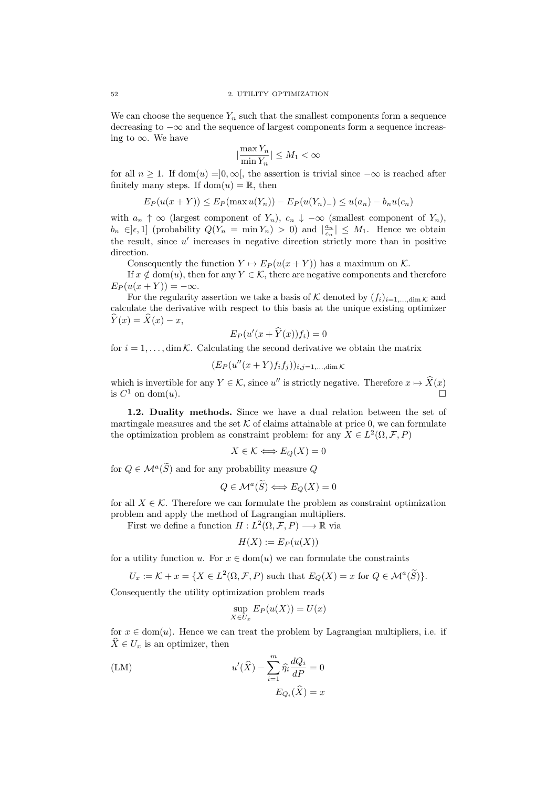We can choose the sequence  $Y_n$  such that the smallest components form a sequence decreasing to −∞ and the sequence of largest components form a sequence increasing to  $\infty$ . We have

$$
|\frac{\max Y_n}{\min Y_n}| \le M_1 < \infty
$$

for all  $n \geq 1$ . If dom $(u) = ]0, \infty[$ , the assertion is trivial since  $-\infty$  is reached after finitely many steps. If  $dom(u) = \mathbb{R}$ , then

$$
E_P(u(x+Y)) \le E_P(\max u(Y_n)) - E_P(u(Y_n) - \le u(a_n) - b_n u(c_n))
$$

with  $a_n \uparrow \infty$  (largest component of  $Y_n$ ),  $c_n \downarrow -\infty$  (smallest component of  $Y_n$ ),  $b_n \in ]\epsilon, 1]$  (probability  $Q(Y_n = \min Y_n) > 0$ ) and  $|\frac{a_n}{c_n}| \leq M_1$ . Hence we obtain the result, since  $u'$  increases in negative direction strictly more than in positive direction.

Consequently the function  $Y \mapsto E_P(u(x+Y))$  has a maximum on K.

If  $x \notin \text{dom}(u)$ , then for any  $Y \in \mathcal{K}$ , there are negative components and therefore  $E_P(u(x+Y)) = -\infty.$ 

For the regularity assertion we take a basis of K denoted by  $(f_i)_{i=1,\dots,\dim K}$  and calculate the derivative with respect to this basis at the unique existing optimizer  $\widehat{Y}(x) = \widehat{X}(x) - x,$ 

$$
E_P(u'(x+\widehat{Y}(x))f_i)=0
$$

for  $i = 1, \ldots, \dim \mathcal{K}$ . Calculating the second derivative we obtain the matrix

 $(E_P(u''(x+Y)f_if_j))_{i,j=1,\ldots,\dim K}$ 

which is invertible for any  $Y \in \mathcal{K}$ , since  $u''$  is strictly negative. Therefore  $x \mapsto \hat{X}(x)$ is  $C^1$  on dom(u).

1.2. Duality methods. Since we have a dual relation between the set of martingale measures and the set  $K$  of claims attainable at price 0, we can formulate the optimization problem as constraint problem: for any  $X \in L^2(\Omega, \mathcal{F}, P)$ 

$$
X \in \mathcal{K} \Longleftrightarrow E_Q(X) = 0
$$

for  $Q \in \mathcal{M}^a(\widetilde{S})$  and for any probability measure Q

$$
Q \in \mathcal{M}^a(\widetilde{S}) \Longleftrightarrow E_Q(X) = 0
$$

for all  $X \in \mathcal{K}$ . Therefore we can formulate the problem as constraint optimization problem and apply the method of Lagrangian multipliers.

First we define a function  $H: L^2(\Omega, \mathcal{F}, P) \longrightarrow \mathbb{R}$  via

$$
H(X) := E_P(u(X))
$$

for a utility function u. For  $x \in \text{dom}(u)$  we can formulate the constraints

$$
U_x := \mathcal{K} + x = \{ X \in L^2(\Omega, \mathcal{F}, P) \text{ such that } E_Q(X) = x \text{ for } Q \in \mathcal{M}^a(\widetilde{S}) \}.
$$

Consequently the utility optimization problem reads

$$
\sup_{X \in U_x} E_P(u(X)) = U(x)
$$

for  $x \in \text{dom}(u)$ . Hence we can treat the problem by Lagrangian multipliers, i.e. if  $\widehat{X} \in U_x$  is an optimizer, then

(LM)  
\n
$$
u'(\widehat{X}) - \sum_{i=1}^{m} \widehat{\eta_i} \frac{dQ_i}{dP} = 0
$$
\n
$$
E_{Q_i}(\widehat{X}) = x
$$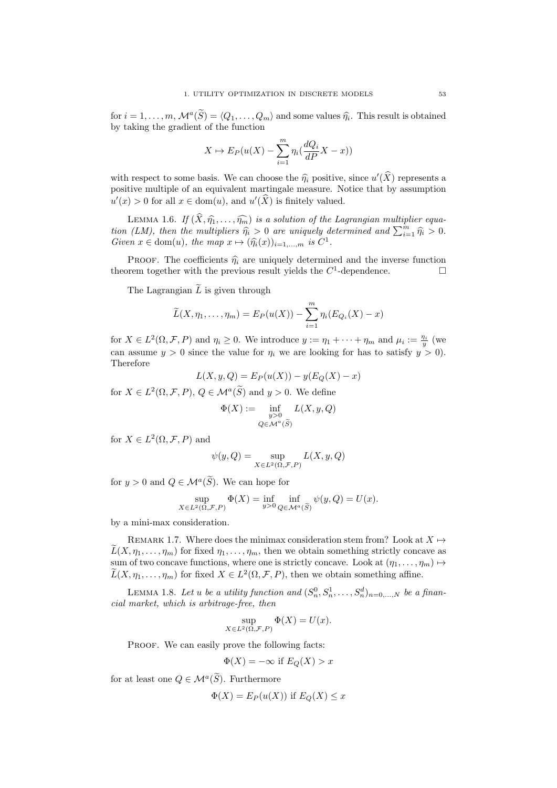for  $i = 1, \ldots, m$ ,  $\mathcal{M}^a(\tilde{S}) = \langle Q_1, \ldots, Q_m \rangle$  and some values  $\hat{\eta}_i$ . This result is obtained<br>by taking the gradient of the function by taking the gradient of the function

$$
X \mapsto E_P(u(X) - \sum_{i=1}^m \eta_i(\frac{dQ_i}{dP}X - x))
$$

with respect to some basis. We can choose the  $\hat{\eta}_i$  positive, since  $u'(\hat{X})$  represents a positive multiple of an equivalent martingale program. Notice that by assumption positive multiple of an equivalent martingale measure. Notice that by assumption  $u'(x) > 0$  for all  $x \in \text{dom}(u)$ , and  $u'(\widehat{X})$  is finitely valued.

LEMMA 1.6. If  $(\widehat{X}, \widehat{\eta}_1, \ldots, \widehat{\eta}_m)$  is a solution of the Lagrangian multiplier equation (LM), then the multipliers  $\hat{\eta}_i > 0$  are uniquely determined and  $\sum_{i=1}^m \hat{\eta}_i > 0$ .<br>Cover  $x \in \text{dom}(u)$ , the man  $x \mapsto (\hat{\mathfrak{D}}(x))$ , i.e.  $C^1$ Given  $x \in \text{dom}(u)$ , the map  $x \mapsto (\widehat{\eta}_i(x))_{i=1,\dots,m}$  is  $C^1$ .

PROOF. The coefficients  $\hat{\eta}_i$  are uniquely determined and the inverse function orem together with the previous result vields the  $C^1$ -dependence. theorem together with the previous result yields the  $C^1$ -dependence.

The Lagrangian  $\widetilde{L}$  is given through

$$
\widetilde{L}(X,\eta_1,\ldots,\eta_m)=E_P(u(X))-\sum_{i=1}^m\eta_i(E_{Q_i}(X)-x)
$$

for  $X \in L^2(\Omega, \mathcal{F}, P)$  and  $\eta_i \geq 0$ . We introduce  $y := \eta_1 + \cdots + \eta_m$  and  $\mu_i := \frac{\eta_i}{y}$  (we can assume  $y > 0$  since the value for  $\eta_i$  we are looking for has to satisfy  $y > 0$ ). Therefore

$$
L(X, y, Q) = E_P(u(X)) - y(E_Q(X) - x)
$$

for  $X \in L^2(\Omega, \mathcal{F}, P)$ ,  $Q \in \mathcal{M}^a(\widetilde{S})$  and  $y > 0$ . We define

$$
\Phi(X) := \inf_{\substack{y>0\\Q\in \mathcal{M}^a(\widetilde{S})}} L(X, y, Q)
$$

for  $X \in L^2(\Omega, \mathcal{F}, P)$  and

$$
\psi(y,Q) = \sup_{X \in L^2(\Omega,\mathcal{F},P)} L(X,y,Q)
$$

for  $y > 0$  and  $Q \in \mathcal{M}^a(S)$ . We can hope for

$$
\sup_{X \in L^{2}(\Omega, \mathcal{F}, P)} \Phi(X) = \inf_{y > 0} \inf_{Q \in \mathcal{M}^{a}(\widetilde{S})} \psi(y, Q) = U(x).
$$

by a mini-max consideration.

REMARK 1.7. Where does the minimax consideration stem from? Look at  $X \mapsto$  $L(X, \eta_1, \ldots, \eta_m)$  for fixed  $\eta_1, \ldots, \eta_m$ , then we obtain something strictly concave as sum of two concave functions, where one is strictly concave. Look at  $(\eta_1, \ldots, \eta_m) \mapsto$  $\widetilde{L}(X, \eta_1, \ldots, \eta_m)$  for fixed  $X \in L^2(\Omega, \mathcal{F}, P)$ , then we obtain something affine.

LEMMA 1.8. Let u be a utility function and  $(S_n^0, S_n^1, \ldots, S_n^d)_{n=0,\ldots,N}$  be a financial market, which is arbitrage-free, then

$$
\sup_{X \in L^2(\Omega, \mathcal{F}, P)} \Phi(X) = U(x).
$$

PROOF. We can easily prove the following facts:

$$
\Phi(X) = -\infty \text{ if } E_Q(X) > x
$$

for at least one  $Q \in \mathcal{M}^a(\widetilde{S})$ . Furthermore

$$
\Phi(X) = E_P(u(X)) \text{ if } E_Q(X) \le x
$$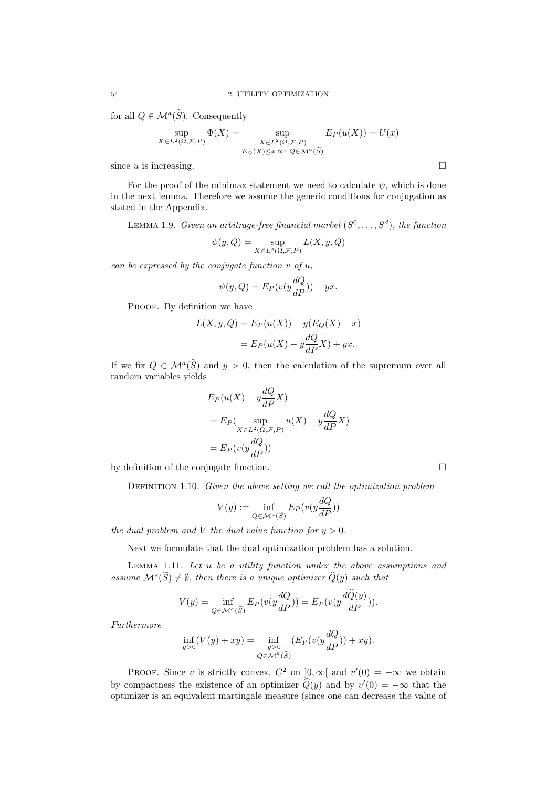for all  $Q \in \mathcal{M}^a(\widetilde{S})$ . Consequently

$$
\sup_{X \in L^{2}(\Omega, \mathcal{F}, P)} \Phi(X) = \sup_{\substack{X \in L^{2}(\Omega, \mathcal{F}, P) \\ E_{Q}(X) \le x \text{ for } Q \in \mathcal{M}^{a}(\widetilde{S})}} E_{P}(u(X)) = U(x)
$$

since  $u$  is increasing.

For the proof of the minimax statement we need to calculate  $\psi$ , which is done in the next lemma. Therefore we assume the generic conditions for conjugation as stated in the Appendix.

LEMMA 1.9. Given an arbitrage-free financial market  $(S^0, \ldots, S^d)$ , the function

$$
\psi(y,Q)=\sup_{X\in L^2(\Omega,\mathcal{F},P)} L(X,y,Q)
$$

can be expressed by the conjugate function  $v$  of  $u$ ,

$$
\psi(y, Q) = E_P(v(y\frac{dQ}{dP})) + yx.
$$

PROOF. By definition we have

$$
L(X, y, Q) = E_P(u(X)) - y(E_Q(X) - x)
$$

$$
= E_P(u(X) - y\frac{dQ}{dP}X) + yx.
$$

If we fix  $Q \in \mathcal{M}^a(\tilde{S})$  and  $y > 0$ , then the calculation of the supremum over all random variables yields

$$
E_P(u(X) - y\frac{dQ}{dP}X)
$$
  
=  $E_P(\sup_{X \in L^2(\Omega, \mathcal{F}, P)} u(X) - y\frac{dQ}{dP}X)$   
=  $E_P(v(y\frac{dQ}{dP}))$ 

by definition of the conjugate function.

DEFINITION 1.10. Given the above setting we call the optimization problem

$$
V(y) := \inf_{Q \in \mathcal{M}^a(\widetilde{S})} E_P(v(y\frac{dQ}{dP}))
$$

the dual problem and V the dual value function for  $y > 0$ .

Next we formulate that the dual optimization problem has a solution.

Lemma 1.11. Let u be a utility function under the above assumptions and assume  $\mathcal{M}^e(\tilde{S}) \neq \emptyset$ , then there is a unique optimizer  $\hat{Q}(y)$  such that

$$
V(y) = \inf_{Q \in \mathcal{M}^a(\widetilde{S})} E_P(v(y\frac{dQ}{dP})) = E_P(v(y\frac{dQ(y)}{dP})).
$$

Furthermore

$$
\inf_{y>0}(V(y)+xy)=\inf_{\substack{y>0\\Q\in \mathcal{M}^a(\widetilde{S})}}(E_P(v(y\frac{dQ}{dP}))+xy).
$$

PROOF. Since v is strictly convex,  $C^2$  on  $]0,\infty[$  and  $v'(0) = -\infty$  we obtain by compactness the existence of an optimizer  $\hat{Q}(y)$  and by  $v'(0) = -\infty$  that the optimizer is an equivalent martingale measure (since one can decrease the value of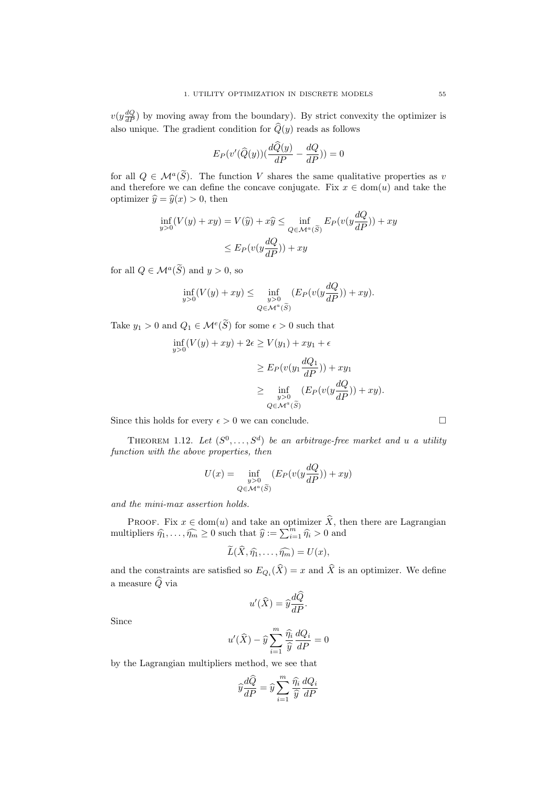$v(y\frac{dQ}{dP})$  by moving away from the boundary). By strict convexity the optimizer is also unique. The gradient condition for  $\widehat{Q}(y)$  reads as follows

$$
E_P(v'(\widehat{Q}(y))\left(\frac{d\widehat{Q}(y)}{dP} - \frac{dQ}{dP}\right)) = 0
$$

for all  $Q \in \mathcal{M}^a(\tilde{S})$ . The function V shares the same qualitative properties as v and therefore we can define the concave conjugate. Fix  $x \in \text{dom}(u)$  and take the optimizer  $\hat{y} = \hat{y}(x) > 0$ , then

$$
\inf_{y>0} (V(y) + xy) = V(\hat{y}) + x\hat{y} \le \inf_{Q \in \mathcal{M}^a(\widetilde{S})} E_P(v(y\frac{dQ}{dP})) + xy
$$
  

$$
\le E_P(v(y\frac{dQ}{dP})) + xy
$$

for all  $Q \in \mathcal{M}^a(\widetilde{S})$  and  $y > 0$ , so

$$
\inf_{y>0} (V(y) + xy) \le \inf_{\substack{y>0\\ Q \in \mathcal{M}^a(\widetilde{S})}} (E_P(v(y\frac{dQ}{dP})) + xy).
$$

Take  $y_1 > 0$  and  $Q_1 \in \mathcal{M}^e(\widetilde{S})$  for some  $\epsilon > 0$  such that

$$
\inf_{y>0} (V(y) + xy) + 2\epsilon \ge V(y_1) + xy_1 + \epsilon
$$
\n
$$
\ge E_P(v(y_1 \frac{dQ_1}{dP})) + xy_1
$$
\n
$$
\ge \inf_{\substack{y>0\\Q \in \mathcal{M}^a(\widetilde{S})}} (E_P(v(y \frac{dQ}{dP})) + xy).
$$

Since this holds for every  $\epsilon > 0$  we can conclude.

THEOREM 1.12. Let  $(S^0, \ldots, S^d)$  be an arbitrage-free market and u a utility function with the above properties, then

$$
U(x) = \inf_{\substack{y>0\\Q\in\mathcal{M}^a(\widetilde{S})}} (E_P(v(y\frac{dQ}{dP})) + xy)
$$

and the mini-max assertion holds.

PROOF. Fix  $x \in \text{dom}(u)$  and take an optimizer  $\hat{X}$ , then there are Lagrangian multipliers  $\hat{\eta}_1, \dots, \hat{\eta}_m \ge 0$  such that  $\hat{y} := \sum_{i=1}^m \hat{\eta}_i > 0$  and

$$
\widetilde{L}(\widehat{X},\widehat{\eta_1},\ldots,\widehat{\eta_m})=U(x),
$$

and the constraints are satisfied so  $E_{Q_i}(X) = x$  and X is an optimizer. We define a measure  $\widehat{Q}$  via

$$
u'(\widehat{X}) = \widehat{y}\frac{d\widehat{Q}}{dP}.
$$

Since

$$
u'(\widehat{X}) - \widehat{y} \sum_{i=1}^{m} \frac{\widehat{\eta_i}}{\widehat{y}} \frac{dQ_i}{dP} = 0
$$

by the Lagrangian multipliers method, we see that

$$
\widehat{y}\frac{d\widehat{Q}}{dP} = \widehat{y}\sum_{i=1}^{m}\frac{\widehat{\eta_{i}}}{\widehat{y}}\frac{dQ_{i}}{dP}
$$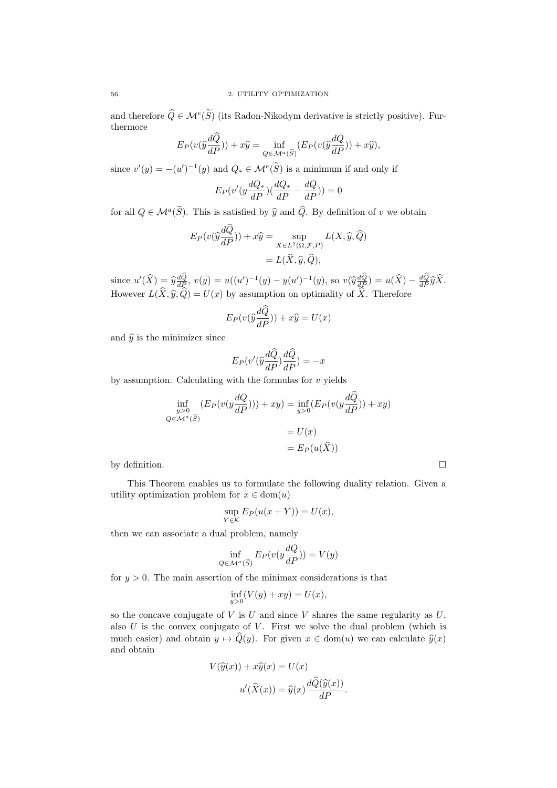and therefore  $\widehat{Q} \in \mathcal{M}^e(\widehat{S})$  (its Radon-Nikodym derivative is strictly positive). Furthermore

$$
E_P(v(\hat{y}\frac{d\hat{Q}}{dP})) + x\hat{y} = \inf_{Q \in \mathcal{M}^a(\widetilde{S})} (E_P(v(\hat{y}\frac{dQ}{dP})) + x\hat{y}),
$$

since  $v'(y) = -(u')^{-1}(y)$  and  $Q_* \in \mathcal{M}^e(\widetilde{S})$  is a minimum if and only if

$$
E_P(v'(y\frac{dQ_*}{dP})(\frac{dQ_*}{dP} - \frac{dQ}{dP})) = 0
$$

for all  $Q \in \mathcal{M}^a(\tilde{S})$ . This is satisfied by  $\hat{y}$  and  $\hat{Q}$ . By definition of v we obtain

$$
E_P(v(\widehat{y}\frac{dQ}{dP})) + x\widehat{y} = \sup_{X \in L^2(\Omega, \mathcal{F}, P)} L(X, \widehat{y}, \widehat{Q})
$$
  
=  $L(\widehat{X}, \widehat{y}, \widehat{Q}),$ 

since  $u'(\widehat{X}) = \widehat{y}\frac{dQ}{dP}$ ,  $v(y) = u((u')^{-1}(y) - y(u')^{-1}(y))$ , so  $v(\widehat{y}\frac{dQ}{dP}) = u(\widehat{X}) - \frac{dQ}{dP}\widehat{y}\widehat{X}$ . However  $L(X, \hat{y}, Q) = U(x)$  by assumption on optimality of X. Therefore

$$
E_P(v(\hat{y}\frac{dQ}{dP})) + x\hat{y} = U(x)
$$

and  $\hat{y}$  is the minimizer since

$$
E_P(v'(\hat{y}\frac{d\hat{Q}}{dP})\frac{d\hat{Q}}{dP}) = -x
$$

by assumption. Calculating with the formulas for  $v$  yields

$$
\inf_{y>0} (E_P(v(y\frac{dQ}{dP}))) + xy) = \inf_{y>0} (E_P(v(y\frac{dQ}{dP})) + xy)
$$

$$
= U(x)
$$

$$
= E_P(u(\widehat{X}))
$$

by definition.  $\Box$ 

This Theorem enables us to formulate the following duality relation. Given a utility optimization problem for  $x \in \text{dom}(u)$ 

$$
\sup_{Y \in \mathcal{K}} E_P(u(x+Y)) = U(x),
$$

then we can associate a dual problem, namely

$$
\inf_{Q \in \mathcal{M}^a(\widetilde{S})} E_P(v(y \frac{dQ}{dP})) = V(y)
$$

for  $y > 0$ . The main assertion of the minimax considerations is that

$$
\inf_{y>0}(V(y) + xy) = U(x),
$$

so the concave conjugate of  $V$  is  $U$  and since  $V$  shares the same regularity as  $U$ , also  $U$  is the convex conjugate of  $V$ . First we solve the dual problem (which is much easier) and obtain  $y \mapsto \widehat{Q}(y)$ . For given  $x \in \text{dom}(u)$  we can calculate  $\widehat{y}(x)$ and obtain

$$
V(\widehat{y}(x)) + x\widehat{y}(x) = U(x)
$$

$$
u'(\widehat{X}(x)) = \widehat{y}(x) \frac{d\widehat{Q}(\widehat{y}(x))}{dP}.
$$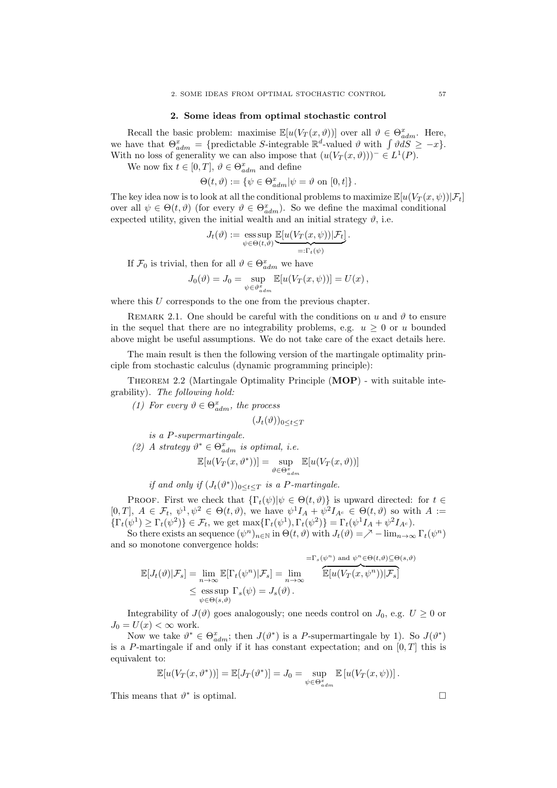### 2. Some ideas from optimal stochastic control

Recall the basic problem: maximise  $\mathbb{E}[u(V_T(x, \vartheta))]$  over all  $\vartheta \in \Theta_{adm}^x$ . Here, we have that  $\Theta_{adm}^x = \{\text{predictable } S\text{-integrable } \mathbb{R}^d\text{-valued } \vartheta \text{ with } \int \vartheta dS \geq -x\}.$ With no loss of generality we can also impose that  $(u(V_T(x, \vartheta)))^-\in L^1(P)$ .

We now fix  $t \in [0, T]$ ,  $\vartheta \in \Theta_{adm}^x$  and define

$$
\Theta(t,\vartheta) := \left\{ \psi \in \Theta_{adm}^x | \psi = \vartheta \text{ on } [0,t] \right\}.
$$

The key idea now is to look at all the conditional problems to maximize  $\mathbb{E}[u(V_T(x,\psi))|\mathcal{F}_t]$ over all  $\psi \in \Theta(t, \vartheta)$  (for every  $\vartheta \in \Theta_{adm}^x$ ). So we define the maximal conditional expected utility, given the initial wealth and an initial strategy  $\vartheta$ , i.e.

$$
J_t(\vartheta) := \operatorname*{ess\,sup}_{\psi \in \Theta(t,\vartheta)} \underbrace{\mathbb{E}[u(V_T(x,\psi)) | \mathcal{F}_t]}_{=: \Gamma_t(\psi)}.
$$

If  $\mathcal{F}_0$  is trivial, then for all  $\vartheta \in \Theta_{adm}^x$  we have

$$
J_0(\vartheta) = J_0 = \sup_{\psi \in \vartheta_{adm}^x} \mathbb{E}[u(V_T(x,\psi))] = U(x),
$$

where this  $U$  corresponds to the one from the previous chapter.

REMARK 2.1. One should be careful with the conditions on u and  $\vartheta$  to ensure in the sequel that there are no integrability problems, e.g.  $u \geq 0$  or u bounded above might be useful assumptions. We do not take care of the exact details here.

The main result is then the following version of the martingale optimality principle from stochastic calculus (dynamic programming principle):

THEOREM 2.2 (Martingale Optimality Principle  $(MOP)$  - with suitable integrability). The following hold:

(1) For every  $\vartheta \in \Theta_{adm}^x$ , the process

 $(J_t(\vartheta))_{0\leq t\leq T}$ 

is a P-supermartingale.

(2) A strategy  $\vartheta^* \in \Theta_{adm}^x$  is optimal, i.e.

$$
\mathbb{E}[u(V_T(x, \vartheta^*))] = \sup_{\vartheta \in \Theta_{adm}^x} \mathbb{E}[u(V_T(x, \vartheta))]
$$

if and only if  $(J_t(\vartheta^*))_{0 \leq t \leq T}$  is a P-martingale.

PROOF. First we check that  $\{\Gamma_t(\psi)|\psi \in \Theta(t, \vartheta)\}\$ is upward directed: for  $t \in$ [0, T],  $A \in \mathcal{F}_t$ ,  $\psi^1, \psi^2 \in \Theta(t, \vartheta)$ , we have  $\psi^1 I_A + \psi^2 I_{A^c} \in \Theta(t, \vartheta)$  so with  $A :=$  $\{\Gamma_t(\psi^1) \geq \Gamma_t(\psi^2)\} \in \mathcal{F}_t$ , we get  $\max\{\Gamma_t(\psi^1), \Gamma_t(\psi^2)\} = \Gamma_t(\psi^1 I_A + \psi^2 I_{A^c}).$ 

So there exists an sequence  $(\psi^n)_{n\in\mathbb{N}}$  in  $\Theta(t, \vartheta)$  with  $J_t(\vartheta) = \bigwedge^{\infty} -\lim_{n\to\infty} \Gamma_t(\psi^n)$ and so monotone convergence holds:

$$
\mathbb{E}[J_t(\vartheta)|\mathcal{F}_s] = \lim_{n \to \infty} \mathbb{E}[\Gamma_t(\psi^n)|\mathcal{F}_s] = \lim_{n \to \infty} \frac{\mathbb{E}[V_t(\psi^n)|\mathcal{F}_s]}{\mathbb{E}[u(V_T(x,\psi^n))|\mathcal{F}_s]}
$$
  

$$
\leq \underset{\psi \in \Theta(s,\vartheta)}{\text{ess sup }} \Gamma_s(\psi) = J_s(\vartheta).
$$

Integrability of  $J(\vartheta)$  goes analogously; one needs control on  $J_0$ , e.g.  $U \geq 0$  or  $J_0 = U(x) < \infty$  work.

Now we take  $\vartheta^* \in \Theta_{adm}^x$ ; then  $J(\vartheta^*)$  is a P-supermartingale by 1). So  $J(\vartheta^*)$ is a P-martingale if and only if it has constant expectation; and on  $[0, T]$  this is equivalent to:

$$
\mathbb{E}[u(V_T(x,\vartheta^*))] = \mathbb{E}[J_T(\vartheta^*)] = J_0 = \sup_{\psi \in \Theta_{adm}^x} \mathbb{E}[u(V_T(x,\psi))].
$$

This means that  $\vartheta^*$  is optimal.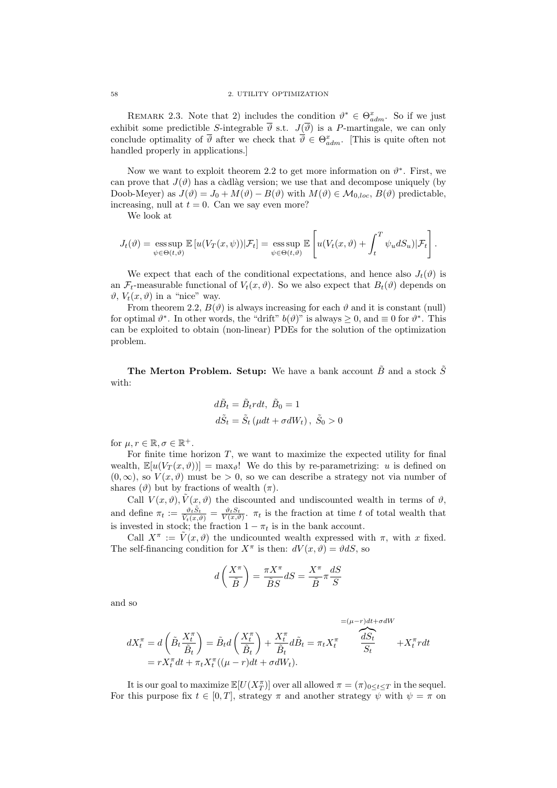REMARK 2.3. Note that 2) includes the condition  $\vartheta^* \in \Theta^x_{adm}$ . So if we just exhibit some predictible S-integrable  $\overline{\vartheta}$  s.t.  $J(\overline{\vartheta})$  is a P-martingale, we can only conclude optimality of  $\overline{\vartheta}$  after we check that  $\overline{\vartheta} \in \Theta^x_{adm}$ . [This is quite often not handled properly in applications.]

Now we want to exploit theorem 2.2 to get more information on  $\vartheta^*$ . First, we can prove that  $J(\vartheta)$  has a càdlàg version; we use that and decompose uniquely (by Doob-Meyer) as  $J(\vartheta) = J_0 + M(\vartheta) - B(\vartheta)$  with  $M(\vartheta) \in M_{0,loc}, B(\vartheta)$  predictable, increasing, null at  $t = 0$ . Can we say even more?

We look at

$$
J_t(\vartheta) = \operatorname*{ess\,sup}_{\psi \in \Theta(t,\vartheta)} \mathbb{E}\left[u(V_T(x,\psi))|\mathcal{F}_t\right] = \operatorname*{ess\,sup}_{\psi \in \Theta(t,\vartheta)} \mathbb{E}\left[u(V_t(x,\vartheta) + \int_t^T \psi_u dS_u)|\mathcal{F}_t\right].
$$

We expect that each of the conditional expectations, and hence also  $J_t(\vartheta)$  is an  $\mathcal{F}_t$ -measurable functional of  $V_t(x, \vartheta)$ . So we also expect that  $B_t(\vartheta)$  depends on  $\vartheta$ ,  $V_t(x, \vartheta)$  in a "nice" way.

From theorem 2.2,  $B(\vartheta)$  is always increasing for each  $\vartheta$  and it is constant (null) for optimal  $\vartheta^*$ . In other words, the "drift"  $b(\vartheta)$ " is always  $\geq 0$ , and  $\equiv 0$  for  $\vartheta^*$ . This can be exploited to obtain (non-linear) PDEs for the solution of the optimization problem.

The Merton Problem. Setup: We have a bank account  $\tilde{B}$  and a stock  $\tilde{S}$ with:

$$
d\tilde{B}_t = \tilde{B}_t r dt, \ \tilde{B}_0 = 1
$$
  

$$
d\tilde{S}_t = \tilde{S}_t \left(\mu dt + \sigma dW_t\right), \ \tilde{S}_0 > 0
$$

for  $\mu, r \in \mathbb{R}, \sigma \in \mathbb{R}^+$ .

For finite time horizon  $T$ , we want to maximize the expected utility for final wealth,  $\mathbb{E}[u(V_T(x, \vartheta))] = \max_{\vartheta}$ ! We do this by re-parametrizing: u is defined on  $(0, \infty)$ , so  $V(x, \vartheta)$  must be > 0, so we can describe a strategy not via number of shares ( $\vartheta$ ) but by fractions of wealth  $(\pi)$ .

Call  $V(x, \vartheta)$ ,  $\tilde{V}(x, \vartheta)$  the discounted and undiscounted wealth in terms of  $\vartheta$ , and define  $\pi_t := \frac{\vartheta_t \tilde{S}_t}{\tilde{V}_t(x,\vartheta)} = \frac{\vartheta_t S_t}{V(x,\vartheta)}$ .  $\pi_t$  is the fraction at time t of total wealth that is invested in stock; the fraction  $1 - \pi_t$  is in the bank account.

Call  $X^{\pi} := \tilde{V}(x, \vartheta)$  the undicounted wealth expressed with  $\pi$ , with x fixed. The self-financing condition for  $X^{\pi}$  is then:  $dV(x, \theta) = \theta dS$ , so

$$
d\left(\frac{X^{\pi}}{\tilde{B}}\right)=\frac{\pi X^{\pi}}{\tilde{B}S}dS=\frac{X^{\pi}}{\tilde{B}}\pi\frac{dS}{S}
$$

and so

$$
dX_t^{\pi} = d\left(\tilde{B}_t \frac{X_t^{\pi}}{\tilde{B}_t}\right) = \tilde{B}_t d\left(\frac{X_t^{\pi}}{\tilde{B}_t}\right) + \frac{X_t^{\pi}}{\tilde{B}_t} d\tilde{B}_t = \pi_t X_t^{\pi} \frac{dS_t}{S_t} + X_t^{\pi} r dt
$$
  
=  $r X_t^{\pi} dt + \pi_t X_t^{\pi} ((\mu - r) dt + \sigma dW_t).$ 

It is our goal to maximize  $\mathbb{E}[U(X_T^{\pi})]$  over all allowed  $\pi = (\pi)_{0 \leq t \leq T}$  in the sequel. For this purpose fix  $t \in [0, T]$ , strategy  $\pi$  and another strategy  $\psi$  with  $\psi = \pi$  on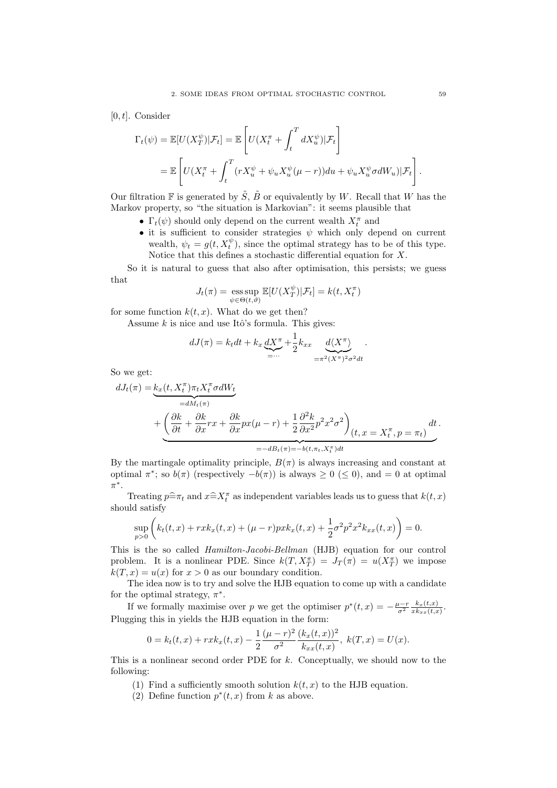$[0, t]$ . Consider

$$
\Gamma_t(\psi) = \mathbb{E}[U(X_T^{\psi})|\mathcal{F}_t] = \mathbb{E}\left[U(X_t^{\pi} + \int_t^T dX_u^{\psi})|\mathcal{F}_t\right]
$$
  
= 
$$
\mathbb{E}\left[U(X_t^{\pi} + \int_t^T (rX_u^{\psi} + \psi_u X_u^{\psi}(\mu - r))du + \psi_u X_u^{\psi} \sigma dW_u)|\mathcal{F}_t\right].
$$

Our filtration  $\mathbb F$  is generated by  $\tilde{S}$ ,  $\tilde{B}$  or equivalently by W. Recall that W has the Markov property, so "the situation is Markovian": it seems plausible that

- $\Gamma_t(\psi)$  should only depend on the current wealth  $X_t^{\pi}$  and
- it is sufficient to consider strategies  $\psi$  which only depend on current wealth,  $\psi_t = g(t, X_t^{\psi})$ , since the optimal strategy has to be of this type. Notice that this defines a stochastic differential equation for X.

So it is natural to guess that also after optimisation, this persists; we guess that

$$
J_t(\pi) = \operatorname*{ess\,sup}_{\psi \in \Theta(t,\vartheta)} \mathbb{E}[U(X_T^{\psi}) | \mathcal{F}_t] = k(t, X_t^{\pi})
$$

for some function  $k(t, x)$ . What do we get then?

Assume  $k$  is nice and use Itô's formula. This gives:

$$
dJ(\pi) = k_t dt + k_x \underbrace{dX^{\pi}}_{=\cdots} + \frac{1}{2} k_{xx} \underbrace{d\langle X^{\pi}\rangle}_{=\pi^2 (X^{\pi})^2 \sigma^2 dt}.
$$

So we get:

$$
dJ_t(\pi) = \underbrace{k_x(t, X_t^{\pi}) \pi_t X_t^{\pi} \sigma dW_t}_{=dM_t(\pi)} + \underbrace{\left(\frac{\partial k}{\partial t} + \frac{\partial k}{\partial x}rx + \frac{\partial k}{\partial x}px(\mu - r) + \frac{1}{2}\frac{\partial^2 k}{\partial x^2}p^2x^2\sigma^2\right)}_{=-dB_t(\pi) = -b(t, \pi_t, X_t^{\pi})dt} dt.
$$

By the martingale optimality principle,  $B(\pi)$  is always increasing and constant at optimal  $\pi^*$ ; so  $b(\pi)$  (respectively  $-b(\pi)$ ) is always  $\geq 0 \leq 0$ ), and  $= 0$  at optimal π ∗ .

Treating  $p=\hat{x}_t$  and  $x=\hat{X}_t^{\pi}$  as independent variables leads us to guess that  $k(t, x)$ should satisfy

$$
\sup_{p>0} \left( k_t(t,x) + rxk_x(t,x) + (\mu - r)pxk_x(t,x) + \frac{1}{2}\sigma^2 p^2 x^2 k_{xx}(t,x) \right) = 0.
$$

This is the so called Hamilton-Jacobi-Bellman (HJB) equation for our control problem. It is a nonlinear PDE. Since  $k(T, X_T^{\pi}) = J_T(\pi) = u(X_T^{\pi})$  we impose  $k(T, x) = u(x)$  for  $x > 0$  as our boundary condition.

The idea now is to try and solve the HJB equation to come up with a candidate for the optimal strategy,  $\pi^*$ .

If we formally maximise over p we get the optimiser  $p^*(t,x) = -\frac{\mu - r}{\sigma^2} \frac{k_x(t,x)}{x k_{xx}(t,x)}$  $\frac{\kappa_x(t,x)}{xk_{xx}(t,x)}$ . Plugging this in yields the HJB equation in the form:

$$
0 = k_t(t, x) + r x k_x(t, x) - \frac{1}{2} \frac{(\mu - r)^2}{\sigma^2} \frac{(k_x(t, x))^2}{k_{xx}(t, x)}, \ k(T, x) = U(x).
$$

This is a nonlinear second order PDE for  $k$ . Conceptually, we should now to the following:

- (1) Find a sufficiently smooth solution  $k(t, x)$  to the HJB equation.
- (2) Define function  $p^*(t, x)$  from k as above.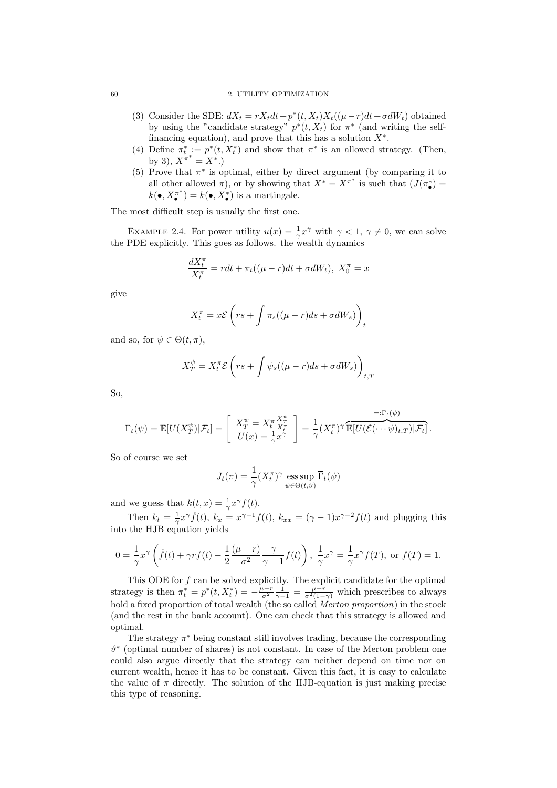#### 60 2. UTILITY OPTIMIZATION

- (3) Consider the SDE:  $dX_t = rX_t dt + p^*(t, X_t)X_t((\mu r)dt + \sigma dW_t)$  obtained by using the "candidate strategy"  $p^*(t, X_t)$  for  $\pi^*$  (and writing the selffinancing equation), and prove that this has a solution  $X^*$ .
- (4) Define  $\pi_t^* := p^*(t, X_t^*)$  and show that  $\pi^*$  is an allowed strategy. (Then, by 3),  $X^{\pi^*} = X^*$ .
- (5) Prove that  $\pi^*$  is optimal, either by direct argument (by comparing it to all other allowed  $\pi$ ), or by showing that  $X^* = X^{\pi^*}$  is such that  $(J(\pi^*) =$  $k(\bullet, X_{\bullet}^{\pi^*}) = k(\bullet, X_{\bullet}^*)$  is a martingale.

The most difficult step is usually the first one.

EXAMPLE 2.4. For power utility  $u(x) = \frac{1}{\gamma} x^{\gamma}$  with  $\gamma < 1, \gamma \neq 0$ , we can solve the PDE explicitly. This goes as follows. the wealth dynamics

$$
\frac{dX_t^{\pi}}{X_t^{\pi}} = rdt + \pi_t((\mu - r)dt + \sigma dW_t), \ X_0^{\pi} = x
$$

give

$$
X_t^{\pi} = x\mathcal{E}\left(rs + \int \pi_s((\mu - r)ds + \sigma dW_s)\right)_t
$$

and so, for  $\psi \in \Theta(t, \pi)$ ,

$$
X_T^{\psi} = X_t^{\pi} \mathcal{E} \left( rs + \int \psi_s ((\mu - r) ds + \sigma dW_s) \right)_{t,T}
$$

So,

$$
\Gamma_t(\psi) = \mathbb{E}[U(X_T^{\psi})|\mathcal{F}_t] = \begin{bmatrix} X_T^{\psi} = X_t^{\pi} \frac{X_T^{\psi}}{X_t^{\pi}} \\ U(x) = \frac{1}{\gamma} x^{\gamma} \end{bmatrix} = \frac{1}{\gamma} (X_t^{\pi})^{\gamma} \overbrace{\mathbb{E}[U(\mathcal{E}(\cdots \psi)_{t,T})|\mathcal{F}_t]}^{\equiv : \overline{\Gamma}_t(\psi)}.
$$

So of course we set

$$
J_t(\pi) = \frac{1}{\gamma} (X_t^{\pi})^{\gamma} \operatorname{ess} \sup_{\psi \in \Theta(t,\vartheta)} \overline{\Gamma}_t(\psi)
$$

and we guess that  $k(t, x) = \frac{1}{\gamma} x^{\gamma} f(t)$ .

Then  $k_t = \frac{1}{\gamma} x^{\gamma} \dot{f}(t)$ ,  $k_x = x^{\gamma - 1} f(t)$ ,  $k_{xx} = (\gamma - 1)x^{\gamma - 2} f(t)$  and plugging this into the HJB equation yields

$$
0 = \frac{1}{\gamma} x^{\gamma} \left( \dot{f}(t) + \gamma r f(t) - \frac{1}{2} \frac{(\mu - r)}{\sigma^2} \frac{\gamma}{\gamma - 1} f(t) \right), \frac{1}{\gamma} x^{\gamma} = \frac{1}{\gamma} x^{\gamma} f(T), \text{ or } f(T) = 1.
$$

This ODE for  $f$  can be solved explicitly. The explicit candidate for the optimal strategy is then  $\pi_t^* = p^*(t, X_t^*) = -\frac{\mu-r}{\sigma^2} \frac{1}{\gamma-1} = \frac{\mu-r}{\sigma^2(1-\gamma)}$  which prescribes to always hold a fixed proportion of total wealth (the so called *Merton proportion*) in the stock (and the rest in the bank account). One can check that this strategy is allowed and optimal.

The strategy  $\pi^*$  being constant still involves trading, because the corresponding ϑ ∗ (optimal number of shares) is not constant. In case of the Merton problem one could also argue directly that the strategy can neither depend on time nor on current wealth, hence it has to be constant. Given this fact, it is easy to calculate the value of  $\pi$  directly. The solution of the HJB-equation is just making precise this type of reasoning.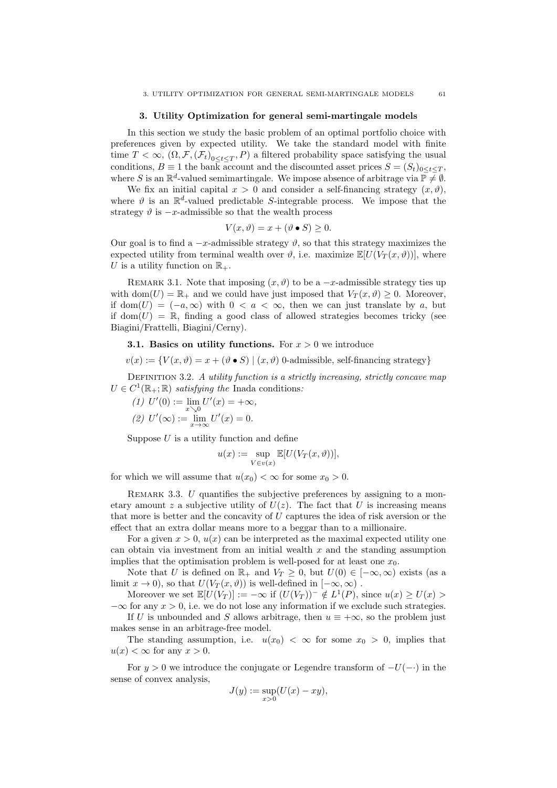### 3. Utility Optimization for general semi-martingale models

In this section we study the basic problem of an optimal portfolio choice with preferences given by expected utility. We take the standard model with finite time  $T < \infty$ ,  $(\Omega, \mathcal{F}, (\mathcal{F}_t)_{0 \leq t \leq T}, P)$  a filtered probability space satisfying the usual conditions,  $B \equiv 1$  the bank account and the discounted asset prices  $S = (S_t)_{0 \le t \le T}$ . where S is an  $\mathbb{R}^d$ -valued semimartingale. We impose absence of arbitrage via  $\mathbb{P} \neq \emptyset$ .

We fix an initial capital  $x > 0$  and consider a self-financing strategy  $(x, \vartheta)$ , where  $\vartheta$  is an  $\mathbb{R}^d$ -valued predictable S-integrable process. We impose that the strategy  $\vartheta$  is  $-x$ -admissible so that the wealth process

$$
V(x,\vartheta) = x + (\vartheta \bullet S) \ge 0.
$$

Our goal is to find a  $-x$ -admissible strategy  $\vartheta$ , so that this strategy maximizes the expected utility from terminal wealth over  $\vartheta$ , i.e. maximize  $\mathbb{E}[U(V_T(x, \vartheta))]$ , where U is a utility function on  $\mathbb{R}_+$ .

REMARK 3.1. Note that imposing  $(x, \vartheta)$  to be a  $-x$ -admissible strategy ties up with dom $(U) = \mathbb{R}_+$  and we could have just imposed that  $V_T(x, \vartheta) \geq 0$ . Moreover, if dom $(U) = (-a, \infty)$  with  $0 < a < \infty$ , then we can just translate by a, but if dom $(U) = \mathbb{R}$ , finding a good class of allowed strategies becomes tricky (see Biagini/Frattelli, Biagini/Cerny).

# **3.1. Basics on utility functions.** For  $x > 0$  we introduce

 $v(x) := \{V(x, \vartheta) = x + (\vartheta \bullet S) \mid (x, \vartheta)$  0-admissible, self-financing strategy}

DEFINITION 3.2. A utility function is a strictly increasing, strictly concave map  $U \in C^1(\mathbb{R}_+;\mathbb{R})$  satisfying the Inada conditions:

(1) 
$$
U'(0) := \lim_{x \searrow 0} U'(x) = +\infty,
$$
  
(2)  $U'(\infty) := \lim_{x \to \infty} U'(x) = 0.$ 

Suppose  $U$  is a utility function and define

$$
u(x) := \sup_{V \in v(x)} \mathbb{E}[U(V_T(x, \vartheta))],
$$

for which we will assume that  $u(x_0) < \infty$  for some  $x_0 > 0$ .

REMARK 3.3. U quantifies the subjective preferences by assigning to a monetary amount z a subjective utility of  $U(z)$ . The fact that U is increasing means that more is better and the concavity of  $U$  captures the idea of risk aversion or the effect that an extra dollar means more to a beggar than to a millionaire.

For a given  $x > 0$ ,  $u(x)$  can be interpreted as the maximal expected utility one can obtain via investment from an initial wealth  $x$  and the standing assumption implies that the optimisation problem is well-posed for at least one  $x_0$ .

Note that U is defined on  $\mathbb{R}_+$  and  $V_T \geq 0$ , but  $U(0) \in [-\infty, \infty)$  exists (as a limit  $x \to 0$ ), so that  $U(V_T(x, \vartheta))$  is well-defined in  $[-\infty, \infty)$ .

Moreover we set  $\mathbb{E}[U(V_T)] := -\infty$  if  $(U(V_T))^{-1} \notin L^{1}(P)$ , since  $u(x) \ge U(x) > 0$  $-\infty$  for any  $x > 0$ , i.e. we do not lose any information if we exclude such strategies.

If U is unbounded and S allows arbitrage, then  $u \equiv +\infty$ , so the problem just makes sense in an arbitrage-free model.

The standing assumption, i.e.  $u(x_0) < \infty$  for some  $x_0 > 0$ , implies that  $u(x) < \infty$  for any  $x > 0$ .

For  $y > 0$  we introduce the conjugate or Legendre transform of  $-U(-)$  in the sense of convex analysis,

$$
J(y) := \sup_{x>0} (U(x) - xy),
$$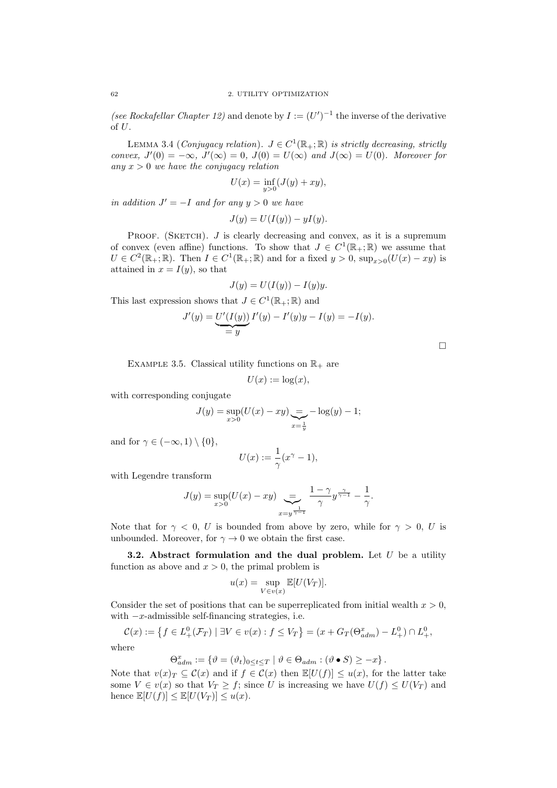(see Rockafellar Chapter 12) and denote by  $I := (U')^{-1}$  the inverse of the derivative of U.

LEMMA 3.4 (Conjugacy relation).  $J \in C^1(\mathbb{R}_+;\mathbb{R})$  is strictly decreasing, strictly convex,  $J'(0) = -\infty$ ,  $J'(\infty) = 0$ ,  $J(0) = U(\infty)$  and  $J(\infty) = U(0)$ . Moreover for any  $x > 0$  we have the conjugacy relation

$$
U(x) = \inf_{y>0} (J(y) + xy),
$$

in addition  $J' = -I$  and for any  $y > 0$  we have

$$
J(y) = U(I(y)) - yI(y).
$$

PROOF. (SKETCH).  $J$  is clearly decreasing and convex, as it is a supremum of convex (even affine) functions. To show that  $J \in C^1(\mathbb{R}_+;\mathbb{R})$  we assume that  $U \in C^2(\mathbb{R}_+;\mathbb{R})$ . Then  $I \in C^1(\mathbb{R}_+;\mathbb{R})$  and for a fixed  $y > 0$ ,  $\sup_{x>0} (U(x) - xy)$  is attained in  $x = I(y)$ , so that

$$
J(y) = U(I(y)) - I(y)y.
$$

This last expression shows that  $J \in C^1(\mathbb{R}_+;\mathbb{R})$  and

$$
J'(y) = U'(I(y)) I'(y) - I'(y)y - I(y) = -I(y).
$$

EXAMPLE 3.5. Classical utility functions on  $\mathbb{R}_+$  are

$$
U(x) := \log(x),
$$

with corresponding conjugate

$$
J(y) = \sup_{x>0} (U(x) - xy) = -\log(y) - 1;
$$

and for  $\gamma \in (-\infty, 1) \setminus \{0\},\$ 

$$
U(x) := \frac{1}{\gamma}(x^{\gamma} - 1),
$$

with Legendre transform

$$
J(y) = \sup_{x>0} (U(x) - xy) \sum_{x=y^{\frac{1}{\gamma-1}}} \frac{1-\gamma}{\gamma} y^{\frac{\gamma}{\gamma-1}} - \frac{1}{\gamma}.
$$

Note that for  $\gamma$  < 0, U is bounded from above by zero, while for  $\gamma > 0$ , U is unbounded. Moreover, for  $\gamma \to 0$  we obtain the first case.

**3.2.** Abstract formulation and the dual problem. Let  $U$  be a utility function as above and  $x > 0$ , the primal problem is

$$
u(x) = \sup_{V \in v(x)} \mathbb{E}[U(V_T)].
$$

Consider the set of positions that can be superreplicated from initial wealth  $x > 0$ , with  $-x$ -admissible self-financing strategies, i.e.

$$
\mathcal{C}(x) := \left\{ f \in L^0_+(\mathcal{F}_T) \mid \exists V \in v(x) : f \le V_T \right\} = (x + G_T(\Theta^x_{adm}) - L^0_+) \cap L^0_+,
$$

where

$$
\Theta_{adm}^x := \{ \vartheta = (\vartheta_t)_{0 \le t \le T} \mid \vartheta \in \Theta_{adm} : (\vartheta \bullet S) \ge -x \}.
$$

Note that  $v(x)_{T} \subseteq C(x)$  and if  $f \in C(x)$  then  $\mathbb{E}[U(f)] \leq u(x)$ , for the latter take some  $V \in v(x)$  so that  $V_T \ge f$ ; since U is increasing we have  $U(f) \le U(V_T)$  and hence  $\mathbb{E}[U(f)] \leq \mathbb{E}[U(V_T)] \leq u(x)$ .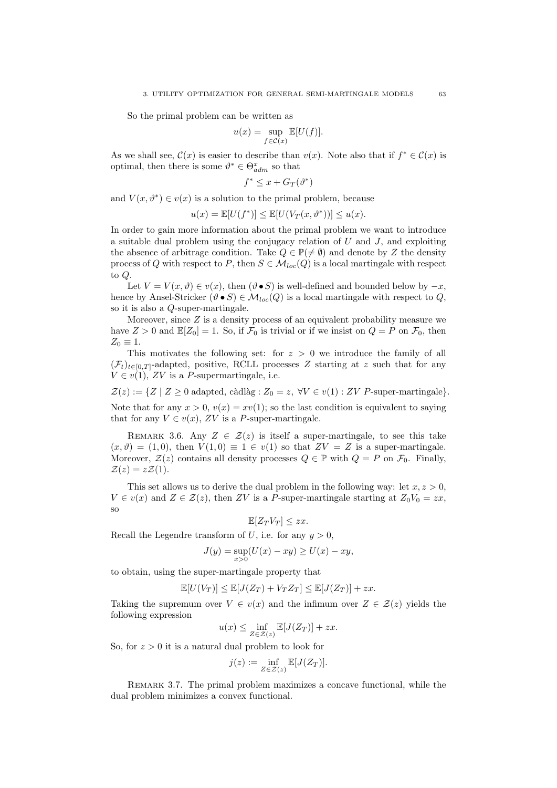So the primal problem can be written as

$$
u(x) = \sup_{f \in \mathcal{C}(x)} \mathbb{E}[U(f)].
$$

As we shall see,  $\mathcal{C}(x)$  is easier to describe than  $v(x)$ . Note also that if  $f^* \in \mathcal{C}(x)$  is optimal, then there is some  $\vartheta^* \in \Theta_{adm}^x$  so that

$$
f^* \le x + G_T(\vartheta^*)
$$

and  $V(x, \theta^*) \in v(x)$  is a solution to the primal problem, because

$$
u(x) = \mathbb{E}[U(f^*)] \le \mathbb{E}[U(V_T(x, \vartheta^*))] \le u(x).
$$

In order to gain more information about the primal problem we want to introduce a suitable dual problem using the conjugacy relation of  $U$  and  $J$ , and exploiting the absence of arbitrage condition. Take  $Q \in \mathbb{P}(\neq \emptyset)$  and denote by Z the density process of Q with respect to P, then  $S \in \mathcal{M}_{loc}(Q)$  is a local martingale with respect to Q.

Let  $V = V(x, \vartheta) \in v(x)$ , then  $(\vartheta \bullet S)$  is well-defined and bounded below by  $-x$ , hence by Ansel-Stricker  $(\vartheta \bullet S) \in \mathcal{M}_{loc}(Q)$  is a local martingale with respect to Q, so it is also a Q-super-martingale.

Moreover, since  $Z$  is a density process of an equivalent probability measure we have  $Z > 0$  and  $\mathbb{E}[Z_0] = 1$ . So, if  $\mathcal{F}_0$  is trivial or if we insist on  $Q = P$  on  $\mathcal{F}_0$ , then  $Z_0 \equiv 1.$ 

This motivates the following set: for  $z > 0$  we introduce the family of all  $(\mathcal{F}_t)_{t\in[0,T]}$ -adapted, positive, RCLL processes Z starting at z such that for any  $V \in v(1)$ , ZV is a P-supermartingale, i.e.

 $\mathcal{Z}(z) := \{ Z \mid Z \geq 0 \text{ adapted}, \text{c\`adl\`ag} : Z_0 = z, \forall V \in v(1) : ZV \text{ P-super-martingale} \}.$ 

Note that for any  $x > 0$ ,  $v(x) = xv(1)$ ; so the last condition is equivalent to saying that for any  $V \in v(x)$ , ZV is a P-super-martingale.

REMARK 3.6. Any  $Z \in \mathcal{Z}(z)$  is itself a super-martingale, to see this take  $(x, \vartheta) = (1, 0)$ , then  $V(1, 0) \equiv 1 \in v(1)$  so that  $ZV = Z$  is a super-martingale. Moreover,  $\mathcal{Z}(z)$  contains all density processes  $Q \in \mathbb{P}$  with  $Q = P$  on  $\mathcal{F}_0$ . Finally,  $\mathcal{Z}(z) = z\mathcal{Z}(1).$ 

This set allows us to derive the dual problem in the following way: let  $x, z > 0$ ,  $V \in v(x)$  and  $Z \in \mathcal{Z}(z)$ , then ZV is a P-super-martingale starting at  $Z_0V_0 = zx$ , so

$$
\mathbb{E}[Z_T V_T] \leq zx.
$$

Recall the Legendre transform of U, i.e. for any  $y > 0$ ,

$$
J(y) = \sup_{x>0} (U(x) - xy) \ge U(x) - xy,
$$

to obtain, using the super-martingale property that

$$
\mathbb{E}[U(V_T)] \le \mathbb{E}[J(Z_T) + V_T Z_T] \le \mathbb{E}[J(Z_T)] + zx.
$$

Taking the supremum over  $V \in v(x)$  and the infimum over  $Z \in \mathcal{Z}(z)$  yields the following expression

$$
u(x)\leq \inf_{Z\in \mathcal{Z}(z)}\mathbb{E}[J(Z_T)]+zx.
$$

So, for  $z > 0$  it is a natural dual problem to look for

$$
j(z) := \inf_{Z \in \mathcal{Z}(z)} \mathbb{E}[J(Z_T)].
$$

Remark 3.7. The primal problem maximizes a concave functional, while the dual problem minimizes a convex functional.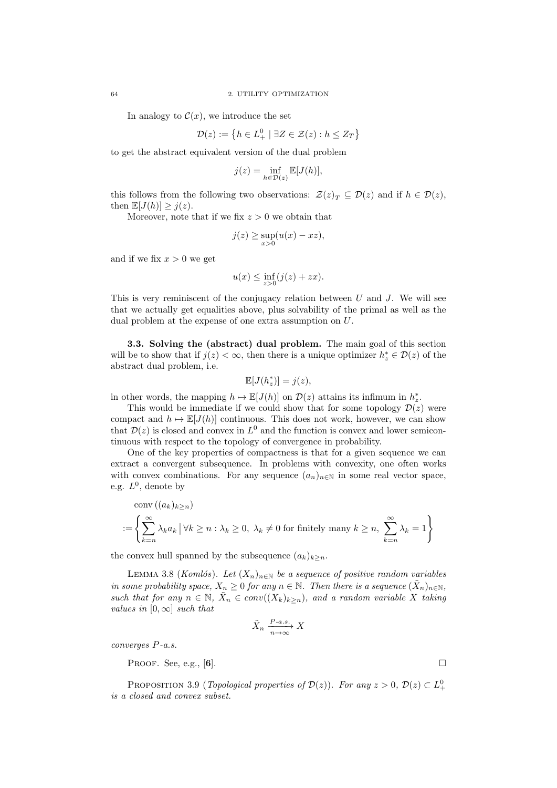In analogy to  $\mathcal{C}(x)$ , we introduce the set

$$
\mathcal{D}(z) := \left\{ h \in L_+^0 \mid \exists Z \in \mathcal{Z}(z) : h \le Z_T \right\}
$$

to get the abstract equivalent version of the dual problem

$$
j(z) = \inf_{h \in \mathcal{D}(z)} \mathbb{E}[J(h)],
$$

this follows from the following two observations:  $\mathcal{Z}(z)_T \subseteq \mathcal{D}(z)$  and if  $h \in \mathcal{D}(z)$ , then  $\mathbb{E}[J(h)] \geq j(z)$ .

Moreover, note that if we fix  $z > 0$  we obtain that

$$
j(z) \ge \sup_{x>0} (u(x) - xz),
$$

and if we fix  $x > 0$  we get

$$
u(x) \le \inf_{z>0} (j(z) + zx).
$$

This is very reminiscent of the conjugacy relation between  $U$  and  $J$ . We will see that we actually get equalities above, plus solvability of the primal as well as the dual problem at the expense of one extra assumption on  $U$ .

3.3. Solving the (abstract) dual problem. The main goal of this section will be to show that if  $j(z) < \infty$ , then there is a unique optimizer  $h_z^* \in \mathcal{D}(z)$  of the abstract dual problem, i.e.

$$
\mathbb{E}[J(h_z^*)] = j(z),
$$

in other words, the mapping  $h \mapsto \mathbb{E}[J(h)]$  on  $\mathcal{D}(z)$  attains its infimum in  $h_z^*$ .

This would be immediate if we could show that for some topology  $\mathcal{D}(z)$  were compact and  $h \mapsto \mathbb{E}[J(h)]$  continuous. This does not work, however, we can show that  $\mathcal{D}(z)$  is closed and convex in  $L^0$  and the function is convex and lower semicontinuous with respect to the topology of convergence in probability.

One of the key properties of compactness is that for a given sequence we can extract a convergent subsequence. In problems with convexity, one often works with convex combinations. For any sequence  $(a_n)_{n\in\mathbb{N}}$  in some real vector space, e.g.  $L^0$ , denote by

$$
\operatorname{conv}\left((a_k)_{k\geq n}\right)
$$
  
:=  $\left\{\sum_{k=n}^{\infty} \lambda_k a_k \, \big| \, \forall k \geq n : \lambda_k \geq 0, \lambda_k \neq 0 \text{ for finitely many } k \geq n, \sum_{k=n}^{\infty} \lambda_k = 1\right\}$ 

the convex hull spanned by the subsequence  $(a_k)_{k\geq n}$ .

LEMMA 3.8 (Komlós). Let  $(X_n)_{n\in\mathbb{N}}$  be a sequence of positive random variables in some probability space,  $X_n \geq 0$  for any  $n \in \mathbb{N}$ . Then there is a sequence  $(\tilde{X}_n)_{n \in \mathbb{N}}$ , such that for any  $n \in \mathbb{N}$ ,  $\tilde{X}_n \in conv((X_k)_{k \geq n})$ , and a random variable X taking values in  $[0, \infty]$  such that

$$
\tilde{X}_n \xrightarrow[n \to \infty]{P-a.s.} X
$$

converges P-a.s.

PROOF. See, e.g., [6].

PROPOSITION 3.9 (*Topological properties of*  $\mathcal{D}(z)$ ). For any  $z > 0$ ,  $\mathcal{D}(z) \subset L^0_+$ is a closed and convex subset.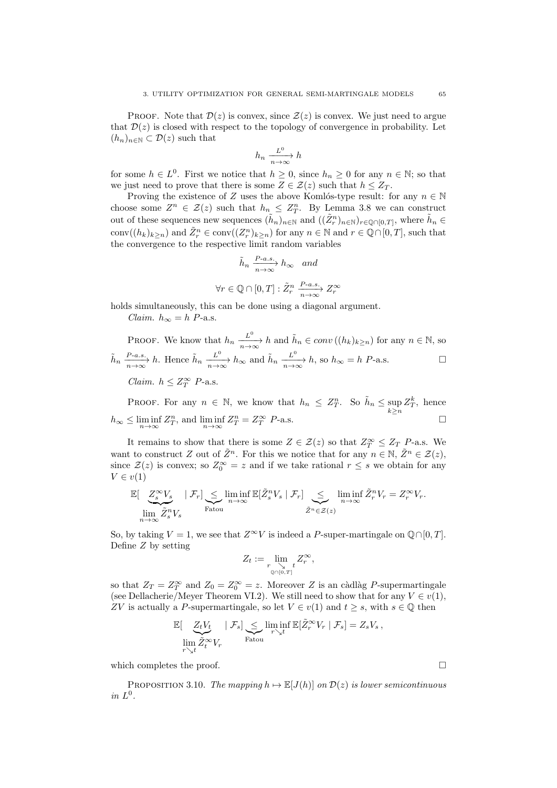PROOF. Note that  $\mathcal{D}(z)$  is convex, since  $\mathcal{Z}(z)$  is convex. We just need to argue that  $\mathcal{D}(z)$  is closed with respect to the topology of convergence in probability. Let  $(h_n)_{n\in\mathbb{N}}\subset\mathcal{D}(z)$  such that

$$
h_n \xrightarrow[n \to \infty]{L^0} h
$$

for some  $h \in L^0$ . First we notice that  $h \geq 0$ , since  $h_n \geq 0$  for any  $n \in \mathbb{N}$ ; so that we just need to prove that there is some  $Z \in \mathcal{Z}(z)$  such that  $h \leq Z_T$ .

Proving the existence of Z uses the above Komlós-type result: for any  $n \in \mathbb{N}$ choose some  $Z^n \in \mathcal{Z}(z)$  such that  $h_n \leq Z^n_T$ . By Lemma 3.8 we can construct out of these sequences new sequences  $(\tilde{h}_n)_{n\in\mathbb{N}}$  and  $((\tilde{Z}_r^n)_{n\in\mathbb{N}})_{r\in\mathbb{Q}\cap[0,T]}$ , where  $\tilde{h}_n \in$ conv $((h_k)_{k\geq n})$  and  $\tilde{Z}_r^n \in \text{conv}((Z_r^n)_{k\geq n})$  for any  $n \in \mathbb{N}$  and  $r \in \mathbb{Q} \cap [0,T]$ , such that the convergence to the respective limit random variables

$$
\tilde{h}_n \xrightarrow[n \to \infty]{P-a.s.} h_{\infty} \quad and
$$
  

$$
\forall r \in \mathbb{Q} \cap [0, T] : \tilde{Z}_r^n \xrightarrow[n \to \infty]{P-a.s.} Z_r^{\infty}
$$

holds simultaneously, this can be done using a diagonal argument.

Claim.  $h_{\infty} = h$  P-a.s.

PROOF. We know that  $h_n \xrightarrow[n \to \infty]{L^0} h$  and  $\tilde{h}_n \in conv((h_k)_{k \geq n})$  for any  $n \in \mathbb{N}$ , so  $\tilde{h}_n \xrightarrow[n \to \infty]{P-a.s.} h$ . Hence  $\tilde{h}_n \xrightarrow[n \to \infty]{L^0} h_\infty$  and  $\tilde{h}_n \xrightarrow[n \to \infty]{L^0} h$ , so  $h_\infty = h$  P-a.s. Claim.  $h \leq Z_T^{\infty}$  P-a.s.

PROOF. For any  $n \in \mathbb{N}$ , we know that  $h_n \leq Z_T^n$ . So  $\tilde{h}_n \leq \sup_{k \geq n} Z_T^k$ , hence  $h_{\infty} \leq \liminf_{n \to \infty} Z_T^n$ , and  $\liminf_{n \to \infty} Z_T^n = Z_T^{\infty}$  $T T$  P-a.s.

It remains to show that there is some  $Z \in \mathcal{Z}(z)$  so that  $Z_T^{\infty} \leq Z_T$  P-a.s. We want to construct Z out of  $\tilde{Z}^n$ . For this we notice that for any  $n \in \mathbb{N}, \tilde{Z}^n \in \mathcal{Z}(z)$ , since  $\mathcal{Z}(z)$  is convex; so  $Z_0^{\infty} = z$  and if we take rational  $r \leq s$  we obtain for any  $V \in v(1)$ 

$$
\mathbb{E}[\underbrace{Z_s^{\infty}V_s}_{\text{lim}} \mid \mathcal{F}_r] \underbrace{\leq}_{\text{Fatou}} \liminf_{n \to \infty} \mathbb{E}[\tilde{Z}_s^n V_s \mid \mathcal{F}_r] \underbrace{\leq}_{\tilde{Z}^n \in \mathcal{Z}(z)} \liminf_{n \to \infty} \tilde{Z}_r^n V_r = Z_r^{\infty} V_r.
$$

So, by taking  $V = 1$ , we see that  $Z^{\infty}V$  is indeed a P-super-martingale on  $\mathbb{Q} \cap [0, T]$ . Define Z by setting

$$
Z_t := \lim_{\substack{r \searrow t \\ \mathbb{Q} \cap [0,T]}} Z_r^{\infty},
$$

so that  $Z_T = Z_T^{\infty}$  and  $Z_0 = Z_0^{\infty} = z$ . Moreover Z is an càdlàg P-supermartingale (see Dellacherie/Meyer Theorem VI.2). We still need to show that for any  $V \in v(1)$ , ZV is actually a P-supermartingale, so let  $V \in v(1)$  and  $t \geq s$ , with  $s \in \mathbb{Q}$  then

$$
\mathbb{E}[\underbrace{Z_tV_t}_{\lim\limits_{r\searrow t}\tilde{Z}_t^\infty V_r} \mid \mathcal{F}_s]\underbrace{\le}_{\text{Fatou}}\liminf_{r\searrow t}\mathbb{E}[\tilde{Z}_r^\infty V_r \mid \mathcal{F}_s]=Z_sV_s\,,
$$

which completes the proof.  $\Box$ 

PROPOSITION 3.10. The mapping  $h \mapsto \mathbb{E}[J(h)]$  on  $\mathcal{D}(z)$  is lower semicontinuous in  $L^0$ .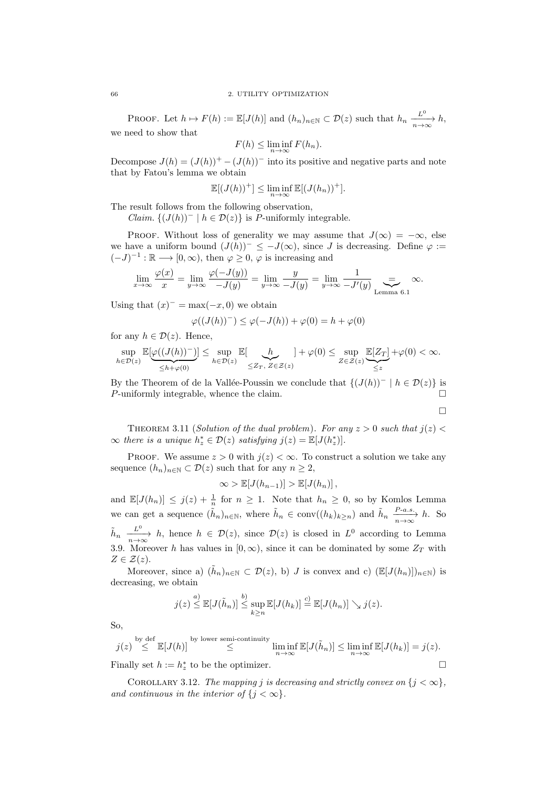PROOF. Let  $h \mapsto F(h) := \mathbb{E}[J(h)]$  and  $(h_n)_{n \in \mathbb{N}} \subset \mathcal{D}(z)$  such that  $h_n \frac{L^0}{n \to \infty} h$ , we need to show that

$$
F(h) \le \liminf_{n \to \infty} F(h_n).
$$

Decompose  $J(h) = (J(h))^+ - (J(h))^-\$  into its positive and negative parts and note that by Fatou's lemma we obtain

$$
\mathbb{E}[(J(h))^+]\leq \liminf_{n\to\infty}\mathbb{E}[(J(h_n))^+].
$$

The result follows from the following observation,

*Claim.*  $\{(J(h))^{-} \mid h \in \mathcal{D}(z)\}\$ is P-uniformly integrable.

PROOF. Without loss of generality we may assume that  $J(\infty) = -\infty$ , else we have a uniform bound  $(J(h))^- \leq -J(\infty)$ , since J is decreasing. Define  $\varphi$  :=  $(-J)^{-1} : \mathbb{R} \longrightarrow [0, \infty)$ , then  $\varphi \geq 0$ ,  $\varphi$  is increasing and

$$
\lim_{x \to \infty} \frac{\varphi(x)}{x} = \lim_{y \to \infty} \frac{\varphi(-J(y))}{-J(y)} = \lim_{y \to \infty} \frac{y}{-J(y)} = \lim_{y \to \infty} \frac{1}{-J'(y)} \underset{\text{Lemma 6.1}}{=} \infty.
$$

Using that  $(x)^{-} = \max(-x, 0)$  we obtain

$$
\varphi((J(h))^{-}) \leq \varphi(-J(h)) + \varphi(0) = h + \varphi(0)
$$

for any  $h \in \mathcal{D}(z)$ . Hence,

$$
\sup_{h\in\mathcal{D}(z)}\mathbb{E}[\underbrace{\varphi((J(h))^-)}_{\leq h+\varphi(0)}]\leq \sup_{h\in\mathcal{D}(z)}\mathbb{E}[\underbrace{h}_{\leq Z_T,\ Z\in\mathcal{Z}(z)}]+\varphi(0)\leq \sup_{Z\in\mathcal{Z}(z)}\underbrace{\mathbb{E}[Z_T]}_{\leq z}+\varphi(0)<\infty.
$$

By the Theorem of de la Vallée-Poussin we conclude that  ${(J(h))^- | h \in \mathcal{D}(z)}$  is *P*-uniformly integrable, whence the claim.  $\Box$ 

 $\Box$ 

THEOREM 3.11 (Solution of the dual problem). For any  $z > 0$  such that  $j(z) <$  $\infty$  there is a unique  $h_z^* \in \mathcal{D}(z)$  satisfying  $j(z) = \mathbb{E}[J(h_z^*)]$ .

PROOF. We assume  $z > 0$  with  $j(z) < \infty$ . To construct a solution we take any sequence  $(h_n)_{n\in\mathbb{N}}\subset\mathcal{D}(z)$  such that for any  $n\geq 2$ ,

$$
\infty > \mathbb{E}[J(h_{n-1})] > \mathbb{E}[J(h_n)],
$$

and  $\mathbb{E}[J(h_n)] \leq j(z) + \frac{1}{n}$  for  $n \geq 1$ . Note that  $h_n \geq 0$ , so by Komlos Lemma we can get a sequence  $(\tilde{h}_n)_{n \in \mathbb{N}}$ , where  $\tilde{h}_n \in \text{conv}((h_k)_{k \geq n})$  and  $\tilde{h}_n \xrightarrow[n \to \infty]{P-a.s.} h$ . So  $\tilde{h}_n \xrightarrow[n \to \infty]{L^0} h$ , hence  $h \in \mathcal{D}(z)$ , since  $\mathcal{D}(z)$  is closed in  $L^0$  according to Lemma 3.9. Moreover h has values in  $[0, \infty)$ , since it can be dominated by some  $Z_T$  with  $Z \in \mathcal{Z}(z)$ .

Moreover, since a)  $(\tilde{h}_n)_{n\in\mathbb{N}}\subset\mathcal{D}(z)$ , b) J is convex and c)  $(\mathbb{E}[J(h_n)])_{n\in\mathbb{N}}$ ) is decreasing, we obtain

$$
j(z) \stackrel{a)}{\leq} \mathbb{E}[J(\tilde{h}_n)] \stackrel{b)}{\leq} \sup_{k \geq n} \mathbb{E}[J(h_k)] \stackrel{c)}{=} \mathbb{E}[J(h_n)] \searrow j(z).
$$

So,

$$
j(z) \stackrel{\text{by def}}{\leq} \mathbb{E}[J(h)] \stackrel{\text{by lower semi-continuity}}{\leq} \liminf_{n \to \infty} \mathbb{E}[J(\tilde{h}_n)] \leq \liminf_{n \to \infty} \mathbb{E}[J(h_k)] = j(z).
$$
  
Finally set  $h := h_z^*$  to be the optimizer.

COROLLARY 3.12. The mapping j is decreasing and strictly convex on  $\{j < \infty\},\$ and continuous in the interior of  ${j < \infty}$ .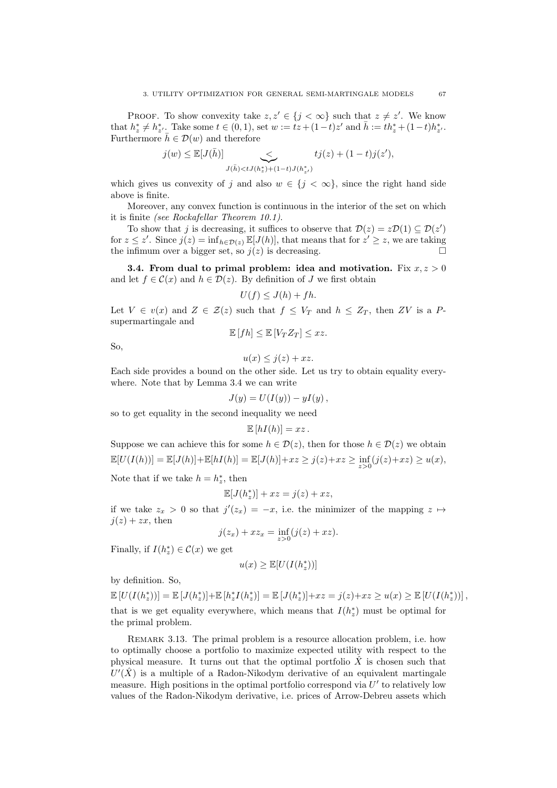PROOF. To show convexity take  $z, z' \in \{j < \infty\}$  such that  $z \neq z'$ . We know that  $h_z^* \neq h_{z'}^*$ . Take some  $t \in (0,1)$ , set  $w := tz + (1-t)z'$  and  $\bar{h} := th_z^* + (1-t)h_{z'}^*$ . Furthermore  $\bar{h} \in \mathcal{D}(w)$  and therefore

$$
j(w) \leq \mathbb{E}[J(\bar{h})] \sum_{J(\bar{h}) < tJ(h_z^*) + (1-t)J(h_{z'}^*)} tj(z) + (1-t)j(z'),
$$

which gives us convexity of j and also  $w \in \{j < \infty\}$ , since the right hand side above is finite.

Moreover, any convex function is continuous in the interior of the set on which it is finite (see Rockafellar Theorem 10.1).

To show that j is decreasing, it suffices to observe that  $\mathcal{D}(z) = z\mathcal{D}(1) \subseteq \mathcal{D}(z')$ for  $z \leq z'$ . Since  $j(z) = \inf_{h \in \mathcal{D}(z)} \mathbb{E}[J(h)]$ , that means that for  $z' \geq z$ , we are taking the infimum over a bigger set, so  $j(z)$  is decreasing.

**3.4. From dual to primal problem: idea and motivation.** Fix  $x, z > 0$ and let  $f \in \mathcal{C}(x)$  and  $h \in \mathcal{D}(z)$ . By definition of J we first obtain

$$
U(f) \leq J(h) + fh.
$$

Let  $V \in v(x)$  and  $Z \in \mathcal{Z}(z)$  such that  $f \leq V_T$  and  $h \leq Z_T$ , then ZV is a Psupermartingale and

$$
\mathbb{E}[fh] \le \mathbb{E}[V_T Z_T] \le xz.
$$

So,

$$
u(x) \leq j(z) + xz.
$$

Each side provides a bound on the other side. Let us try to obtain equality everywhere. Note that by Lemma 3.4 we can write

$$
J(y) = U(I(y)) - yI(y),
$$

so to get equality in the second inequality we need

$$
\mathbb{E}[hI(h)]=xz.
$$

Suppose we can achieve this for some  $h \in \mathcal{D}(z)$ , then for those  $h \in \mathcal{D}(z)$  we obtain  $\mathbb{E}[U(I(h))] = \mathbb{E}[J(h)] + \mathbb{E}[hI(h)] = \mathbb{E}[J(h)] + xz \geq j(z) + xz \geq \inf_{z>0}(j(z) + xz) \geq u(x),$ 

Note that if we take  $h = h_z^*$ , then

$$
\mathbb{E}[J(h_z^*)] + xz = j(z) + xz,
$$

if we take  $z_x > 0$  so that  $j'(z_x) = -x$ , i.e. the minimizer of the mapping  $z \mapsto$  $j(z) + zx$ , then

$$
j(z_x) + x z_x = \inf_{z>0} (j(z) + xz).
$$

Finally, if  $I(h_z^*) \in \mathcal{C}(x)$  we get

$$
u(x) \geq \mathbb{E}[U(I(h_z^*))]
$$

by definition. So,

 $\mathbb{E}[U(I(h_z^*))] = \mathbb{E}[J(h_z^*)] + \mathbb{E}[h_z^*I(h_z^*)] = \mathbb{E}[J(h_z^*)] + xz = j(z) + xz \ge u(x) \ge \mathbb{E}[U(I(h_z^*))],$ that is we get equality everywhere, which means that  $I(h_z^*)$  must be optimal for the primal problem.

REMARK 3.13. The primal problem is a resource allocation problem, i.e. how to optimally choose a portfolio to maximize expected utility with respect to the physical measure. It turns out that the optimal portfolio  $\hat{X}$  is chosen such that  $U'(\hat{X})$  is a multiple of a Radon-Nikodym derivative of an equivalent martingale measure. High positions in the optimal portfolio correspond via  $U'$  to relatively low values of the Radon-Nikodym derivative, i.e. prices of Arrow-Debreu assets which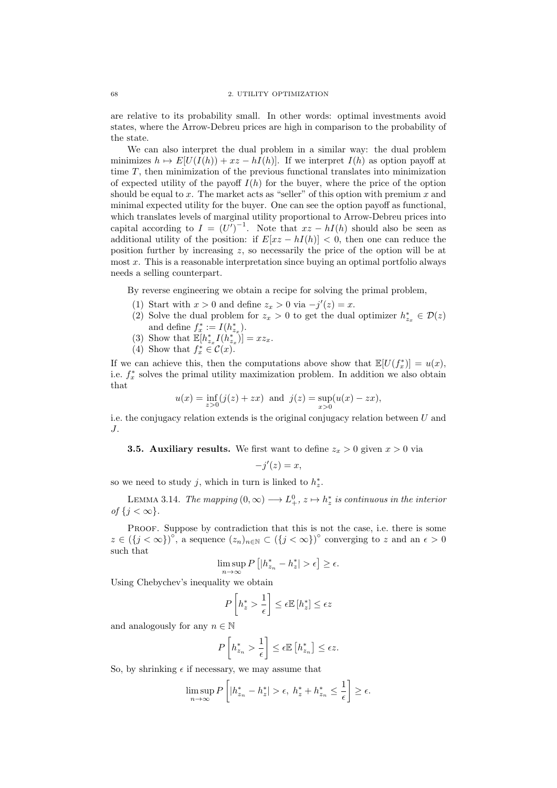are relative to its probability small. In other words: optimal investments avoid states, where the Arrow-Debreu prices are high in comparison to the probability of the state.

We can also interpret the dual problem in a similar way: the dual problem minimizes  $h \mapsto E[U(I(h)) + xz - hI(h)]$ . If we interpret  $I(h)$  as option payoff at time T, then minimization of the previous functional translates into minimization of expected utility of the payoff  $I(h)$  for the buyer, where the price of the option should be equal to x. The market acts as "seller" of this option with premium x and minimal expected utility for the buyer. One can see the option payoff as functional, which translates levels of marginal utility proportional to Arrow-Debreu prices into capital according to  $I = (U')^{-1}$ . Note that  $xz - hI(h)$  should also be seen as additional utility of the position: if  $E[xz - hI(h)] < 0$ , then one can reduce the position further by increasing z, so necessarily the price of the option will be at most x. This is a reasonable interpretation since buying an optimal portfolio always needs a selling counterpart.

By reverse engineering we obtain a recipe for solving the primal problem,

- (1) Start with  $x > 0$  and define  $z_x > 0$  via  $-j'(z) = x$ .
- (2) Solve the dual problem for  $z_x > 0$  to get the dual optimizer  $h_{z_x}^* \in \mathcal{D}(z)$ and define  $f_x^* := I(h_{z_x}^*)$ .
- (3) Show that  $\mathbb{E}[h_{z_x}^* I(h_{z_x}^*)] = xz_x$ .
- (4) Show that  $f_x^* \in \mathcal{C}(x)$ .

If we can achieve this, then the computations above show that  $\mathbb{E}[U(f_x^*)] = u(x)$ , i.e.  $f_x^*$  solves the primal utility maximization problem. In addition we also obtain that

$$
u(x) = \inf_{z>0} (j(z) + zx)
$$
 and  $j(z) = \sup_{x>0} (u(x) - zx)$ ,

i.e. the conjugacy relation extends is the original conjugacy relation between  $U$  and J.

**3.5. Auxiliary results.** We first want to define  $z_x > 0$  given  $x > 0$  via

$$
-j'(z) = x,
$$

so we need to study j, which in turn is linked to  $h_z^*$ .

LEMMA 3.14. The mapping  $(0, \infty) \longrightarrow L^0_+$ ,  $z \mapsto h_z^*$  is continuous in the interior of  $\{j < \infty\}$ .

PROOF. Suppose by contradiction that this is not the case, i.e. there is some  $z \in (\lbrace j < \infty \rbrace)^{\circ}$ , a sequence  $(z_n)_{n \in \mathbb{N}} \subset (\lbrace j < \infty \rbrace)^{\circ}$  converging to z and an  $\epsilon > 0$ such that

$$
\limsup_{n \to \infty} P\left[ |h_{z_n}^* - h_z^*| > \epsilon \right] \ge \epsilon.
$$

Using Chebychev's inequality we obtain

$$
P\left[h_z^* > \frac{1}{\epsilon}\right] \le \epsilon \mathbb{E}\left[h_z^*\right] \le \epsilon z
$$

and analogously for any  $n \in \mathbb{N}$ 

$$
P\left[h^*_{z_n} > \frac{1}{\epsilon}\right] \le \epsilon \mathbb{E}\left[h^*_{z_n}\right] \le \epsilon z.
$$

So, by shrinking  $\epsilon$  if necessary, we may assume that

$$
\limsup_{n \to \infty} P\left[ |h^*_{z_n} - h^*_{z}| > \epsilon, \ h^*_{z} + h^*_{z_n} \le \frac{1}{\epsilon} \right] \ge \epsilon.
$$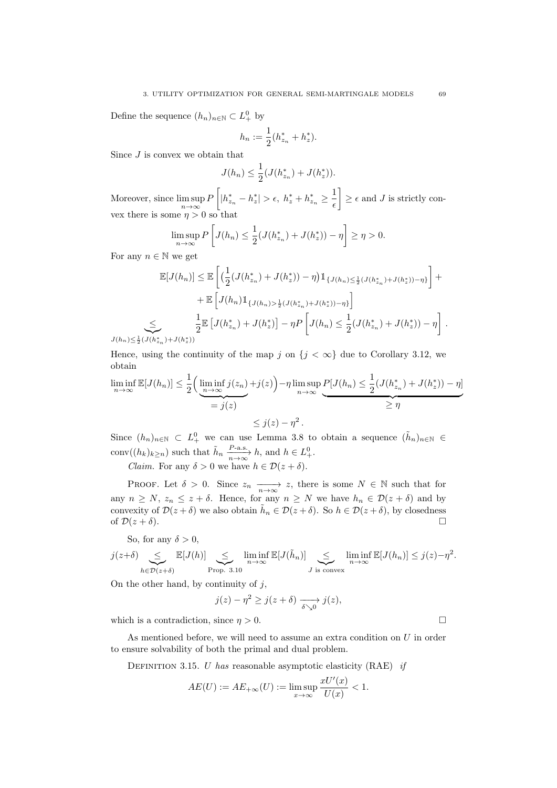Define the sequence  $(h_n)_{n \in \mathbb{N}} \subset L^0_+$  by

$$
h_n := \frac{1}{2}(h_{z_n}^* + h_z^*).
$$

Since J is convex we obtain that

$$
J(h_n) \leq \frac{1}{2}(J(h_{z_n}^*) + J(h_z^*)).
$$

Moreover, since  $\limsup_{n \to \infty} P\left[ |h_{z_n}^* - h_z^*| > \epsilon, h_z^* + h_{z_n}^* \geq \frac{1}{\epsilon} \right]$  $\epsilon$  $\left[\right] \geq \epsilon$  and J is strictly convex there is some  $\eta > 0$  so that

$$
\limsup_{n \to \infty} P\left[J(h_n) \le \frac{1}{2}(J(h_{z_n}^*) + J(h_z^*)) - \eta\right] \ge \eta > 0.
$$

For any  $n \in \mathbb{N}$  we get

 $J(h_n) \leq \frac{1}{2}$ 

$$
\mathbb{E}[J(h_n)] \leq \mathbb{E}\left[\left(\frac{1}{2}(J(h_{z_n}^*) + J(h_z^*)) - \eta\right)\mathbb{1}_{\{J(h_n) \leq \frac{1}{2}(J(h_{z_n}^*) + J(h_z^*)) - \eta\}}\right] + \mathbb{E}\left[J(h_n)\mathbb{1}_{\{J(h_n) > \frac{1}{2}(J(h_{z_n}^*) + J(h_z^*)) - \eta\}}\right] + \mathbb{E}\left[J(h_n)\mathbb{1}_{\{J(h_n) > \frac{1}{2}(J(h_{z_n}^*) + J(h_z^*)) - \eta\}}\right] + \mathbb{E}\left[J(h_{z_n}^*) + J(h_{z_n}^*)\right] - \eta P\left[J(h_n) \leq \frac{1}{2}(J(h_{z_n}^*) + J(h_z^*)) - \eta\right].
$$

Hence, using the continuity of the map j on  $\{j < \infty\}$  due to Corollary 3.12, we obtain

$$
\liminf_{n \to \infty} \mathbb{E}[J(h_n)] \le \frac{1}{2} \left( \underbrace{\liminf_{n \to \infty} j(z_n)}_{=j(z)} + j(z) \right) - \eta \limsup_{n \to \infty} \underbrace{P[J(h_n) \le \frac{1}{2} (J(h_{z_n}^*) + J(h_z^*) - \eta)}_{\ge \eta} \le j(z) - \eta^2.
$$

Since  $(h_n)_{n\in\mathbb{N}}\subset L^0_+$  we can use Lemma 3.8 to obtain a sequence  $(\tilde{h}_n)_{n\in\mathbb{N}}\in$ conv $((h_k)_{k\geq n})$  such that  $\tilde{h}_n \xrightarrow[n\to\infty]{P\text{-a.s.}} h$ , and  $h \in L^0_+$ .

*Claim.* For any  $\delta > 0$  we have  $h \in \mathcal{D}(z + \delta)$ .

PROOF. Let  $\delta > 0$ . Since  $z_n \longrightarrow z$ , there is some  $N \in \mathbb{N}$  such that for any  $n \geq N$ ,  $z_n \leq z + \delta$ . Hence, for any  $n \geq N$  we have  $h_n \in \mathcal{D}(z + \delta)$  and by convexity of  $\mathcal{D}(z+\delta)$  we also obtain  $\tilde{h}_n \in \mathcal{D}(z+\delta)$ . So  $h \in \mathcal{D}(z+\delta)$ , by closedness of  $\mathcal{D}(z + \delta)$ .

So, for any  $\delta > 0$ ,

$$
j(z+\delta) \sum_{h \in \mathcal{D}(z+\delta)} \mathbb{E}[J(h)] \sum_{\substack{\mathbf{P} \text{rop. } 3.10}} \liminf_{n \to \infty} \mathbb{E}[J(\tilde{h}_n)] \sum_{J \text{ is convex}} \liminf_{n \to \infty} \mathbb{E}[J(h_n)] \leq j(z) - \eta^2.
$$

On the other hand, by continuity of  $j$ ,

$$
j(z) - \eta^2 \ge j(z + \delta) \xrightarrow[\delta \searrow 0]{} j(z),
$$

which is a contradiction, since  $\eta > 0$ .

As mentioned before, we will need to assume an extra condition on U in order to ensure solvability of both the primal and dual problem.

DEFINITION 3.15. U has reasonable asymptotic elasticity  $(RAE)$  if

$$
AE(U):=AE_{+\infty}(U):=\limsup_{x\to\infty}\frac{xU'(x)}{U(x)}<1.
$$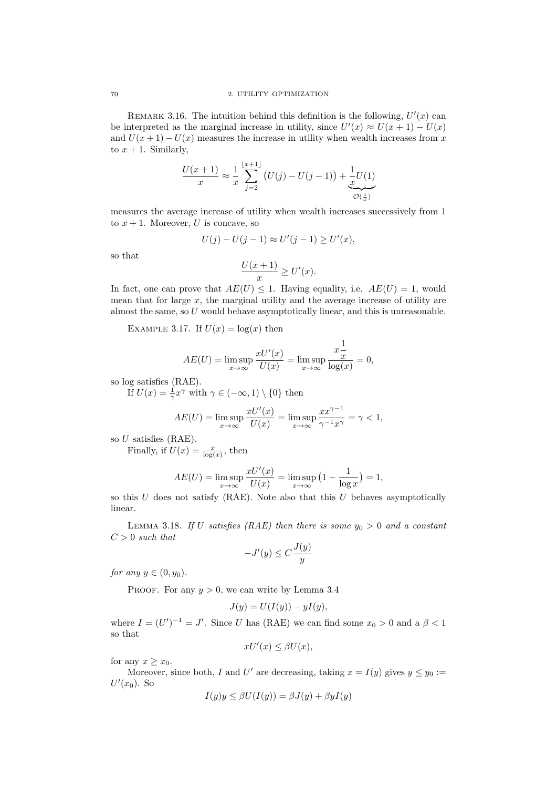REMARK 3.16. The intuition behind this definition is the following,  $U'(x)$  can be interpreted as the marginal increase in utility, since  $U'(x) \approx U(x+1) - U(x)$ and  $U(x+1) - U(x)$  measures the increase in utility when wealth increases from x to  $x + 1$ . Similarly,

$$
\frac{U(x+1)}{x} \approx \frac{1}{x} \sum_{j=2}^{\lfloor x+1 \rfloor} (U(j) - U(j-1)) + \frac{1}{x} U(1)
$$
  

$$
\overline{O(\frac{1}{x})}
$$

measures the average increase of utility when wealth increases successively from 1 to  $x + 1$ . Moreover, U is concave, so

$$
U(j) - U(j-1) \approx U'(j-1) \ge U'(x),
$$

so that

$$
\frac{U(x+1)}{x} \ge U'(x).
$$

In fact, one can prove that  $AE(U) \leq 1$ . Having equality, i.e.  $AE(U) = 1$ , would mean that for large  $x$ , the marginal utility and the average increase of utility are almost the same, so U would behave asymptotically linear, and this is unreasonable.

EXAMPLE 3.17. If  $U(x) = \log(x)$  then

$$
AE(U) = \limsup_{x \to \infty} \frac{xU'(x)}{U(x)} = \limsup_{x \to \infty} \frac{x\frac{1}{x}}{\log(x)} = 0,
$$

so log satisfies (RAE).

If  $U(x) = \frac{1}{\gamma} x^{\gamma}$  with  $\gamma \in (-\infty, 1) \setminus \{0\}$  then

$$
AE(U) = \limsup_{x \to \infty} \frac{xU'(x)}{U(x)} = \limsup_{x \to \infty} \frac{xx^{\gamma - 1}}{\gamma^{-1}x^{\gamma}} = \gamma < 1,
$$

so U satisfies (RAE).

Finally, if  $U(x) = \frac{x}{\log(x)}$ , then

$$
AE(U) = \limsup_{x \to \infty} \frac{xU'(x)}{U(x)} = \limsup_{x \to \infty} \left(1 - \frac{1}{\log x}\right) = 1,
$$

so this  $U$  does not satisfy (RAE). Note also that this  $U$  behaves asymptotically linear.

LEMMA 3.18. If U satisfies (RAE) then there is some  $y_0 > 0$  and a constant  $C > 0$  such that

$$
-J'(y) \le C \frac{J(y)}{y}
$$

for any  $y \in (0, y_0)$ .

PROOF. For any  $y > 0$ , we can write by Lemma 3.4

$$
J(y) = U(I(y)) - yI(y),
$$

where  $I = (U')^{-1} = J'$ . Since U has (RAE) we can find some  $x_0 > 0$  and a  $\beta < 1$ so that

$$
xU'(x) \le \beta U(x),
$$

for any  $x > x_0$ .

Moreover, since both, I and U' are decreasing, taking  $x = I(y)$  gives  $y \le y_0 :=$  $U'(x_0)$ . So

$$
I(y)y \le \beta U(I(y)) = \beta J(y) + \beta y I(y)
$$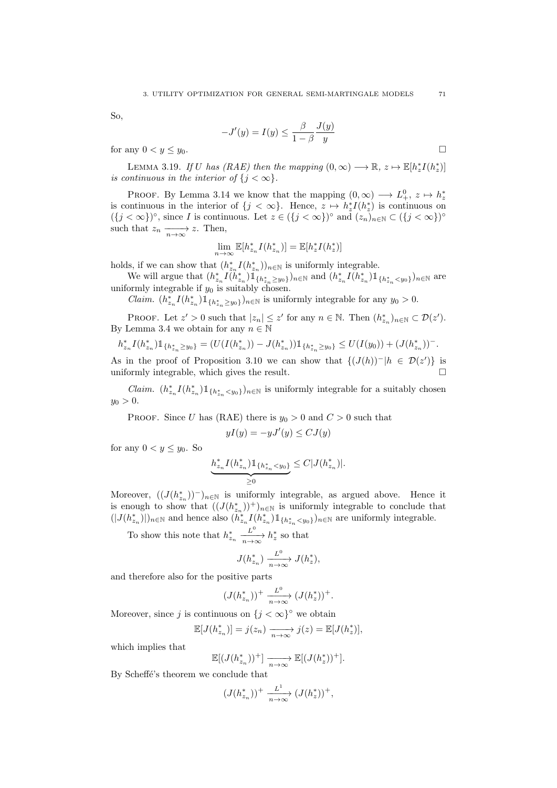So,

$$
-J'(y) = I(y) \le \frac{\beta}{1-\beta} \frac{J(y)}{y}
$$

for any  $0 < y \leq y_0$ .

LEMMA 3.19. If U has (RAE) then the mapping  $(0, \infty) \longrightarrow \mathbb{R}, z \mapsto \mathbb{E}[h_z^*(h_z^*)]$ is continuous in the interior of  ${j < \infty}$ .

PROOF. By Lemma 3.14 we know that the mapping  $(0, \infty) \longrightarrow L^0_+$ ,  $z \mapsto h^*_z$ is continuous in the interior of  $\{j < \infty\}$ . Hence,  $z \mapsto h_z^* I(h_z^*)$  is continuous on  $({j < \infty})^{\circ}$ , since I is continuous. Let  $z \in ({j < \infty})^{\circ}$  and  $(z_n)_{n \in \mathbb{N}} \subset ({j < \infty})^{\circ}$ such that  $z_n \xrightarrow[n \to \infty]{} z$ . Then,

$$
\lim_{n \to \infty} \mathbb{E}[h_{z_n}^* I(h_{z_n}^*)] = \mathbb{E}[h_z^* I(h_z^*)]
$$

holds, if we can show that  $(h_{z_n}^* I(h_{z_n}^*))_{n \in \mathbb{N}}$  is uniformly integrable.

We will argue that  $(h_{z_n}^* I(h_{z_n}^*) \mathbb{1}_{\{h_{z_n}^* \geq y_0\}})_{n \in \mathbb{N}}$  and  $(h_{z_n}^* I(h_{z_n}^*) \mathbb{1}_{\{h_{z_n}^* \leq y_0\}})_{n \in \mathbb{N}}$  are uniformly integrable if  $y_0$  is suitably chosen.

*Claim.*  $(h_{z_n}^* I(h_{z_n}^*) 1\!\!1_{\{h_{z_n}^* \geq y_0\}})_{n \in \mathbb{N}}$  is uniformly integrable for any  $y_0 > 0$ .

PROOF. Let  $z' > 0$  such that  $|z_n| \leq z'$  for any  $n \in \mathbb{N}$ . Then  $(h_{z_n})_{n \in \mathbb{N}} \subset \mathcal{D}(z')$ . By Lemma 3.4 we obtain for any  $n \in \mathbb{N}$ 

$$
h_{z_n}^* I(h_{z_n}^*) 1\!\!1_{\{h_{z_n}^*\geq y_0\}} = (U(I(h_{z_n}^*)) - J(h_{z_n}^*)) 1\!\!1_{\{h_{z_n}^*\geq y_0\}} \leq U(I(y_0)) + (J(h_{z_n}^*))^-.
$$

As in the proof of Proposition 3.10 we can show that  $\{(J(h))^-|h \in \mathcal{D}(z')\}$  is uniformly integrable, which gives the result.

*Claim.*  $(h_{z_n}^* I(h_{z_n}^*) 1\!\!1_{\{h_{z_n}^* \lt y_0\}})_{n \in \mathbb{N}}$  is uniformly integrable for a suitably chosen  $y_0 > 0.$ 

PROOF. Since U has (RAE) there is  $y_0 > 0$  and  $C > 0$  such that

$$
yI(y) = -yJ'(y) \le CJ(y)
$$

for any  $0 < y \leq y_0$ . So

$$
\underbrace{h^*_{z_n} I(h^*_{z_n}) \mathbbm{1}_{\{h^*_{z_n} < y_0\}}}_{\geq 0} \leq C |J(h^*_{z_n})|.
$$

Moreover,  $((J(h_{z_n}^*))^-)_{n\in\mathbb{N}}$  is uniformly integrable, as argued above. Hence it is enough to show that  $((J(h_{z_n}^*))^+)_{n\in\mathbb{N}}$  is uniformly integrable to conclude that  $(|J(h_{z_n}^*)|)_{n\in\mathbb{N}}$  and hence also  $(h_{z_n}^*/(h_{z_n}^*)1_{\{h_{z_n}^*\lt\t\lt y_0\}})_{n\in\mathbb{N}}$  are uniformly integrable.

To show this note that  $h_{z_n}^*$  $\frac{L^0}{n \to \infty} h_z^*$  so that

$$
J(h_{z_n}^*) \xrightarrow[n \to \infty]{L^0} J(h_z^*),
$$

and therefore also for the positive parts

$$
(J(h_{z_n}^*))^+ \xrightarrow[n \to \infty]{L^0} (J(h_z^*))^+.
$$

Moreover, since j is continuous on  ${j < \infty}$ <sup>°</sup> we obtain

$$
\mathbb{E}[J(h_{z_n}^*)] = j(z_n) \xrightarrow[n \to \infty]{} j(z) = \mathbb{E}[J(h_z^*)],
$$

which implies that

$$
\mathbb{E}[(J(h_{z_n}^*))^+]\xrightarrow[n\to\infty]{}\mathbb{E}[(J(h_z^*))^+].
$$

By Scheffé's theorem we conclude that

$$
(J(h_{z_n}^*))^+ \xrightarrow[n \to \infty]{L^1} (J(h_z^*))^+,
$$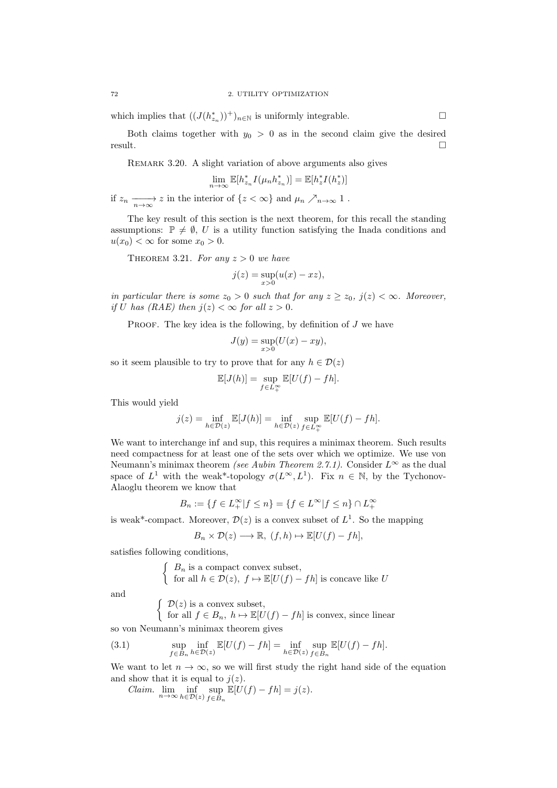which implies that  $((J(h_{z_n}^*))^+)_{n\in\mathbb{N}}$  is uniformly integrable.

Both claims together with  $y_0 > 0$  as in the second claim give the desired result.

REMARK 3.20. A slight variation of above arguments also gives

$$
\lim_{n \to \infty} \mathbb{E}[h_{z_n}^* I(\mu_n h_{z_n}^*)] = \mathbb{E}[h_z^* I(h_z^*)]
$$

if  $z_n \longrightarrow z$  in the interior of  $\{z < \infty\}$  and  $\mu_n \nearrow_{n \to \infty} 1$ .

The key result of this section is the next theorem, for this recall the standing assumptions:  $\mathbb{P} \neq \emptyset$ , U is a utility function satisfying the Inada conditions and  $u(x_0) < \infty$  for some  $x_0 > 0$ .

THEOREM 3.21. For any  $z > 0$  we have

$$
j(z) = \sup_{x>0} (u(x) - xz),
$$

in particular there is some  $z_0 > 0$  such that for any  $z \ge z_0$ ,  $j(z) < \infty$ . Moreover, if U has (RAE) then  $i(z) < \infty$  for all  $z > 0$ .

PROOF. The key idea is the following, by definition of  $J$  we have

$$
J(y) = \sup_{x>0} (U(x) - xy),
$$

so it seem plausible to try to prove that for any  $h \in \mathcal{D}(z)$ 

$$
\mathbb{E}[J(h)] = \sup_{f \in L^{\infty}_{+}} \mathbb{E}[U(f) - fh].
$$

This would yield

$$
j(z) = \inf_{h \in \mathcal{D}(z)} \mathbb{E}[J(h)] = \inf_{h \in \mathcal{D}(z)} \sup_{f \in L^{\infty}_{+}} \mathbb{E}[U(f) - fh].
$$

We want to interchange inf and sup, this requires a minimax theorem. Such results need compactness for at least one of the sets over which we optimize. We use von Neumann's minimax theorem (see Aubin Theorem 2.7.1). Consider  $L^{\infty}$  as the dual space of  $L^1$  with the weak\*-topology  $\sigma(L^{\infty}, L^1)$ . Fix  $n \in \mathbb{N}$ , by the Tychonov-Alaoglu theorem we know that

$$
B_n:=\{f\in L_+^\infty|f\leq n\}=\{f\in L^\infty|f\leq n\}\cap L_+^\infty
$$

is weak<sup>\*</sup>-compact. Moreover,  $\mathcal{D}(z)$  is a convex subset of  $L^1$ . So the mapping

$$
B_n \times \mathcal{D}(z) \longrightarrow \mathbb{R}, \ (f, h) \mapsto \mathbb{E}[U(f) - fh],
$$

satisfies following conditions,

 $\int B_n$  is a compact convex subset, for all  $h \in \mathcal{D}(z)$ ,  $f \mapsto \mathbb{E}[U(f) - fh]$  is concave like U

and

 $\int \mathcal{D}(z)$  is a convex subset,

for all  $f \in B_n$ ,  $h \mapsto \mathbb{E}[U(f) - fh]$  is convex, since linear

so von Neumann's minimax theorem gives

(3.1) 
$$
\sup_{f \in B_n} \inf_{h \in \mathcal{D}(z)} \mathbb{E}[U(f) - fh] = \inf_{h \in \mathcal{D}(z)} \sup_{f \in B_n} \mathbb{E}[U(f) - fh].
$$

We want to let  $n \to \infty$ , so we will first study the right hand side of the equation and show that it is equal to  $j(z)$ .

Claim.  $\lim_{n\to\infty} \inf_{h\in\mathcal{D}(z)} \sup_{f\in B_n}$  $f \in B_n$  $\mathbb{E}[U(f) - fh] = j(z).$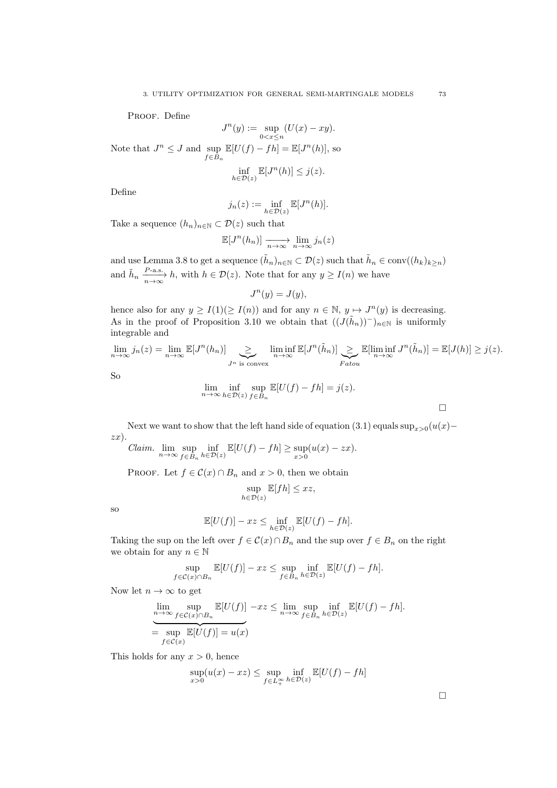PROOF. Define

$$
J^{n}(y) := \sup_{0 < x \le n} (U(x) - xy).
$$
  
Note that  $J^{n} \le J$  and  $\sup_{f \in B_{n}} \mathbb{E}[U(f) - fh] = \mathbb{E}[J^{n}(h)],$  so

$$
\inf_{h \in \mathcal{D}(z)} \mathbb{E}[J^n(h)] \le j(z).
$$

Define

$$
j_n(z) := \inf_{h \in \mathcal{D}(z)} \mathbb{E}[J^n(h)].
$$

Take a sequence  $(h_n)_{n\in\mathbb{N}}\subset\mathcal{D}(z)$  such that

$$
\mathbb{E}[J^n(h_n)] \xrightarrow[n \to \infty]{} \lim_{n \to \infty} j_n(z)
$$

and use Lemma 3.8 to get a sequence  $(\tilde{h}_n)_{n \in \mathbb{N}} \subset \mathcal{D}(z)$  such that  $\tilde{h}_n \in \text{conv}((h_k)_{k \geq n})$ and  $\tilde{h}_n \frac{P\text{-a.s.}}{n \to \infty} h$ , with  $h \in \mathcal{D}(z)$ . Note that for any  $y \ge I(n)$  we have

$$
J^n(y) = J(y),
$$

hence also for any  $y \geq I(1) (\geq I(n))$  and for any  $n \in \mathbb{N}$ ,  $y \mapsto J^{n}(y)$  is decreasing. As in the proof of Proposition 3.10 we obtain that  $((J(\tilde{h}_n))^{-})_{n\in\mathbb{N}}$  is uniformly integrable and

$$
\lim_{n \to \infty} j_n(z) = \lim_{n \to \infty} \mathbb{E}[J^n(h_n)] \sum_{J^n \text{ is convex}} \liminf_{n \to \infty} \mathbb{E}[J^n(\tilde{h}_n)] \sum_{\substack{Fatou \ Fatou}} \mathbb{E}[\liminf_{n \to \infty} J^n(\tilde{h}_n)] = \mathbb{E}[J(h)] \ge j(z).
$$
  
So  

$$
\lim_{n \to \infty} \inf_{h \in \mathcal{D}(z)} \sup_{f \in B_n} \mathbb{E}[U(f) - fh] = j(z).
$$

Next we want to show that the left hand side of equation (3.1) equals  $\sup_{x>0}(u(x)$  $zx).$ 

*Claim.* 
$$
\lim_{n \to \infty} \sup_{f \in B_n} \inf_{h \in \mathcal{D}(z)} \mathbb{E}[U(f) - fh] \ge \sup_{x > 0} (u(x) - zx).
$$

PROOF. Let  $f \in \mathcal{C}(x) \cap B_n$  and  $x > 0$ , then we obtain

$$
\sup_{h \in \mathcal{D}(z)} \mathbb{E}[fh] \leq xz,
$$

so

$$
\mathbb{E}[U(f)] - xz \le \inf_{h \in \mathcal{D}(z)} \mathbb{E}[U(f) - fh].
$$

Taking the sup on the left over  $f \in \mathcal{C}(x) \cap B_n$  and the sup over  $f \in B_n$  on the right we obtain for any  $n \in \mathbb{N}$ 

$$
\sup_{f \in \mathcal{C}(x) \cap B_n} \mathbb{E}[U(f)] - xz \le \sup_{f \in B_n} \inf_{h \in \mathcal{D}(z)} \mathbb{E}[U(f) - fh].
$$

Now let  $n \to \infty$  to get

$$
\underset{n \to \infty}{\text{lim}} \sup_{f \in \mathcal{C}(x) \cap B_n} \mathbb{E}[U(f)] - xz \le \underset{n \to \infty}{\text{lim}} \sup_{f \in B_n} \inf_{h \in \mathcal{D}(z)} \mathbb{E}[U(f) - fh].
$$
\n
$$
= \sup_{f \in \mathcal{C}(x)} \mathbb{E}[U(f)] = u(x)
$$

This holds for any  $x > 0$ , hence

$$
\sup_{x>0}(u(x)-xz) \le \sup_{f\in L_+^\infty} \inf_{h\in \mathcal{D}(z)} \mathbb{E}[U(f)-fh]
$$

 $\Box$ 

 $\Box$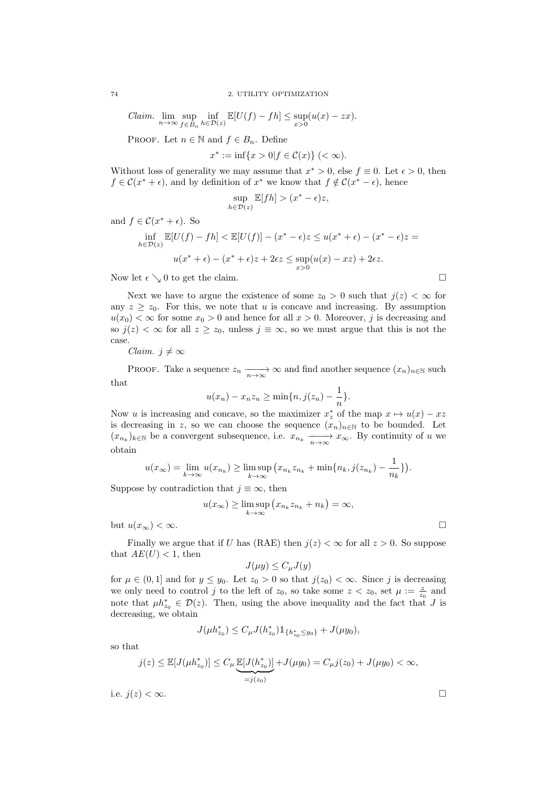*Claim.* 
$$
\lim_{n \to \infty} \sup_{f \in B_n} \inf_{h \in \mathcal{D}(z)} \mathbb{E}[U(f) - fh] \leq \sup_{x > 0} (u(x) - zx).
$$

PROOF. Let  $n \in \mathbb{N}$  and  $f \in B_n$ . Define

$$
x^* := \inf\{x > 0 | f \in \mathcal{C}(x)\} \ (< \infty).
$$

Without loss of generality we may assume that  $x^* > 0$ , else  $f \equiv 0$ . Let  $\epsilon > 0$ , then  $f \in \mathcal{C}(x^* + \epsilon)$ , and by definition of  $x^*$  we know that  $f \notin \mathcal{C}(x^* - \epsilon)$ , hence

$$
\sup_{h \in \mathcal{D}(z)} \mathbb{E}[fh] > (x^* - \epsilon)z,
$$

and  $f \in \mathcal{C}(x^* + \epsilon)$ . So

$$
\inf_{h \in \mathcal{D}(z)} \mathbb{E}[U(f) - fh] < \mathbb{E}[U(f)] - (x^* - \epsilon)z \le u(x^* + \epsilon) - (x^* - \epsilon)z =
$$
\n
$$
u(x^* + \epsilon) - (x^* + \epsilon)z + 2\epsilon z \le \sup_{x > 0} (u(x) - xz) + 2\epsilon z.
$$

Now let  $\epsilon \searrow 0$  to get the claim.

Next we have to argue the existence of some  $z_0 > 0$  such that  $j(z) < \infty$  for any  $z > z_0$ . For this, we note that u is concave and increasing. By assumption  $u(x_0) < \infty$  for some  $x_0 > 0$  and hence for all  $x > 0$ . Moreover, j is decreasing and so  $j(z) < \infty$  for all  $z \ge z_0$ , unless  $j \equiv \infty$ , so we must argue that this is not the case.

*Claim.*  $j \neq \infty$ 

PROOF. Take a sequence  $z_n \longrightarrow \infty$  and find another sequence  $(x_n)_{n \in \mathbb{N}}$  such that

$$
u(x_n) - x_n z_n \ge \min\{n, j(z_n) - \frac{1}{n}\}.
$$

Now u is increasing and concave, so the maximizer  $x_z^*$  of the map  $x \mapsto u(x) - xz$ is decreasing in z, so we can choose the sequence  $(x_n)_{n\in\mathbb{N}}$  to be bounded. Let  $(x_{n_k})_{k\in\mathbb{N}}$  be a convergent subsequence, i.e.  $x_{n_k} \xrightarrow[n \to \infty]{} x_{\infty}$ . By continuity of u we obtain

$$
u(x_{\infty}) = \lim_{k \to \infty} u(x_{n_k}) \ge \limsup_{k \to \infty} (x_{n_k} z_{n_k} + \min\{n_k, j(z_{n_k}) - \frac{1}{n_k}\}).
$$

Suppose by contradiction that  $j \equiv \infty$ , then

$$
u(x_{\infty}) \ge \limsup_{k \to \infty} (x_{n_k} z_{n_k} + n_k) = \infty,
$$

but  $u(x_\infty) < \infty$ .

Finally we argue that if U has (RAE) then  $j(z) < \infty$  for all  $z > 0$ . So suppose that  $AE(U) < 1$ , then

$$
J(\mu y) \le C_{\mu} J(y)
$$

for  $\mu \in (0,1]$  and for  $y \leq y_0$ . Let  $z_0 > 0$  so that  $j(z_0) < \infty$ . Since j is decreasing we only need to control j to the left of  $z_0$ , so take some  $z < z_0$ , set  $\mu := \frac{z}{z_0}$  and note that  $\mu h_{z_0}^* \in \mathcal{D}(z)$ . Then, using the above inequality and the fact that J is decreasing, we obtain

$$
J(\mu h_{z_0}^*) \le C_{\mu} J(h_{z_0}^*) \mathbbm{1}_{\{h_{z_0}^* \le y_0\}} + J(\mu y_0),
$$

so that

$$
j(z) \leq \mathbb{E}[J(\mu h_{z_0}^*)] \leq C_{\mu} \underbrace{\mathbb{E}[J(h_{z_0}^*)]}_{=j(z_0)} + J(\mu y_0) = C_{\mu} j(z_0) + J(\mu y_0) < \infty,
$$

i.e.  $j(z) < \infty$ .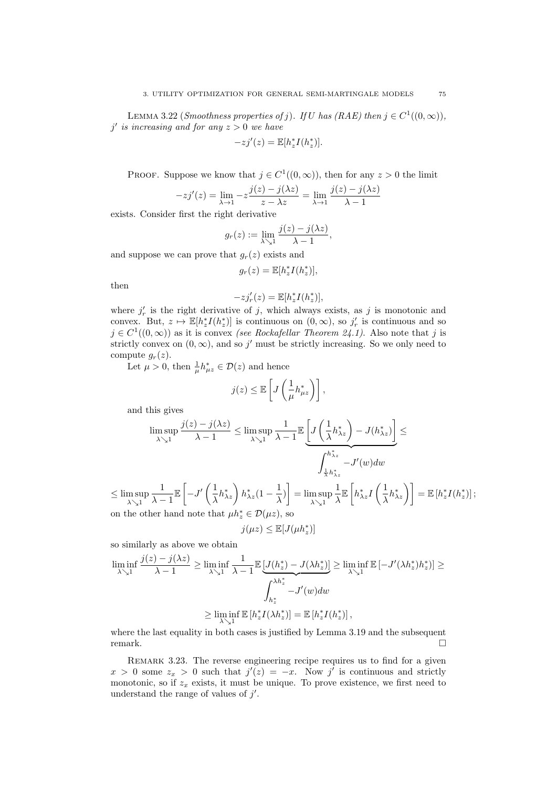LEMMA 3.22 (Smoothness properties of j). If U has (RAE) then  $j \in C^1((0,\infty))$ ,  $j'$  is increasing and for any  $z > 0$  we have

$$
-zj'(z) = \mathbb{E}[h_z^* I(h_z^*)].
$$

PROOF. Suppose we know that  $j \in C^1((0,\infty))$ , then for any  $z > 0$  the limit

$$
-zj'(z) = \lim_{\lambda \to 1} -z \frac{j(z) - j(\lambda z)}{z - \lambda z} = \lim_{\lambda \to 1} \frac{j(z) - j(\lambda z)}{\lambda - 1}
$$

exists. Consider first the right derivative

$$
g_r(z) := \lim_{\lambda \searrow 1} \frac{j(z) - j(\lambda z)}{\lambda - 1},
$$

and suppose we can prove that  $g_r(z)$  exists and

$$
g_r(z) = \mathbb{E}[h_z^* I(h_z^*)],
$$

then

$$
-zj_r'(z) = \mathbb{E}[h_z^*I(h_z^*)],
$$

where  $j'_r$  is the right derivative of j, which always exists, as j is monotonic and convex. But,  $z \mapsto \mathbb{E}[h_z^*I(h_z^*)]$  is continuous on  $(0,\infty)$ , so  $j'_r$  is continuous and so  $j \in C^{1}((0,\infty))$  as it is convex *(see Rockafellar Theorem 24.1)*. Also note that j is strictly convex on  $(0, \infty)$ , and so j' must be strictly increasing. So we only need to compute  $g_r(z)$ .

Let  $\mu > 0$ , then  $\frac{1}{\mu} h_{\mu z}^* \in \mathcal{D}(z)$  and hence

$$
j(z) \leq \mathbb{E}\left[J\left(\frac{1}{\mu}h_{\mu z}^*\right)\right],
$$

and this gives

$$
\limsup_{\lambda \searrow 1} \frac{j(z) - j(\lambda z)}{\lambda - 1} \le \limsup_{\lambda \searrow 1} \frac{1}{\lambda - 1} \mathbb{E}\underbrace{\left[J\left(\frac{1}{\lambda}h^*_{\lambda z}\right) - J(h^*_{\lambda z})\right]}_{\int_{\frac{1}{\lambda}h^*_{\lambda z}}^{h^*_{\lambda z}} - J'(w)dw
$$

 $\leq \limsup_{\lambda \searrow 1}$ 1  $\lambda - 1$  $\mathbb{E}\left[-J'\left(\frac{1}{2}\right)\right]$  $\frac{1}{\lambda}h_{\lambda z}^* \bigg) h_{\lambda z}^*(1-\frac{1}{\lambda})$  $\left(\frac{1}{\lambda}\right)$  =  $\limsup_{\lambda\searrow 1}$ 1 λ  $\mathbb{E}\left[h_{\lambda z}^{*}I\left(\frac{1}{\lambda}\right)\right]$  $\left[ \frac{1}{\lambda} h^*_{\lambda z} \right)$  =  $\mathbb{E} \left[ h^*_z I(h^*_z) \right]$ ; on the other hand note that  $\mu h_z^* \in \mathcal{D}(\mu z)$ , so

$$
j(\mu z) \leq \mathbb{E}[J(\mu h_z^*)]
$$

so similarly as above we obtain

$$
\liminf_{\lambda \searrow 1} \frac{j(z) - j(\lambda z)}{\lambda - 1} \ge \liminf_{\lambda \searrow 1} \frac{1}{\lambda - 1} \mathbb{E}\left[J(h_z^*) - J(\lambda h_z^*)\right] \ge \liminf_{\lambda \searrow 1} \mathbb{E}\left[-J'(\lambda h_z^*)h_z^*\right] \ge \int_{h_z^*}^{\lambda h_z^*} - J'(w)dw
$$
\n
$$
\ge \liminf_{\lambda \searrow 1} \mathbb{E}\left[h_z^* I(\lambda h_z^*)\right] = \mathbb{E}\left[h_z^* I(h_z^*)\right],
$$

where the last equality in both cases is justified by Lemma 3.19 and the subsequent remark.

REMARK 3.23. The reverse engineering recipe requires us to find for a given  $x > 0$  some  $z_x > 0$  such that  $j'(z) = -x$ . Now j' is continuous and strictly monotonic, so if  $z_x$  exists, it must be unique. To prove existence, we first need to understand the range of values of  $j'$ .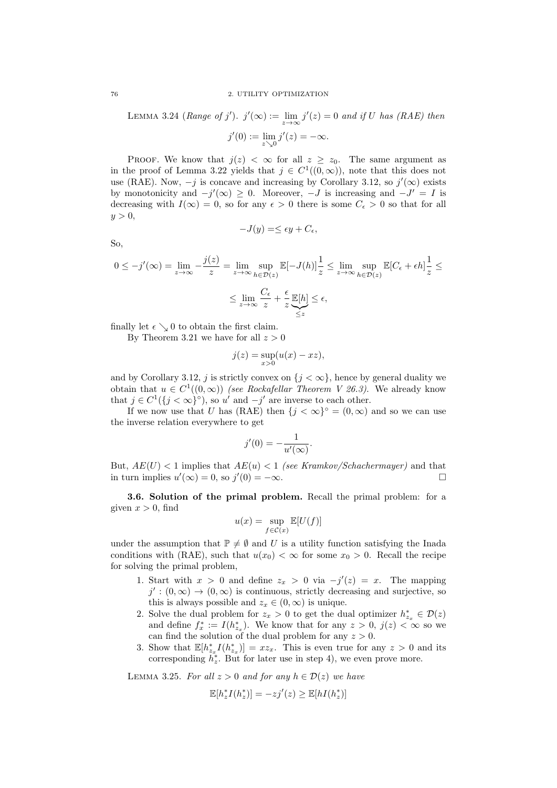#### 76 2. UTILITY OPTIMIZATION

LEMMA 3.24 (Range of j').  $j'(\infty) := \lim_{z \to \infty} j'(z) = 0$  and if U has (RAE) then  $j'(0) := \lim_{z \searrow 0} j'(z) = -\infty.$ 

PROOF. We know that  $j(z) < \infty$  for all  $z \ge z_0$ . The same argument as in the proof of Lemma 3.22 yields that  $j \in C^1((0,\infty))$ , note that this does not use (RAE). Now,  $-j$  is concave and increasing by Corollary 3.12, so  $j'(\infty)$  exists by monotonicity and  $-j'(\infty) \geq 0$ . Moreover,  $-J$  is increasing and  $-J' = I$  is decreasing with  $I(\infty) = 0$ , so for any  $\epsilon > 0$  there is some  $C_{\epsilon} > 0$  so that for all  $y > 0$ ,

$$
-J(y) = \le \epsilon y + C_{\epsilon},
$$

So,

$$
0 \le -j'(\infty) = \lim_{z \to \infty} -\frac{j(z)}{z} = \lim_{z \to \infty} \sup_{h \in \mathcal{D}(z)} \mathbb{E}[-J(h)] \frac{1}{z} \le \lim_{z \to \infty} \sup_{h \in \mathcal{D}(z)} \mathbb{E}[C_{\epsilon} + \epsilon h] \frac{1}{z} \le
$$

$$
\le \lim_{z \to \infty} \frac{C_{\epsilon}}{z} + \frac{\epsilon}{z} \underbrace{\mathbb{E}[h]}_{\le z} \le \epsilon,
$$

finally let  $\epsilon \searrow 0$  to obtain the first claim.

By Theorem 3.21 we have for all  $z > 0$ 

j(z)

$$
j(z) = \sup_{x>0} (u(x) - xz),
$$

and by Corollary 3.12, j is strictly convex on  $\{j < \infty\}$ , hence by general duality we obtain that  $u \in C^1((0,\infty))$  (see Rockafellar Theorem V 26.3). We already know that  $j \in C^1({j < \infty}^{\circ})$ , so u' and  $-j'$  are inverse to each other.

If we now use that U has (RAE) then  $\{j < \infty\}^\circ = (0, \infty)$  and so we can use the inverse relation everywhere to get

$$
j'(0) = -\frac{1}{u'(\infty)}.
$$

But,  $AE(U) < 1$  implies that  $AE(u) < 1$  (see Kramkov/Schachermayer) and that in turn implies  $u'(\infty) = 0$ , so  $j'(0) = -\infty$ .

3.6. Solution of the primal problem. Recall the primal problem: for a given  $x > 0$ , find

$$
u(x) = \sup_{f \in \mathcal{C}(x)} \mathbb{E}[U(f)]
$$

under the assumption that  $\mathbb{P} \neq \emptyset$  and U is a utility function satisfying the Inada conditions with (RAE), such that  $u(x_0) < \infty$  for some  $x_0 > 0$ . Recall the recipe for solving the primal problem,

- 1. Start with  $x > 0$  and define  $z_x > 0$  via  $-j'(z) = x$ . The mapping  $j' : (0, \infty) \to (0, \infty)$  is continuous, strictly decreasing and surjective, so this is always possible and  $z_x \in (0, \infty)$  is unique.
- 2. Solve the dual problem for  $z_x > 0$  to get the dual optimizer  $h_{z_x}^* \in \mathcal{D}(z)$ and define  $f_x^* := I(h_{z_x}^*)$ . We know that for any  $z > 0$ ,  $j(z) < \infty$  so we can find the solution of the dual problem for any  $z > 0$ .
- 3. Show that  $\mathbb{E}[h_{z_x}^* I(h_{z_x}^*)] = xz_x$ . This is even true for any  $z > 0$  and its corresponding  $h_z^*$ . But for later use in step 4), we even prove more.

LEMMA 3.25. For all  $z > 0$  and for any  $h \in \mathcal{D}(z)$  we have

$$
\mathbb{E}[h_z^* I(h_z^*)] = -zj'(z) \ge \mathbb{E}[hI(h_z^*)]
$$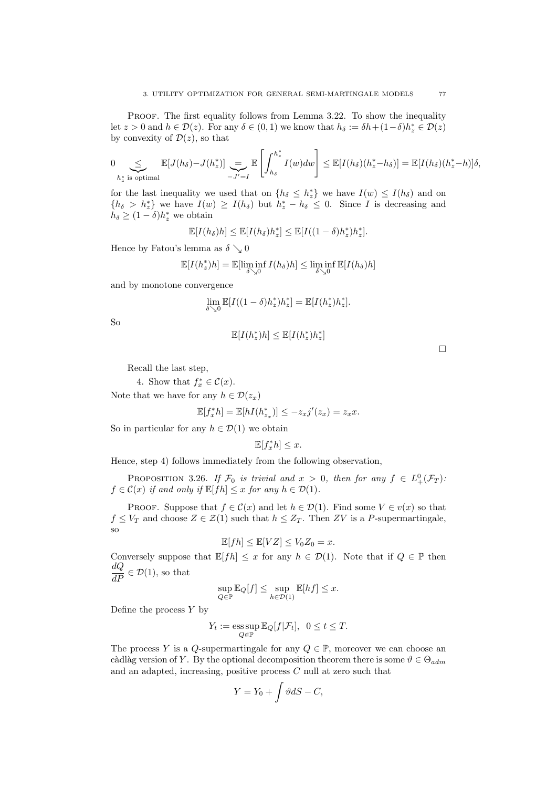PROOF. The first equality follows from Lemma 3.22. To show the inequality let  $z > 0$  and  $h \in \mathcal{D}(z)$ . For any  $\delta \in (0, 1)$  we know that  $h_{\delta} := \delta h + (1 - \delta)h_z^* \in \mathcal{D}(z)$ by convexity of  $\mathcal{D}(z)$ , so that

$$
0 \underset{h_z^* \text{ is optimal}}{\leq} \mathbb{E}[J(h_\delta) - J(h_z^*)] \underset{-J'=I}{\leq} \mathbb{E}\left[\int_{h_\delta}^{h_z^*} I(w) dw\right] \leq \mathbb{E}[I(h_\delta)(h_z^* - h_\delta)] = \mathbb{E}[I(h_\delta)(h_z^* - h)]\delta,
$$

for the last inequality we used that on  $\{h_{\delta} \leq h_z^*\}$  we have  $I(w) \leq I(h_{\delta})$  and on  ${h_\delta > h_z^*}$  we have  $I(w) \ge I(h_\delta)$  but  $h_z^* - h_\delta \le 0$ . Since I is decreasing and  $h_{\delta} \geq (1 - \delta) h_z^*$  we obtain

$$
\mathbb{E}[I(h_\delta)h] \leq \mathbb{E}[I(h_\delta)h_z^*] \leq \mathbb{E}[I((1-\delta)h_z^*)h_z^*].
$$

Hence by Fatou's lemma as  $\delta \searrow 0$ 

$$
\mathbb{E}[I(h_z^*)h] = \mathbb{E}[\liminf_{\delta \searrow 0} I(h_\delta)h] \le \liminf_{\delta \searrow 0} \mathbb{E}[I(h_\delta)h]
$$

and by monotone convergence

$$
\lim_{\delta \searrow 0} \mathbb{E}[I((1-\delta)h_z^*)h_z^*] = \mathbb{E}[I(h_z^*)h_z^*].
$$

So

$$
\mathbb{E}[I(h_z^*)h] \leq \mathbb{E}[I(h_z^*)h_z^*]
$$

Recall the last step,

4. Show that  $f_x^* \in \mathcal{C}(x)$ .

Note that we have for any  $h \in \mathcal{D}(z_x)$ 

$$
\mathbb{E}[f_x^*h] = \mathbb{E}[hI(h_{z_x}^*)] \le -z_xj'(z_x) = z_xx.
$$

So in particular for any  $h \in \mathcal{D}(1)$  we obtain

$$
\mathbb{E}[f_x^*h] \le x.
$$

Hence, step 4) follows immediately from the following observation,

PROPOSITION 3.26. If  $\mathcal{F}_0$  is trivial and  $x > 0$ , then for any  $f \in L^0_+(\mathcal{F}_T)$ .  $f \in \mathcal{C}(x)$  if and only if  $\mathbb{E}[fh] \leq x$  for any  $h \in \mathcal{D}(1)$ .

PROOF. Suppose that  $f \in \mathcal{C}(x)$  and let  $h \in \mathcal{D}(1)$ . Find some  $V \in v(x)$  so that  $f \leq V_T$  and choose  $Z \in \mathcal{Z}(1)$  such that  $h \leq Z_T$ . Then ZV is a P-supermartingale, so

$$
\mathbb{E}[fh] \le \mathbb{E}[VZ] \le V_0 Z_0 = x.
$$

Conversely suppose that  $\mathbb{E}[fh] \leq x$  for any  $h \in \mathcal{D}(1)$ . Note that if  $Q \in \mathbb{P}$  then  $\frac{dQ}{dP} \in \mathcal{D}(1)$ , so that

$$
\sup_{Q \in \mathbb{P}} \mathbb{E}_Q[f] \le \sup_{h \in \mathcal{D}(1)} \mathbb{E}[hf] \le x.
$$

Define the process  $Y$  by

$$
Y_t := \operatorname*{ess\,sup}_{Q \in \mathbb{P}} \mathbb{E}_Q[f|\mathcal{F}_t], \ \ 0 \le t \le T.
$$

The process Y is a Q-supermartingale for any  $Q \in \mathbb{P}$ , moreover we can choose an càdlàg version of Y. By the optional decomposition theorem there is some  $\vartheta \in \Theta_{adm}$ and an adapted, increasing, positive process C null at zero such that

$$
Y = Y_0 + \int \vartheta dS - C,
$$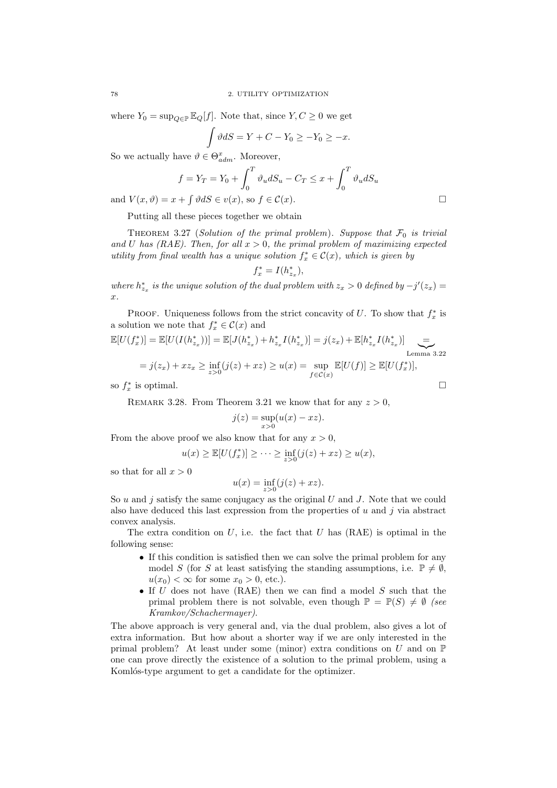where  $Y_0 = \sup_{Q \in \mathbb{P}} \mathbb{E}_Q[f]$ . Note that, since  $Y, C \geq 0$  we get

$$
\int \vartheta dS = Y + C - Y_0 \ge -Y_0 \ge -x.
$$

So we actually have  $\vartheta \in \Theta_{adm}^x$ . Moreover,

$$
f = Y_T = Y_0 + \int_0^T \vartheta_u dS_u - C_T \le x + \int_0^T \vartheta_u dS_u
$$

and  $V(x, \vartheta) = x + \int \vartheta dS \in v(x)$ , so  $f \in \mathcal{C}(x)$ .

Putting all these pieces together we obtain

THEOREM 3.27 (Solution of the primal problem). Suppose that  $\mathcal{F}_0$  is trivial and U has (RAE). Then, for all  $x > 0$ , the primal problem of maximizing expected utility from final wealth has a unique solution  $f_x^* \in \mathcal{C}(x)$ , which is given by

$$
f_x^* = I(h_{z_x}^*),
$$

where  $h_{z_x}^*$  is the unique solution of the dual problem with  $z_x > 0$  defined by  $-j'(z_x) =$  $\hat{x}$ .

PROOF. Uniqueness follows from the strict concavity of U. To show that  $f_x^*$  is a solution we note that  $f_x^* \in \mathcal{C}(x)$  and

$$
\mathbb{E}[U(f_x^*)] = \mathbb{E}[U(I(h_{z_x}^*))] = \mathbb{E}[J(h_{z_x}^*) + h_{z_x}^*I(h_{z_x}^*)] = j(z_x) + \mathbb{E}[h_{z_x}^*I(h_{z_x}^*)] \underbrace{=}_{\text{Lemma 3.22}}
$$
  
=  $j(z_x) + x z_x \ge \inf_{z>0} (j(z) + x z) \ge u(x) = \sup_{f \in \mathcal{C}(x)} \mathbb{E}[U(f)] \ge \mathbb{E}[U(f_x^*)],$ 

so  $f_x^*$  is optimal.

REMARK 3.28. From Theorem 3.21 we know that for any  $z > 0$ ,

$$
j(z) = \sup_{x>0} (u(x) - xz).
$$

From the above proof we also know that for any  $x > 0$ ,

$$
u(x) \ge \mathbb{E}[U(f_x^*)] \ge \cdots \ge \inf_{z>0} (j(z) + xz) \ge u(x),
$$

so that for all  $x > 0$ 

$$
u(x) = \inf_{z>0} (j(z) + xz).
$$

So  $u$  and  $j$  satisfy the same conjugacy as the original  $U$  and  $J$ . Note that we could also have deduced this last expression from the properties of  $u$  and  $j$  via abstract convex analysis.

The extra condition on  $U$ , i.e. the fact that  $U$  has  $(RAE)$  is optimal in the following sense:

- If this condition is satisfied then we can solve the primal problem for any model S (for S at least satisfying the standing assumptions, i.e.  $\mathbb{P} \neq \emptyset$ ,  $u(x_0) < \infty$  for some  $x_0 > 0$ , etc.).
- If  $U$  does not have (RAE) then we can find a model  $S$  such that the primal problem there is not solvable, even though  $\mathbb{P} = \mathbb{P}(S) \neq \emptyset$  (see Kramkov/Schachermayer).

The above approach is very general and, via the dual problem, also gives a lot of extra information. But how about a shorter way if we are only interested in the primal problem? At least under some (minor) extra conditions on  $U$  and on  $\mathbb P$ one can prove directly the existence of a solution to the primal problem, using a Komlós-type argument to get a candidate for the optimizer.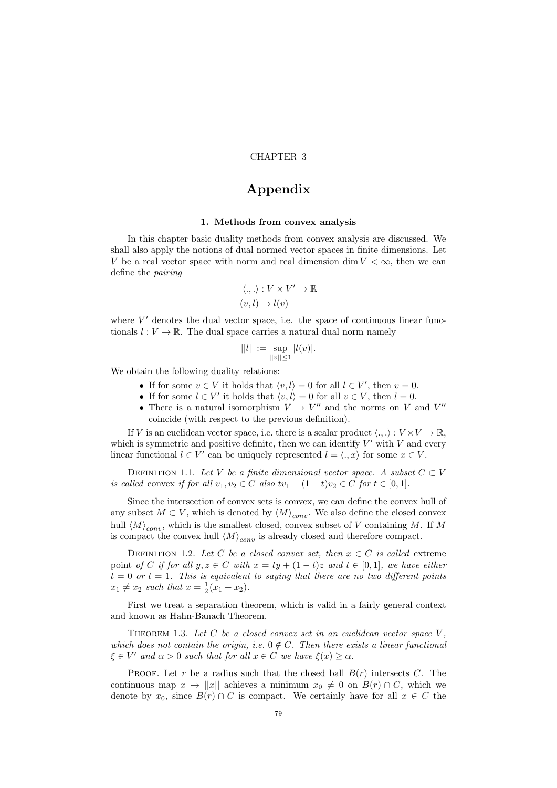### CHAPTER 3

# Appendix

#### 1. Methods from convex analysis

In this chapter basic duality methods from convex analysis are discussed. We shall also apply the notions of dual normed vector spaces in finite dimensions. Let V be a real vector space with norm and real dimension dim  $V < \infty$ , then we can define the pairing

$$
\langle .,. \rangle : V \times V' \to \mathbb{R}
$$

$$
(v,l) \mapsto l(v)
$$

where  $V'$  denotes the dual vector space, i.e. the space of continuous linear functionals  $l: V \to \mathbb{R}$ . The dual space carries a natural dual norm namely

$$
||l|| := \sup_{||v|| \le 1} |l(v)|.
$$

We obtain the following duality relations:

- If for some  $v \in V$  it holds that  $\langle v, l \rangle = 0$  for all  $l \in V'$ , then  $v = 0$ .
- If for some  $l \in V'$  it holds that  $\langle v, l \rangle = 0$  for all  $v \in V$ , then  $l = 0$ .
- There is a natural isomorphism  $V \to V''$  and the norms on V and V'' coincide (with respect to the previous definition).

If V is an euclidean vector space, i.e. there is a scalar product  $\langle ., .\rangle : V \times V \to \mathbb{R}$ , which is symmetric and positive definite, then we can identify  $V'$  with  $V$  and every linear functional  $l \in V'$  can be uniquely represented  $l = \langle ., x \rangle$  for some  $x \in V$ .

DEFINITION 1.1. Let V be a finite dimensional vector space. A subset  $C \subset V$ is called convex if for all  $v_1, v_2 \in C$  also  $tv_1 + (1-t)v_2 \in C$  for  $t \in [0,1]$ .

Since the intersection of convex sets is convex, we can define the convex hull of any subset  $M \subset V$ , which is denoted by  $\langle M \rangle_{conv}$ . We also define the closed convex hull  $\langle M \rangle_{conv}$ , which is the smallest closed, convex subset of V containing M. If M is compact the convex hull  $\langle M \rangle_{conv}$  is already closed and therefore compact.

DEFINITION 1.2. Let C be a closed convex set, then  $x \in C$  is called extreme point of C if for all  $y, z \in C$  with  $x = ty + (1 - t)z$  and  $t \in [0, 1]$ , we have either  $t = 0$  or  $t = 1$ . This is equivalent to saying that there are no two different points  $x_1 \neq x_2$  such that  $x = \frac{1}{2}(x_1 + x_2)$ .

First we treat a separation theorem, which is valid in a fairly general context and known as Hahn-Banach Theorem.

THEOREM 1.3. Let C be a closed convex set in an euclidean vector space  $V$ . which does not contain the origin, i.e.  $0 \notin C$ . Then there exists a linear functional  $\xi \in V'$  and  $\alpha > 0$  such that for all  $x \in C$  we have  $\xi(x) \geq \alpha$ .

PROOF. Let r be a radius such that the closed ball  $B(r)$  intersects C. The continuous map  $x \mapsto ||x||$  achieves a minimum  $x_0 \neq 0$  on  $B(r) \cap C$ , which we denote by  $x_0$ , since  $B(r) \cap C$  is compact. We certainly have for all  $x \in C$  the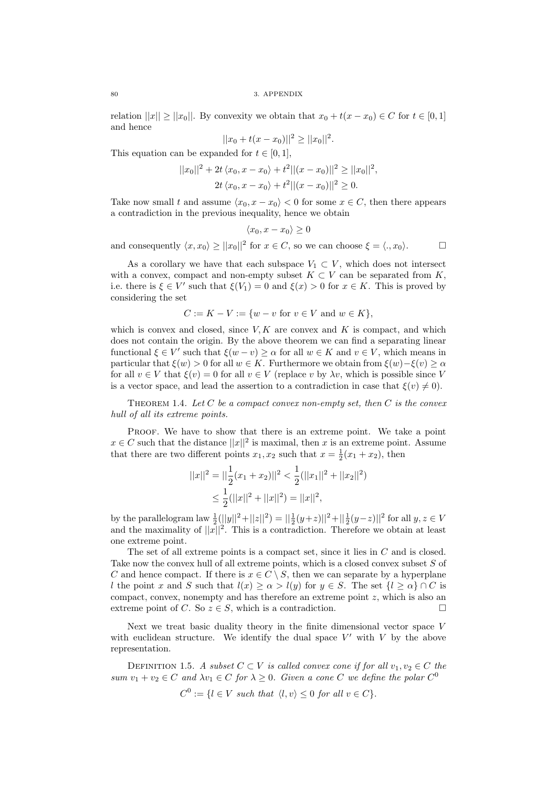relation  $||x|| \ge ||x_0||$ . By convexity we obtain that  $x_0 + t(x - x_0) \in C$  for  $t \in [0, 1]$ and hence

$$
||x_0 + t(x - x_0)||^2 \ge ||x_0||^2.
$$

This equation can be expanded for  $t \in [0, 1]$ ,

$$
||x_0||^2 + 2t \langle x_0, x - x_0 \rangle + t^2 ||(x - x_0)||^2 \ge ||x_0||^2,
$$
  

$$
2t \langle x_0, x - x_0 \rangle + t^2 ||(x - x_0)||^2 \ge 0.
$$

Take now small t and assume  $\langle x_0, x - x_0 \rangle < 0$  for some  $x \in C$ , then there appears a contradiction in the previous inequality, hence we obtain

$$
\langle x_0, x - x_0 \rangle \ge 0
$$

and consequently  $\langle x, x_0 \rangle \ge ||x_0||^2$  for  $x \in C$ , so we can choose  $\xi = \langle ., x_0 \rangle$ .

As a corollary we have that each subspace  $V_1 \subset V$ , which does not intersect with a convex, compact and non-empty subset  $K \subset V$  can be separated from K. i.e. there is  $\xi \in V'$  such that  $\xi(V_1) = 0$  and  $\xi(x) > 0$  for  $x \in K$ . This is proved by considering the set

$$
C := K - V := \{ w - v \text{ for } v \in V \text{ and } w \in K \},
$$

which is convex and closed, since  $V, K$  are convex and K is compact, and which does not contain the origin. By the above theorem we can find a separating linear functional  $\xi \in V'$  such that  $\xi(w - v) \geq \alpha$  for all  $w \in K$  and  $v \in V$ , which means in particular that  $\xi(w) > 0$  for all  $w \in K$ . Furthermore we obtain from  $\xi(w) - \xi(v) \ge \alpha$ for all  $v \in V$  that  $\xi(v) = 0$  for all  $v \in V$  (replace v by  $\lambda v$ , which is possible since V is a vector space, and lead the assertion to a contradiction in case that  $\xi(v) \neq 0$ .

THEOREM 1.4. Let  $C$  be a compact convex non-empty set, then  $C$  is the convex hull of all its extreme points.

PROOF. We have to show that there is an extreme point. We take a point  $x \in C$  such that the distance  $||x||^2$  is maximal, then x is an extreme point. Assume that there are two different points  $x_1, x_2$  such that  $x = \frac{1}{2}(x_1 + x_2)$ , then

$$
||x||^2 = ||\frac{1}{2}(x_1 + x_2)||^2 < \frac{1}{2}(||x_1||^2 + ||x_2||^2)
$$
  
\n
$$
\leq \frac{1}{2}(||x||^2 + ||x||^2) = ||x||^2,
$$

by the parallelogram law  $\frac{1}{2}(||y||^2 + ||z||^2) = ||\frac{1}{2}(y+z)||^2 + ||\frac{1}{2}(y-z)||^2$  for all  $y, z \in V$ and the maximality of  $||x||^2$ . This is a contradiction. Therefore we obtain at least one extreme point.

The set of all extreme points is a compact set, since it lies in C and is closed. Take now the convex hull of all extreme points, which is a closed convex subset S of C and hence compact. If there is  $x \in C \setminus S$ , then we can separate by a hyperplane l the point x and S such that  $l(x) \ge \alpha > l(y)$  for  $y \in S$ . The set  $\{l \ge \alpha\} \cap C$  is compact, convex, nonempty and has therefore an extreme point  $z$ , which is also an extreme point of C. So  $z \in S$ , which is a contradiction.

Next we treat basic duality theory in the finite dimensional vector space V with euclidean structure. We identify the dual space  $V'$  with  $V$  by the above representation.

DEFINITION 1.5. A subset  $C \subset V$  is called convex cone if for all  $v_1, v_2 \in C$  the sum  $v_1 + v_2 \in C$  and  $\lambda v_1 \in C$  for  $\lambda \geq 0$ . Given a cone C we define the polar  $C^0$ 

$$
C^0 := \{ l \in V \text{ such that } \langle l, v \rangle \le 0 \text{ for all } v \in C \}.
$$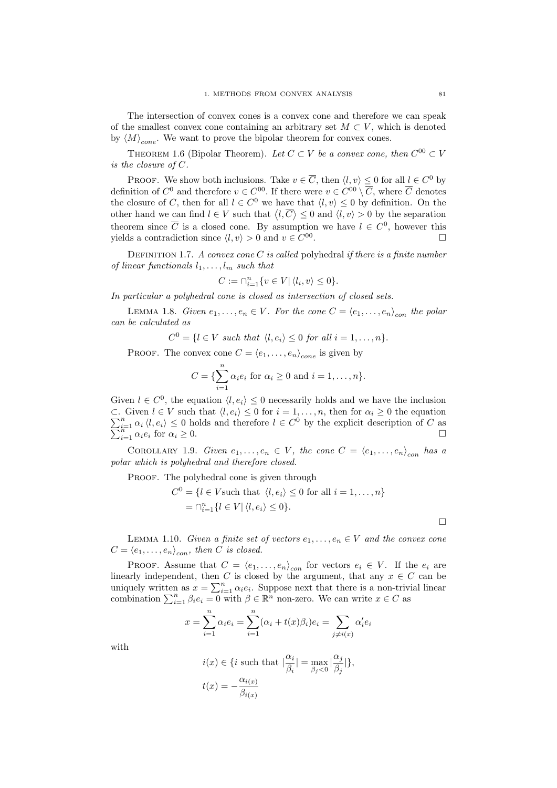The intersection of convex cones is a convex cone and therefore we can speak of the smallest convex cone containing an arbitrary set  $M \subset V$ , which is denoted by  $\langle M \rangle_{cone}$ . We want to prove the bipolar theorem for convex cones.

THEOREM 1.6 (Bipolar Theorem). Let  $C \subset V$  be a convex cone, then  $C^{00} \subset V$ is the closure of C.

PROOF. We show both inclusions. Take  $v \in \overline{C}$ , then  $\langle l, v \rangle \leq 0$  for all  $l \in C^0$  by definition of  $C^0$  and therefore  $v \in C^{00}$ . If there were  $v \in C^{00} \setminus \overline{C}$ , where  $\overline{C}$  denotes the closure of C, then for all  $l \in C^0$  we have that  $\langle l, v \rangle \leq 0$  by definition. On the other hand we can find  $l \in V$  such that  $\langle l, \overline{C} \rangle \leq 0$  and  $\langle l, v \rangle > 0$  by the separation theorem since  $\overline{C}$  is a closed cone. By assumption we have  $l \in C^0$ , however this yields a contradiction since  $\langle l, v \rangle > 0$  and  $v \in C^{00}$ .

DEFINITION 1.7. A convex cone C is called polyhedral if there is a finite number of linear functionals  $l_1, \ldots, l_m$  such that

$$
C := \bigcap_{i=1}^{n} \{ v \in V | \langle l_i, v \rangle \leq 0 \}.
$$

In particular a polyhedral cone is closed as intersection of closed sets.

LEMMA 1.8. Given  $e_1, \ldots, e_n \in V$ . For the cone  $C = \langle e_1, \ldots, e_n \rangle_{con}$  the polar can be calculated as

$$
C^{0} = \{l \in V \text{ such that } \langle l, e_{i} \rangle \leq 0 \text{ for all } i = 1, ..., n\}.
$$

PROOF. The convex cone  $C = \langle e_1, \ldots, e_n \rangle_{cone}$  is given by

$$
C = \{\sum_{i=1}^{n} \alpha_i e_i \text{ for } \alpha_i \ge 0 \text{ and } i = 1, \dots, n\}.
$$

Given  $l \in C^0$ , the equation  $\langle l, e_i \rangle \leq 0$  necessarily holds and we have the inclusion  $\sum$ ⊂. Given  $l \in V$  such that  $\langle l, e_i \rangle \leq 0$  for  $i = 1, ..., n$ , then for  $\alpha_i \geq 0$  the equation  $\sum_{i=1}^{n} \alpha_i \langle l, e_i \rangle \leq 0$  holds and therefore  $l \in C^0$  by the explicit description of C as  $\sum$  $\sum_{i=1}^{n} \alpha_i \langle l, e_i \rangle \leq 0$  holds and therefore  $l \in C^0$  by the explicit description of C as  $\Box$ 

COROLLARY 1.9. Given  $e_1, \ldots, e_n \in V$ , the cone  $C = \langle e_1, \ldots, e_n \rangle_{con}$  has a polar which is polyhedral and therefore closed.

PROOF. The polyhedral cone is given through

$$
C^{0} = \{l \in V \text{ such that } \langle l, e_{i} \rangle \leq 0 \text{ for all } i = 1, ..., n\}
$$

$$
= \bigcap_{i=1}^{n} \{l \in V | \langle l, e_{i} \rangle \leq 0\}.
$$

LEMMA 1.10. Given a finite set of vectors  $e_1, \ldots, e_n \in V$  and the convex cone  $C = \langle e_1, \ldots, e_n \rangle_{con}$ , then C is closed.

PROOF. Assume that  $C = \langle e_1, \ldots, e_n \rangle_{con}$  for vectors  $e_i \in V$ . If the  $e_i$  are linearly independent, then C is closed by the argument, that any  $x \in C$  can be uniquely written as  $x = \sum_{i=1}^{n} \alpha_i e_i$ . Suppose next that there is a non-trivial linear combination  $\sum_{i=1}^{n} \beta_i e_i = 0$  with  $\beta \in \mathbb{R}^n$  non-zero. We can write  $x \in C$  as

$$
x = \sum_{i=1}^{n} \alpha_i e_i = \sum_{i=1}^{n} (\alpha_i + t(x)\beta_i)e_i = \sum_{j \neq i(x)} \alpha'_i e_i
$$

with

$$
\begin{aligned} i(x) &\in \{i \text{ such that } |\frac{\alpha_i}{\beta_i}| = \max_{\beta_j < 0} |\frac{\alpha_j}{\beta_j}| \}, \\ t(x) & = -\frac{\alpha_{i(x)}}{\beta_{i(x)}} \end{aligned}
$$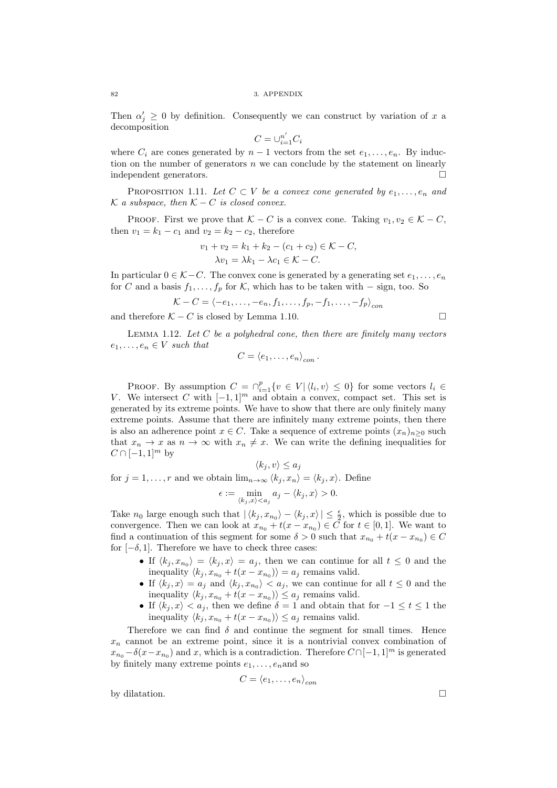Then  $\alpha'_j \geq 0$  by definition. Consequently we can construct by variation of x a decomposition

$$
C=\cup_{i=1}^{n'} C_i
$$

where  $C_i$  are cones generated by  $n-1$  vectors from the set  $e_1, \ldots, e_n$ . By induction on the number of generators n we can conclude by the statement on linearly independent generators.

PROPOSITION 1.11. Let  $C \subset V$  be a convex cone generated by  $e_1, \ldots, e_n$  and  $K$  a subspace, then  $K - C$  is closed convex.

PROOF. First we prove that  $K - C$  is a convex cone. Taking  $v_1, v_2 \in K - C$ , then  $v_1 = k_1 - c_1$  and  $v_2 = k_2 - c_2$ , therefore

$$
v_1 + v_2 = k_1 + k_2 - (c_1 + c_2) \in \mathcal{K} - C,
$$
  

$$
\lambda v_1 = \lambda k_1 - \lambda c_1 \in \mathcal{K} - C.
$$

In particular  $0 \in \mathcal{K} - C$ . The convex cone is generated by a generating set  $e_1, \ldots, e_n$ for C and a basis  $f_1, \ldots, f_p$  for K, which has to be taken with – sign, too. So

$$
\mathcal{K} - C = \langle -e_1, \dots, -e_n, f_1, \dots, f_p, -f_1, \dots, -f_p \rangle_{con}
$$

and therefore  $K - C$  is closed by Lemma 1.10.

LEMMA 1.12. Let  $C$  be a polyhedral cone, then there are finitely many vectors  $e_1, \ldots, e_n \in V$  such that

$$
C=\langle e_1,\ldots,e_n\rangle_{con}.
$$

PROOF. By assumption  $C = \bigcap_{i=1}^p \{v \in V | \langle l_i, v \rangle \leq 0\}$  for some vectors  $l_i \in$ V. We intersect C with  $[-1, 1]^m$  and obtain a convex, compact set. This set is generated by its extreme points. We have to show that there are only finitely many extreme points. Assume that there are infinitely many extreme points, then there is also an adherence point  $x \in C$ . Take a sequence of extreme points  $(x_n)_{n\geq 0}$  such that  $x_n \to x$  as  $n \to \infty$  with  $x_n \neq x$ . We can write the defining inequalities for  $C \cap [-1,1]^m$  by

 $\langle k_j , v \rangle \leq a_j$ for  $j = 1, \ldots, r$  and we obtain  $\lim_{n \to \infty} \langle k_j, x_n \rangle = \langle k_j, x \rangle$ . Define  $\epsilon := \min_{\langle k_j, x \rangle < a_j} a_j - \langle k_j, x \rangle > 0.$ 

Take  $n_0$  large enough such that  $|\langle k_j, x_{n_0}\rangle - \langle k_j, x\rangle| \leq \frac{\epsilon}{2}$ , which is possible due to convergence. Then we can look at  $x_{n_0} + t(x - x_{n_0}) \in C$  for  $t \in [0, 1]$ . We want to find a continuation of this segment for some  $\delta > 0$  such that  $x_{n_0} + t(x - x_{n_0}) \in C$ for  $[-\delta, 1]$ . Therefore we have to check three cases:

- If  $\langle k_j , x_{n_0} \rangle = \langle k_j , x \rangle = a_j$ , then we can continue for all  $t \leq 0$  and the inequality  $\langle k_j , x_{n_0} + t(x - x_{n_0}) \rangle = a_j$  remains valid.
- If  $\langle k_j , x \rangle = a_j$  and  $\langle k_j , x_{n_0} \rangle < a_j$ , we can continue for all  $t \leq 0$  and the inequality  $\langle k_j , x_{n_0} + t(x - x_{n_0}) \rangle \leq a_j$  remains valid.
- If  $\langle k_j , x \rangle < a_j$ , then we define  $\delta = 1$  and obtain that for  $-1 \leq t \leq 1$  the inequality  $\langle k_j , x_{n_0} + t(x - x_{n_0}) \rangle \leq a_j$  remains valid.

Therefore we can find  $\delta$  and continue the segment for small times. Hence  $x_n$  cannot be an extreme point, since it is a nontrivial convex combination of  $x_{n_0} - \delta(x - x_{n_0})$  and x, which is a contradiction. Therefore  $C \cap [-1, 1]^m$  is generated by finitely many extreme points  $e_1, \ldots, e_n$  and so

$$
C = \langle e_1, \ldots, e_n \rangle_{con}
$$

by dilatation.  $\Box$ 

$$
^{82}
$$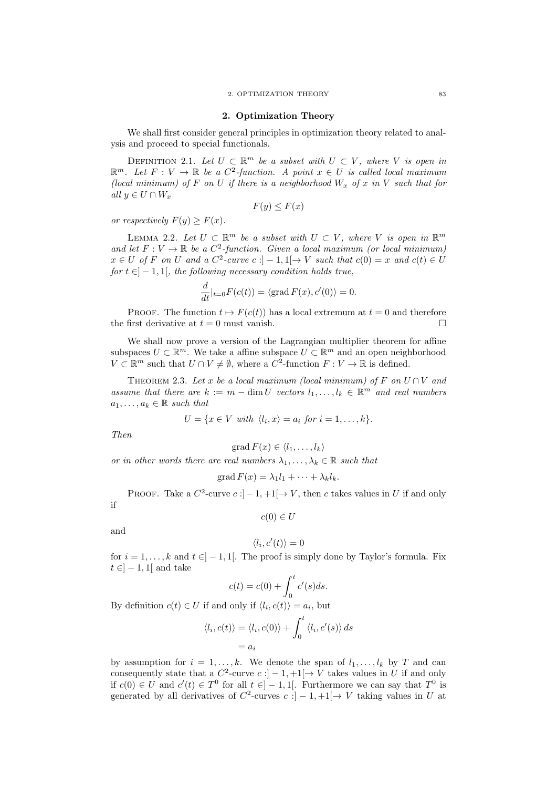#### 2. Optimization Theory

We shall first consider general principles in optimization theory related to analysis and proceed to special functionals.

DEFINITION 2.1. Let  $U \subset \mathbb{R}^m$  be a subset with  $U \subset V$ , where V is open in  $\mathbb{R}^m$ . Let  $F: V \to \mathbb{R}$  be a  $C^2$ -function. A point  $x \in U$  is called local maximum (local minimum) of F on U if there is a neighborhood  $W_x$  of x in V such that for all  $y \in U \cap W_x$ 

$$
F(y) \le F(x)
$$

or respectively  $F(y) \geq F(x)$ .

LEMMA 2.2. Let  $U \subset \mathbb{R}^m$  be a subset with  $U \subset V$ , where V is open in  $\mathbb{R}^m$ and let  $F: V \to \mathbb{R}$  be a  $C^2$ -function. Given a local maximum (or local minimum)  $x \in U$  of F on U and a  $C^2$ -curve  $c : ]-1,1[ \to V$  such that  $c(0) = x$  and  $c(t) \in U$ for  $t \in ]-1,1[$ , the following necessary condition holds true,

$$
\frac{d}{dt}|_{t=0}F(c(t)) = \langle \text{grad } F(x), c'(0) \rangle = 0.
$$

PROOF. The function  $t \mapsto F(c(t))$  has a local extremum at  $t = 0$  and therefore the first derivative at  $t = 0$  must vanish.

We shall now prove a version of the Lagrangian multiplier theorem for affine subspaces  $U \subset \mathbb{R}^m$ . We take a affine subspace  $U \subset \mathbb{R}^m$  and an open neighborhood  $V \subset \mathbb{R}^m$  such that  $U \cap V \neq \emptyset$ , where a  $C^2$ -function  $F : V \to \mathbb{R}$  is defined.

THEOREM 2.3. Let x be a local maximum (local minimum) of F on  $U \cap V$  and assume that there are  $k := m - \dim U$  vectors  $l_1, \ldots, l_k \in \mathbb{R}^m$  and real numbers  $a_1, \ldots, a_k \in \mathbb{R}$  such that

$$
U = \{x \in V \text{ with } \langle l_i, x \rangle = a_i \text{ for } i = 1, \dots, k\}.
$$

Then

$$
\operatorname{grad} F(x) \in \langle l_1, \ldots, l_k \rangle
$$

or in other words there are real numbers  $\lambda_1, \ldots, \lambda_k \in \mathbb{R}$  such that

$$
\operatorname{grad} F(x) = \lambda_1 l_1 + \dots + \lambda_k l_k.
$$

PROOF. Take a  $C^2$ -curve  $c: ]-1,+1[ \to V,$  then c takes values in U if and only

if

$$
c(0) \in U
$$

and

$$
\langle l_i, c'(t) \rangle = 0
$$

for  $i = 1, ..., k$  and  $t \in ]-1,1[$ . The proof is simply done by Taylor's formula. Fix  $t \in ]-1,1[$  and take

$$
c(t) = c(0) + \int_0^t c'(s)ds.
$$

By definition  $c(t) \in U$  if and only if  $\langle l_i, c(t) \rangle = a_i$ , but

$$
\langle l_i, c(t) \rangle = \langle l_i, c(0) \rangle + \int_0^t \langle l_i, c'(s) \rangle ds
$$
  
=  $a_i$ 

by assumption for  $i = 1, ..., k$ . We denote the span of  $l_1, ..., l_k$  by T and can consequently state that a  $C^2$ -curve  $c:]-1,+1[\to V$  takes values in U if and only if  $c(0) \in U$  and  $c'(t) \in T^0$  for all  $t \in ]-1,1[$ . Furthermore we can say that  $T^0$  is generated by all derivatives of  $C^2$ -curves  $c:]-1,+1[\to V$  taking values in U at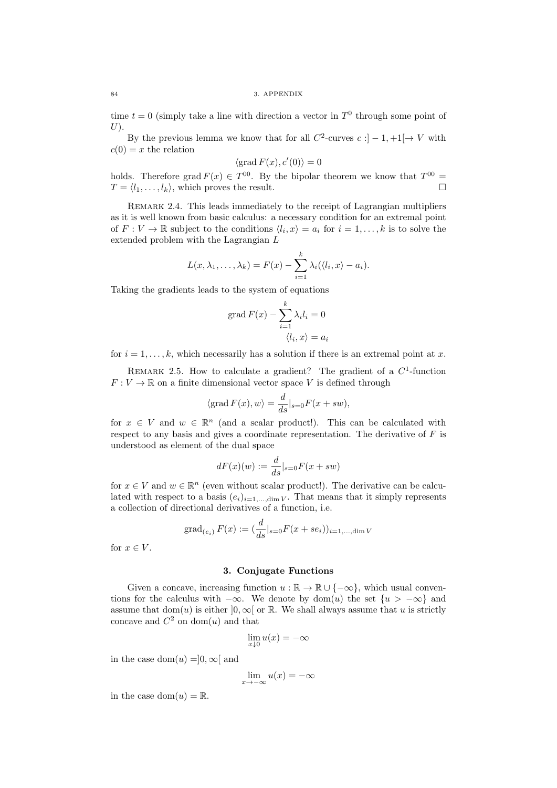time  $t = 0$  (simply take a line with direction a vector in  $T^0$  through some point of  $U$ ).

By the previous lemma we know that for all  $C^2$ -curves  $c: ]-1,+1[ \to V$  with  $c(0) = x$  the relation

$$
\langle \operatorname{grad} F(x), c'(0) \rangle = 0
$$

holds. Therefore grad  $F(x) \in T^{00}$ . By the bipolar theorem we know that  $T^{00} =$  $T = \langle l_1, \ldots, l_k \rangle$ , which proves the result.

REMARK 2.4. This leads immediately to the receipt of Lagrangian multipliers as it is well known from basic calculus: a necessary condition for an extremal point of  $F: V \to \mathbb{R}$  subject to the conditions  $\langle l_i, x \rangle = a_i$  for  $i = 1, \ldots, k$  is to solve the extended problem with the Lagrangian L

$$
L(x, \lambda_1, \ldots, \lambda_k) = F(x) - \sum_{i=1}^k \lambda_i (\langle l_i, x \rangle - a_i).
$$

Taking the gradients leads to the system of equations

$$
\operatorname{grad} F(x) - \sum_{i=1}^{k} \lambda_i l_i = 0
$$

$$
\langle l_i, x \rangle = a_i
$$

for  $i = 1, \ldots, k$ , which necessarily has a solution if there is an extremal point at x.

REMARK 2.5. How to calculate a gradient? The gradient of a  $C<sup>1</sup>$ -function  $F: V \to \mathbb{R}$  on a finite dimensional vector space V is defined through

$$
\langle \operatorname{grad} F(x), w \rangle = \frac{d}{ds}|_{s=0} F(x + sw),
$$

for  $x \in V$  and  $w \in \mathbb{R}^n$  (and a scalar product!). This can be calculated with respect to any basis and gives a coordinate representation. The derivative of  $F$  is understood as element of the dual space

$$
dF(x)(w) := \frac{d}{ds}|_{s=0} F(x+sw)
$$

for  $x \in V$  and  $w \in \mathbb{R}^n$  (even without scalar product!). The derivative can be calculated with respect to a basis  $(e_i)_{i=1,\dots,\dim V}$ . That means that it simply represents a collection of directional derivatives of a function, i.e.

grad<sub>(e<sub>i</sub>)</sub> 
$$
F(x) := \left(\frac{d}{ds}|_{s=0} F(x + s e_i)\right)_{i=1,\dots,\text{dim } V}
$$

for  $x \in V$ .

#### 3. Conjugate Functions

Given a concave, increasing function  $u : \mathbb{R} \to \mathbb{R} \cup \{-\infty\}$ , which usual conventions for the calculus with  $-\infty$ . We denote by dom(u) the set  $\{u > -\infty\}$  and assume that dom(u) is either  $]0,\infty[$  or R. We shall always assume that u is strictly concave and  $C^2$  on dom(u) and that

$$
\lim_{x \downarrow 0} u(x) = -\infty
$$

in the case dom $(u) = 0, \infty$ [and

$$
\lim_{x \to -\infty} u(x) = -\infty
$$

in the case dom $(u) = \mathbb{R}$ .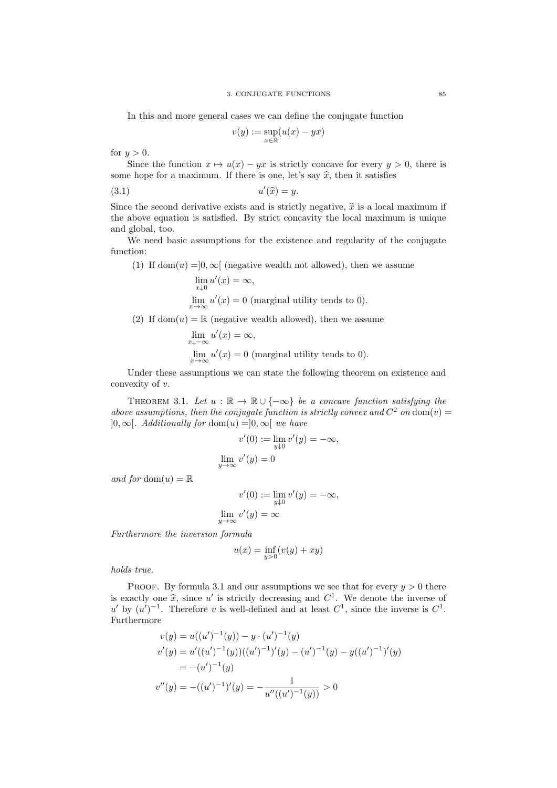In this and more general cases we can define the conjugate function

$$
v(y) := \sup_{x \in \mathbb{R}} (u(x) - yx)
$$

for  $y > 0$ .

Since the function  $x \mapsto u(x) - yx$  is strictly concave for every  $y > 0$ , there is some hope for a maximum. If there is one, let's say  $\hat{x}$ , then it satisfies

$$
(3.1) \t\t u'(\widehat{x}) = y.
$$

Since the second derivative exists and is strictly negative,  $\hat{x}$  is a local maximum if the above equation is satisfied. By strict concavity the local maximum is unique and global, too.

We need basic assumptions for the existence and regularity of the conjugate function:

(1) If dom(u) =  $[0, \infty)$  (negative wealth not allowed), then we assume  $\lim_{x\downarrow 0} u'(x) = \infty,$ 

$$
\lim_{x \to \infty} u'(x) = 0
$$
 (marginal utility tends to 0).

(2) If dom(u) =  $\mathbb R$  (negative wealth allowed), then we assume

$$
\lim_{x \to -\infty} u'(x) = \infty,
$$
  
\n
$$
\lim_{x \to \infty} u'(x) = 0
$$
 (marginal utility tends to 0).

Under these assumptions we can state the following theorem on existence and convexity of v.

THEOREM 3.1. Let  $u : \mathbb{R} \to \mathbb{R} \cup \{-\infty\}$  be a concave function satisfying the above assumptions, then the conjugate function is strictly convex and  $C^2$  on  $dom(v) =$  $]0,\infty[$ . Additionally for dom $(u) =]0,\infty[$  we have

$$
v'(0) := \lim_{y \downarrow 0} v'(y) = -\infty,
$$
  

$$
\lim_{y \to \infty} v'(y) = 0
$$

and for dom $(u) = \mathbb{R}$ 

$$
v'(0) := \lim_{y \downarrow 0} v'(y) = -\infty,
$$
  

$$
\lim_{y \to \infty} v'(y) = \infty
$$

Furthermore the inversion formula

$$
u(x) = \inf_{y>0} (v(y) + xy)
$$

holds true.

PROOF. By formula 3.1 and our assumptions we see that for every  $y > 0$  there is exactly one  $\hat{x}$ , since u' is strictly decreasing and  $C^1$ . We denote the inverse of  $\alpha'$  by  $(\alpha')^{-1}$ . Therefore using well defined and at least  $C^1$  gines the inverse is  $C^1$ u' by  $(u')^{-1}$ . Therefore v is well-defined and at least  $C^1$ , since the inverse is  $C^1$ . Furthermore

$$
v(y) = u((u')^{-1}(y)) - y \cdot (u')^{-1}(y)
$$
  
\n
$$
v'(y) = u'((u')^{-1}(y))((u')^{-1})'(y) - (u')^{-1}(y) - y((u')^{-1})'(y)
$$
  
\n
$$
= -(u')^{-1}(y)
$$
  
\n
$$
v''(y) = -((u')^{-1})'(y) = -\frac{1}{u''((u')^{-1}(y))} > 0
$$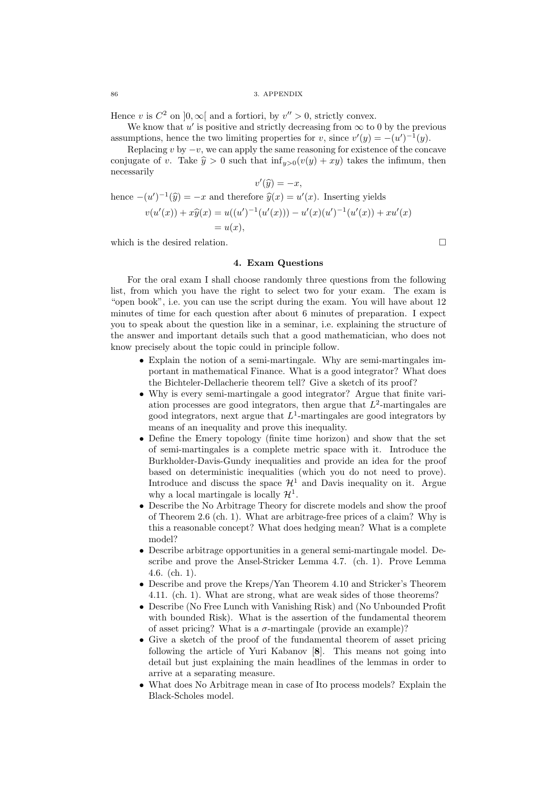Hence v is  $C^2$  on  $]0,\infty[$  and a fortiori, by  $v'' > 0$ , strictly convex.

We know that  $u'$  is positive and strictly decreasing from  $\infty$  to 0 by the previous assumptions, hence the two limiting properties for v, since  $v'(y) = -(u')^{-1}(y)$ .

Replacing v by  $-v$ , we can apply the same reasoning for existence of the concave conjugate of v. Take  $\hat{y} > 0$  such that  $\inf_{y>0}(v(y) + xy)$  takes the infimum, then necessarily  $1\infty$ 

$$
v'(\widehat{y}) = -x,
$$
  
hence  $-(u')^{-1}(\widehat{y}) = -x$  and therefore  $\widehat{y}(x) = u'(x)$ . Inserting yields  

$$
v(u'(x)) + x\widehat{y}(x) = u((u')^{-1}(u'(x))) - u'(x)(u')^{-1}(u'(x)) + xu'(x)
$$

$$
= u(x),
$$

which is the desired relation.  $\Box$ 

### 4. Exam Questions

For the oral exam I shall choose randomly three questions from the following list, from which you have the right to select two for your exam. The exam is "open book", i.e. you can use the script during the exam. You will have about 12 minutes of time for each question after about 6 minutes of preparation. I expect you to speak about the question like in a seminar, i.e. explaining the structure of the answer and important details such that a good mathematician, who does not know precisely about the topic could in principle follow.

- Explain the notion of a semi-martingale. Why are semi-martingales important in mathematical Finance. What is a good integrator? What does the Bichteler-Dellacherie theorem tell? Give a sketch of its proof?
- Why is every semi-martingale a good integrator? Argue that finite variation processes are good integrators, then argue that  $L^2$ -martingales are good integrators, next argue that  $L^1$ -martingales are good integrators by means of an inequality and prove this inequality.
- Define the Emery topology (finite time horizon) and show that the set of semi-martingales is a complete metric space with it. Introduce the Burkholder-Davis-Gundy inequalities and provide an idea for the proof based on deterministic inequalities (which you do not need to prove). Introduce and discuss the space  $\mathcal{H}^1$  and Davis inequality on it. Argue why a local martingale is locally  $\mathcal{H}^1$ .
- Describe the No Arbitrage Theory for discrete models and show the proof of Theorem 2.6 (ch. 1). What are arbitrage-free prices of a claim? Why is this a reasonable concept? What does hedging mean? What is a complete model?
- Describe arbitrage opportunities in a general semi-martingale model. Describe and prove the Ansel-Stricker Lemma 4.7. (ch. 1). Prove Lemma 4.6. (ch. 1).
- Describe and prove the Kreps/Yan Theorem 4.10 and Stricker's Theorem 4.11. (ch. 1). What are strong, what are weak sides of those theorems?
- Describe (No Free Lunch with Vanishing Risk) and (No Unbounded Profit with bounded Risk). What is the assertion of the fundamental theorem of asset pricing? What is a  $\sigma$ -martingale (provide an example)?
- Give a sketch of the proof of the fundamental theorem of asset pricing following the article of Yuri Kabanov [8]. This means not going into detail but just explaining the main headlines of the lemmas in order to arrive at a separating measure.
- What does No Arbitrage mean in case of Ito process models? Explain the Black-Scholes model.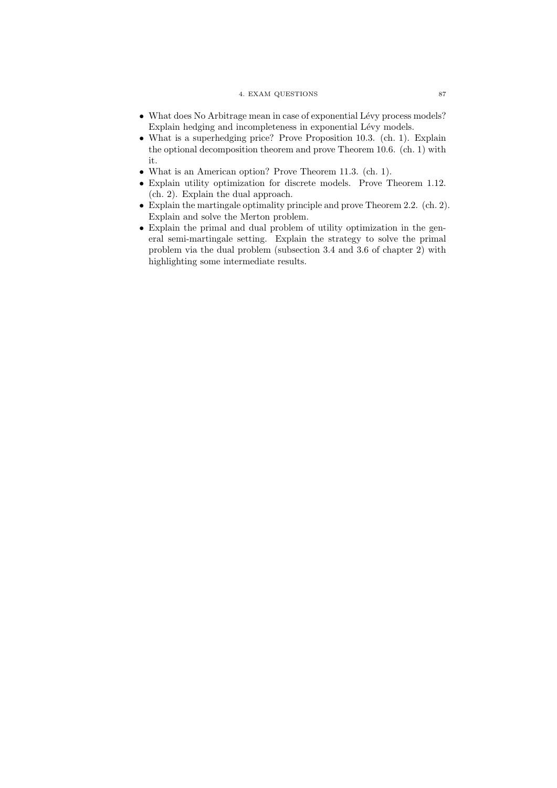#### 4. EXAM QUESTIONS 87

- $\bullet$  What does No Arbitrage mean in case of exponential Lévy process models? Explain hedging and incompleteness in exponential Lévy models.
- What is a superhedging price? Prove Proposition 10.3. (ch. 1). Explain the optional decomposition theorem and prove Theorem 10.6. (ch. 1) with it.
- What is an American option? Prove Theorem 11.3. (ch. 1).
- Explain utility optimization for discrete models. Prove Theorem 1.12. (ch. 2). Explain the dual approach.
- Explain the martingale optimality principle and prove Theorem 2.2. (ch. 2). Explain and solve the Merton problem.
- Explain the primal and dual problem of utility optimization in the general semi-martingale setting. Explain the strategy to solve the primal problem via the dual problem (subsection 3.4 and 3.6 of chapter 2) with highlighting some intermediate results.